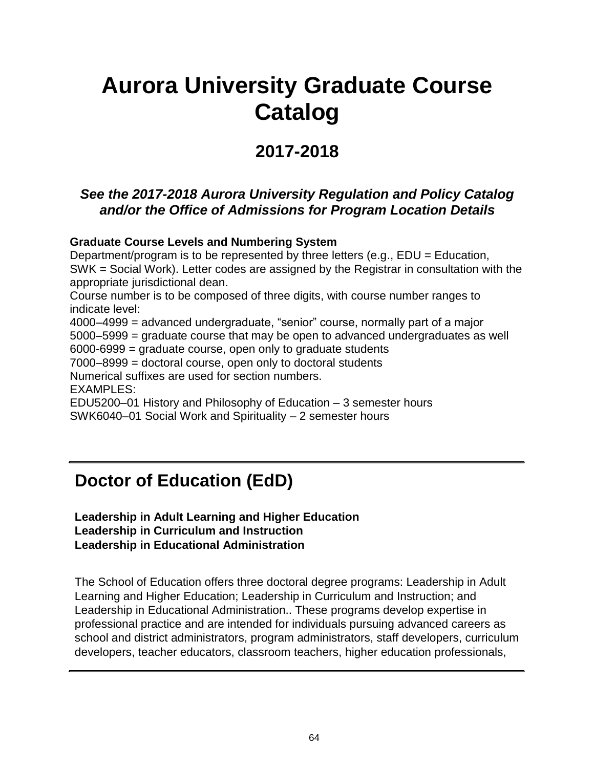# **Aurora University Graduate Course Catalog**

## **2017-2018**

### *See the 2017-2018 Aurora University Regulation and Policy Catalog and/or the Office of Admissions for Program Location Details*

#### **Graduate Course Levels and Numbering System**

Department/program is to be represented by three letters (e.g., EDU = Education, SWK = Social Work). Letter codes are assigned by the Registrar in consultation with the appropriate jurisdictional dean. Course number is to be composed of three digits, with course number ranges to indicate level: 4000–4999 = advanced undergraduate, "senior" course, normally part of a major 5000–5999 = graduate course that may be open to advanced undergraduates as well 6000-6999 = graduate course, open only to graduate students 7000–8999 = doctoral course, open only to doctoral students Numerical suffixes are used for section numbers. EXAMPLES:

EDU5200–01 History and Philosophy of Education – 3 semester hours SWK6040–01 Social Work and Spirituality – 2 semester hours

## **Doctor of Education (EdD)**

#### **Leadership in Adult Learning and Higher Education Leadership in Curriculum and Instruction Leadership in Educational Administration**

The School of Education offers three doctoral degree programs: Leadership in Adult Learning and Higher Education; Leadership in Curriculum and Instruction; and Leadership in Educational Administration.. These programs develop expertise in professional practice and are intended for individuals pursuing advanced careers as school and district administrators, program administrators, staff developers, curriculum developers, teacher educators, classroom teachers, higher education professionals,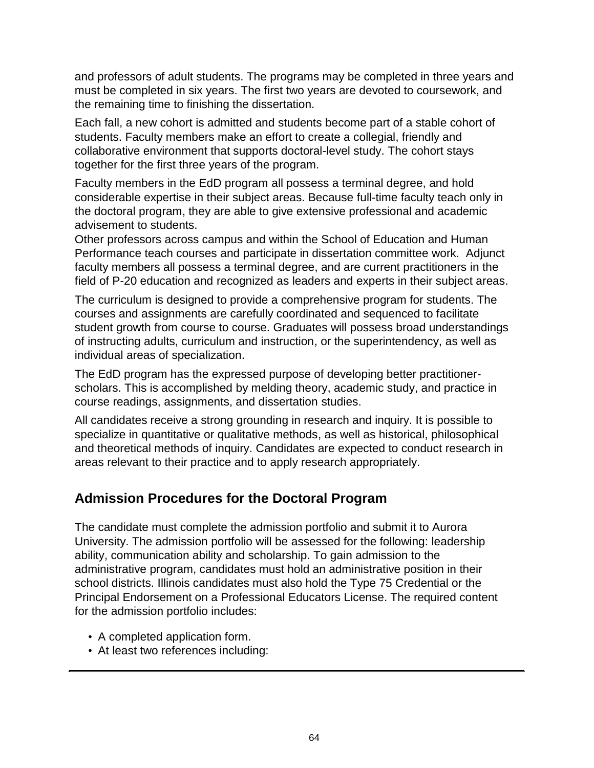and professors of adult students. The programs may be completed in three years and must be completed in six years. The first two years are devoted to coursework, and the remaining time to finishing the dissertation.

Each fall, a new cohort is admitted and students become part of a stable cohort of students. Faculty members make an effort to create a collegial, friendly and collaborative environment that supports doctoral-level study. The cohort stays together for the first three years of the program.

Faculty members in the EdD program all possess a terminal degree, and hold considerable expertise in their subject areas. Because full-time faculty teach only in the doctoral program, they are able to give extensive professional and academic advisement to students.

Other professors across campus and within the School of Education and Human Performance teach courses and participate in dissertation committee work. Adjunct faculty members all possess a terminal degree, and are current practitioners in the field of P-20 education and recognized as leaders and experts in their subject areas.

The curriculum is designed to provide a comprehensive program for students. The courses and assignments are carefully coordinated and sequenced to facilitate student growth from course to course. Graduates will possess broad understandings of instructing adults, curriculum and instruction, or the superintendency, as well as individual areas of specialization.

The EdD program has the expressed purpose of developing better practitionerscholars. This is accomplished by melding theory, academic study, and practice in course readings, assignments, and dissertation studies.

All candidates receive a strong grounding in research and inquiry. It is possible to specialize in quantitative or qualitative methods, as well as historical, philosophical and theoretical methods of inquiry. Candidates are expected to conduct research in areas relevant to their practice and to apply research appropriately.

### **Admission Procedures for the Doctoral Program**

The candidate must complete the admission portfolio and submit it to Aurora University. The admission portfolio will be assessed for the following: leadership ability, communication ability and scholarship. To gain admission to the administrative program, candidates must hold an administrative position in their school districts. Illinois candidates must also hold the Type 75 Credential or the Principal Endorsement on a Professional Educators License. The required content for the admission portfolio includes:

- A completed application form.
- At least two references including: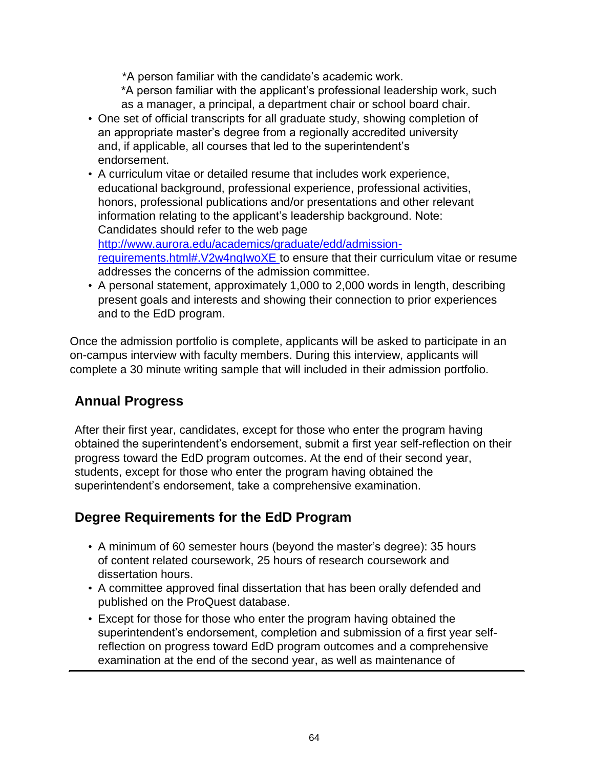\*A person familiar with the candidate's academic work.

\*A person familiar with the applicant's professional leadership work, such as a manager, a principal, a department chair or school board chair.

- One set of official transcripts for all graduate study, showing completion of an appropriate master's degree from a regionally accredited university and, if applicable, all courses that led to the superintendent's endorsement.
- A curriculum vitae or detailed resume that includes work experience, educational background, professional experience, professional activities, honors, professional publications and/or presentations and other relevant information relating to the applicant's leadership background. Note: Candidates should refer to the web page [http://www.aurora.edu/academics/graduate/edd/admission](http://www.aurora.edu/academics/graduate/edd/admission-requirements.html#.V2w4nqIwoXE)[requirements.html#.V2w4nqIwoXE t](http://www.aurora.edu/academics/graduate/edd/admission-requirements.html#.V2w4nqIwoXE)o ensure that their curriculum vitae or resume addresses the concerns of the admission committee.
- A personal statement, approximately 1,000 to 2,000 words in length, describing present goals and interests and showing their connection to prior experiences and to the EdD program.

Once the admission portfolio is complete, applicants will be asked to participate in an on-campus interview with faculty members. During this interview, applicants will complete a 30 minute writing sample that will included in their admission portfolio.

## **Annual Progress**

After their first year, candidates, except for those who enter the program having obtained the superintendent's endorsement, submit a first year self-reflection on their progress toward the EdD program outcomes. At the end of their second year, students, except for those who enter the program having obtained the superintendent's endorsement, take a comprehensive examination.

## **Degree Requirements for the EdD Program**

- A minimum of 60 semester hours (beyond the master's degree): 35 hours of content related coursework, 25 hours of research coursework and dissertation hours.
- A committee approved final dissertation that has been orally defended and published on the ProQuest database.
- Except for those for those who enter the program having obtained the superintendent's endorsement, completion and submission of a first year selfreflection on progress toward EdD program outcomes and a comprehensive examination at the end of the second year, as well as maintenance of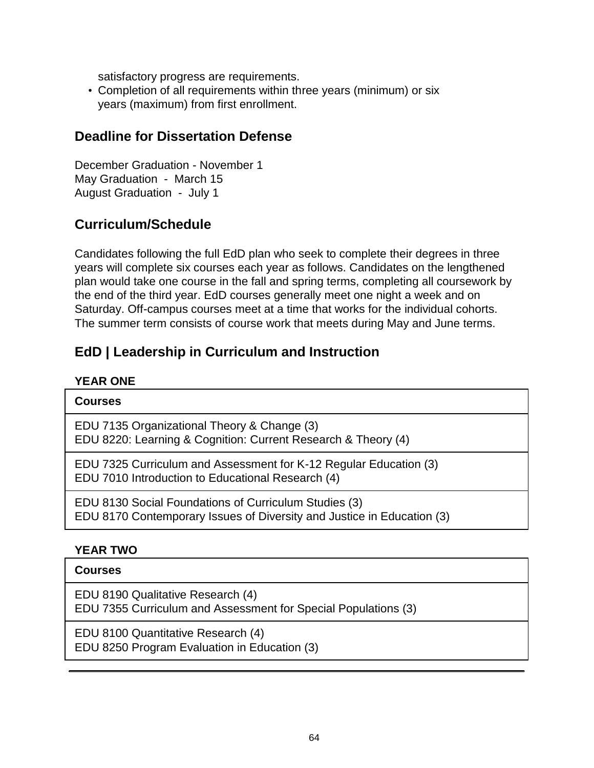satisfactory progress are requirements.

• Completion of all requirements within three years (minimum) or six years (maximum) from first enrollment.

### **Deadline for Dissertation Defense**

December Graduation - November 1 May Graduation - March 15 August Graduation - July 1

### **Curriculum/Schedule**

Candidates following the full EdD plan who seek to complete their degrees in three years will complete six courses each year as follows. Candidates on the lengthened plan would take one course in the fall and spring terms, completing all coursework by the end of the third year. EdD courses generally meet one night a week and on Saturday. Off-campus courses meet at a time that works for the individual cohorts. The summer term consists of course work that meets during May and June terms.

## **EdD | Leadership in Curriculum and Instruction**

#### **YEAR ONE**

| <b>Courses</b>                                                                                                                  |
|---------------------------------------------------------------------------------------------------------------------------------|
| EDU 7135 Organizational Theory & Change (3)<br>EDU 8220: Learning & Cognition: Current Research & Theory (4)                    |
| EDU 7325 Curriculum and Assessment for K-12 Regular Education (3)<br>EDU 7010 Introduction to Educational Research (4)          |
| EDU 8130 Social Foundations of Curriculum Studies (3)<br>EDU 8170 Contemporary Issues of Diversity and Justice in Education (3) |

#### **YEAR TWO**

#### **Courses**

EDU 8190 Qualitative Research (4) EDU 7355 Curriculum and Assessment for Special Populations (3)

EDU 8100 Quantitative Research (4) EDU 8250 Program Evaluation in Education (3)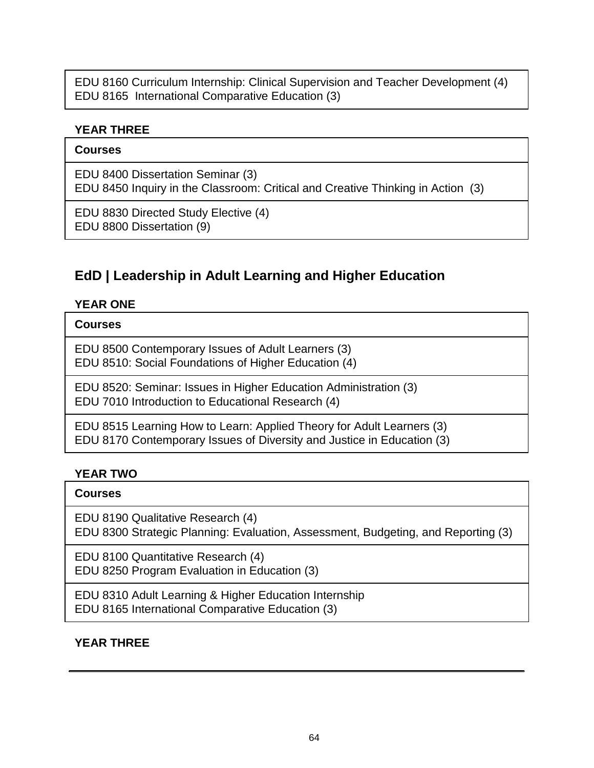EDU 8160 Curriculum Internship: Clinical Supervision and Teacher Development (4) EDU 8165 International Comparative Education (3)

#### **YEAR THREE**

#### **Courses**

EDU 8400 Dissertation Seminar (3)

EDU 8450 Inquiry in the Classroom: Critical and Creative Thinking in Action (3)

EDU 8830 Directed Study Elective (4) EDU 8800 Dissertation (9)

## **EdD | Leadership in Adult Learning and Higher Education**

#### **YEAR ONE**

#### **Courses**

EDU 8500 Contemporary Issues of Adult Learners (3) EDU 8510: Social Foundations of Higher Education (4)

EDU 8520: Seminar: Issues in Higher Education Administration (3) EDU 7010 Introduction to Educational Research (4)

EDU 8515 Learning How to Learn: Applied Theory for Adult Learners (3) EDU 8170 Contemporary Issues of Diversity and Justice in Education (3)

#### **YEAR TWO**

#### **Courses**

EDU 8190 Qualitative Research (4) EDU 8300 Strategic Planning: Evaluation, Assessment, Budgeting, and Reporting (3)

EDU 8100 Quantitative Research (4) EDU 8250 Program Evaluation in Education (3)

EDU 8310 Adult Learning & Higher Education Internship EDU 8165 International Comparative Education (3)

### **YEAR THREE**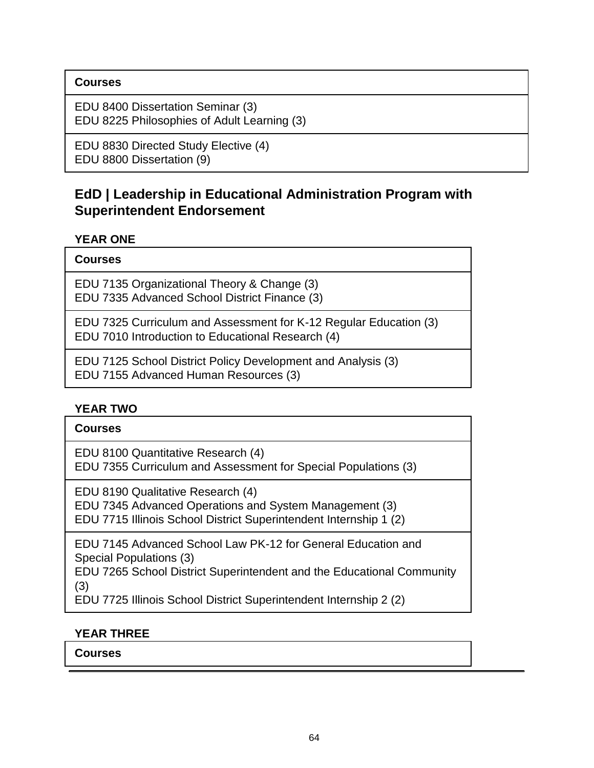#### **Courses**

EDU 8400 Dissertation Seminar (3) EDU 8225 Philosophies of Adult Learning (3)

EDU 8830 Directed Study Elective (4) EDU 8800 Dissertation (9)

## **EdD | Leadership in Educational Administration Program with Superintendent Endorsement**

#### **YEAR ONE**

| <b>Courses</b> |
|----------------|
|----------------|

EDU 7135 Organizational Theory & Change (3) EDU 7335 Advanced School District Finance (3)

EDU 7325 Curriculum and Assessment for K-12 Regular Education (3) EDU 7010 Introduction to Educational Research (4)

EDU 7125 School District Policy Development and Analysis (3) EDU 7155 Advanced Human Resources (3)

#### **YEAR TWO**

| <b>Courses</b> |
|----------------|
|----------------|

EDU 8100 Quantitative Research (4) EDU 7355 Curriculum and Assessment for Special Populations (3)

EDU 8190 Qualitative Research (4) EDU 7345 Advanced Operations and System Management (3)

EDU 7715 Illinois School District Superintendent Internship 1 (2)

EDU 7145 Advanced School Law PK-12 for General Education and Special Populations (3)

EDU 7265 School District Superintendent and the Educational Community (3)

EDU 7725 Illinois School District Superintendent Internship 2 (2)

#### **YEAR THREE**

**Courses**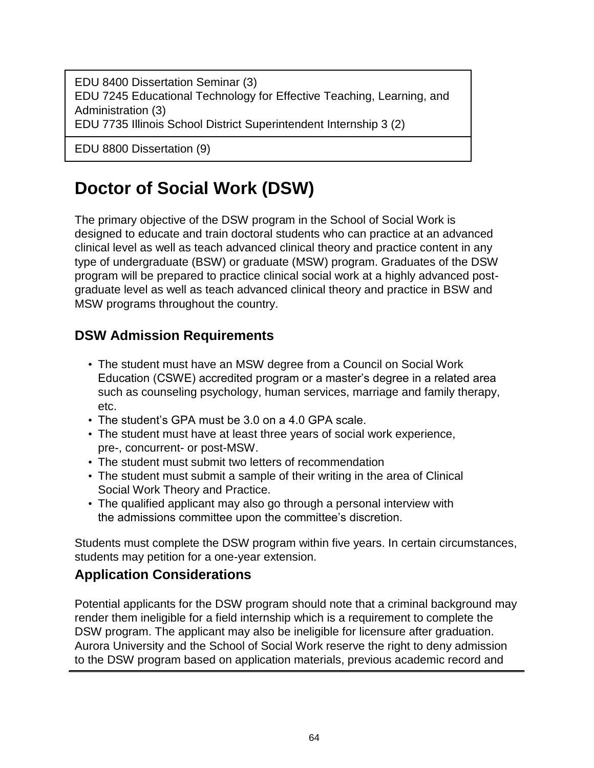EDU 8400 Dissertation Seminar (3) EDU 7245 Educational Technology for Effective Teaching, Learning, and Administration (3) EDU 7735 Illinois School District Superintendent Internship 3 (2)

EDU 8800 Dissertation (9)

## **Doctor of Social Work (DSW)**

The primary objective of the DSW program in the School of Social Work is designed to educate and train doctoral students who can practice at an advanced clinical level as well as teach advanced clinical theory and practice content in any type of undergraduate (BSW) or graduate (MSW) program. Graduates of the DSW program will be prepared to practice clinical social work at a highly advanced postgraduate level as well as teach advanced clinical theory and practice in BSW and MSW programs throughout the country.

## **DSW Admission Requirements**

- The student must have an MSW degree from a Council on Social Work Education (CSWE) accredited program or a master's degree in a related area such as counseling psychology, human services, marriage and family therapy, etc.
- The student's GPA must be 3.0 on a 4.0 GPA scale.
- The student must have at least three years of social work experience, pre-, concurrent- or post-MSW.
- The student must submit two letters of recommendation
- The student must submit a sample of their writing in the area of Clinical Social Work Theory and Practice.
- The qualified applicant may also go through a personal interview with the admissions committee upon the committee's discretion.

Students must complete the DSW program within five years. In certain circumstances, students may petition for a one-year extension.

## **Application Considerations**

Potential applicants for the DSW program should note that a criminal background may render them ineligible for a field internship which is a requirement to complete the DSW program. The applicant may also be ineligible for licensure after graduation. Aurora University and the School of Social Work reserve the right to deny admission to the DSW program based on application materials, previous academic record and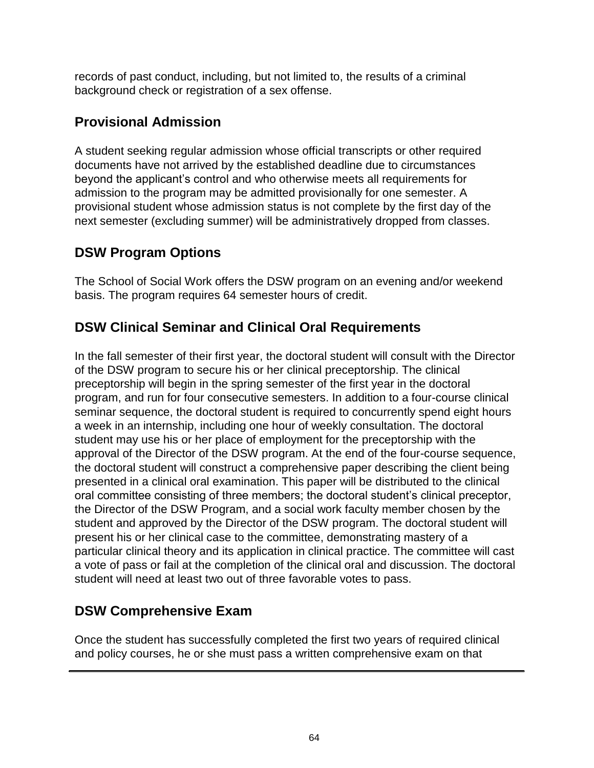records of past conduct, including, but not limited to, the results of a criminal background check or registration of a sex offense.

## **Provisional Admission**

A student seeking regular admission whose official transcripts or other required documents have not arrived by the established deadline due to circumstances beyond the applicant's control and who otherwise meets all requirements for admission to the program may be admitted provisionally for one semester. A provisional student whose admission status is not complete by the first day of the next semester (excluding summer) will be administratively dropped from classes.

## **DSW Program Options**

The School of Social Work offers the DSW program on an evening and/or weekend basis. The program requires 64 semester hours of credit.

## **DSW Clinical Seminar and Clinical Oral Requirements**

In the fall semester of their first year, the doctoral student will consult with the Director of the DSW program to secure his or her clinical preceptorship. The clinical preceptorship will begin in the spring semester of the first year in the doctoral program, and run for four consecutive semesters. In addition to a four-course clinical seminar sequence, the doctoral student is required to concurrently spend eight hours a week in an internship, including one hour of weekly consultation. The doctoral student may use his or her place of employment for the preceptorship with the approval of the Director of the DSW program. At the end of the four-course sequence, the doctoral student will construct a comprehensive paper describing the client being presented in a clinical oral examination. This paper will be distributed to the clinical oral committee consisting of three members; the doctoral student's clinical preceptor, the Director of the DSW Program, and a social work faculty member chosen by the student and approved by the Director of the DSW program. The doctoral student will present his or her clinical case to the committee, demonstrating mastery of a particular clinical theory and its application in clinical practice. The committee will cast a vote of pass or fail at the completion of the clinical oral and discussion. The doctoral student will need at least two out of three favorable votes to pass.

## **DSW Comprehensive Exam**

Once the student has successfully completed the first two years of required clinical and policy courses, he or she must pass a written comprehensive exam on that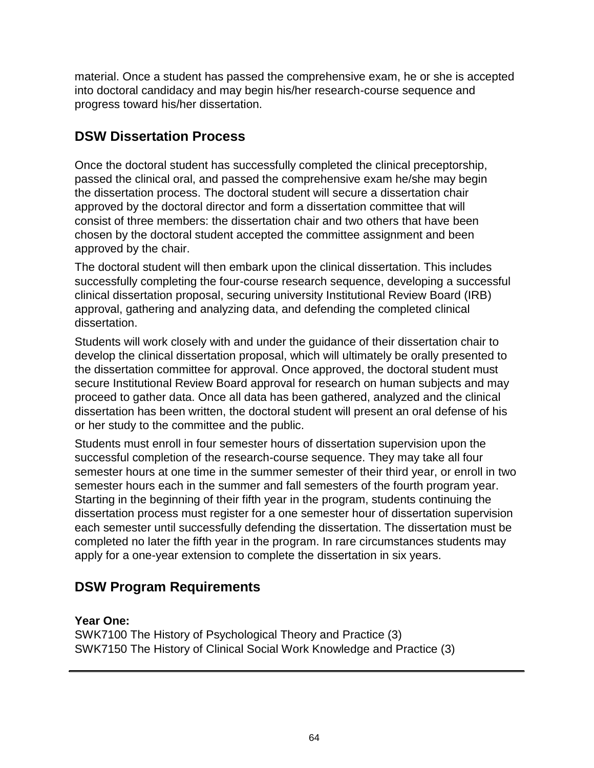material. Once a student has passed the comprehensive exam, he or she is accepted into doctoral candidacy and may begin his/her research-course sequence and progress toward his/her dissertation.

## **DSW Dissertation Process**

Once the doctoral student has successfully completed the clinical preceptorship, passed the clinical oral, and passed the comprehensive exam he/she may begin the dissertation process. The doctoral student will secure a dissertation chair approved by the doctoral director and form a dissertation committee that will consist of three members: the dissertation chair and two others that have been chosen by the doctoral student accepted the committee assignment and been approved by the chair.

The doctoral student will then embark upon the clinical dissertation. This includes successfully completing the four-course research sequence, developing a successful clinical dissertation proposal, securing university Institutional Review Board (IRB) approval, gathering and analyzing data, and defending the completed clinical dissertation.

Students will work closely with and under the guidance of their dissertation chair to develop the clinical dissertation proposal, which will ultimately be orally presented to the dissertation committee for approval. Once approved, the doctoral student must secure Institutional Review Board approval for research on human subjects and may proceed to gather data. Once all data has been gathered, analyzed and the clinical dissertation has been written, the doctoral student will present an oral defense of his or her study to the committee and the public.

Students must enroll in four semester hours of dissertation supervision upon the successful completion of the research-course sequence. They may take all four semester hours at one time in the summer semester of their third year, or enroll in two semester hours each in the summer and fall semesters of the fourth program year. Starting in the beginning of their fifth year in the program, students continuing the dissertation process must register for a one semester hour of dissertation supervision each semester until successfully defending the dissertation. The dissertation must be completed no later the fifth year in the program. In rare circumstances students may apply for a one-year extension to complete the dissertation in six years.

## **DSW Program Requirements**

#### **Year One:**

SWK7100 The History of Psychological Theory and Practice (3) SWK7150 The History of Clinical Social Work Knowledge and Practice (3)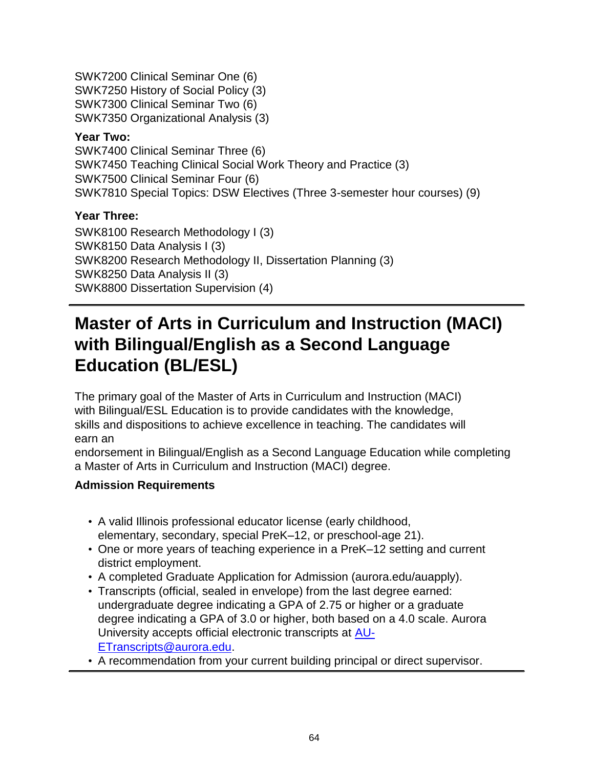SWK7200 Clinical Seminar One (6) SWK7250 History of Social Policy (3) SWK7300 Clinical Seminar Two (6) SWK7350 Organizational Analysis (3)

#### **Year Two:**

SWK7400 Clinical Seminar Three (6) SWK7450 Teaching Clinical Social Work Theory and Practice (3) SWK7500 Clinical Seminar Four (6) SWK7810 Special Topics: DSW Electives (Three 3-semester hour courses) (9)

### **Year Three:**

SWK8100 Research Methodology I (3) SWK8150 Data Analysis I (3) SWK8200 Research Methodology II, Dissertation Planning (3) SWK8250 Data Analysis II (3) SWK8800 Dissertation Supervision (4)

## **Master of Arts in Curriculum and Instruction (MACI) with Bilingual/English as a Second Language Education (BL/ESL)**

The primary goal of the Master of Arts in Curriculum and Instruction (MACI) with Bilingual/ESL Education is to provide candidates with the knowledge, skills and dispositions to achieve excellence in teaching. The candidates will earn an

endorsement in Bilingual/English as a Second Language Education while completing a Master of Arts in Curriculum and Instruction (MACI) degree.

### **Admission Requirements**

- A valid Illinois professional educator license (early childhood, elementary, secondary, special PreK–12, or preschool-age 21).
- One or more years of teaching experience in a PreK–12 setting and current district employment.
- A completed Graduate Application for Admission (aurora.edu/auapply).
- Transcripts (official, sealed in envelope) from the last degree earned: undergraduate degree indicating a GPA of 2.75 or higher or a graduate degree indicating a GPA of 3.0 or higher, both based on a 4.0 scale. Aurora University accepts official electronic transcripts at [AU-](mailto:AU-ETranscripts@aurora.edu)[ETranscripts@aurora.edu.](mailto:AU-ETranscripts@aurora.edu)

• A recommendation from your current building principal or direct supervisor.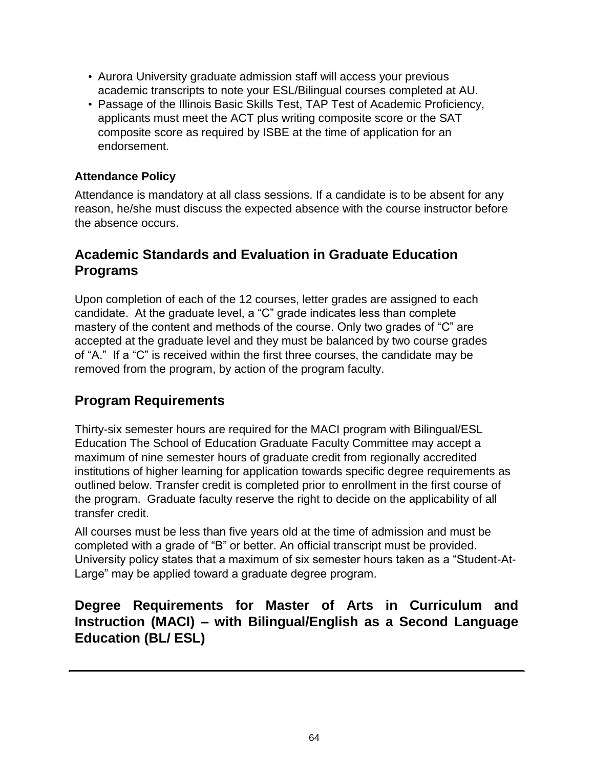- Aurora University graduate admission staff will access your previous academic transcripts to note your ESL/Bilingual courses completed at AU.
- Passage of the Illinois Basic Skills Test, TAP Test of Academic Proficiency, applicants must meet the ACT plus writing composite score or the SAT composite score as required by ISBE at the time of application for an endorsement.

#### **Attendance Policy**

Attendance is mandatory at all class sessions. If a candidate is to be absent for any reason, he/she must discuss the expected absence with the course instructor before the absence occurs.

### **Academic Standards and Evaluation in Graduate Education Programs**

Upon completion of each of the 12 courses, letter grades are assigned to each candidate. At the graduate level, a "C" grade indicates less than complete mastery of the content and methods of the course. Only two grades of "C" are accepted at the graduate level and they must be balanced by two course grades of "A." If a "C" is received within the first three courses, the candidate may be removed from the program, by action of the program faculty.

## **Program Requirements**

Thirty-six semester hours are required for the MACI program with Bilingual/ESL Education The School of Education Graduate Faculty Committee may accept a maximum of nine semester hours of graduate credit from regionally accredited institutions of higher learning for application towards specific degree requirements as outlined below. Transfer credit is completed prior to enrollment in the first course of the program. Graduate faculty reserve the right to decide on the applicability of all transfer credit.

All courses must be less than five years old at the time of admission and must be completed with a grade of "B" or better. An official transcript must be provided. University policy states that a maximum of six semester hours taken as a "Student-At-Large" may be applied toward a graduate degree program.

## **Degree Requirements for Master of Arts in Curriculum and Instruction (MACI) – with Bilingual/English as a Second Language Education (BL/ ESL)**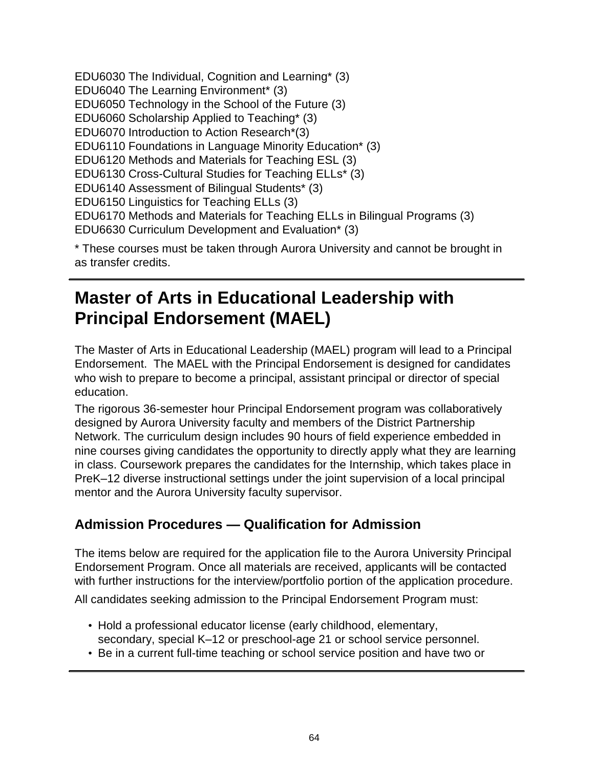EDU6030 The Individual, Cognition and Learning\* (3) EDU6040 The Learning Environment\* (3) EDU6050 Technology in the School of the Future (3) EDU6060 Scholarship Applied to Teaching\* (3) EDU6070 Introduction to Action Research\*(3) EDU6110 Foundations in Language Minority Education\* (3) EDU6120 Methods and Materials for Teaching ESL (3) EDU6130 Cross-Cultural Studies for Teaching ELLs\* (3) EDU6140 Assessment of Bilingual Students\* (3) EDU6150 Linguistics for Teaching ELLs (3) EDU6170 Methods and Materials for Teaching ELLs in Bilingual Programs (3) EDU6630 Curriculum Development and Evaluation\* (3)

\* These courses must be taken through Aurora University and cannot be brought in as transfer credits.

## **Master of Arts in Educational Leadership with Principal Endorsement (MAEL)**

The Master of Arts in Educational Leadership (MAEL) program will lead to a Principal Endorsement. The MAEL with the Principal Endorsement is designed for candidates who wish to prepare to become a principal, assistant principal or director of special education.

The rigorous 36-semester hour Principal Endorsement program was collaboratively designed by Aurora University faculty and members of the District Partnership Network. The curriculum design includes 90 hours of field experience embedded in nine courses giving candidates the opportunity to directly apply what they are learning in class. Coursework prepares the candidates for the Internship, which takes place in PreK–12 diverse instructional settings under the joint supervision of a local principal mentor and the Aurora University faculty supervisor.

## **Admission Procedures — Qualification for Admission**

The items below are required for the application file to the Aurora University Principal Endorsement Program. Once all materials are received, applicants will be contacted with further instructions for the interview/portfolio portion of the application procedure.

All candidates seeking admission to the Principal Endorsement Program must:

- Hold a professional educator license (early childhood, elementary, secondary, special K–12 or preschool-age 21 or school service personnel.
- Be in a current full-time teaching or school service position and have two or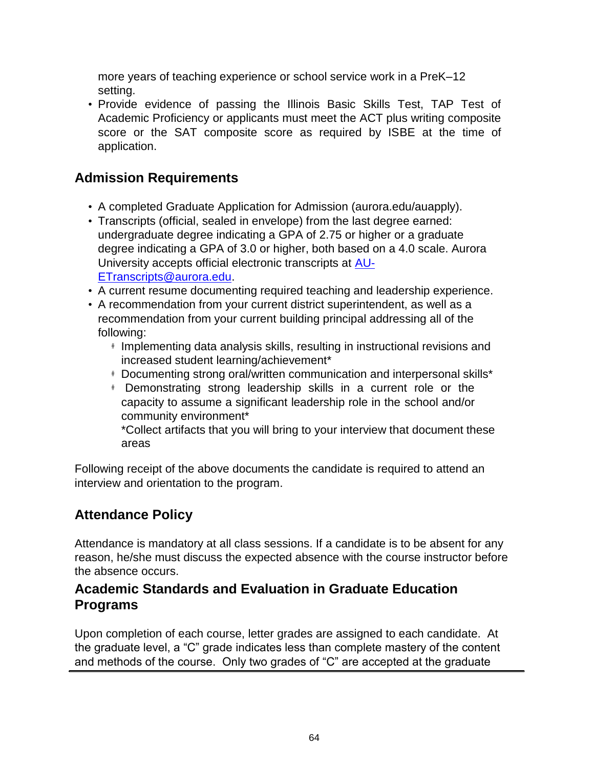more years of teaching experience or school service work in a PreK–12 setting.

• Provide evidence of passing the Illinois Basic Skills Test, TAP Test of Academic Proficiency or applicants must meet the ACT plus writing composite score or the SAT composite score as required by ISBE at the time of application.

## **Admission Requirements**

- A completed Graduate Application for Admission (aurora.edu/auapply).
- Transcripts (official, sealed in envelope) from the last degree earned: undergraduate degree indicating a GPA of 2.75 or higher or a graduate degree indicating a GPA of 3.0 or higher, both based on a 4.0 scale. Aurora University accepts official electronic transcripts at [AU-](mailto:AU-ETranscripts@aurora.edu)[ETranscripts@aurora.edu.](mailto:AU-ETranscripts@aurora.edu)
- A current resume documenting required teaching and leadership experience.
- A recommendation from your current district superintendent, as well as a recommendation from your current building principal addressing all of the following:
	- # Implementing data analysis skills, resulting in instructional revisions and increased student learning/achievement\*
	- # Documenting strong oral/written communication and interpersonal skills\*
	- # Demonstrating strong leadership skills in a current role or the capacity to assume a significant leadership role in the school and/or community environment\*

\*Collect artifacts that you will bring to your interview that document these areas

Following receipt of the above documents the candidate is required to attend an interview and orientation to the program.

## **Attendance Policy**

Attendance is mandatory at all class sessions. If a candidate is to be absent for any reason, he/she must discuss the expected absence with the course instructor before the absence occurs.

### **Academic Standards and Evaluation in Graduate Education Programs**

Upon completion of each course, letter grades are assigned to each candidate. At the graduate level, a "C" grade indicates less than complete mastery of the content and methods of the course. Only two grades of "C" are accepted at the graduate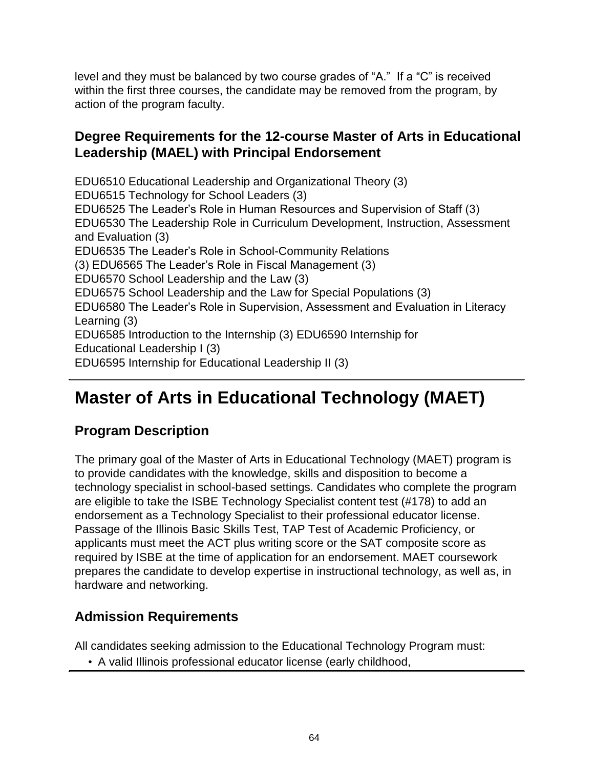level and they must be balanced by two course grades of "A." If a "C" is received within the first three courses, the candidate may be removed from the program, by action of the program faculty.

### **Degree Requirements for the 12-course Master of Arts in Educational Leadership (MAEL) with Principal Endorsement**

EDU6510 Educational Leadership and Organizational Theory (3) EDU6515 Technology for School Leaders (3) EDU6525 The Leader's Role in Human Resources and Supervision of Staff (3) EDU6530 The Leadership Role in Curriculum Development, Instruction, Assessment and Evaluation (3) EDU6535 The Leader's Role in School-Community Relations (3) EDU6565 The Leader's Role in Fiscal Management (3) EDU6570 School Leadership and the Law (3) EDU6575 School Leadership and the Law for Special Populations (3) EDU6580 The Leader's Role in Supervision, Assessment and Evaluation in Literacy Learning (3) EDU6585 Introduction to the Internship (3) EDU6590 Internship for Educational Leadership I (3) EDU6595 Internship for Educational Leadership II (3)

## **Master of Arts in Educational Technology (MAET)**

## **Program Description**

The primary goal of the Master of Arts in Educational Technology (MAET) program is to provide candidates with the knowledge, skills and disposition to become a technology specialist in school-based settings. Candidates who complete the program are eligible to take the ISBE Technology Specialist content test (#178) to add an endorsement as a Technology Specialist to their professional educator license. Passage of the Illinois Basic Skills Test, TAP Test of Academic Proficiency, or applicants must meet the ACT plus writing score or the SAT composite score as required by ISBE at the time of application for an endorsement. MAET coursework prepares the candidate to develop expertise in instructional technology, as well as, in hardware and networking.

## **Admission Requirements**

All candidates seeking admission to the Educational Technology Program must:

• A valid Illinois professional educator license (early childhood,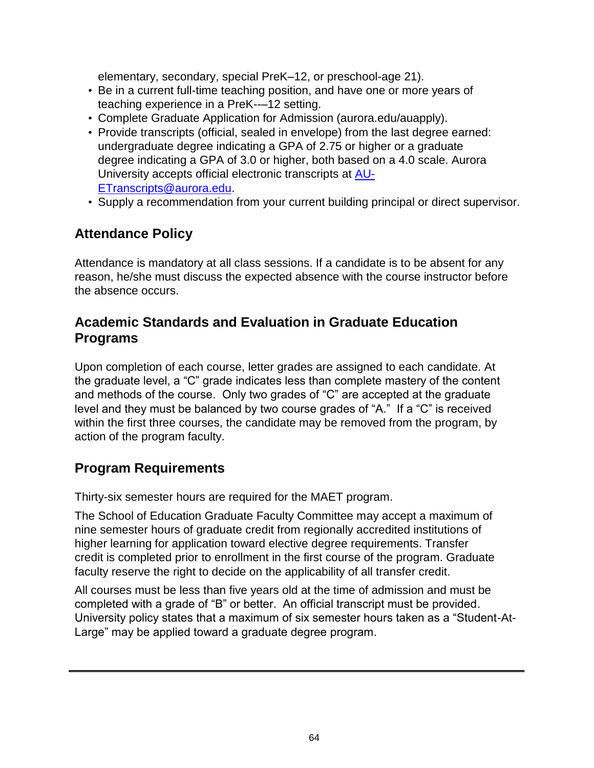elementary, secondary, special PreK–12, or preschool-age 21).

- Be in a current full-time teaching position, and have one or more years of teaching experience in a PreK--–12 setting.
- Complete Graduate Application for Admission (aurora.edu/auapply).
- Provide transcripts (official, sealed in envelope) from the last degree earned: undergraduate degree indicating a GPA of 2.75 or higher or a graduate degree indicating a GPA of 3.0 or higher, both based on a 4.0 scale. Aurora University accepts official electronic transcripts at [AU-](mailto:AU-ETranscripts@aurora.edu)[ETranscripts@aurora.edu.](mailto:AU-ETranscripts@aurora.edu)
- Supply a recommendation from your current building principal or direct supervisor.

## **Attendance Policy**

Attendance is mandatory at all class sessions. If a candidate is to be absent for any reason, he/she must discuss the expected absence with the course instructor before the absence occurs.

### **Academic Standards and Evaluation in Graduate Education Programs**

Upon completion of each course, letter grades are assigned to each candidate. At the graduate level, a "C" grade indicates less than complete mastery of the content and methods of the course. Only two grades of "C" are accepted at the graduate level and they must be balanced by two course grades of "A." If a "C" is received within the first three courses, the candidate may be removed from the program, by action of the program faculty.

## **Program Requirements**

Thirty-six semester hours are required for the MAET program.

The School of Education Graduate Faculty Committee may accept a maximum of nine semester hours of graduate credit from regionally accredited institutions of higher learning for application toward elective degree requirements. Transfer credit is completed prior to enrollment in the first course of the program. Graduate faculty reserve the right to decide on the applicability of all transfer credit.

All courses must be less than five years old at the time of admission and must be completed with a grade of "B" or better. An official transcript must be provided. University policy states that a maximum of six semester hours taken as a "Student-At-Large" may be applied toward a graduate degree program.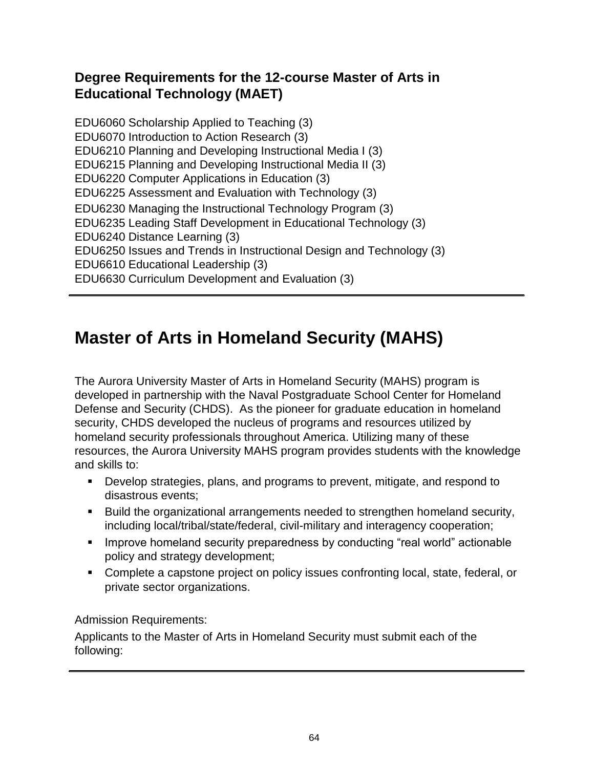## **Degree Requirements for the 12-course Master of Arts in Educational Technology (MAET)**

EDU6060 Scholarship Applied to Teaching (3) EDU6070 Introduction to Action Research (3) EDU6210 Planning and Developing Instructional Media I (3) EDU6215 Planning and Developing Instructional Media II (3) EDU6220 Computer Applications in Education (3) EDU6225 Assessment and Evaluation with Technology (3) EDU6230 Managing the Instructional Technology Program (3) EDU6235 Leading Staff Development in Educational Technology (3) EDU6240 Distance Learning (3) EDU6250 Issues and Trends in Instructional Design and Technology (3) EDU6610 Educational Leadership (3) EDU6630 Curriculum Development and Evaluation (3)

## **Master of Arts in Homeland Security (MAHS)**

The Aurora University Master of Arts in Homeland Security (MAHS) program is developed in partnership with the Naval Postgraduate School Center for Homeland Defense and Security (CHDS). As the pioneer for graduate education in homeland security, CHDS developed the nucleus of programs and resources utilized by homeland security professionals throughout America. Utilizing many of these resources, the Aurora University MAHS program provides students with the knowledge and skills to:

- Develop strategies, plans, and programs to prevent, mitigate, and respond to disastrous events;
- Build the organizational arrangements needed to strengthen homeland security, including local/tribal/state/federal, civil-military and interagency cooperation;
- **IMPROVE homeland security preparedness by conducting "real world" actionable** policy and strategy development;
- Complete a capstone project on policy issues confronting local, state, federal, or private sector organizations.

Admission Requirements:

Applicants to the Master of Arts in Homeland Security must submit each of the following: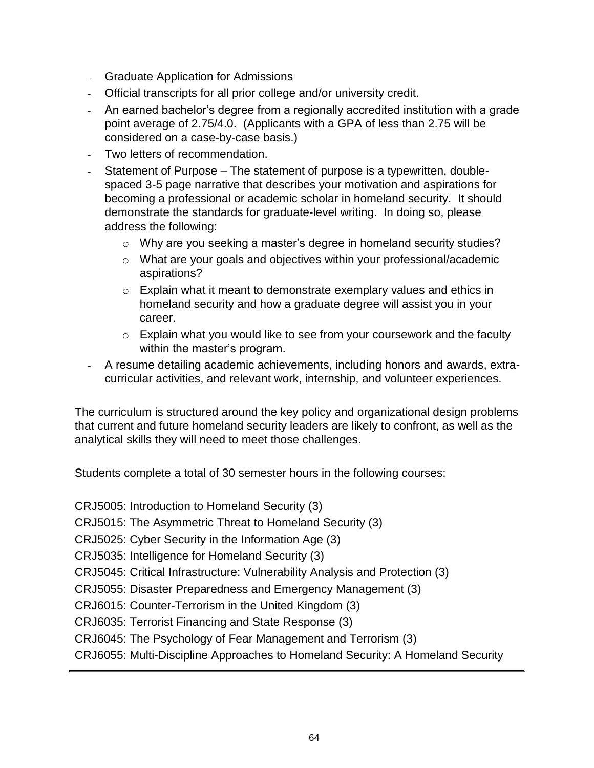- Graduate Application for Admissions
- Official transcripts for all prior college and/or university credit.
- An earned bachelor's degree from a regionally accredited institution with a grade point average of 2.75/4.0. (Applicants with a GPA of less than 2.75 will be considered on a case-by-case basis.)
- Two letters of recommendation.
- Statement of Purpose The statement of purpose is a typewritten, doublespaced 3-5 page narrative that describes your motivation and aspirations for becoming a professional or academic scholar in homeland security. It should demonstrate the standards for graduate-level writing. In doing so, please address the following:
	- o Why are you seeking a master's degree in homeland security studies?
	- o What are your goals and objectives within your professional/academic aspirations?
	- o Explain what it meant to demonstrate exemplary values and ethics in homeland security and how a graduate degree will assist you in your career.
	- o Explain what you would like to see from your coursework and the faculty within the master's program.
- A resume detailing academic achievements, including honors and awards, extracurricular activities, and relevant work, internship, and volunteer experiences.

The curriculum is structured around the key policy and organizational design problems that current and future homeland security leaders are likely to confront, as well as the analytical skills they will need to meet those challenges.

Students complete a total of 30 semester hours in the following courses:

CRJ5005: Introduction to Homeland Security (3)

CRJ5015: The Asymmetric Threat to Homeland Security (3)

CRJ5025: Cyber Security in the Information Age (3)

CRJ5035: Intelligence for Homeland Security (3)

CRJ5045: Critical Infrastructure: Vulnerability Analysis and Protection (3)

CRJ5055: Disaster Preparedness and Emergency Management (3)

CRJ6015: Counter-Terrorism in the United Kingdom (3)

CRJ6035: Terrorist Financing and State Response (3)

CRJ6045: The Psychology of Fear Management and Terrorism (3)

CRJ6055: Multi-Discipline Approaches to Homeland Security: A Homeland Security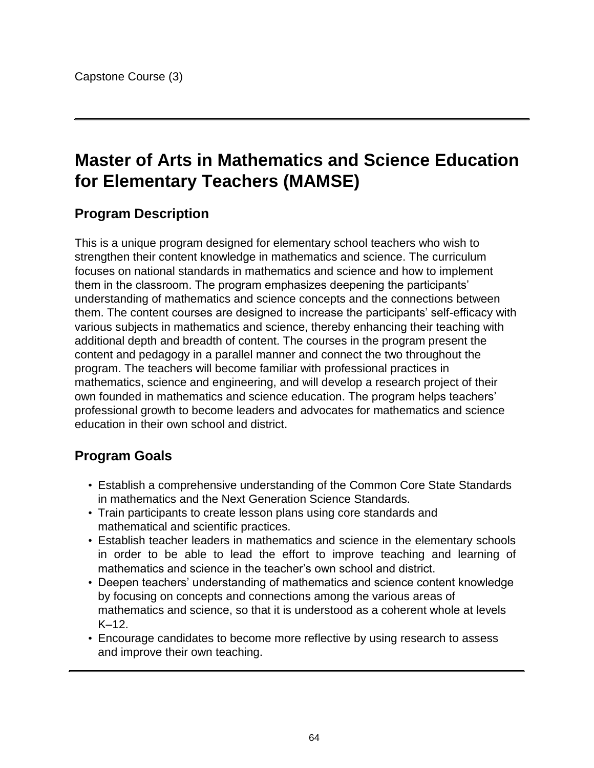## **Master of Arts in Mathematics and Science Education for Elementary Teachers (MAMSE)**

### **Program Description**

This is a unique program designed for elementary school teachers who wish to strengthen their content knowledge in mathematics and science. The curriculum focuses on national standards in mathematics and science and how to implement them in the classroom. The program emphasizes deepening the participants' understanding of mathematics and science concepts and the connections between them. The content courses are designed to increase the participants' self-efficacy with various subjects in mathematics and science, thereby enhancing their teaching with additional depth and breadth of content. The courses in the program present the content and pedagogy in a parallel manner and connect the two throughout the program. The teachers will become familiar with professional practices in mathematics, science and engineering, and will develop a research project of their own founded in mathematics and science education. The program helps teachers' professional growth to become leaders and advocates for mathematics and science education in their own school and district.

### **Program Goals**

- Establish a comprehensive understanding of the Common Core State Standards in mathematics and the Next Generation Science Standards.
- Train participants to create lesson plans using core standards and mathematical and scientific practices.
- Establish teacher leaders in mathematics and science in the elementary schools in order to be able to lead the effort to improve teaching and learning of mathematics and science in the teacher's own school and district.
- Deepen teachers' understanding of mathematics and science content knowledge by focusing on concepts and connections among the various areas of mathematics and science, so that it is understood as a coherent whole at levels K–12.
- Encourage candidates to become more reflective by using research to assess and improve their own teaching.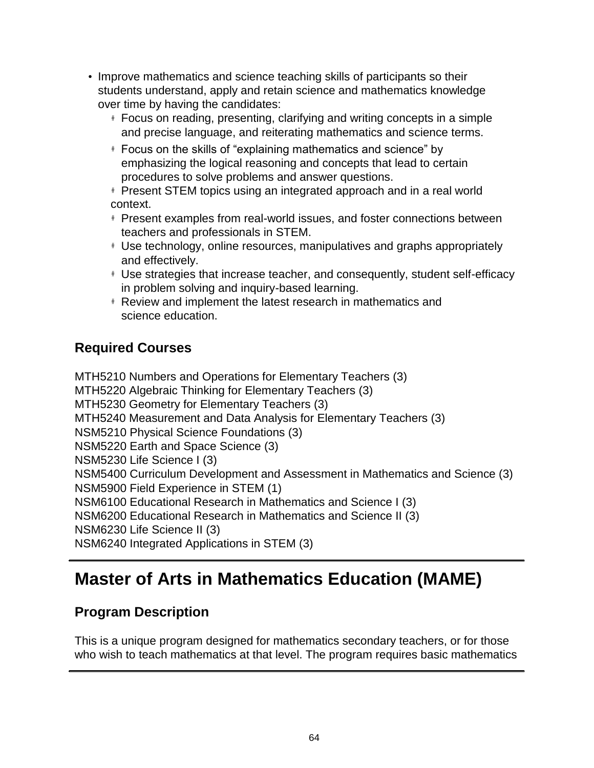- Improve mathematics and science teaching skills of participants so their students understand, apply and retain science and mathematics knowledge over time by having the candidates:
	- # Focus on reading, presenting, clarifying and writing concepts in a simple and precise language, and reiterating mathematics and science terms.
	- # Focus on the skills of "explaining mathematics and science" by emphasizing the logical reasoning and concepts that lead to certain procedures to solve problems and answer questions.

# Present STEM topics using an integrated approach and in a real world context.

- # Present examples from real-world issues, and foster connections between teachers and professionals in STEM.
- # Use technology, online resources, manipulatives and graphs appropriately and effectively.
- # Use strategies that increase teacher, and consequently, student self-efficacy in problem solving and inquiry-based learning.
- # Review and implement the latest research in mathematics and science education.

## **Required Courses**

MTH5210 Numbers and Operations for Elementary Teachers (3) MTH5220 Algebraic Thinking for Elementary Teachers (3) MTH5230 Geometry for Elementary Teachers (3) MTH5240 Measurement and Data Analysis for Elementary Teachers (3) NSM5210 Physical Science Foundations (3) NSM5220 Earth and Space Science (3) NSM5230 Life Science I (3) NSM5400 Curriculum Development and Assessment in Mathematics and Science (3) NSM5900 Field Experience in STEM (1) NSM6100 Educational Research in Mathematics and Science I (3) NSM6200 Educational Research in Mathematics and Science II (3) NSM6230 Life Science II (3) NSM6240 Integrated Applications in STEM (3)

## **Master of Arts in Mathematics Education (MAME)**

## **Program Description**

This is a unique program designed for mathematics secondary teachers, or for those who wish to teach mathematics at that level. The program requires basic mathematics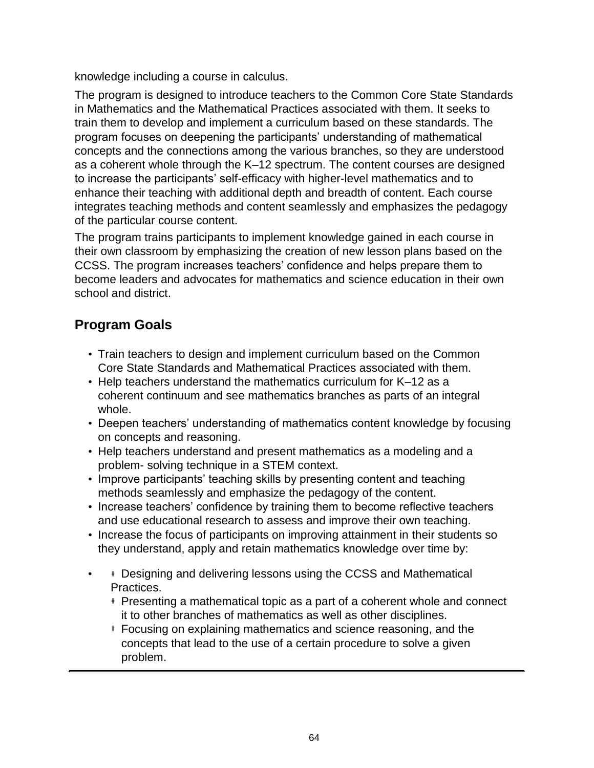knowledge including a course in calculus.

The program is designed to introduce teachers to the Common Core State Standards in Mathematics and the Mathematical Practices associated with them. It seeks to train them to develop and implement a curriculum based on these standards. The program focuses on deepening the participants' understanding of mathematical concepts and the connections among the various branches, so they are understood as a coherent whole through the K–12 spectrum. The content courses are designed to increase the participants' self-efficacy with higher-level mathematics and to enhance their teaching with additional depth and breadth of content. Each course integrates teaching methods and content seamlessly and emphasizes the pedagogy of the particular course content.

The program trains participants to implement knowledge gained in each course in their own classroom by emphasizing the creation of new lesson plans based on the CCSS. The program increases teachers' confidence and helps prepare them to become leaders and advocates for mathematics and science education in their own school and district.

## **Program Goals**

- Train teachers to design and implement curriculum based on the Common Core State Standards and Mathematical Practices associated with them.
- Help teachers understand the mathematics curriculum for K–12 as a coherent continuum and see mathematics branches as parts of an integral whole.
- Deepen teachers' understanding of mathematics content knowledge by focusing on concepts and reasoning.
- Help teachers understand and present mathematics as a modeling and a problem- solving technique in a STEM context.
- Improve participants' teaching skills by presenting content and teaching methods seamlessly and emphasize the pedagogy of the content.
- Increase teachers' confidence by training them to become reflective teachers and use educational research to assess and improve their own teaching.
- Increase the focus of participants on improving attainment in their students so they understand, apply and retain mathematics knowledge over time by:
- # Designing and delivering lessons using the CCSS and Mathematical Practices.
	- # Presenting a mathematical topic as a part of a coherent whole and connect it to other branches of mathematics as well as other disciplines.
	- # Focusing on explaining mathematics and science reasoning, and the concepts that lead to the use of a certain procedure to solve a given problem.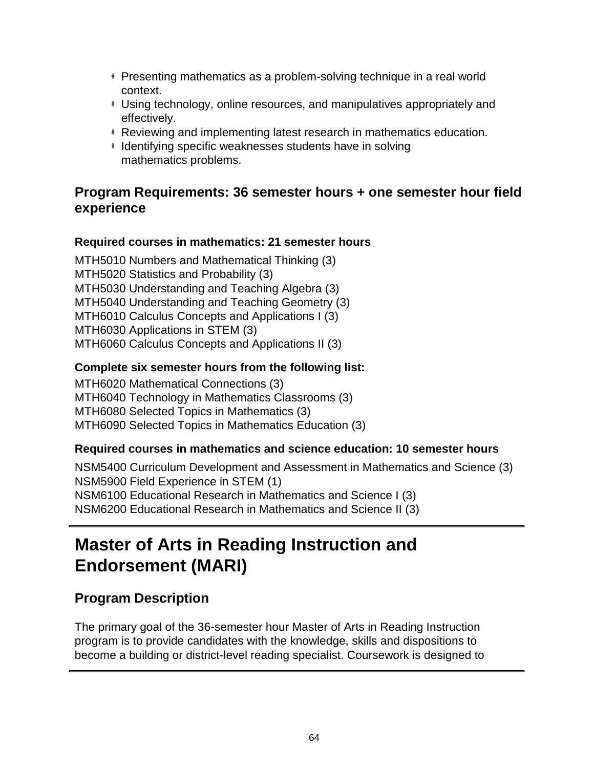- # Presenting mathematics as a problem-solving technique in a real world context.
- # Using technology, online resources, and manipulatives appropriately and effectively.
- # Reviewing and implementing latest research in mathematics education.
- # Identifying specific weaknesses students have in solving mathematics problems.

## **Program Requirements: 36 semester hours + one semester hour field experience**

#### **Required courses in mathematics: 21 semester hours**

MTH5010 Numbers and Mathematical Thinking (3) MTH5020 Statistics and Probability (3) MTH5030 Understanding and Teaching Algebra (3) MTH5040 Understanding and Teaching Geometry (3) MTH6010 Calculus Concepts and Applications I (3) MTH6030 Applications in STEM (3) MTH6060 Calculus Concepts and Applications II (3)

#### **Complete six semester hours from the following list:**

MTH6020 Mathematical Connections (3) MTH6040 Technology in Mathematics Classrooms (3) MTH6080 Selected Topics in Mathematics (3) MTH6090 Selected Topics in Mathematics Education (3)

#### **Required courses in mathematics and science education: 10 semester hours**

NSM5400 Curriculum Development and Assessment in Mathematics and Science (3) NSM5900 Field Experience in STEM (1) NSM6100 Educational Research in Mathematics and Science I (3) NSM6200 Educational Research in Mathematics and Science II (3)

## **Master of Arts in Reading Instruction and Endorsement (MARI)**

## **Program Description**

The primary goal of the 36-semester hour Master of Arts in Reading Instruction program is to provide candidates with the knowledge, skills and dispositions to become a building or district-level reading specialist. Coursework is designed to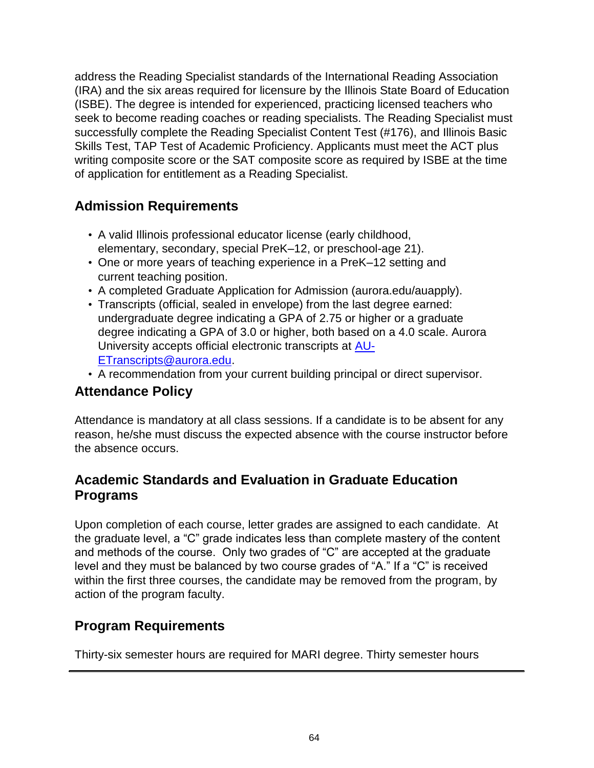address the Reading Specialist standards of the International Reading Association (IRA) and the six areas required for licensure by the Illinois State Board of Education (ISBE). The degree is intended for experienced, practicing licensed teachers who seek to become reading coaches or reading specialists. The Reading Specialist must successfully complete the Reading Specialist Content Test (#176), and Illinois Basic Skills Test, TAP Test of Academic Proficiency. Applicants must meet the ACT plus writing composite score or the SAT composite score as required by ISBE at the time of application for entitlement as a Reading Specialist.

## **Admission Requirements**

- A valid Illinois professional educator license (early childhood, elementary, secondary, special PreK–12, or preschool-age 21).
- One or more years of teaching experience in a PreK–12 setting and current teaching position.
- A completed Graduate Application for Admission (aurora.edu/auapply).
- Transcripts (official, sealed in envelope) from the last degree earned: undergraduate degree indicating a GPA of 2.75 or higher or a graduate degree indicating a GPA of 3.0 or higher, both based on a 4.0 scale. Aurora University accepts official electronic transcripts at [AU-](mailto:AU-ETranscripts@aurora.edu)[ETranscripts@aurora.edu.](mailto:AU-ETranscripts@aurora.edu)
- A recommendation from your current building principal or direct supervisor.

## **Attendance Policy**

Attendance is mandatory at all class sessions. If a candidate is to be absent for any reason, he/she must discuss the expected absence with the course instructor before the absence occurs.

## **Academic Standards and Evaluation in Graduate Education Programs**

Upon completion of each course, letter grades are assigned to each candidate. At the graduate level, a "C" grade indicates less than complete mastery of the content and methods of the course. Only two grades of "C" are accepted at the graduate level and they must be balanced by two course grades of "A." If a "C" is received within the first three courses, the candidate may be removed from the program, by action of the program faculty.

## **Program Requirements**

Thirty-six semester hours are required for MARI degree. Thirty semester hours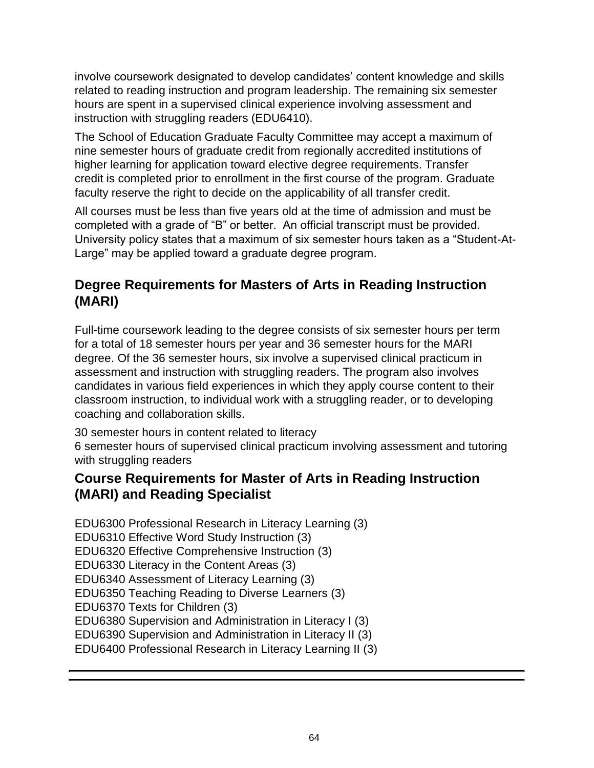involve coursework designated to develop candidates' content knowledge and skills related to reading instruction and program leadership. The remaining six semester hours are spent in a supervised clinical experience involving assessment and instruction with struggling readers (EDU6410).

The School of Education Graduate Faculty Committee may accept a maximum of nine semester hours of graduate credit from regionally accredited institutions of higher learning for application toward elective degree requirements. Transfer credit is completed prior to enrollment in the first course of the program. Graduate faculty reserve the right to decide on the applicability of all transfer credit.

All courses must be less than five years old at the time of admission and must be completed with a grade of "B" or better. An official transcript must be provided. University policy states that a maximum of six semester hours taken as a "Student-At-Large" may be applied toward a graduate degree program.

## **Degree Requirements for Masters of Arts in Reading Instruction (MARI)**

Full-time coursework leading to the degree consists of six semester hours per term for a total of 18 semester hours per year and 36 semester hours for the MARI degree. Of the 36 semester hours, six involve a supervised clinical practicum in assessment and instruction with struggling readers. The program also involves candidates in various field experiences in which they apply course content to their classroom instruction, to individual work with a struggling reader, or to developing coaching and collaboration skills.

30 semester hours in content related to literacy

6 semester hours of supervised clinical practicum involving assessment and tutoring with struggling readers

### **Course Requirements for Master of Arts in Reading Instruction (MARI) and Reading Specialist**

EDU6300 Professional Research in Literacy Learning (3) EDU6310 Effective Word Study Instruction (3) EDU6320 Effective Comprehensive Instruction (3) EDU6330 Literacy in the Content Areas (3) EDU6340 Assessment of Literacy Learning (3) EDU6350 Teaching Reading to Diverse Learners (3) EDU6370 Texts for Children (3) EDU6380 Supervision and Administration in Literacy I (3) EDU6390 Supervision and Administration in Literacy II (3) EDU6400 Professional Research in Literacy Learning II (3)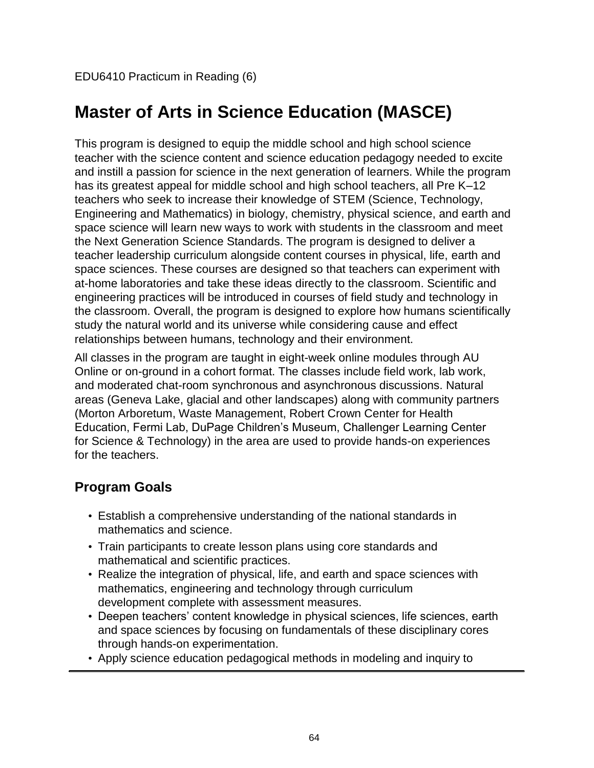## **Master of Arts in Science Education (MASCE)**

This program is designed to equip the middle school and high school science teacher with the science content and science education pedagogy needed to excite and instill a passion for science in the next generation of learners. While the program has its greatest appeal for middle school and high school teachers, all Pre K–12 teachers who seek to increase their knowledge of STEM (Science, Technology, Engineering and Mathematics) in biology, chemistry, physical science, and earth and space science will learn new ways to work with students in the classroom and meet the Next Generation Science Standards. The program is designed to deliver a teacher leadership curriculum alongside content courses in physical, life, earth and space sciences. These courses are designed so that teachers can experiment with at-home laboratories and take these ideas directly to the classroom. Scientific and engineering practices will be introduced in courses of field study and technology in the classroom. Overall, the program is designed to explore how humans scientifically study the natural world and its universe while considering cause and effect relationships between humans, technology and their environment.

All classes in the program are taught in eight-week online modules through AU Online or on-ground in a cohort format. The classes include field work, lab work, and moderated chat-room synchronous and asynchronous discussions. Natural areas (Geneva Lake, glacial and other landscapes) along with community partners (Morton Arboretum, Waste Management, Robert Crown Center for Health Education, Fermi Lab, DuPage Children's Museum, Challenger Learning Center for Science & Technology) in the area are used to provide hands-on experiences for the teachers.

## **Program Goals**

- Establish a comprehensive understanding of the national standards in mathematics and science.
- Train participants to create lesson plans using core standards and mathematical and scientific practices.
- Realize the integration of physical, life, and earth and space sciences with mathematics, engineering and technology through curriculum development complete with assessment measures.
- Deepen teachers' content knowledge in physical sciences, life sciences, earth and space sciences by focusing on fundamentals of these disciplinary cores through hands-on experimentation.
- Apply science education pedagogical methods in modeling and inquiry to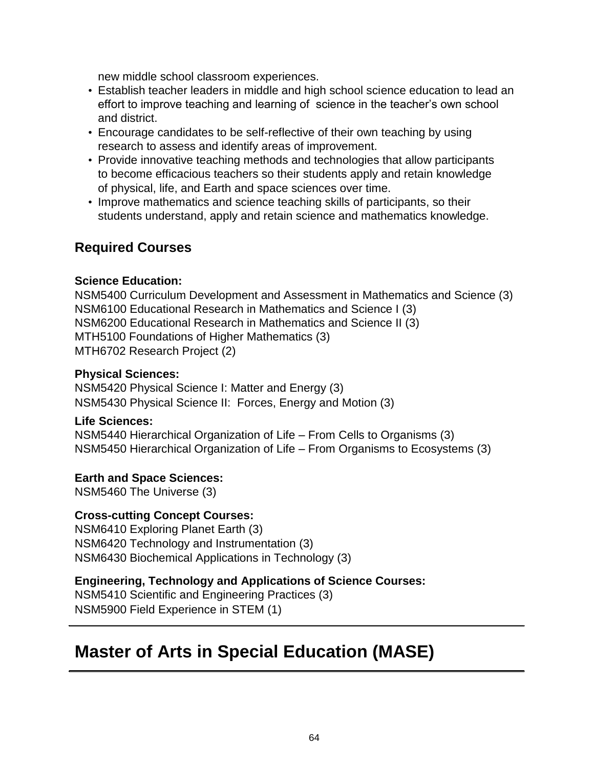new middle school classroom experiences.

- Establish teacher leaders in middle and high school science education to lead an effort to improve teaching and learning of science in the teacher's own school and district.
- Encourage candidates to be self-reflective of their own teaching by using research to assess and identify areas of improvement.
- Provide innovative teaching methods and technologies that allow participants to become efficacious teachers so their students apply and retain knowledge of physical, life, and Earth and space sciences over time.
- Improve mathematics and science teaching skills of participants, so their students understand, apply and retain science and mathematics knowledge.

### **Required Courses**

#### **Science Education:**

NSM5400 Curriculum Development and Assessment in Mathematics and Science (3) NSM6100 Educational Research in Mathematics and Science I (3) NSM6200 Educational Research in Mathematics and Science II (3) MTH5100 Foundations of Higher Mathematics (3) MTH6702 Research Project (2)

#### **Physical Sciences:**

NSM5420 Physical Science I: Matter and Energy (3) NSM5430 Physical Science II: Forces, Energy and Motion (3)

#### **Life Sciences:**

NSM5440 Hierarchical Organization of Life – From Cells to Organisms (3) NSM5450 Hierarchical Organization of Life – From Organisms to Ecosystems (3)

#### **Earth and Space Sciences:**

NSM5460 The Universe (3)

#### **Cross-cutting Concept Courses:**

NSM6410 Exploring Planet Earth (3) NSM6420 Technology and Instrumentation (3) NSM6430 Biochemical Applications in Technology (3)

#### **Engineering, Technology and Applications of Science Courses:**

NSM5410 Scientific and Engineering Practices (3) NSM5900 Field Experience in STEM (1)

## **Master of Arts in Special Education (MASE)**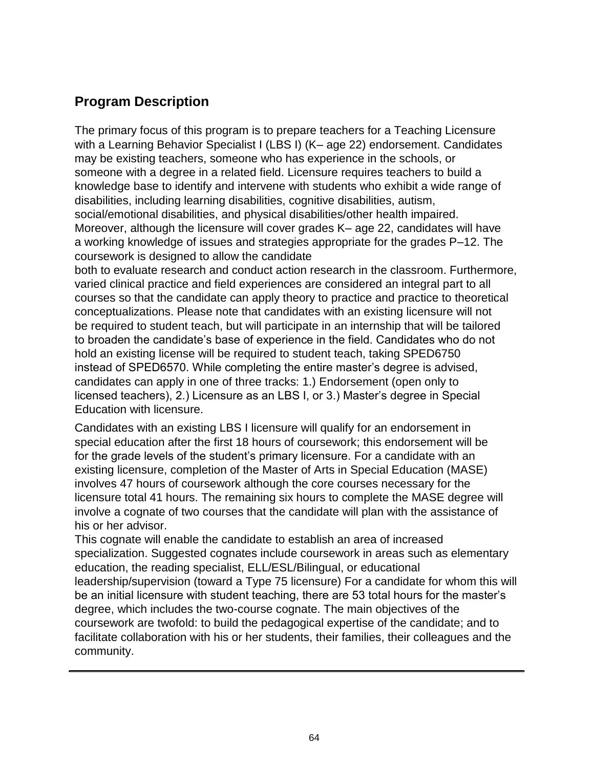### **Program Description**

The primary focus of this program is to prepare teachers for a Teaching Licensure with a Learning Behavior Specialist I (LBS I) (K– age 22) endorsement. Candidates may be existing teachers, someone who has experience in the schools, or someone with a degree in a related field. Licensure requires teachers to build a knowledge base to identify and intervene with students who exhibit a wide range of disabilities, including learning disabilities, cognitive disabilities, autism, social/emotional disabilities, and physical disabilities/other health impaired. Moreover, although the licensure will cover grades K– age 22, candidates will have a working knowledge of issues and strategies appropriate for the grades P–12. The coursework is designed to allow the candidate

both to evaluate research and conduct action research in the classroom. Furthermore, varied clinical practice and field experiences are considered an integral part to all courses so that the candidate can apply theory to practice and practice to theoretical conceptualizations. Please note that candidates with an existing licensure will not be required to student teach, but will participate in an internship that will be tailored to broaden the candidate's base of experience in the field. Candidates who do not hold an existing license will be required to student teach, taking SPED6750 instead of SPED6570. While completing the entire master's degree is advised, candidates can apply in one of three tracks: 1.) Endorsement (open only to licensed teachers), 2.) Licensure as an LBS I, or 3.) Master's degree in Special Education with licensure.

Candidates with an existing LBS I licensure will qualify for an endorsement in special education after the first 18 hours of coursework; this endorsement will be for the grade levels of the student's primary licensure. For a candidate with an existing licensure, completion of the Master of Arts in Special Education (MASE) involves 47 hours of coursework although the core courses necessary for the licensure total 41 hours. The remaining six hours to complete the MASE degree will involve a cognate of two courses that the candidate will plan with the assistance of his or her advisor.

This cognate will enable the candidate to establish an area of increased specialization. Suggested cognates include coursework in areas such as elementary education, the reading specialist, ELL/ESL/Bilingual, or educational leadership/supervision (toward a Type 75 licensure) For a candidate for whom this will be an initial licensure with student teaching, there are 53 total hours for the master's degree, which includes the two-course cognate. The main objectives of the coursework are twofold: to build the pedagogical expertise of the candidate; and to facilitate collaboration with his or her students, their families, their colleagues and the community.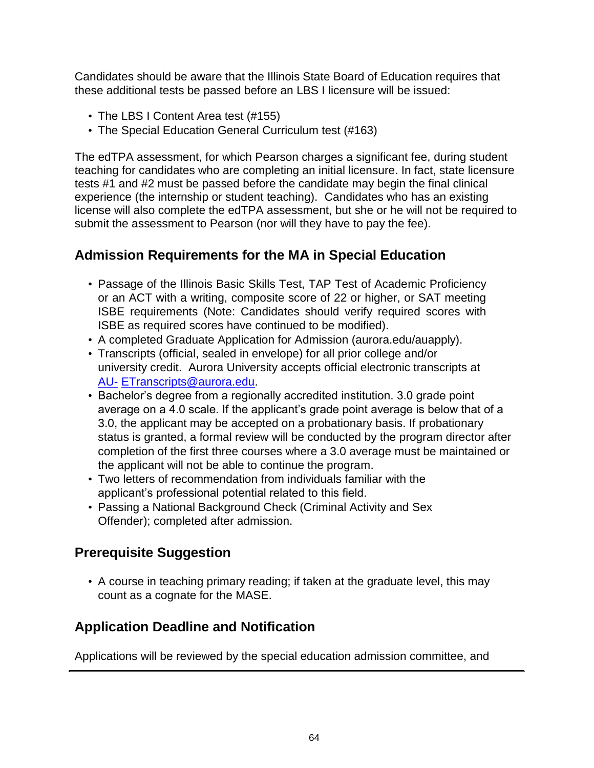Candidates should be aware that the Illinois State Board of Education requires that these additional tests be passed before an LBS I licensure will be issued:

- The LBS I Content Area test (#155)
- The Special Education General Curriculum test (#163)

The edTPA assessment, for which Pearson charges a significant fee, during student teaching for candidates who are completing an initial licensure. In fact, state licensure tests #1 and #2 must be passed before the candidate may begin the final clinical experience (the internship or student teaching). Candidates who has an existing license will also complete the edTPA assessment, but she or he will not be required to submit the assessment to Pearson (nor will they have to pay the fee).

## **Admission Requirements for the MA in Special Education**

- Passage of the Illinois Basic Skills Test, TAP Test of Academic Proficiency or an ACT with a writing, composite score of 22 or higher, or SAT meeting ISBE requirements (Note: Candidates should verify required scores with ISBE as required scores have continued to be modified).
- A completed Graduate Application for Admission (aurora.edu/auapply).
- Transcripts (official, sealed in envelope) for all prior college and/or university credit. Aurora University accepts official electronic transcripts at [AU-](mailto:AU-ETranscripts@aurora.edu) [ETranscripts@aurora.edu.](mailto:AU-ETranscripts@aurora.edu)
- Bachelor's degree from a regionally accredited institution. 3.0 grade point average on a 4.0 scale. If the applicant's grade point average is below that of a 3.0, the applicant may be accepted on a probationary basis. If probationary status is granted, a formal review will be conducted by the program director after completion of the first three courses where a 3.0 average must be maintained or the applicant will not be able to continue the program.
- Two letters of recommendation from individuals familiar with the applicant's professional potential related to this field.
- Passing a National Background Check (Criminal Activity and Sex Offender); completed after admission.

## **Prerequisite Suggestion**

• A course in teaching primary reading; if taken at the graduate level, this may count as a cognate for the MASE.

## **Application Deadline and Notification**

Applications will be reviewed by the special education admission committee, and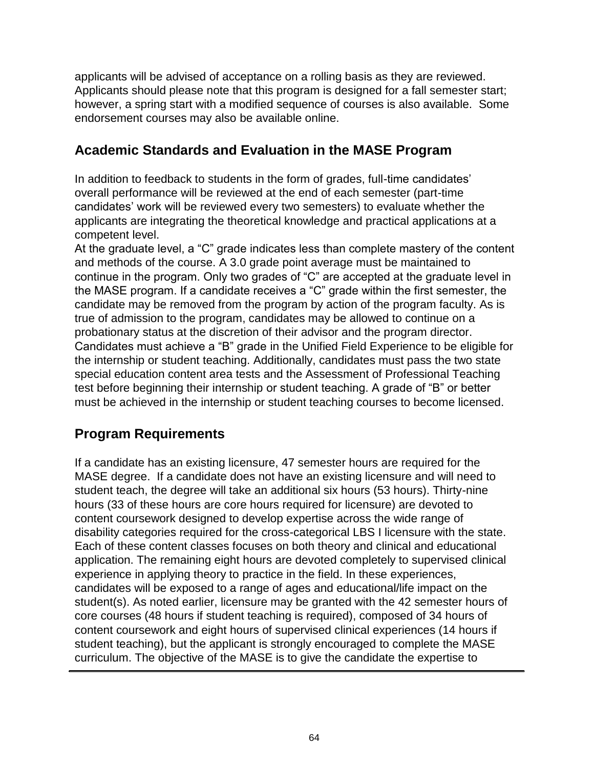applicants will be advised of acceptance on a rolling basis as they are reviewed. Applicants should please note that this program is designed for a fall semester start; however, a spring start with a modified sequence of courses is also available. Some endorsement courses may also be available online.

## **Academic Standards and Evaluation in the MASE Program**

In addition to feedback to students in the form of grades, full-time candidates' overall performance will be reviewed at the end of each semester (part-time candidates' work will be reviewed every two semesters) to evaluate whether the applicants are integrating the theoretical knowledge and practical applications at a competent level.

At the graduate level, a "C" grade indicates less than complete mastery of the content and methods of the course. A 3.0 grade point average must be maintained to continue in the program. Only two grades of "C" are accepted at the graduate level in the MASE program. If a candidate receives a "C" grade within the first semester, the candidate may be removed from the program by action of the program faculty. As is true of admission to the program, candidates may be allowed to continue on a probationary status at the discretion of their advisor and the program director. Candidates must achieve a "B" grade in the Unified Field Experience to be eligible for the internship or student teaching. Additionally, candidates must pass the two state special education content area tests and the Assessment of Professional Teaching test before beginning their internship or student teaching. A grade of "B" or better must be achieved in the internship or student teaching courses to become licensed.

## **Program Requirements**

If a candidate has an existing licensure, 47 semester hours are required for the MASE degree. If a candidate does not have an existing licensure and will need to student teach, the degree will take an additional six hours (53 hours). Thirty-nine hours (33 of these hours are core hours required for licensure) are devoted to content coursework designed to develop expertise across the wide range of disability categories required for the cross-categorical LBS I licensure with the state. Each of these content classes focuses on both theory and clinical and educational application. The remaining eight hours are devoted completely to supervised clinical experience in applying theory to practice in the field. In these experiences, candidates will be exposed to a range of ages and educational/life impact on the student(s). As noted earlier, licensure may be granted with the 42 semester hours of core courses (48 hours if student teaching is required), composed of 34 hours of content coursework and eight hours of supervised clinical experiences (14 hours if student teaching), but the applicant is strongly encouraged to complete the MASE curriculum. The objective of the MASE is to give the candidate the expertise to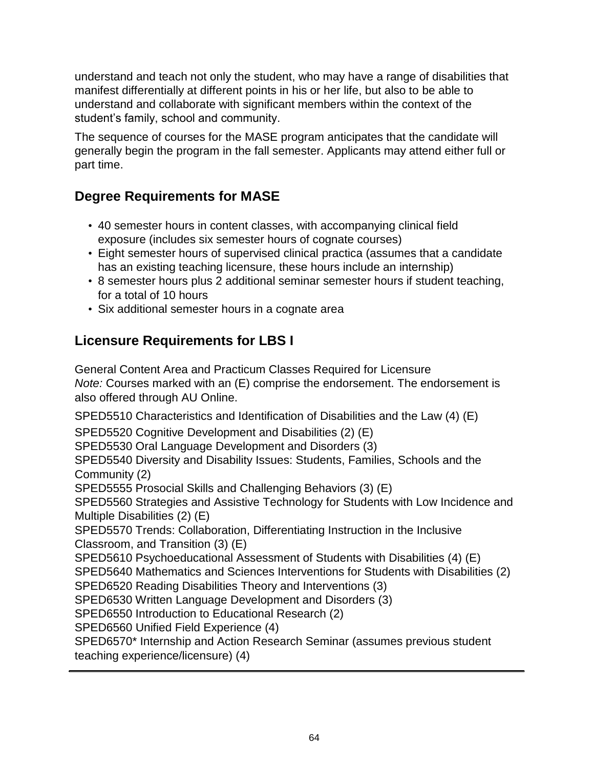understand and teach not only the student, who may have a range of disabilities that manifest differentially at different points in his or her life, but also to be able to understand and collaborate with significant members within the context of the student's family, school and community.

The sequence of courses for the MASE program anticipates that the candidate will generally begin the program in the fall semester. Applicants may attend either full or part time.

## **Degree Requirements for MASE**

- 40 semester hours in content classes, with accompanying clinical field exposure (includes six semester hours of cognate courses)
- Eight semester hours of supervised clinical practica (assumes that a candidate has an existing teaching licensure, these hours include an internship)
- 8 semester hours plus 2 additional seminar semester hours if student teaching, for a total of 10 hours
- Six additional semester hours in a cognate area

## **Licensure Requirements for LBS I**

General Content Area and Practicum Classes Required for Licensure *Note:* Courses marked with an (E) comprise the endorsement. The endorsement is also offered through AU Online.

SPED5510 Characteristics and Identification of Disabilities and the Law (4) (E)

SPED5520 Cognitive Development and Disabilities (2) (E)

SPED5530 Oral Language Development and Disorders (3)

SPED5540 Diversity and Disability Issues: Students, Families, Schools and the Community (2)

SPED5555 Prosocial Skills and Challenging Behaviors (3) (E)

SPED5560 Strategies and Assistive Technology for Students with Low Incidence and Multiple Disabilities (2) (E)

SPED5570 Trends: Collaboration, Differentiating Instruction in the Inclusive Classroom, and Transition (3) (E)

SPED5610 Psychoeducational Assessment of Students with Disabilities (4) (E)

SPED5640 Mathematics and Sciences Interventions for Students with Disabilities (2)

SPED6520 Reading Disabilities Theory and Interventions (3)

SPED6530 Written Language Development and Disorders (3)

SPED6550 Introduction to Educational Research (2)

SPED6560 Unified Field Experience (4)

SPED6570\* Internship and Action Research Seminar (assumes previous student teaching experience/licensure) (4)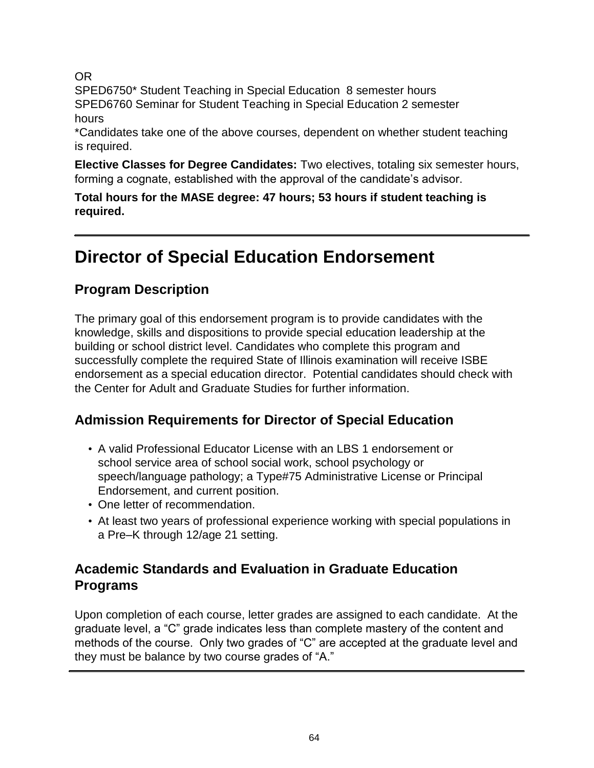OR

SPED6750\* Student Teaching in Special Education 8 semester hours SPED6760 Seminar for Student Teaching in Special Education 2 semester hours

\*Candidates take one of the above courses, dependent on whether student teaching is required.

**Elective Classes for Degree Candidates:** Two electives, totaling six semester hours, forming a cognate, established with the approval of the candidate's advisor.

**Total hours for the MASE degree: 47 hours; 53 hours if student teaching is required.**

## **Director of Special Education Endorsement**

## **Program Description**

The primary goal of this endorsement program is to provide candidates with the knowledge, skills and dispositions to provide special education leadership at the building or school district level. Candidates who complete this program and successfully complete the required State of Illinois examination will receive ISBE endorsement as a special education director. Potential candidates should check with the Center for Adult and Graduate Studies for further information.

## **Admission Requirements for Director of Special Education**

- A valid Professional Educator License with an LBS 1 endorsement or school service area of school social work, school psychology or speech/language pathology; a Type#75 Administrative License or Principal Endorsement, and current position.
- One letter of recommendation.
- At least two years of professional experience working with special populations in a Pre–K through 12/age 21 setting.

## **Academic Standards and Evaluation in Graduate Education Programs**

Upon completion of each course, letter grades are assigned to each candidate. At the graduate level, a "C" grade indicates less than complete mastery of the content and methods of the course. Only two grades of "C" are accepted at the graduate level and they must be balance by two course grades of "A."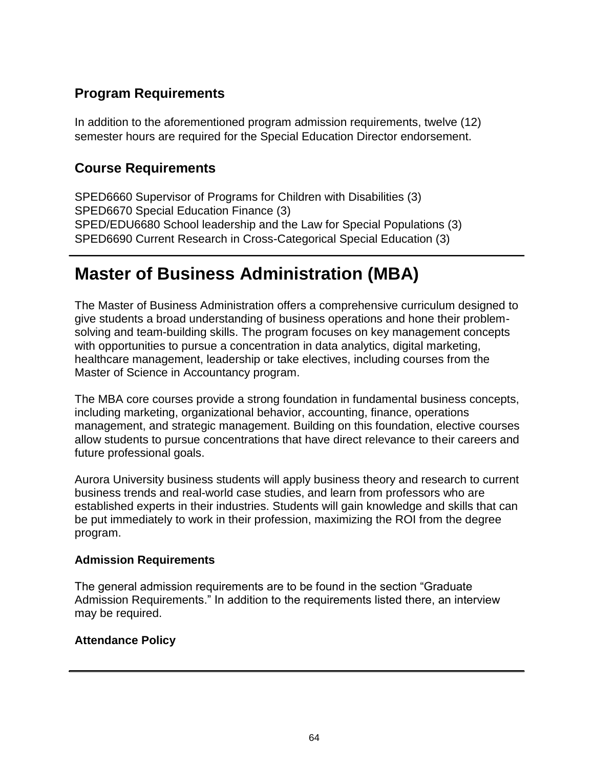## **Program Requirements**

In addition to the aforementioned program admission requirements, twelve (12) semester hours are required for the Special Education Director endorsement.

### **Course Requirements**

SPED6660 Supervisor of Programs for Children with Disabilities (3) SPED6670 Special Education Finance (3) SPED/EDU6680 School leadership and the Law for Special Populations (3) SPED6690 Current Research in Cross-Categorical Special Education (3)

## **Master of Business Administration (MBA)**

The Master of Business Administration offers a comprehensive curriculum designed to give students a broad understanding of business operations and hone their problemsolving and team-building skills. The program focuses on key management concepts with opportunities to pursue a concentration in data analytics, digital marketing, healthcare management, leadership or take electives, including courses from the Master of Science in Accountancy program.

The MBA core courses provide a strong foundation in fundamental business concepts, including marketing, organizational behavior, accounting, finance, operations management, and strategic management. Building on this foundation, elective courses allow students to pursue concentrations that have direct relevance to their careers and future professional goals.

Aurora University business students will apply business theory and research to current business trends and real-world case studies, and learn from professors who are established experts in their industries. Students will gain knowledge and skills that can be put immediately to work in their profession, maximizing the ROI from the degree program.

#### **Admission Requirements**

The general admission requirements are to be found in the section "Graduate Admission Requirements." In addition to the requirements listed there, an interview may be required.

#### **Attendance Policy**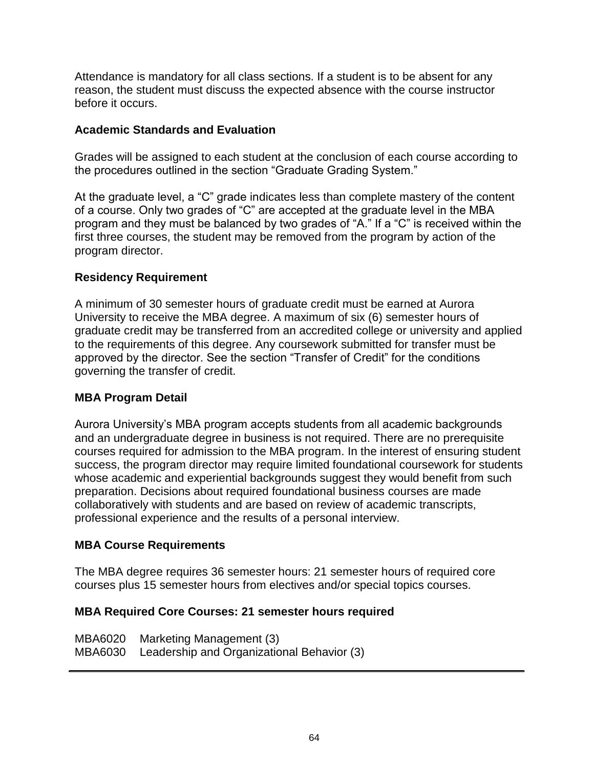Attendance is mandatory for all class sections. If a student is to be absent for any reason, the student must discuss the expected absence with the course instructor before it occurs.

#### **Academic Standards and Evaluation**

Grades will be assigned to each student at the conclusion of each course according to the procedures outlined in the section "Graduate Grading System."

At the graduate level, a "C" grade indicates less than complete mastery of the content of a course. Only two grades of "C" are accepted at the graduate level in the MBA program and they must be balanced by two grades of "A." If a "C" is received within the first three courses, the student may be removed from the program by action of the program director.

#### **Residency Requirement**

A minimum of 30 semester hours of graduate credit must be earned at Aurora University to receive the MBA degree. A maximum of six (6) semester hours of graduate credit may be transferred from an accredited college or university and applied to the requirements of this degree. Any coursework submitted for transfer must be approved by the director. See the section "Transfer of Credit" for the conditions governing the transfer of credit.

#### **MBA Program Detail**

Aurora University's MBA program accepts students from all academic backgrounds and an undergraduate degree in business is not required. There are no prerequisite courses required for admission to the MBA program. In the interest of ensuring student success, the program director may require limited foundational coursework for students whose academic and experiential backgrounds suggest they would benefit from such preparation. Decisions about required foundational business courses are made collaboratively with students and are based on review of academic transcripts, professional experience and the results of a personal interview.

#### **MBA Course Requirements**

The MBA degree requires 36 semester hours: 21 semester hours of required core courses plus 15 semester hours from electives and/or special topics courses.

#### **MBA Required Core Courses: 21 semester hours required**

MBA6020 Marketing Management (3) MBA6030 Leadership and Organizational Behavior (3)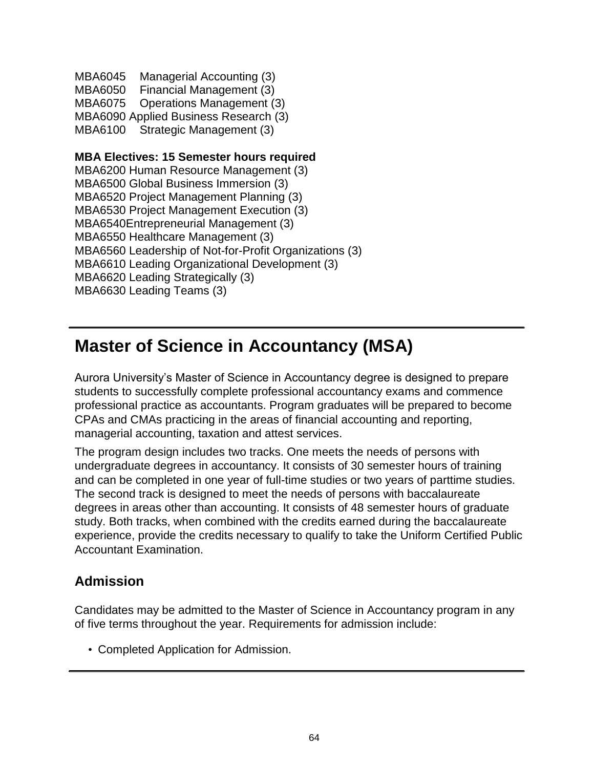MBA6045 Managerial Accounting (3) MBA6050 Financial Management (3) MBA6075 Operations Management (3) MBA6090 Applied Business Research (3) MBA6100 Strategic Management (3)

**MBA Electives: 15 Semester hours required** MBA6200 Human Resource Management (3) MBA6500 Global Business Immersion (3) MBA6520 Project Management Planning (3) MBA6530 Project Management Execution (3) MBA6540Entrepreneurial Management (3) MBA6550 Healthcare Management (3) MBA6560 Leadership of Not-for-Profit Organizations (3) MBA6610 Leading Organizational Development (3) MBA6620 Leading Strategically (3) MBA6630 Leading Teams (3)

## **Master of Science in Accountancy (MSA)**

Aurora University's Master of Science in Accountancy degree is designed to prepare students to successfully complete professional accountancy exams and commence professional practice as accountants. Program graduates will be prepared to become CPAs and CMAs practicing in the areas of financial accounting and reporting, managerial accounting, taxation and attest services.

The program design includes two tracks. One meets the needs of persons with undergraduate degrees in accountancy. It consists of 30 semester hours of training and can be completed in one year of full-time studies or two years of parttime studies. The second track is designed to meet the needs of persons with baccalaureate degrees in areas other than accounting. It consists of 48 semester hours of graduate study. Both tracks, when combined with the credits earned during the baccalaureate experience, provide the credits necessary to qualify to take the Uniform Certified Public Accountant Examination.

### **Admission**

Candidates may be admitted to the Master of Science in Accountancy program in any of five terms throughout the year. Requirements for admission include:

• Completed Application for Admission.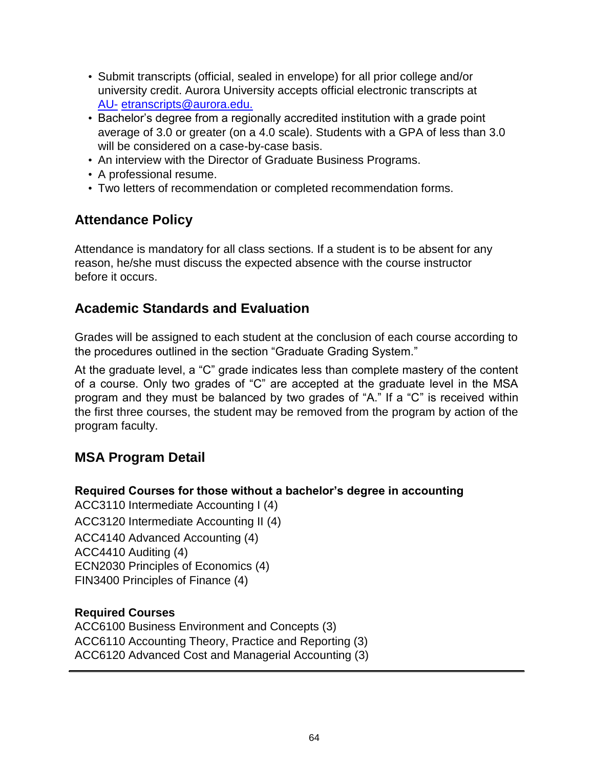- Submit transcripts (official, sealed in envelope) for all prior college and/or university credit. Aurora University accepts official electronic transcripts at [AU-](mailto:AU-etranscripts@aurora.edu) [etranscripts@aurora.edu.](mailto:AU-etranscripts@aurora.edu)
- Bachelor's degree from a regionally accredited institution with a grade point average of 3.0 or greater (on a 4.0 scale). Students with a GPA of less than 3.0 will be considered on a case-by-case basis.
- An interview with the Director of Graduate Business Programs.
- A professional resume.
- Two letters of recommendation or completed recommendation forms.

## **Attendance Policy**

Attendance is mandatory for all class sections. If a student is to be absent for any reason, he/she must discuss the expected absence with the course instructor before it occurs.

## **Academic Standards and Evaluation**

Grades will be assigned to each student at the conclusion of each course according to the procedures outlined in the section "Graduate Grading System."

At the graduate level, a "C" grade indicates less than complete mastery of the content of a course. Only two grades of "C" are accepted at the graduate level in the MSA program and they must be balanced by two grades of "A." If a "C" is received within the first three courses, the student may be removed from the program by action of the program faculty.

## **MSA Program Detail**

#### **Required Courses for those without a bachelor's degree in accounting**

ACC3110 Intermediate Accounting I (4) ACC3120 Intermediate Accounting II (4) ACC4140 Advanced Accounting (4) ACC4410 Auditing (4) ECN2030 Principles of Economics (4) FIN3400 Principles of Finance (4)

#### **Required Courses**

ACC6100 Business Environment and Concepts (3) ACC6110 Accounting Theory, Practice and Reporting (3) ACC6120 Advanced Cost and Managerial Accounting (3)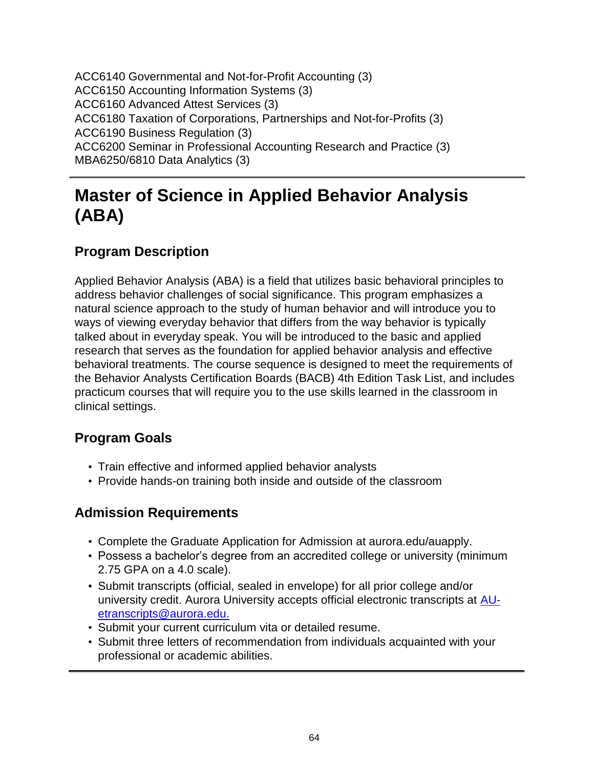ACC6140 Governmental and Not-for-Profit Accounting (3) ACC6150 Accounting Information Systems (3) ACC6160 Advanced Attest Services (3) ACC6180 Taxation of Corporations, Partnerships and Not-for-Profits (3) ACC6190 Business Regulation (3) ACC6200 Seminar in Professional Accounting Research and Practice (3) MBA6250/6810 Data Analytics (3)

## **Master of Science in Applied Behavior Analysis (ABA)**

## **Program Description**

Applied Behavior Analysis (ABA) is a field that utilizes basic behavioral principles to address behavior challenges of social significance. This program emphasizes a natural science approach to the study of human behavior and will introduce you to ways of viewing everyday behavior that differs from the way behavior is typically talked about in everyday speak. You will be introduced to the basic and applied research that serves as the foundation for applied behavior analysis and effective behavioral treatments. The course sequence is designed to meet the requirements of the Behavior Analysts Certification Boards (BACB) 4th Edition Task List, and includes practicum courses that will require you to the use skills learned in the classroom in clinical settings.

## **Program Goals**

- Train effective and informed applied behavior analysts
- Provide hands-on training both inside and outside of the classroom

## **Admission Requirements**

- Complete the Graduate Application for Admission at aurora.edu/auapply.
- Possess a bachelor's degree from an accredited college or university (minimum 2.75 GPA on a 4.0 scale).
- Submit transcripts (official, sealed in envelope) for all prior college and/or university credit. Aurora University accepts official electronic transcripts at [AU](mailto:AU-etranscripts@aurora.edu)[etranscripts@aurora.edu.](mailto:AU-etranscripts@aurora.edu)
- Submit your current curriculum vita or detailed resume.
- Submit three letters of recommendation from individuals acquainted with your professional or academic abilities.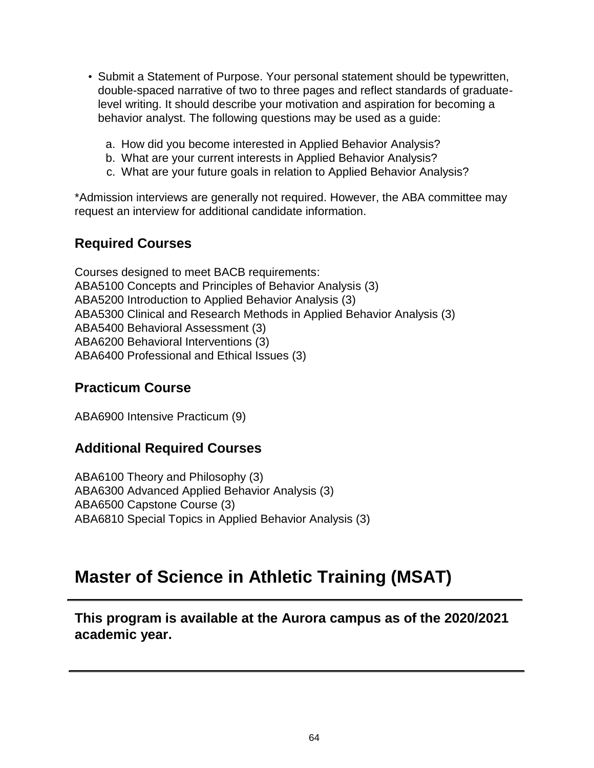- Submit a Statement of Purpose. Your personal statement should be typewritten, double-spaced narrative of two to three pages and reflect standards of graduatelevel writing. It should describe your motivation and aspiration for becoming a behavior analyst. The following questions may be used as a guide:
	- a. How did you become interested in Applied Behavior Analysis?
	- b. What are your current interests in Applied Behavior Analysis?
	- c. What are your future goals in relation to Applied Behavior Analysis?

\*Admission interviews are generally not required. However, the ABA committee may request an interview for additional candidate information.

#### **Required Courses**

Courses designed to meet BACB requirements: ABA5100 Concepts and Principles of Behavior Analysis (3) ABA5200 Introduction to Applied Behavior Analysis (3) ABA5300 Clinical and Research Methods in Applied Behavior Analysis (3) ABA5400 Behavioral Assessment (3) ABA6200 Behavioral Interventions (3) ABA6400 Professional and Ethical Issues (3)

#### **Practicum Course**

ABA6900 Intensive Practicum (9)

#### **Additional Required Courses**

ABA6100 Theory and Philosophy (3) ABA6300 Advanced Applied Behavior Analysis (3) ABA6500 Capstone Course (3) ABA6810 Special Topics in Applied Behavior Analysis (3)

## **Master of Science in Athletic Training (MSAT)**

**This program is available at the Aurora campus as of the 2020/2021 academic year.**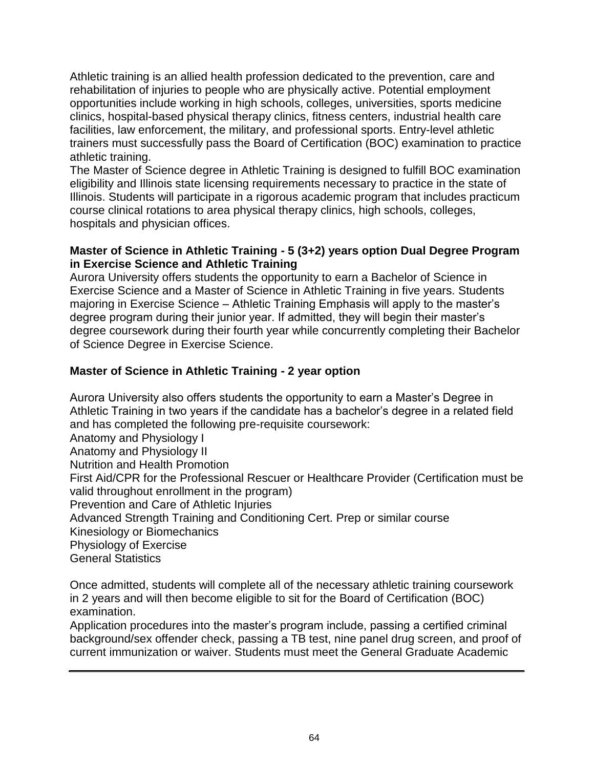Athletic training is an allied health profession dedicated to the prevention, care and rehabilitation of injuries to people who are physically active. Potential employment opportunities include working in high schools, colleges, universities, sports medicine clinics, hospital-based physical therapy clinics, fitness centers, industrial health care facilities, law enforcement, the military, and professional sports. Entry-level athletic trainers must successfully pass the Board of Certification (BOC) examination to practice athletic training.

The Master of Science degree in Athletic Training is designed to fulfill BOC examination eligibility and Illinois state licensing requirements necessary to practice in the state of Illinois. Students will participate in a rigorous academic program that includes practicum course clinical rotations to area physical therapy clinics, high schools, colleges, hospitals and physician offices.

#### **Master of Science in Athletic Training - 5 (3+2) years option Dual Degree Program in Exercise Science and Athletic Training**

Aurora University offers students the opportunity to earn a Bachelor of Science in Exercise Science and a Master of Science in Athletic Training in five years. Students majoring in Exercise Science – Athletic Training Emphasis will apply to the master's degree program during their junior year. If admitted, they will begin their master's degree coursework during their fourth year while concurrently completing their Bachelor of Science Degree in Exercise Science.

### **Master of Science in Athletic Training - 2 year option**

Aurora University also offers students the opportunity to earn a Master's Degree in Athletic Training in two years if the candidate has a bachelor's degree in a related field and has completed the following pre-requisite coursework: Anatomy and Physiology I Anatomy and Physiology II Nutrition and Health Promotion First Aid/CPR for the Professional Rescuer or Healthcare Provider (Certification must be valid throughout enrollment in the program) Prevention and Care of Athletic Injuries Advanced Strength Training and Conditioning Cert. Prep or similar course Kinesiology or Biomechanics Physiology of Exercise General Statistics

Once admitted, students will complete all of the necessary athletic training coursework in 2 years and will then become eligible to sit for the Board of Certification (BOC) examination.

Application procedures into the master's program include, passing a certified criminal background/sex offender check, passing a TB test, nine panel drug screen, and proof of current immunization or waiver. Students must meet the General Graduate Academic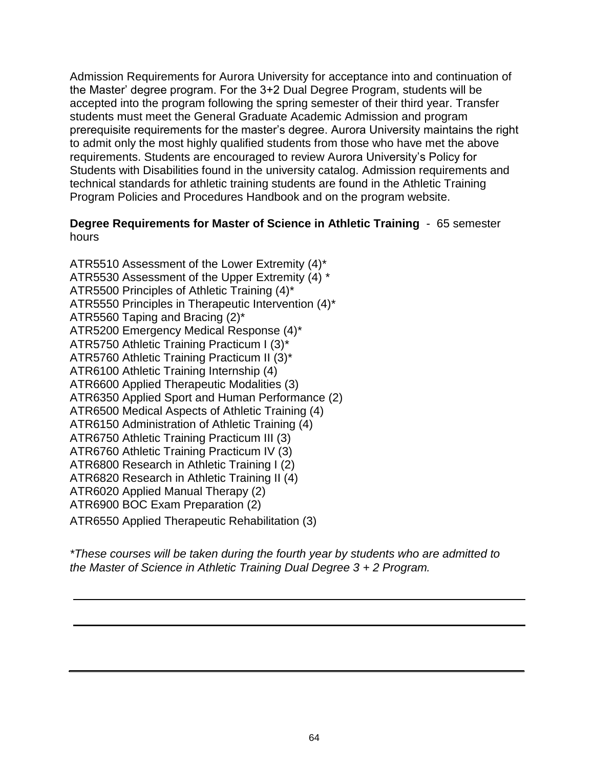Admission Requirements for Aurora University for acceptance into and continuation of the Master' degree program. For the 3+2 Dual Degree Program, students will be accepted into the program following the spring semester of their third year. Transfer students must meet the General Graduate Academic Admission and program prerequisite requirements for the master's degree. Aurora University maintains the right to admit only the most highly qualified students from those who have met the above requirements. Students are encouraged to review Aurora University's Policy for Students with Disabilities found in the university catalog. Admission requirements and technical standards for athletic training students are found in the Athletic Training Program Policies and Procedures Handbook and on the program website.

#### **Degree Requirements for Master of Science in Athletic Training** - 65 semester hours

ATR5510 Assessment of the Lower Extremity (4)\* ATR5530 Assessment of the Upper Extremity (4) \* ATR5500 Principles of Athletic Training (4)\* ATR5550 Principles in Therapeutic Intervention (4)\* ATR5560 Taping and Bracing (2)\* ATR5200 Emergency Medical Response (4)\* ATR5750 Athletic Training Practicum I (3)\* ATR5760 Athletic Training Practicum II (3)\* ATR6100 Athletic Training Internship (4) ATR6600 Applied Therapeutic Modalities (3) ATR6350 Applied Sport and Human Performance (2) ATR6500 Medical Aspects of Athletic Training (4) ATR6150 Administration of Athletic Training (4) ATR6750 Athletic Training Practicum III (3) ATR6760 Athletic Training Practicum IV (3) ATR6800 Research in Athletic Training I (2) ATR6820 Research in Athletic Training II (4) ATR6020 Applied Manual Therapy (2) ATR6900 BOC Exam Preparation (2) ATR6550 Applied Therapeutic Rehabilitation (3)

*\*These courses will be taken during the fourth year by students who are admitted to the Master of Science in Athletic Training Dual Degree 3 + 2 Program.*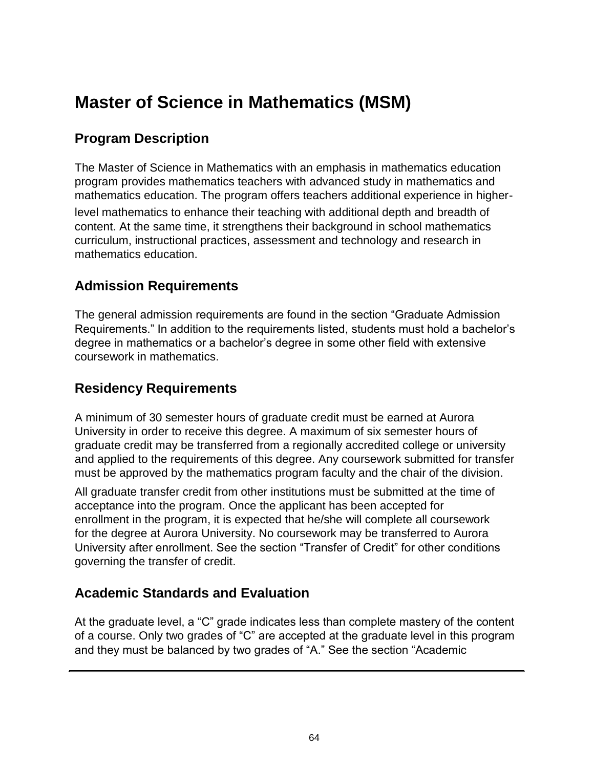# **Master of Science in Mathematics (MSM)**

# **Program Description**

The Master of Science in Mathematics with an emphasis in mathematics education program provides mathematics teachers with advanced study in mathematics and mathematics education. The program offers teachers additional experience in higher-

level mathematics to enhance their teaching with additional depth and breadth of content. At the same time, it strengthens their background in school mathematics curriculum, instructional practices, assessment and technology and research in mathematics education.

### **Admission Requirements**

The general admission requirements are found in the section "Graduate Admission Requirements." In addition to the requirements listed, students must hold a bachelor's degree in mathematics or a bachelor's degree in some other field with extensive coursework in mathematics.

# **Residency Requirements**

A minimum of 30 semester hours of graduate credit must be earned at Aurora University in order to receive this degree. A maximum of six semester hours of graduate credit may be transferred from a regionally accredited college or university and applied to the requirements of this degree. Any coursework submitted for transfer must be approved by the mathematics program faculty and the chair of the division.

All graduate transfer credit from other institutions must be submitted at the time of acceptance into the program. Once the applicant has been accepted for enrollment in the program, it is expected that he/she will complete all coursework for the degree at Aurora University. No coursework may be transferred to Aurora University after enrollment. See the section "Transfer of Credit" for other conditions governing the transfer of credit.

# **Academic Standards and Evaluation**

At the graduate level, a "C" grade indicates less than complete mastery of the content of a course. Only two grades of "C" are accepted at the graduate level in this program and they must be balanced by two grades of "A." See the section "Academic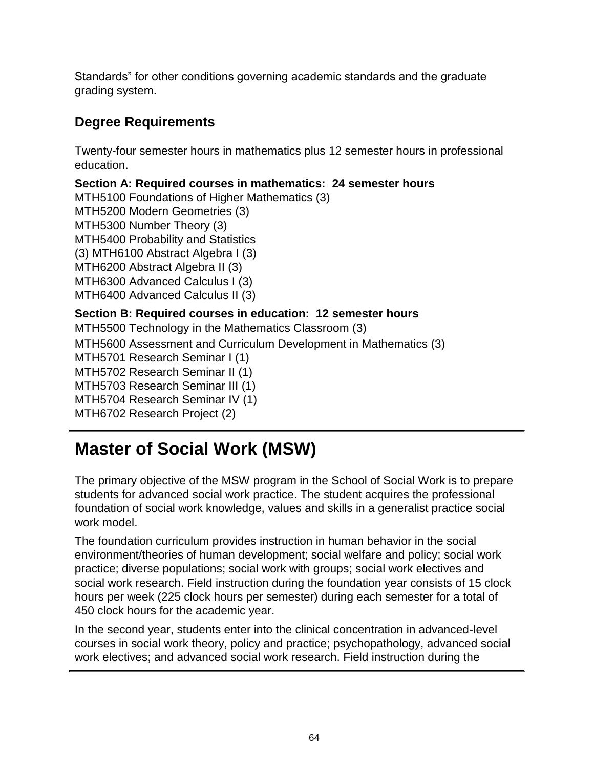Standards" for other conditions governing academic standards and the graduate grading system.

# **Degree Requirements**

Twenty-four semester hours in mathematics plus 12 semester hours in professional education.

**Section A: Required courses in mathematics: 24 semester hours** MTH5100 Foundations of Higher Mathematics (3) MTH5200 Modern Geometries (3) MTH5300 Number Theory (3) MTH5400 Probability and Statistics (3) MTH6100 Abstract Algebra I (3) MTH6200 Abstract Algebra II (3) MTH6300 Advanced Calculus I (3) MTH6400 Advanced Calculus II (3) **Section B: Required courses in education: 12 semester hours** MTH5500 Technology in the Mathematics Classroom (3) MTH5600 Assessment and Curriculum Development in Mathematics (3) MTH5701 Research Seminar I (1) MTH5702 Research Seminar II (1) MTH5703 Research Seminar III (1)

MTH5704 Research Seminar IV (1)

MTH6702 Research Project (2)

# **Master of Social Work (MSW)**

The primary objective of the MSW program in the School of Social Work is to prepare students for advanced social work practice. The student acquires the professional foundation of social work knowledge, values and skills in a generalist practice social work model.

The foundation curriculum provides instruction in human behavior in the social environment/theories of human development; social welfare and policy; social work practice; diverse populations; social work with groups; social work electives and social work research. Field instruction during the foundation year consists of 15 clock hours per week (225 clock hours per semester) during each semester for a total of 450 clock hours for the academic year.

In the second year, students enter into the clinical concentration in advanced-level courses in social work theory, policy and practice; psychopathology, advanced social work electives; and advanced social work research. Field instruction during the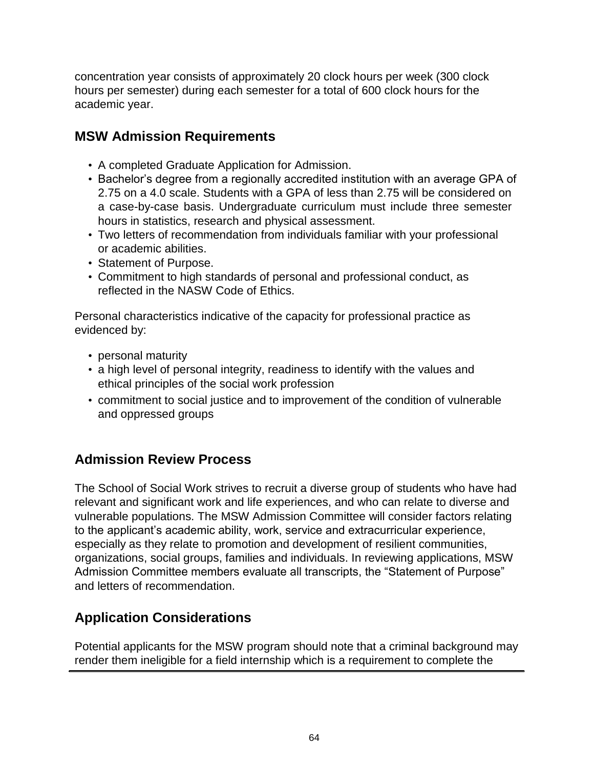concentration year consists of approximately 20 clock hours per week (300 clock hours per semester) during each semester for a total of 600 clock hours for the academic year.

# **MSW Admission Requirements**

- A completed Graduate Application for Admission.
- Bachelor's degree from a regionally accredited institution with an average GPA of 2.75 on a 4.0 scale. Students with a GPA of less than 2.75 will be considered on a case-by-case basis. Undergraduate curriculum must include three semester hours in statistics, research and physical assessment.
- Two letters of recommendation from individuals familiar with your professional or academic abilities.
- Statement of Purpose.
- Commitment to high standards of personal and professional conduct, as reflected in the NASW Code of Ethics.

Personal characteristics indicative of the capacity for professional practice as evidenced by:

- personal maturity
- a high level of personal integrity, readiness to identify with the values and ethical principles of the social work profession
- commitment to social justice and to improvement of the condition of vulnerable and oppressed groups

# **Admission Review Process**

The School of Social Work strives to recruit a diverse group of students who have had relevant and significant work and life experiences, and who can relate to diverse and vulnerable populations. The MSW Admission Committee will consider factors relating to the applicant's academic ability, work, service and extracurricular experience, especially as they relate to promotion and development of resilient communities, organizations, social groups, families and individuals. In reviewing applications, MSW Admission Committee members evaluate all transcripts, the "Statement of Purpose" and letters of recommendation.

# **Application Considerations**

Potential applicants for the MSW program should note that a criminal background may render them ineligible for a field internship which is a requirement to complete the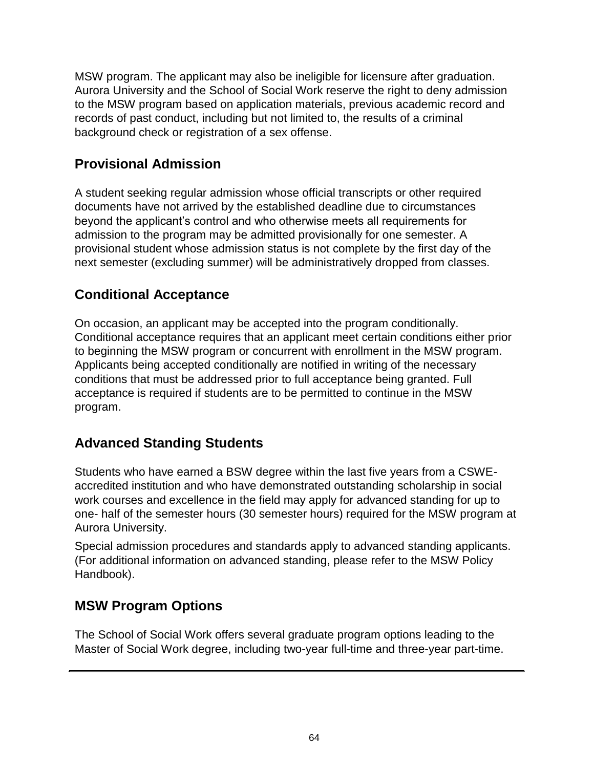MSW program. The applicant may also be ineligible for licensure after graduation. Aurora University and the School of Social Work reserve the right to deny admission to the MSW program based on application materials, previous academic record and records of past conduct, including but not limited to, the results of a criminal background check or registration of a sex offense.

# **Provisional Admission**

A student seeking regular admission whose official transcripts or other required documents have not arrived by the established deadline due to circumstances beyond the applicant's control and who otherwise meets all requirements for admission to the program may be admitted provisionally for one semester. A provisional student whose admission status is not complete by the first day of the next semester (excluding summer) will be administratively dropped from classes.

### **Conditional Acceptance**

On occasion, an applicant may be accepted into the program conditionally. Conditional acceptance requires that an applicant meet certain conditions either prior to beginning the MSW program or concurrent with enrollment in the MSW program. Applicants being accepted conditionally are notified in writing of the necessary conditions that must be addressed prior to full acceptance being granted. Full acceptance is required if students are to be permitted to continue in the MSW program.

# **Advanced Standing Students**

Students who have earned a BSW degree within the last five years from a CSWEaccredited institution and who have demonstrated outstanding scholarship in social work courses and excellence in the field may apply for advanced standing for up to one- half of the semester hours (30 semester hours) required for the MSW program at Aurora University.

Special admission procedures and standards apply to advanced standing applicants. (For additional information on advanced standing, please refer to the MSW Policy Handbook).

# **MSW Program Options**

The School of Social Work offers several graduate program options leading to the Master of Social Work degree, including two-year full-time and three-year part-time.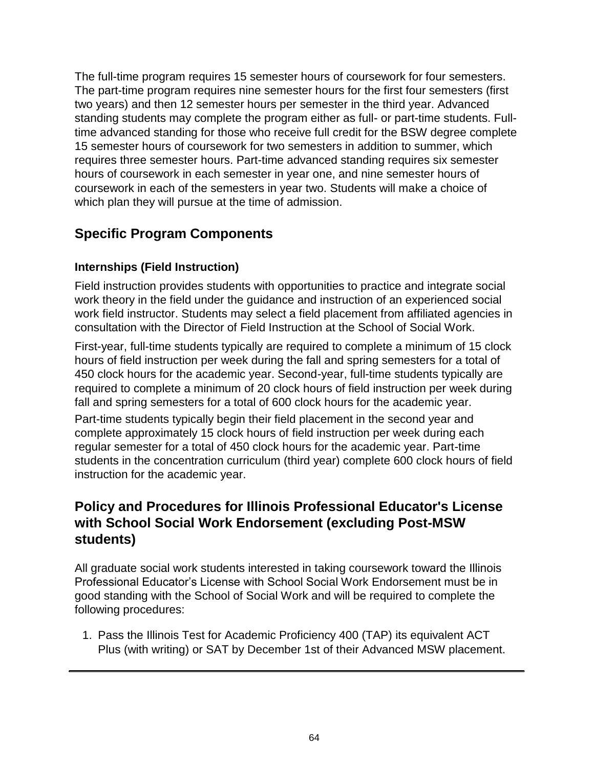The full-time program requires 15 semester hours of coursework for four semesters. The part-time program requires nine semester hours for the first four semesters (first two years) and then 12 semester hours per semester in the third year. Advanced standing students may complete the program either as full- or part-time students. Fulltime advanced standing for those who receive full credit for the BSW degree complete 15 semester hours of coursework for two semesters in addition to summer, which requires three semester hours. Part-time advanced standing requires six semester hours of coursework in each semester in year one, and nine semester hours of coursework in each of the semesters in year two. Students will make a choice of which plan they will pursue at the time of admission.

# **Specific Program Components**

### **Internships (Field Instruction)**

Field instruction provides students with opportunities to practice and integrate social work theory in the field under the guidance and instruction of an experienced social work field instructor. Students may select a field placement from affiliated agencies in consultation with the Director of Field Instruction at the School of Social Work.

First-year, full-time students typically are required to complete a minimum of 15 clock hours of field instruction per week during the fall and spring semesters for a total of 450 clock hours for the academic year. Second-year, full-time students typically are required to complete a minimum of 20 clock hours of field instruction per week during fall and spring semesters for a total of 600 clock hours for the academic year.

Part-time students typically begin their field placement in the second year and complete approximately 15 clock hours of field instruction per week during each regular semester for a total of 450 clock hours for the academic year. Part-time students in the concentration curriculum (third year) complete 600 clock hours of field instruction for the academic year.

### **Policy and Procedures for Illinois Professional Educator's License with School Social Work Endorsement (excluding Post-MSW students)**

All graduate social work students interested in taking coursework toward the Illinois Professional Educator's License with School Social Work Endorsement must be in good standing with the School of Social Work and will be required to complete the following procedures:

1. Pass the Illinois Test for Academic Proficiency 400 (TAP) its equivalent ACT Plus (with writing) or SAT by December 1st of their Advanced MSW placement.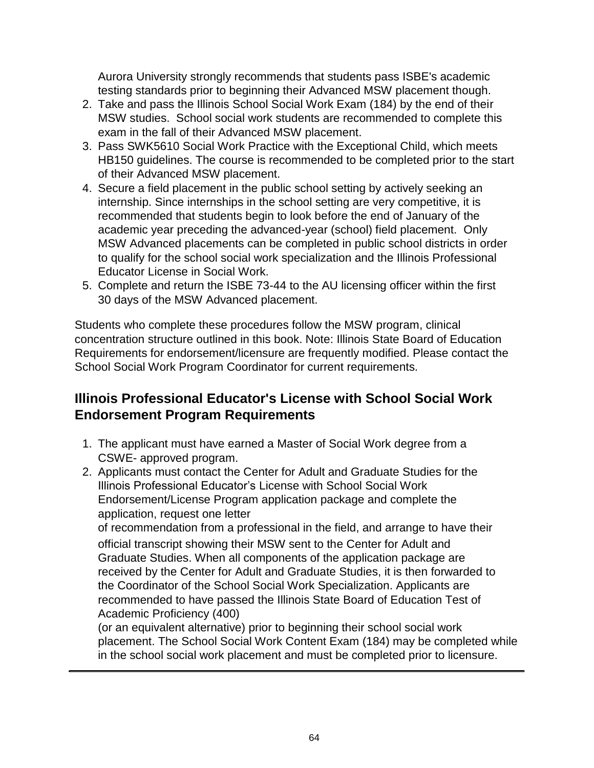Aurora University strongly recommends that students pass ISBE's academic testing standards prior to beginning their Advanced MSW placement though.

- 2. Take and pass the Illinois School Social Work Exam (184) by the end of their MSW studies. School social work students are recommended to complete this exam in the fall of their Advanced MSW placement.
- 3. Pass SWK5610 Social Work Practice with the Exceptional Child, which meets HB150 guidelines. The course is recommended to be completed prior to the start of their Advanced MSW placement.
- 4. Secure a field placement in the public school setting by actively seeking an internship. Since internships in the school setting are very competitive, it is recommended that students begin to look before the end of January of the academic year preceding the advanced-year (school) field placement. Only MSW Advanced placements can be completed in public school districts in order to qualify for the school social work specialization and the Illinois Professional Educator License in Social Work.
- 5. Complete and return the ISBE 73-44 to the AU licensing officer within the first 30 days of the MSW Advanced placement.

Students who complete these procedures follow the MSW program, clinical concentration structure outlined in this book. Note: Illinois State Board of Education Requirements for endorsement/licensure are frequently modified. Please contact the School Social Work Program Coordinator for current requirements.

### **Illinois Professional Educator's License with School Social Work Endorsement Program Requirements**

- 1. The applicant must have earned a Master of Social Work degree from a CSWE- approved program.
- 2. Applicants must contact the Center for Adult and Graduate Studies for the Illinois Professional Educator's License with School Social Work Endorsement/License Program application package and complete the application, request one letter

of recommendation from a professional in the field, and arrange to have their official transcript showing their MSW sent to the Center for Adult and Graduate Studies. When all components of the application package are received by the Center for Adult and Graduate Studies, it is then forwarded to the Coordinator of the School Social Work Specialization. Applicants are recommended to have passed the Illinois State Board of Education Test of Academic Proficiency (400)

(or an equivalent alternative) prior to beginning their school social work placement. The School Social Work Content Exam (184) may be completed while in the school social work placement and must be completed prior to licensure.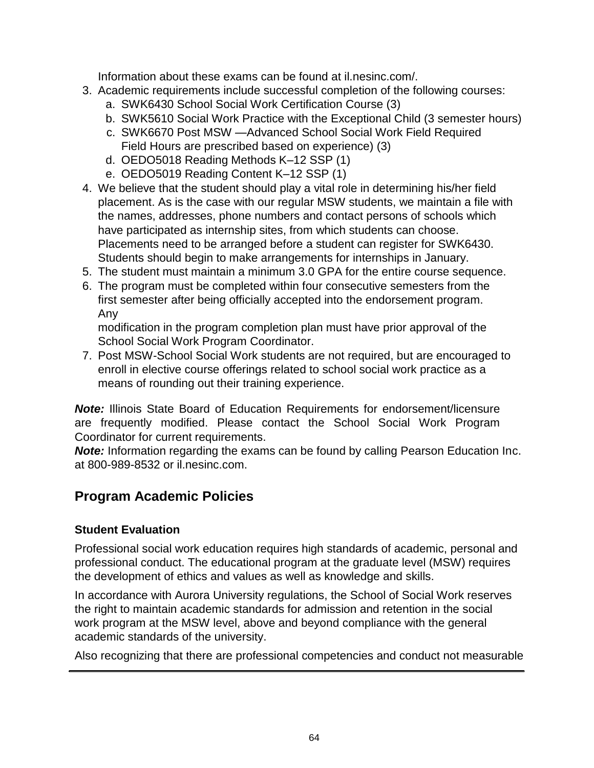Information about these exams can be found at il.nesinc.com/.

- 3. Academic requirements include successful completion of the following courses:
	- a. SWK6430 School Social Work Certification Course (3)
	- b. SWK5610 Social Work Practice with the Exceptional Child (3 semester hours)
	- c. SWK6670 Post MSW —Advanced School Social Work Field Required Field Hours are prescribed based on experience) (3)
	- d. OEDO5018 Reading Methods K–12 SSP (1)
	- e. OEDO5019 Reading Content K–12 SSP (1)
- 4. We believe that the student should play a vital role in determining his/her field placement. As is the case with our regular MSW students, we maintain a file with the names, addresses, phone numbers and contact persons of schools which have participated as internship sites, from which students can choose. Placements need to be arranged before a student can register for SWK6430. Students should begin to make arrangements for internships in January.
- 5. The student must maintain a minimum 3.0 GPA for the entire course sequence.
- 6. The program must be completed within four consecutive semesters from the first semester after being officially accepted into the endorsement program. Any

modification in the program completion plan must have prior approval of the School Social Work Program Coordinator.

7. Post MSW-School Social Work students are not required, but are encouraged to enroll in elective course offerings related to school social work practice as a means of rounding out their training experience.

*Note:* Illinois State Board of Education Requirements for endorsement/licensure are frequently modified. Please contact the School Social Work Program Coordinator for current requirements.

**Note:** Information regarding the exams can be found by calling Pearson Education Inc. at 800-989-8532 or il.nesinc.com.

### **Program Academic Policies**

### **Student Evaluation**

Professional social work education requires high standards of academic, personal and professional conduct. The educational program at the graduate level (MSW) requires the development of ethics and values as well as knowledge and skills.

In accordance with Aurora University regulations, the School of Social Work reserves the right to maintain academic standards for admission and retention in the social work program at the MSW level, above and beyond compliance with the general academic standards of the university.

Also recognizing that there are professional competencies and conduct not measurable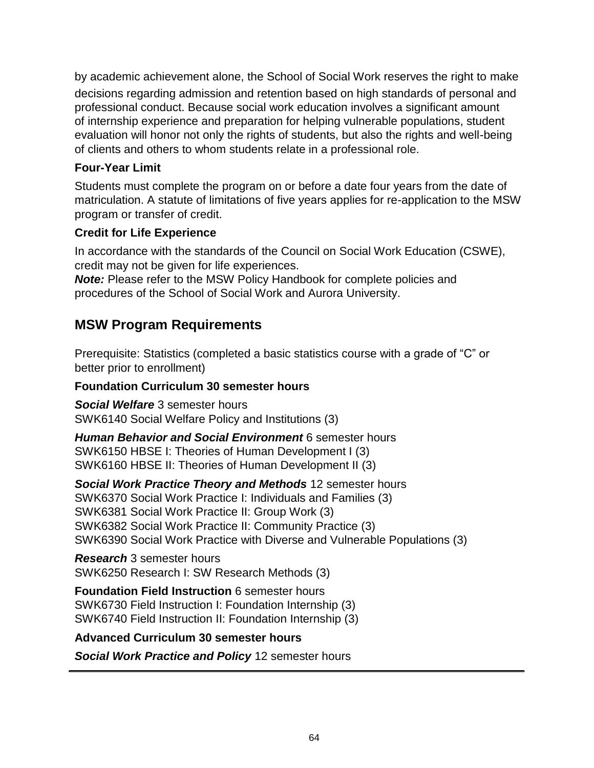by academic achievement alone, the School of Social Work reserves the right to make decisions regarding admission and retention based on high standards of personal and professional conduct. Because social work education involves a significant amount of internship experience and preparation for helping vulnerable populations, student evaluation will honor not only the rights of students, but also the rights and well-being of clients and others to whom students relate in a professional role.

### **Four-Year Limit**

Students must complete the program on or before a date four years from the date of matriculation. A statute of limitations of five years applies for re-application to the MSW program or transfer of credit.

### **Credit for Life Experience**

In accordance with the standards of the Council on Social Work Education (CSWE), credit may not be given for life experiences.

*Note:* Please refer to the MSW Policy Handbook for complete policies and procedures of the School of Social Work and Aurora University.

# **MSW Program Requirements**

Prerequisite: Statistics (completed a basic statistics course with a grade of "C" or better prior to enrollment)

### **Foundation Curriculum 30 semester hours**

*Social Welfare* 3 semester hours SWK6140 Social Welfare Policy and Institutions (3)

*Human Behavior and Social Environment* 6 semester hours SWK6150 HBSE I: Theories of Human Development I (3) SWK6160 HBSE II: Theories of Human Development II (3)

*Social Work Practice Theory and Methods* 12 semester hours SWK6370 Social Work Practice I: Individuals and Families (3) SWK6381 Social Work Practice II: Group Work (3) SWK6382 Social Work Practice II: Community Practice (3) SWK6390 Social Work Practice with Diverse and Vulnerable Populations (3)

*Research* 3 semester hours SWK6250 Research I: SW Research Methods (3)

**Foundation Field Instruction** 6 semester hours SWK6730 Field Instruction I: Foundation Internship (3) SWK6740 Field Instruction II: Foundation Internship (3)

### **Advanced Curriculum 30 semester hours**

*Social Work Practice and Policy* 12 semester hours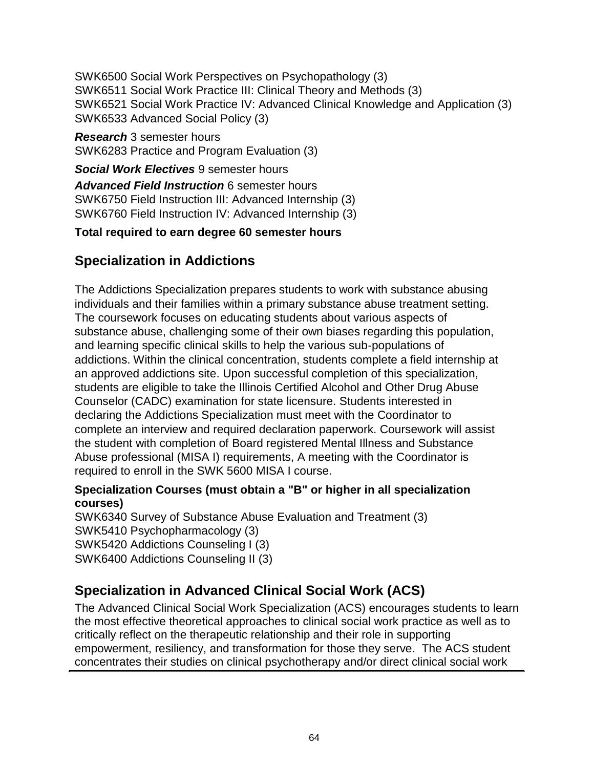SWK6500 Social Work Perspectives on Psychopathology (3) SWK6511 Social Work Practice III: Clinical Theory and Methods (3) SWK6521 Social Work Practice IV: Advanced Clinical Knowledge and Application (3) SWK6533 Advanced Social Policy (3)

*Research* 3 semester hours SWK6283 Practice and Program Evaluation (3)

*Social Work Electives* 9 semester hours *Advanced Field Instruction* 6 semester hours SWK6750 Field Instruction III: Advanced Internship (3) SWK6760 Field Instruction IV: Advanced Internship (3)

### **Total required to earn degree 60 semester hours**

# **Specialization in Addictions**

The Addictions Specialization prepares students to work with substance abusing individuals and their families within a primary substance abuse treatment setting. The coursework focuses on educating students about various aspects of substance abuse, challenging some of their own biases regarding this population, and learning specific clinical skills to help the various sub-populations of addictions. Within the clinical concentration, students complete a field internship at an approved addictions site. Upon successful completion of this specialization, students are eligible to take the Illinois Certified Alcohol and Other Drug Abuse Counselor (CADC) examination for state licensure. Students interested in declaring the Addictions Specialization must meet with the Coordinator to complete an interview and required declaration paperwork. Coursework will assist the student with completion of Board registered Mental Illness and Substance Abuse professional (MISA I) requirements, A meeting with the Coordinator is required to enroll in the SWK 5600 MISA I course.

### **Specialization Courses (must obtain a "B" or higher in all specialization courses)**

SWK6340 Survey of Substance Abuse Evaluation and Treatment (3) SWK5410 Psychopharmacology (3) SWK5420 Addictions Counseling I (3) SWK6400 Addictions Counseling II (3)

# **Specialization in Advanced Clinical Social Work (ACS)**

The Advanced Clinical Social Work Specialization (ACS) encourages students to learn the most effective theoretical approaches to clinical social work practice as well as to critically reflect on the therapeutic relationship and their role in supporting empowerment, resiliency, and transformation for those they serve. The ACS student concentrates their studies on clinical psychotherapy and/or direct clinical social work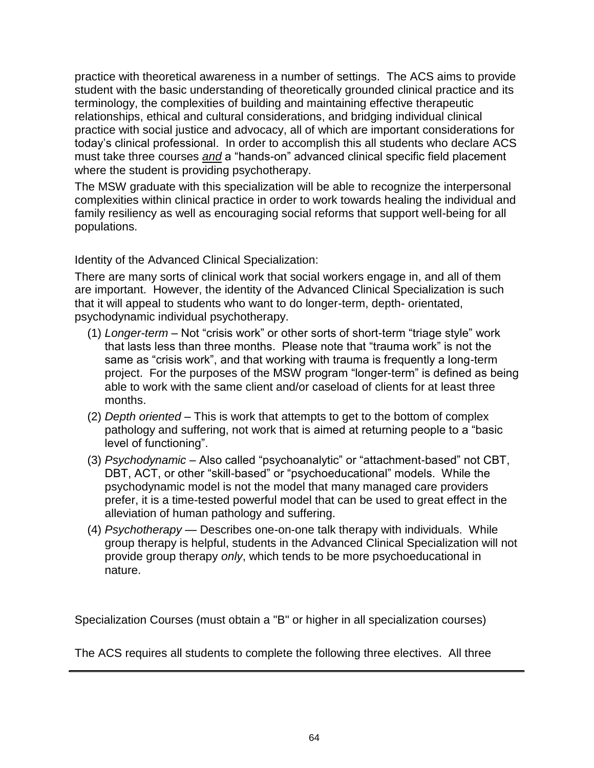practice with theoretical awareness in a number of settings. The ACS aims to provide student with the basic understanding of theoretically grounded clinical practice and its terminology, the complexities of building and maintaining effective therapeutic relationships, ethical and cultural considerations, and bridging individual clinical practice with social justice and advocacy, all of which are important considerations for today's clinical professional. In order to accomplish this all students who declare ACS must take three courses *and* a "hands-on" advanced clinical specific field placement where the student is providing psychotherapy.

The MSW graduate with this specialization will be able to recognize the interpersonal complexities within clinical practice in order to work towards healing the individual and family resiliency as well as encouraging social reforms that support well-being for all populations.

Identity of the Advanced Clinical Specialization:

There are many sorts of clinical work that social workers engage in, and all of them are important. However, the identity of the Advanced Clinical Specialization is such that it will appeal to students who want to do longer-term, depth- orientated, psychodynamic individual psychotherapy.

- (1) *Longer-term*  Not "crisis work" or other sorts of short-term "triage style" work that lasts less than three months. Please note that "trauma work" is not the same as "crisis work", and that working with trauma is frequently a long-term project. For the purposes of the MSW program "longer-term" is defined as being able to work with the same client and/or caseload of clients for at least three months.
- (2) *Depth oriented* This is work that attempts to get to the bottom of complex pathology and suffering, not work that is aimed at returning people to a "basic level of functioning".
- (3) *Psychodynamic* Also called "psychoanalytic" or "attachment-based" not CBT, DBT, ACT, or other "skill-based" or "psychoeducational" models. While the psychodynamic model is not the model that many managed care providers prefer, it is a time-tested powerful model that can be used to great effect in the alleviation of human pathology and suffering.
- (4) *Psychotherapy* Describes one-on-one talk therapy with individuals. While group therapy is helpful, students in the Advanced Clinical Specialization will not provide group therapy *only*, which tends to be more psychoeducational in nature.

Specialization Courses (must obtain a "B" or higher in all specialization courses)

The ACS requires all students to complete the following three electives. All three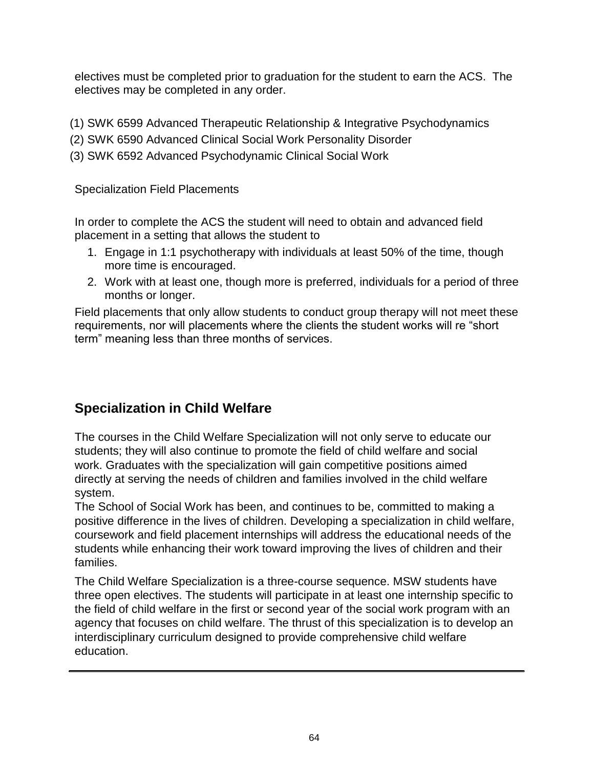electives must be completed prior to graduation for the student to earn the ACS. The electives may be completed in any order.

- (1) SWK 6599 Advanced Therapeutic Relationship & Integrative Psychodynamics
- (2) SWK 6590 Advanced Clinical Social Work Personality Disorder
- (3) SWK 6592 Advanced Psychodynamic Clinical Social Work

Specialization Field Placements

In order to complete the ACS the student will need to obtain and advanced field placement in a setting that allows the student to

- 1. Engage in 1:1 psychotherapy with individuals at least 50% of the time, though more time is encouraged.
- 2. Work with at least one, though more is preferred, individuals for a period of three months or longer.

Field placements that only allow students to conduct group therapy will not meet these requirements, nor will placements where the clients the student works will re "short term" meaning less than three months of services.

# **Specialization in Child Welfare**

The courses in the Child Welfare Specialization will not only serve to educate our students; they will also continue to promote the field of child welfare and social work. Graduates with the specialization will gain competitive positions aimed directly at serving the needs of children and families involved in the child welfare system.

The School of Social Work has been, and continues to be, committed to making a positive difference in the lives of children. Developing a specialization in child welfare, coursework and field placement internships will address the educational needs of the students while enhancing their work toward improving the lives of children and their families.

The Child Welfare Specialization is a three-course sequence. MSW students have three open electives. The students will participate in at least one internship specific to the field of child welfare in the first or second year of the social work program with an agency that focuses on child welfare. The thrust of this specialization is to develop an interdisciplinary curriculum designed to provide comprehensive child welfare education.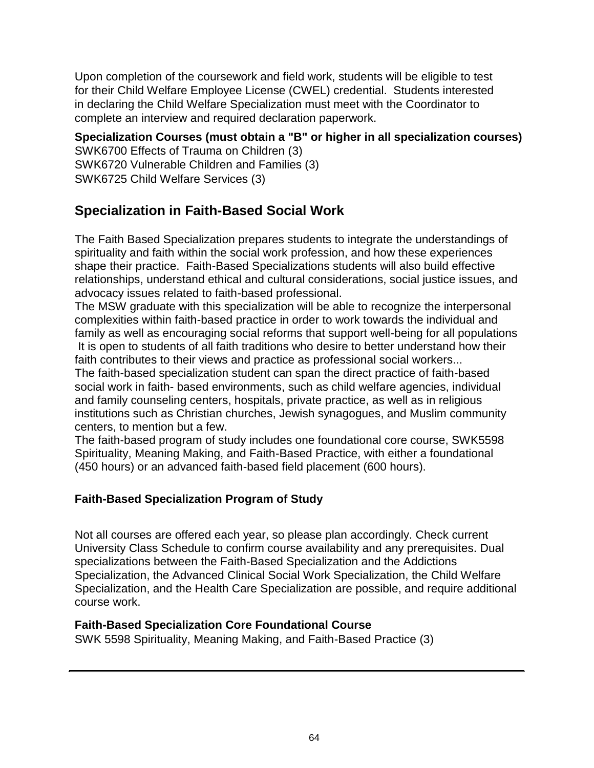Upon completion of the coursework and field work, students will be eligible to test for their Child Welfare Employee License (CWEL) credential. Students interested in declaring the Child Welfare Specialization must meet with the Coordinator to complete an interview and required declaration paperwork.

**Specialization Courses (must obtain a "B" or higher in all specialization courses)** SWK6700 Effects of Trauma on Children (3) SWK6720 Vulnerable Children and Families (3) SWK6725 Child Welfare Services (3)

# **Specialization in Faith-Based Social Work**

The Faith Based Specialization prepares students to integrate the understandings of spirituality and faith within the social work profession, and how these experiences shape their practice. Faith-Based Specializations students will also build effective relationships, understand ethical and cultural considerations, social justice issues, and advocacy issues related to faith-based professional.

The MSW graduate with this specialization will be able to recognize the interpersonal complexities within faith-based practice in order to work towards the individual and family as well as encouraging social reforms that support well-being for all populations It is open to students of all faith traditions who desire to better understand how their faith contributes to their views and practice as professional social workers...

The faith-based specialization student can span the direct practice of faith-based social work in faith- based environments, such as child welfare agencies, individual and family counseling centers, hospitals, private practice, as well as in religious institutions such as Christian churches, Jewish synagogues, and Muslim community centers, to mention but a few.

The faith-based program of study includes one foundational core course, SWK5598 Spirituality, Meaning Making, and Faith-Based Practice, with either a foundational (450 hours) or an advanced faith-based field placement (600 hours).

### **Faith-Based Specialization Program of Study**

Not all courses are offered each year, so please plan accordingly. Check current University Class Schedule to confirm course availability and any prerequisites. Dual specializations between the Faith-Based Specialization and the Addictions Specialization, the Advanced Clinical Social Work Specialization, the Child Welfare Specialization, and the Health Care Specialization are possible, and require additional course work.

#### **Faith-Based Specialization Core Foundational Course**

SWK 5598 Spirituality, Meaning Making, and Faith-Based Practice (3)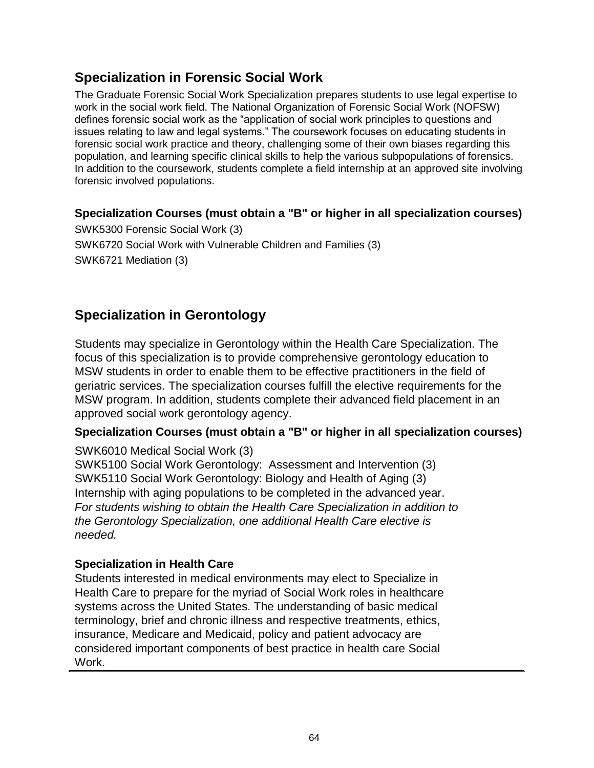### **Specialization in Forensic Social Work**

The Graduate Forensic Social Work Specialization prepares students to use legal expertise to work in the social work field. The National Organization of Forensic Social Work (NOFSW) defines forensic social work as the "application of social work principles to questions and issues relating to law and legal systems." The coursework focuses on educating students in forensic social work practice and theory, challenging some of their own biases regarding this population, and learning specific clinical skills to help the various subpopulations of forensics. In addition to the coursework, students complete a field internship at an approved site involving forensic involved populations.

### **Specialization Courses (must obtain a "B" or higher in all specialization courses)**

SWK5300 Forensic Social Work (3) SWK6720 Social Work with Vulnerable Children and Families (3) SWK6721 Mediation (3)

# **Specialization in Gerontology**

Students may specialize in Gerontology within the Health Care Specialization. The focus of this specialization is to provide comprehensive gerontology education to MSW students in order to enable them to be effective practitioners in the field of geriatric services. The specialization courses fulfill the elective requirements for the MSW program. In addition, students complete their advanced field placement in an approved social work gerontology agency.

### **Specialization Courses (must obtain a "B" or higher in all specialization courses)**

SWK6010 Medical Social Work (3)

SWK5100 Social Work Gerontology: Assessment and Intervention (3) SWK5110 Social Work Gerontology: Biology and Health of Aging (3) Internship with aging populations to be completed in the advanced year. *For students wishing to obtain the Health Care Specialization in addition to the Gerontology Specialization, one additional Health Care elective is needed.*

#### **Specialization in Health Care**

Students interested in medical environments may elect to Specialize in Health Care to prepare for the myriad of Social Work roles in healthcare systems across the United States. The understanding of basic medical terminology, brief and chronic illness and respective treatments, ethics, insurance, Medicare and Medicaid, policy and patient advocacy are considered important components of best practice in health care Social Work.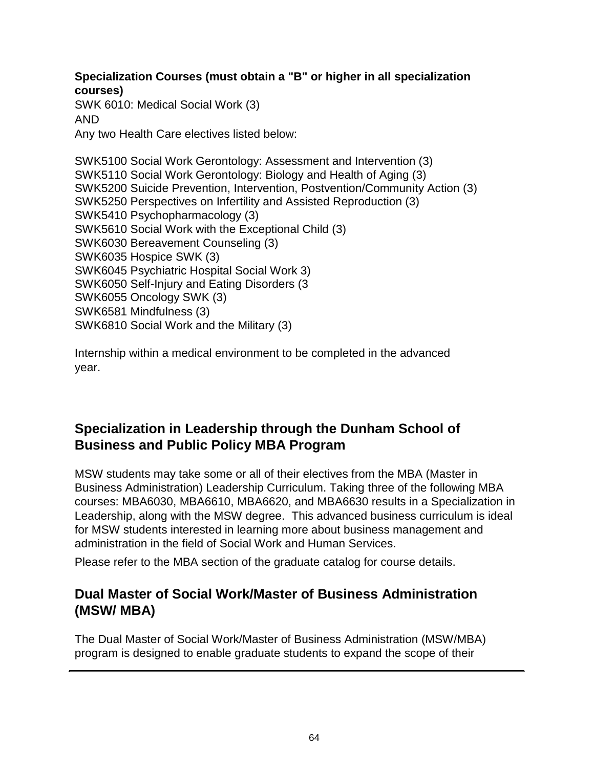### **Specialization Courses (must obtain a "B" or higher in all specialization courses)**

SWK 6010: Medical Social Work (3) AND Any two Health Care electives listed below:

SWK5100 Social Work Gerontology: Assessment and Intervention (3) SWK5110 Social Work Gerontology: Biology and Health of Aging (3) SWK5200 Suicide Prevention, Intervention, Postvention/Community Action (3) SWK5250 Perspectives on Infertility and Assisted Reproduction (3) SWK5410 Psychopharmacology (3) SWK5610 Social Work with the Exceptional Child (3) SWK6030 Bereavement Counseling (3) SWK6035 Hospice SWK (3) SWK6045 Psychiatric Hospital Social Work 3) SWK6050 Self-Injury and Eating Disorders (3 SWK6055 Oncology SWK (3) SWK6581 Mindfulness (3) SWK6810 Social Work and the Military (3)

Internship within a medical environment to be completed in the advanced year.

# **Specialization in Leadership through the Dunham School of Business and Public Policy MBA Program**

MSW students may take some or all of their electives from the MBA (Master in Business Administration) Leadership Curriculum. Taking three of the following MBA courses: MBA6030, MBA6610, MBA6620, and MBA6630 results in a Specialization in Leadership, along with the MSW degree. This advanced business curriculum is ideal for MSW students interested in learning more about business management and administration in the field of Social Work and Human Services.

Please refer to the MBA section of the graduate catalog for course details.

# **Dual Master of Social Work/Master of Business Administration (MSW/ MBA)**

The Dual Master of Social Work/Master of Business Administration (MSW/MBA) program is designed to enable graduate students to expand the scope of their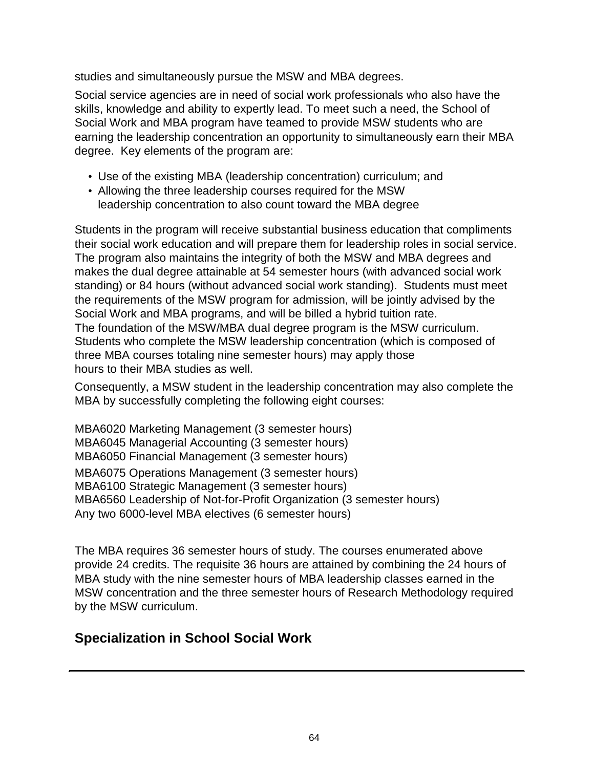studies and simultaneously pursue the MSW and MBA degrees.

Social service agencies are in need of social work professionals who also have the skills, knowledge and ability to expertly lead. To meet such a need, the School of Social Work and MBA program have teamed to provide MSW students who are earning the leadership concentration an opportunity to simultaneously earn their MBA degree. Key elements of the program are:

- Use of the existing MBA (leadership concentration) curriculum; and
- Allowing the three leadership courses required for the MSW leadership concentration to also count toward the MBA degree

Students in the program will receive substantial business education that compliments their social work education and will prepare them for leadership roles in social service. The program also maintains the integrity of both the MSW and MBA degrees and makes the dual degree attainable at 54 semester hours (with advanced social work standing) or 84 hours (without advanced social work standing). Students must meet the requirements of the MSW program for admission, will be jointly advised by the Social Work and MBA programs, and will be billed a hybrid tuition rate. The foundation of the MSW/MBA dual degree program is the MSW curriculum. Students who complete the MSW leadership concentration (which is composed of three MBA courses totaling nine semester hours) may apply those hours to their MBA studies as well.

Consequently, a MSW student in the leadership concentration may also complete the MBA by successfully completing the following eight courses:

MBA6020 Marketing Management (3 semester hours) MBA6045 Managerial Accounting (3 semester hours) MBA6050 Financial Management (3 semester hours) MBA6075 Operations Management (3 semester hours) MBA6100 Strategic Management (3 semester hours) MBA6560 Leadership of Not-for-Profit Organization (3 semester hours) Any two 6000-level MBA electives (6 semester hours)

The MBA requires 36 semester hours of study. The courses enumerated above provide 24 credits. The requisite 36 hours are attained by combining the 24 hours of MBA study with the nine semester hours of MBA leadership classes earned in the MSW concentration and the three semester hours of Research Methodology required by the MSW curriculum.

# **Specialization in School Social Work**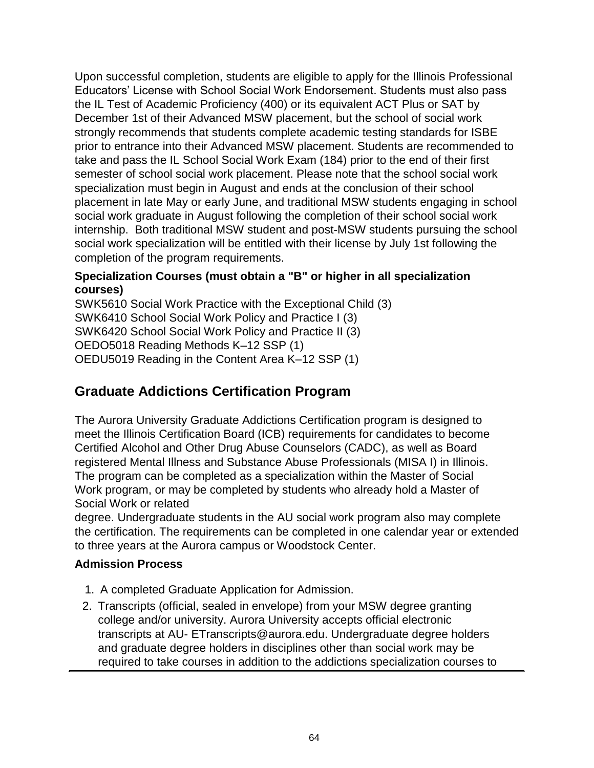Upon successful completion, students are eligible to apply for the Illinois Professional Educators' License with School Social Work Endorsement. Students must also pass the IL Test of Academic Proficiency (400) or its equivalent ACT Plus or SAT by December 1st of their Advanced MSW placement, but the school of social work strongly recommends that students complete academic testing standards for ISBE prior to entrance into their Advanced MSW placement. Students are recommended to take and pass the IL School Social Work Exam (184) prior to the end of their first semester of school social work placement. Please note that the school social work specialization must begin in August and ends at the conclusion of their school placement in late May or early June, and traditional MSW students engaging in school social work graduate in August following the completion of their school social work internship. Both traditional MSW student and post-MSW students pursuing the school social work specialization will be entitled with their license by July 1st following the completion of the program requirements.

### **Specialization Courses (must obtain a "B" or higher in all specialization courses)**

SWK5610 Social Work Practice with the Exceptional Child (3) SWK6410 School Social Work Policy and Practice I (3) SWK6420 School Social Work Policy and Practice II (3) OEDO5018 Reading Methods K–12 SSP (1) OEDU5019 Reading in the Content Area K–12 SSP (1)

# **Graduate Addictions Certification Program**

The Aurora University Graduate Addictions Certification program is designed to meet the Illinois Certification Board (ICB) requirements for candidates to become Certified Alcohol and Other Drug Abuse Counselors (CADC), as well as Board registered Mental Illness and Substance Abuse Professionals (MISA I) in Illinois. The program can be completed as a specialization within the Master of Social Work program, or may be completed by students who already hold a Master of Social Work or related

degree. Undergraduate students in the AU social work program also may complete the certification. The requirements can be completed in one calendar year or extended to three years at the Aurora campus or Woodstock Center.

### **Admission Process**

- 1. A completed Graduate Application for Admission.
- 2. Transcripts (official, sealed in envelope) from your MSW degree granting college and/or university. Aurora University accepts official electronic transcripts at AU- [ETranscripts@aurora.edu. U](mailto:ETranscripts@aurora.edu)ndergraduate degree holders and graduate degree holders in disciplines other than social work may be required to take courses in addition to the addictions specialization courses to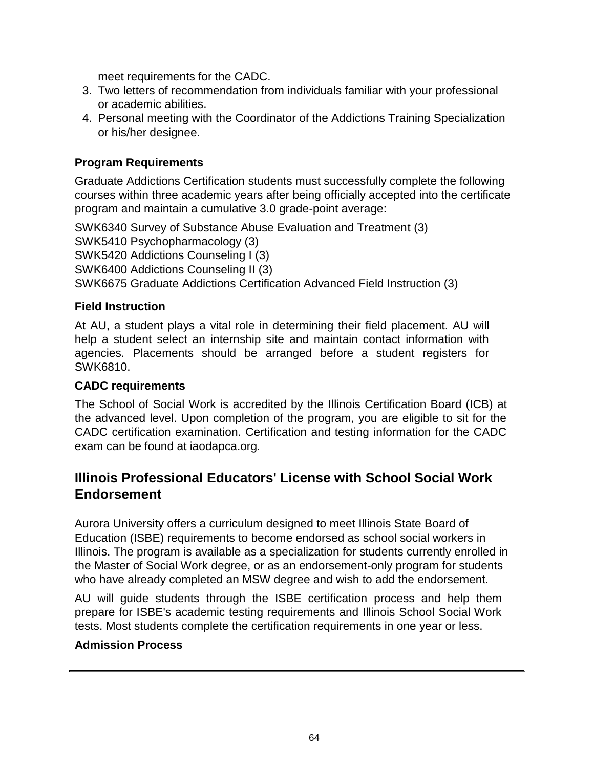meet requirements for the CADC.

- 3. Two letters of recommendation from individuals familiar with your professional or academic abilities.
- 4. Personal meeting with the Coordinator of the Addictions Training Specialization or his/her designee.

### **Program Requirements**

Graduate Addictions Certification students must successfully complete the following courses within three academic years after being officially accepted into the certificate program and maintain a cumulative 3.0 grade-point average:

SWK6340 Survey of Substance Abuse Evaluation and Treatment (3) SWK5410 Psychopharmacology (3) SWK5420 Addictions Counseling I (3) SWK6400 Addictions Counseling II (3) SWK6675 Graduate Addictions Certification Advanced Field Instruction (3)

#### **Field Instruction**

At AU, a student plays a vital role in determining their field placement. AU will help a student select an internship site and maintain contact information with agencies. Placements should be arranged before a student registers for SWK6810.

#### **CADC requirements**

The School of Social Work is accredited by the Illinois Certification Board (ICB) at the advanced level. Upon completion of the program, you are eligible to sit for the CADC certification examination. Certification and testing information for the CADC exam can be found at iaodapca.org.

### **Illinois Professional Educators' License with School Social Work Endorsement**

Aurora University offers a curriculum designed to meet Illinois State Board of Education (ISBE) requirements to become endorsed as school social workers in Illinois. The program is available as a specialization for students currently enrolled in the Master of Social Work degree, or as an endorsement-only program for students who have already completed an MSW degree and wish to add the endorsement.

AU will guide students through the ISBE certification process and help them prepare for ISBE's academic testing requirements and Illinois School Social Work tests. Most students complete the certification requirements in one year or less.

#### **Admission Process**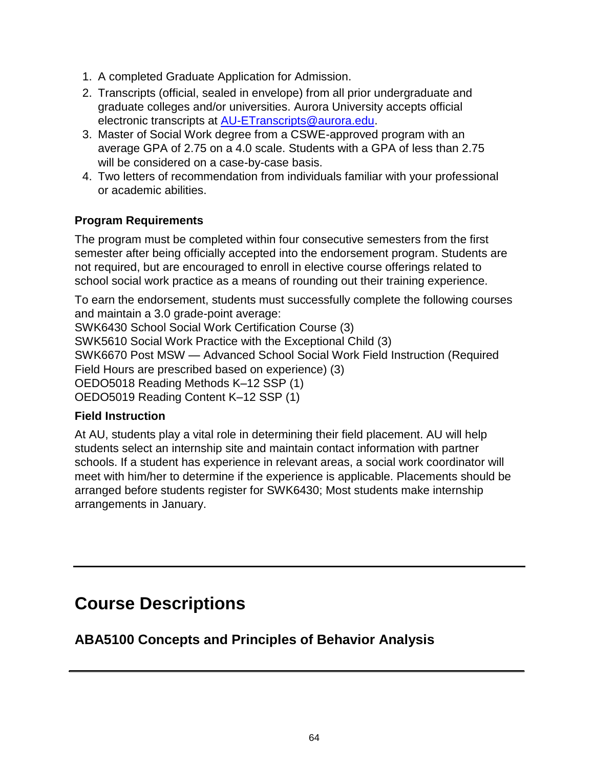- 1. A completed Graduate Application for Admission.
- 2. Transcripts (official, sealed in envelope) from all prior undergraduate and graduate colleges and/or universities. Aurora University accepts official electronic transcripts at [AU-ETranscripts@aurora.edu.](mailto:AU-ETranscripts@aurora.edu)
- 3. Master of Social Work degree from a CSWE-approved program with an average GPA of 2.75 on a 4.0 scale. Students with a GPA of less than 2.75 will be considered on a case-by-case basis.
- 4. Two letters of recommendation from individuals familiar with your professional or academic abilities.

### **Program Requirements**

The program must be completed within four consecutive semesters from the first semester after being officially accepted into the endorsement program. Students are not required, but are encouraged to enroll in elective course offerings related to school social work practice as a means of rounding out their training experience.

To earn the endorsement, students must successfully complete the following courses and maintain a 3.0 grade-point average:

SWK6430 School Social Work Certification Course (3)

SWK5610 Social Work Practice with the Exceptional Child (3)

SWK6670 Post MSW — Advanced School Social Work Field Instruction (Required Field Hours are prescribed based on experience) (3)

OEDO5018 Reading Methods K–12 SSP (1)

OEDO5019 Reading Content K–12 SSP (1)

#### **Field Instruction**

At AU, students play a vital role in determining their field placement. AU will help students select an internship site and maintain contact information with partner schools. If a student has experience in relevant areas, a social work coordinator will meet with him/her to determine if the experience is applicable. Placements should be arranged before students register for SWK6430; Most students make internship arrangements in January.

# **Course Descriptions**

### **ABA5100 Concepts and Principles of Behavior Analysis**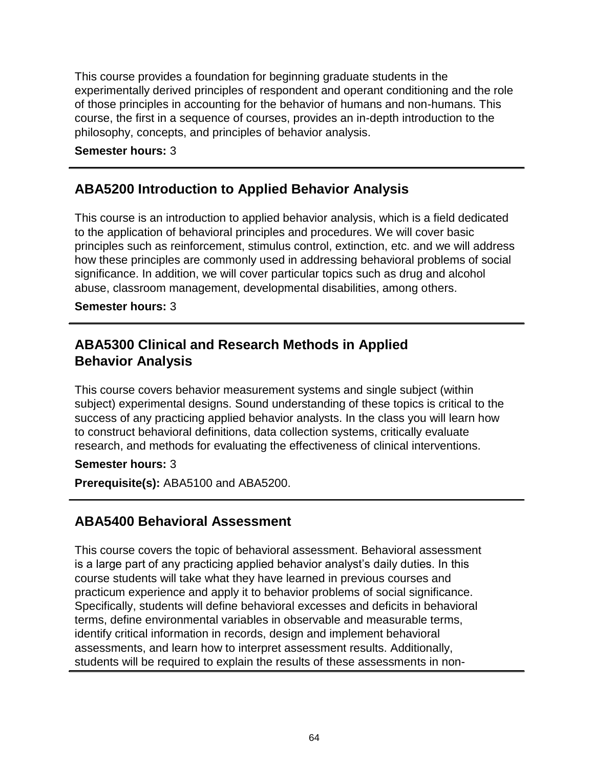This course provides a foundation for beginning graduate students in the experimentally derived principles of respondent and operant conditioning and the role of those principles in accounting for the behavior of humans and non-humans. This course, the first in a sequence of courses, provides an in-depth introduction to the philosophy, concepts, and principles of behavior analysis.

#### **Semester hours:** 3

### **ABA5200 Introduction to Applied Behavior Analysis**

This course is an introduction to applied behavior analysis, which is a field dedicated to the application of behavioral principles and procedures. We will cover basic principles such as reinforcement, stimulus control, extinction, etc. and we will address how these principles are commonly used in addressing behavioral problems of social significance. In addition, we will cover particular topics such as drug and alcohol abuse, classroom management, developmental disabilities, among others.

#### **Semester hours:** 3

### **ABA5300 Clinical and Research Methods in Applied Behavior Analysis**

This course covers behavior measurement systems and single subject (within subject) experimental designs. Sound understanding of these topics is critical to the success of any practicing applied behavior analysts. In the class you will learn how to construct behavioral definitions, data collection systems, critically evaluate research, and methods for evaluating the effectiveness of clinical interventions.

**Semester hours:** 3

**Prerequisite(s):** ABA5100 and ABA5200.

### **ABA5400 Behavioral Assessment**

This course covers the topic of behavioral assessment. Behavioral assessment is a large part of any practicing applied behavior analyst's daily duties. In this course students will take what they have learned in previous courses and practicum experience and apply it to behavior problems of social significance. Specifically, students will define behavioral excesses and deficits in behavioral terms, define environmental variables in observable and measurable terms, identify critical information in records, design and implement behavioral assessments, and learn how to interpret assessment results. Additionally, students will be required to explain the results of these assessments in non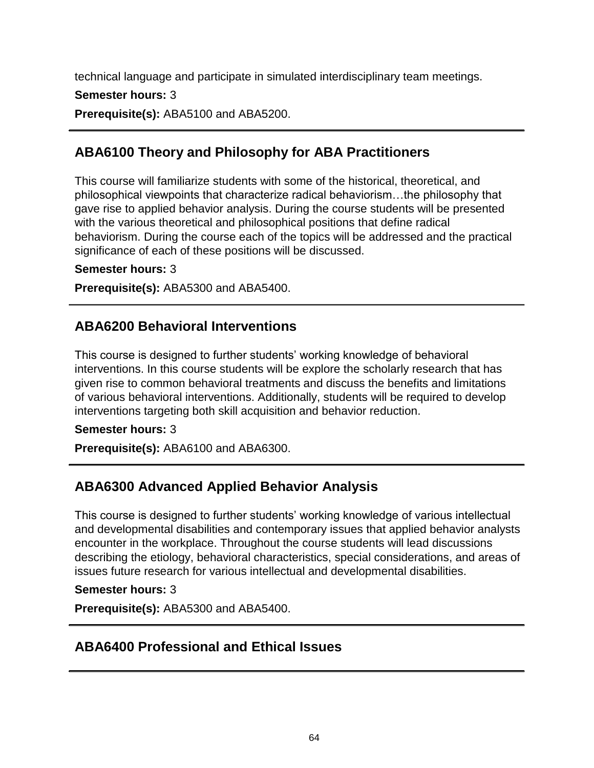technical language and participate in simulated interdisciplinary team meetings.

**Semester hours:** 3

**Prerequisite(s):** ABA5100 and ABA5200.

# **ABA6100 Theory and Philosophy for ABA Practitioners**

This course will familiarize students with some of the historical, theoretical, and philosophical viewpoints that characterize radical behaviorism…the philosophy that gave rise to applied behavior analysis. During the course students will be presented with the various theoretical and philosophical positions that define radical behaviorism. During the course each of the topics will be addressed and the practical significance of each of these positions will be discussed.

**Semester hours:** 3

**Prerequisite(s):** ABA5300 and ABA5400.

### **ABA6200 Behavioral Interventions**

This course is designed to further students' working knowledge of behavioral interventions. In this course students will be explore the scholarly research that has given rise to common behavioral treatments and discuss the benefits and limitations of various behavioral interventions. Additionally, students will be required to develop interventions targeting both skill acquisition and behavior reduction.

### **Semester hours:** 3

**Prerequisite(s):** ABA6100 and ABA6300.

# **ABA6300 Advanced Applied Behavior Analysis**

This course is designed to further students' working knowledge of various intellectual and developmental disabilities and contemporary issues that applied behavior analysts encounter in the workplace. Throughout the course students will lead discussions describing the etiology, behavioral characteristics, special considerations, and areas of issues future research for various intellectual and developmental disabilities.

#### **Semester hours:** 3

**Prerequisite(s):** ABA5300 and ABA5400.

### **ABA6400 Professional and Ethical Issues**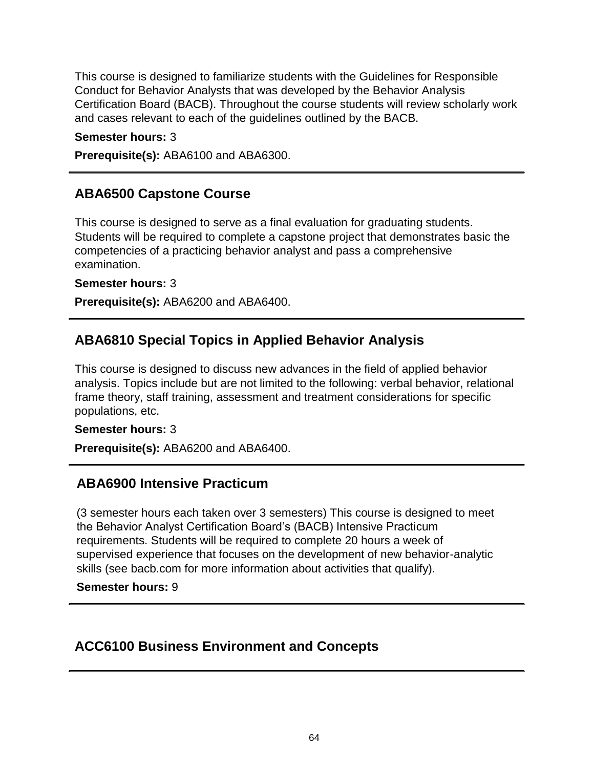This course is designed to familiarize students with the Guidelines for Responsible Conduct for Behavior Analysts that was developed by the Behavior Analysis Certification Board (BACB). Throughout the course students will review scholarly work and cases relevant to each of the guidelines outlined by the BACB.

#### **Semester hours:** 3

**Prerequisite(s):** ABA6100 and ABA6300.

### **ABA6500 Capstone Course**

This course is designed to serve as a final evaluation for graduating students. Students will be required to complete a capstone project that demonstrates basic the competencies of a practicing behavior analyst and pass a comprehensive examination.

**Semester hours:** 3

**Prerequisite(s):** ABA6200 and ABA6400.

### **ABA6810 Special Topics in Applied Behavior Analysis**

This course is designed to discuss new advances in the field of applied behavior analysis. Topics include but are not limited to the following: verbal behavior, relational frame theory, staff training, assessment and treatment considerations for specific populations, etc.

#### **Semester hours:** 3

**Prerequisite(s):** ABA6200 and ABA6400.

### **ABA6900 Intensive Practicum**

(3 semester hours each taken over 3 semesters) This course is designed to meet the Behavior Analyst Certification Board's (BACB) Intensive Practicum requirements. Students will be required to complete 20 hours a week of supervised experience that focuses on the development of new behavior-analytic skills (see bacb.com for more information about activities that qualify).

#### **Semester hours:** 9

### **ACC6100 Business Environment and Concepts**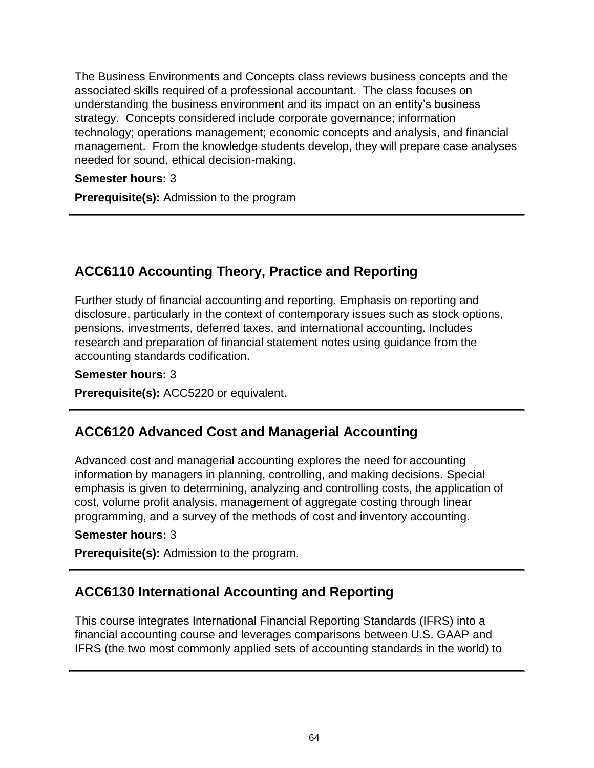The Business Environments and Concepts class reviews business concepts and the associated skills required of a professional accountant. The class focuses on understanding the business environment and its impact on an entity's business strategy. Concepts considered include corporate governance; information technology; operations management; economic concepts and analysis, and financial management. From the knowledge students develop, they will prepare case analyses needed for sound, ethical decision-making.

#### **Semester hours:** 3

**Prerequisite(s):** Admission to the program

# **ACC6110 Accounting Theory, Practice and Reporting**

Further study of financial accounting and reporting. Emphasis on reporting and disclosure, particularly in the context of contemporary issues such as stock options, pensions, investments, deferred taxes, and international accounting. Includes research and preparation of financial statement notes using guidance from the accounting standards codification.

#### **Semester hours:** 3

**Prerequisite(s):** ACC5220 or equivalent.

### **ACC6120 Advanced Cost and Managerial Accounting**

Advanced cost and managerial accounting explores the need for accounting information by managers in planning, controlling, and making decisions. Special emphasis is given to determining, analyzing and controlling costs, the application of cost, volume profit analysis, management of aggregate costing through linear programming, and a survey of the methods of cost and inventory accounting.

#### **Semester hours:** 3

**Prerequisite(s):** Admission to the program.

### **ACC6130 International Accounting and Reporting**

This course integrates International Financial Reporting Standards (IFRS) into a financial accounting course and leverages comparisons between U.S. GAAP and IFRS (the two most commonly applied sets of accounting standards in the world) to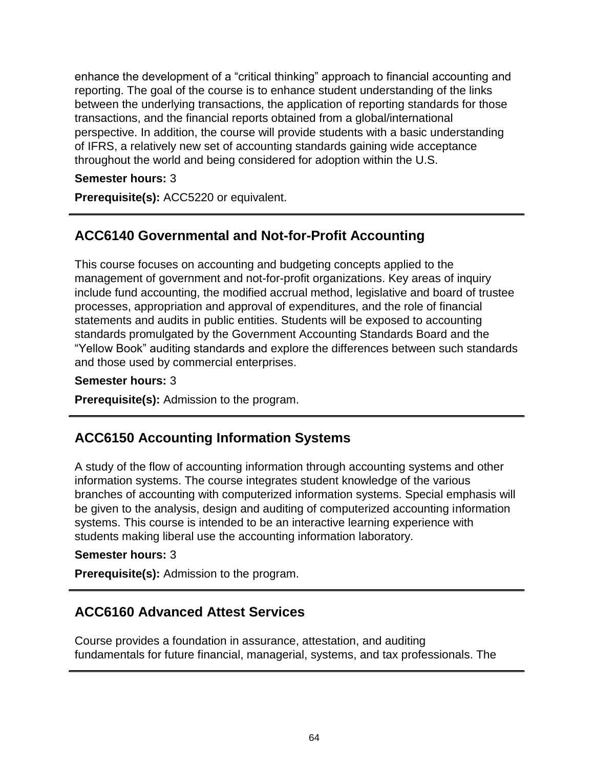enhance the development of a "critical thinking" approach to financial accounting and reporting. The goal of the course is to enhance student understanding of the links between the underlying transactions, the application of reporting standards for those transactions, and the financial reports obtained from a global/international perspective. In addition, the course will provide students with a basic understanding of IFRS, a relatively new set of accounting standards gaining wide acceptance throughout the world and being considered for adoption within the U.S.

### **Semester hours:** 3

**Prerequisite(s):** ACC5220 or equivalent.

### **ACC6140 Governmental and Not-for-Profit Accounting**

This course focuses on accounting and budgeting concepts applied to the management of government and not-for-profit organizations. Key areas of inquiry include fund accounting, the modified accrual method, legislative and board of trustee processes, appropriation and approval of expenditures, and the role of financial statements and audits in public entities. Students will be exposed to accounting standards promulgated by the Government Accounting Standards Board and the "Yellow Book" auditing standards and explore the differences between such standards and those used by commercial enterprises.

#### **Semester hours:** 3

**Prerequisite(s):** Admission to the program.

### **ACC6150 Accounting Information Systems**

A study of the flow of accounting information through accounting systems and other information systems. The course integrates student knowledge of the various branches of accounting with computerized information systems. Special emphasis will be given to the analysis, design and auditing of computerized accounting information systems. This course is intended to be an interactive learning experience with students making liberal use the accounting information laboratory.

#### **Semester hours:** 3

**Prerequisite(s):** Admission to the program.

### **ACC6160 Advanced Attest Services**

Course provides a foundation in assurance, attestation, and auditing fundamentals for future financial, managerial, systems, and tax professionals. The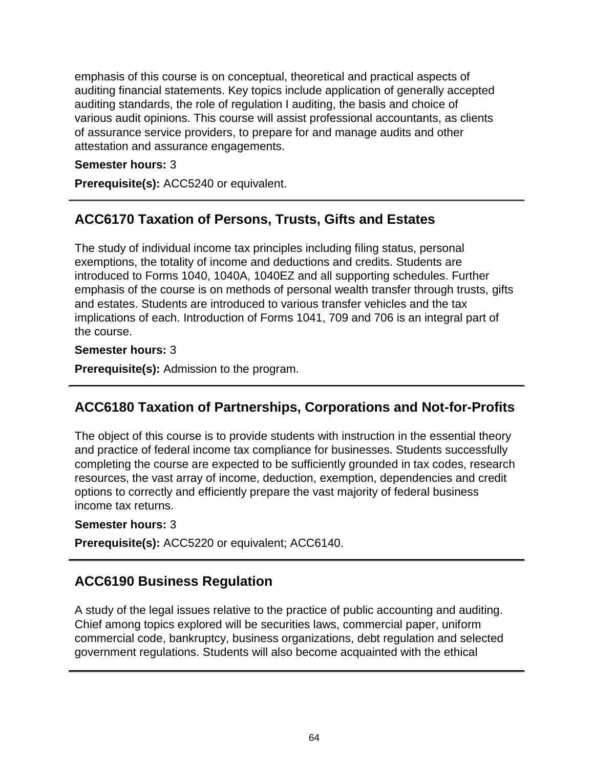emphasis of this course is on conceptual, theoretical and practical aspects of auditing financial statements. Key topics include application of generally accepted auditing standards, the role of regulation I auditing, the basis and choice of various audit opinions. This course will assist professional accountants, as clients of assurance service providers, to prepare for and manage audits and other attestation and assurance engagements.

#### **Semester hours:** 3

**Prerequisite(s):** ACC5240 or equivalent.

### **ACC6170 Taxation of Persons, Trusts, Gifts and Estates**

The study of individual income tax principles including filing status, personal exemptions, the totality of income and deductions and credits. Students are introduced to Forms 1040, 1040A, 1040EZ and all supporting schedules. Further emphasis of the course is on methods of personal wealth transfer through trusts, gifts and estates. Students are introduced to various transfer vehicles and the tax implications of each. Introduction of Forms 1041, 709 and 706 is an integral part of the course.

#### **Semester hours:** 3

**Prerequisite(s):** Admission to the program.

# **ACC6180 Taxation of Partnerships, Corporations and Not-for-Profits**

The object of this course is to provide students with instruction in the essential theory and practice of federal income tax compliance for businesses. Students successfully completing the course are expected to be sufficiently grounded in tax codes, research resources, the vast array of income, deduction, exemption, dependencies and credit options to correctly and efficiently prepare the vast majority of federal business income tax returns.

#### **Semester hours:** 3

**Prerequisite(s):** ACC5220 or equivalent; ACC6140.

### **ACC6190 Business Regulation**

A study of the legal issues relative to the practice of public accounting and auditing. Chief among topics explored will be securities laws, commercial paper, uniform commercial code, bankruptcy, business organizations, debt regulation and selected government regulations. Students will also become acquainted with the ethical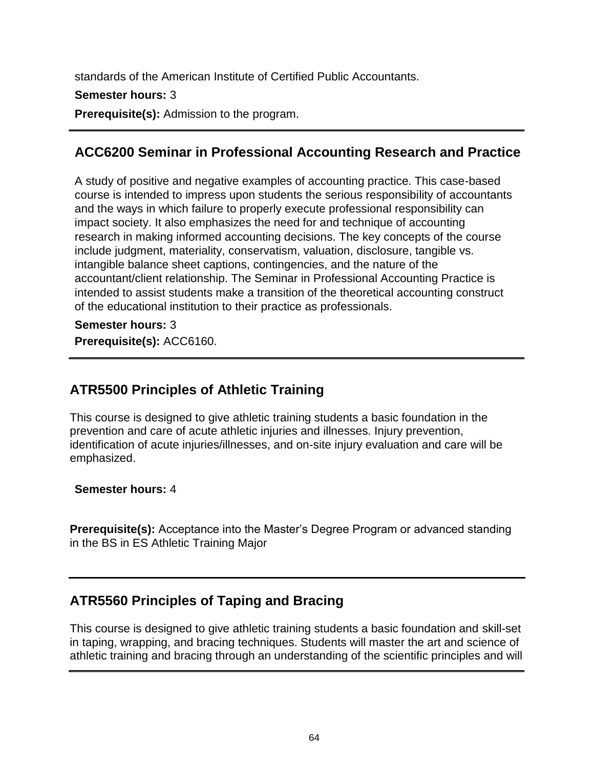standards of the American Institute of Certified Public Accountants.

### **Semester hours:** 3

**Prerequisite(s):** Admission to the program.

# **ACC6200 Seminar in Professional Accounting Research and Practice**

A study of positive and negative examples of accounting practice. This case-based course is intended to impress upon students the serious responsibility of accountants and the ways in which failure to properly execute professional responsibility can impact society. It also emphasizes the need for and technique of accounting research in making informed accounting decisions. The key concepts of the course include judgment, materiality, conservatism, valuation, disclosure, tangible vs. intangible balance sheet captions, contingencies, and the nature of the accountant/client relationship. The Seminar in Professional Accounting Practice is intended to assist students make a transition of the theoretical accounting construct of the educational institution to their practice as professionals.

**Semester hours:** 3 **Prerequisite(s):** ACC6160.

# **ATR5500 Principles of Athletic Training**

This course is designed to give athletic training students a basic foundation in the prevention and care of acute athletic injuries and illnesses. Injury prevention, identification of acute injuries/illnesses, and on-site injury evaluation and care will be emphasized.

**Semester hours:** 4

**Prerequisite(s):** Acceptance into the Master's Degree Program or advanced standing in the BS in ES Athletic Training Major

# **ATR5560 Principles of Taping and Bracing**

This course is designed to give athletic training students a basic foundation and skill-set in taping, wrapping, and bracing techniques. Students will master the art and science of athletic training and bracing through an understanding of the scientific principles and will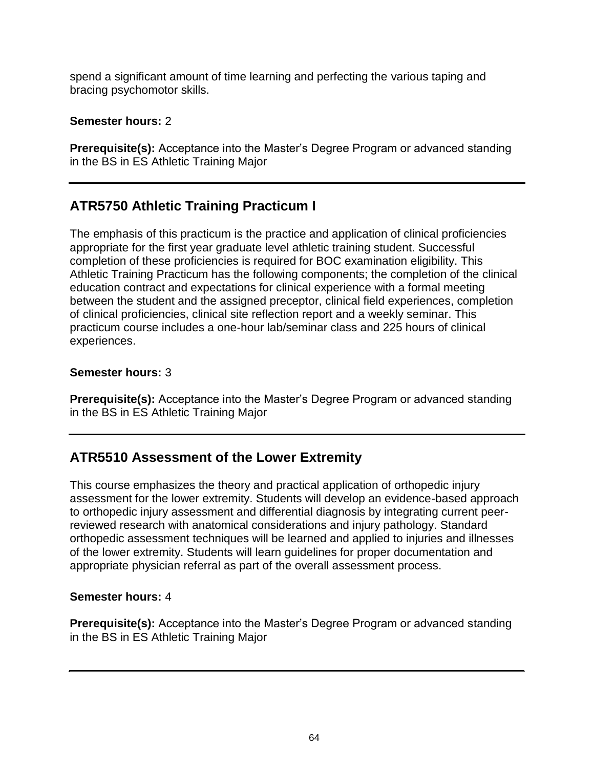spend a significant amount of time learning and perfecting the various taping and bracing psychomotor skills.

#### **Semester hours:** 2

**Prerequisite(s):** Acceptance into the Master's Degree Program or advanced standing in the BS in ES Athletic Training Major

# **ATR5750 Athletic Training Practicum I**

The emphasis of this practicum is the practice and application of clinical proficiencies appropriate for the first year graduate level athletic training student. Successful completion of these proficiencies is required for BOC examination eligibility. This Athletic Training Practicum has the following components; the completion of the clinical education contract and expectations for clinical experience with a formal meeting between the student and the assigned preceptor, clinical field experiences, completion of clinical proficiencies, clinical site reflection report and a weekly seminar. This practicum course includes a one-hour lab/seminar class and 225 hours of clinical experiences.

#### **Semester hours:** 3

**Prerequisite(s):** Acceptance into the Master's Degree Program or advanced standing in the BS in ES Athletic Training Major

# **ATR5510 Assessment of the Lower Extremity**

This course emphasizes the theory and practical application of orthopedic injury assessment for the lower extremity. Students will develop an evidence-based approach to orthopedic injury assessment and differential diagnosis by integrating current peerreviewed research with anatomical considerations and injury pathology. Standard orthopedic assessment techniques will be learned and applied to injuries and illnesses of the lower extremity. Students will learn guidelines for proper documentation and appropriate physician referral as part of the overall assessment process.

### **Semester hours:** 4

**Prerequisite(s):** Acceptance into the Master's Degree Program or advanced standing in the BS in ES Athletic Training Major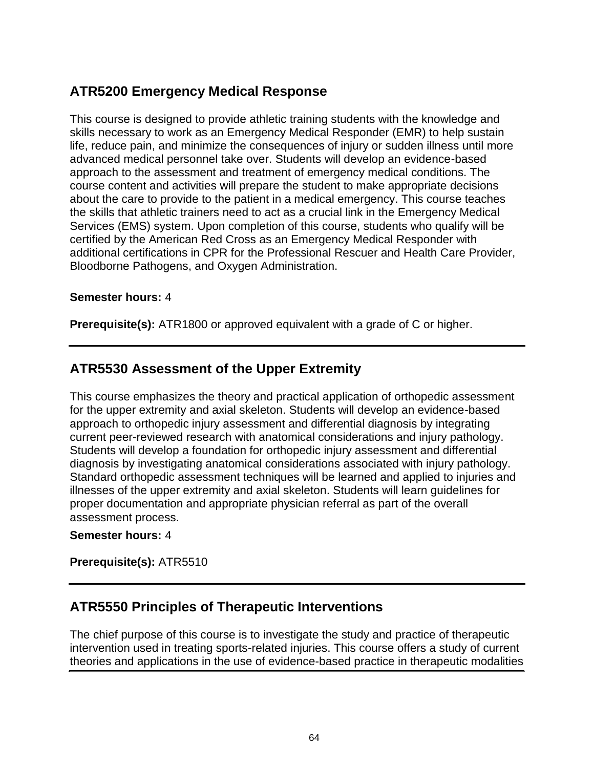# **ATR5200 Emergency Medical Response**

This course is designed to provide athletic training students with the knowledge and skills necessary to work as an Emergency Medical Responder (EMR) to help sustain life, reduce pain, and minimize the consequences of injury or sudden illness until more advanced medical personnel take over. Students will develop an evidence-based approach to the assessment and treatment of emergency medical conditions. The course content and activities will prepare the student to make appropriate decisions about the care to provide to the patient in a medical emergency. This course teaches the skills that athletic trainers need to act as a crucial link in the Emergency Medical Services (EMS) system. Upon completion of this course, students who qualify will be certified by the American Red Cross as an Emergency Medical Responder with additional certifications in CPR for the Professional Rescuer and Health Care Provider, Bloodborne Pathogens, and Oxygen Administration.

#### **Semester hours:** 4

**Prerequisite(s):** ATR1800 or approved equivalent with a grade of C or higher.

# **ATR5530 Assessment of the Upper Extremity**

This course emphasizes the theory and practical application of orthopedic assessment for the upper extremity and axial skeleton. Students will develop an evidence-based approach to orthopedic injury assessment and differential diagnosis by integrating current peer-reviewed research with anatomical considerations and injury pathology. Students will develop a foundation for orthopedic injury assessment and differential diagnosis by investigating anatomical considerations associated with injury pathology. Standard orthopedic assessment techniques will be learned and applied to injuries and illnesses of the upper extremity and axial skeleton. Students will learn guidelines for proper documentation and appropriate physician referral as part of the overall assessment process.

#### **Semester hours:** 4

**Prerequisite(s):** ATR5510

### **ATR5550 Principles of Therapeutic Interventions**

The chief purpose of this course is to investigate the study and practice of therapeutic intervention used in treating sports-related injuries. This course offers a study of current theories and applications in the use of evidence-based practice in therapeutic modalities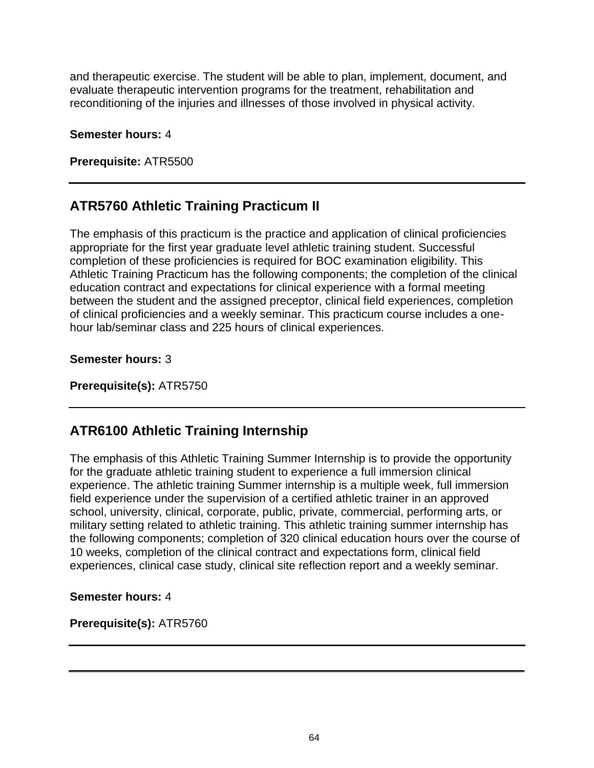and therapeutic exercise. The student will be able to plan, implement, document, and evaluate therapeutic intervention programs for the treatment, rehabilitation and reconditioning of the injuries and illnesses of those involved in physical activity.

#### **Semester hours:** 4

**Prerequisite:** ATR5500

### **ATR5760 Athletic Training Practicum II**

The emphasis of this practicum is the practice and application of clinical proficiencies appropriate for the first year graduate level athletic training student. Successful completion of these proficiencies is required for BOC examination eligibility. This Athletic Training Practicum has the following components; the completion of the clinical education contract and expectations for clinical experience with a formal meeting between the student and the assigned preceptor, clinical field experiences, completion of clinical proficiencies and a weekly seminar. This practicum course includes a onehour lab/seminar class and 225 hours of clinical experiences.

**Semester hours:** 3

**Prerequisite(s):** ATR5750

### **ATR6100 Athletic Training Internship**

The emphasis of this Athletic Training Summer Internship is to provide the opportunity for the graduate athletic training student to experience a full immersion clinical experience. The athletic training Summer internship is a multiple week, full immersion field experience under the supervision of a certified athletic trainer in an approved school, university, clinical, corporate, public, private, commercial, performing arts, or military setting related to athletic training. This athletic training summer internship has the following components; completion of 320 clinical education hours over the course of 10 weeks, completion of the clinical contract and expectations form, clinical field experiences, clinical case study, clinical site reflection report and a weekly seminar.

**Semester hours:** 4

**Prerequisite(s):** ATR5760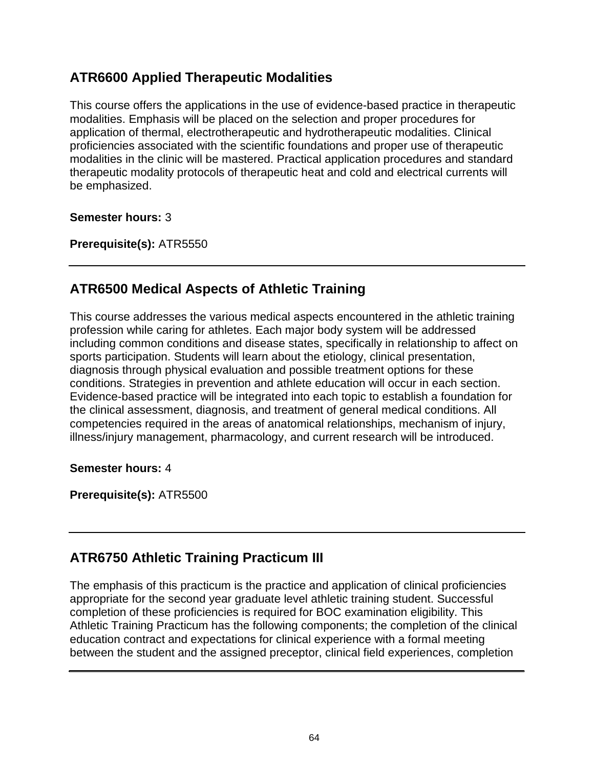### **ATR6600 Applied Therapeutic Modalities**

This course offers the applications in the use of evidence-based practice in therapeutic modalities. Emphasis will be placed on the selection and proper procedures for application of thermal, electrotherapeutic and hydrotherapeutic modalities. Clinical proficiencies associated with the scientific foundations and proper use of therapeutic modalities in the clinic will be mastered. Practical application procedures and standard therapeutic modality protocols of therapeutic heat and cold and electrical currents will be emphasized.

#### **Semester hours:** 3

**Prerequisite(s):** ATR5550

### **ATR6500 Medical Aspects of Athletic Training**

This course addresses the various medical aspects encountered in the athletic training profession while caring for athletes. Each major body system will be addressed including common conditions and disease states, specifically in relationship to affect on sports participation. Students will learn about the etiology, clinical presentation, diagnosis through physical evaluation and possible treatment options for these conditions. Strategies in prevention and athlete education will occur in each section. Evidence-based practice will be integrated into each topic to establish a foundation for the clinical assessment, diagnosis, and treatment of general medical conditions. All competencies required in the areas of anatomical relationships, mechanism of injury, illness/injury management, pharmacology, and current research will be introduced.

**Semester hours:** 4

**Prerequisite(s):** ATR5500

### **ATR6750 Athletic Training Practicum III**

The emphasis of this practicum is the practice and application of clinical proficiencies appropriate for the second year graduate level athletic training student. Successful completion of these proficiencies is required for BOC examination eligibility. This Athletic Training Practicum has the following components; the completion of the clinical education contract and expectations for clinical experience with a formal meeting between the student and the assigned preceptor, clinical field experiences, completion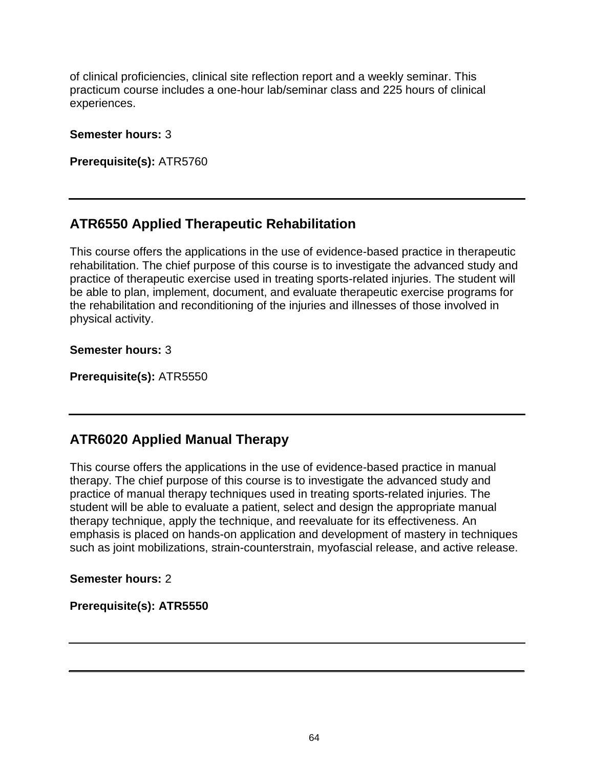of clinical proficiencies, clinical site reflection report and a weekly seminar. This practicum course includes a one-hour lab/seminar class and 225 hours of clinical experiences.

#### **Semester hours:** 3

**Prerequisite(s):** ATR5760

### **ATR6550 Applied Therapeutic Rehabilitation**

This course offers the applications in the use of evidence-based practice in therapeutic rehabilitation. The chief purpose of this course is to investigate the advanced study and practice of therapeutic exercise used in treating sports-related injuries. The student will be able to plan, implement, document, and evaluate therapeutic exercise programs for the rehabilitation and reconditioning of the injuries and illnesses of those involved in physical activity.

**Semester hours:** 3

**Prerequisite(s):** ATR5550

### **ATR6020 Applied Manual Therapy**

This course offers the applications in the use of evidence-based practice in manual therapy. The chief purpose of this course is to investigate the advanced study and practice of manual therapy techniques used in treating sports-related injuries. The student will be able to evaluate a patient, select and design the appropriate manual therapy technique, apply the technique, and reevaluate for its effectiveness. An emphasis is placed on hands-on application and development of mastery in techniques such as joint mobilizations, strain-counterstrain, myofascial release, and active release.

**Semester hours:** 2

**Prerequisite(s): ATR5550**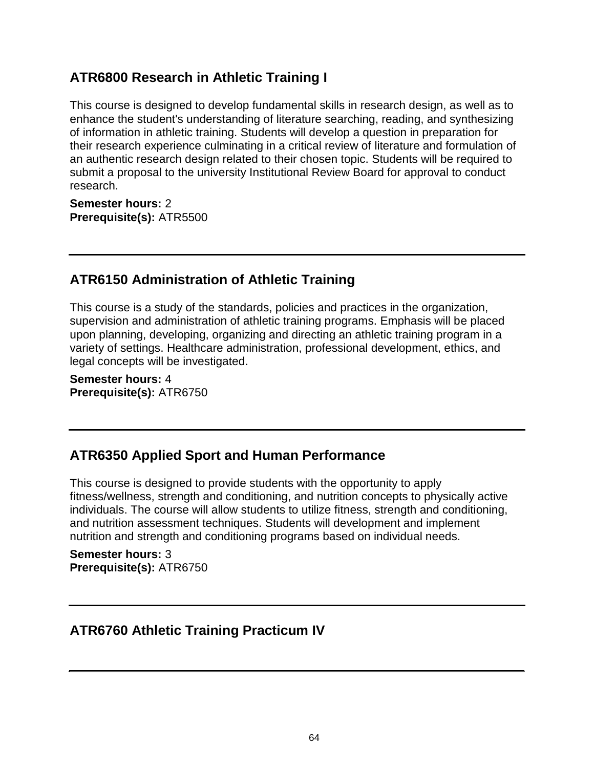### **ATR6800 Research in Athletic Training I**

This course is designed to develop fundamental skills in research design, as well as to enhance the student's understanding of literature searching, reading, and synthesizing of information in athletic training. Students will develop a question in preparation for their research experience culminating in a critical review of literature and formulation of an authentic research design related to their chosen topic. Students will be required to submit a proposal to the university Institutional Review Board for approval to conduct research.

**Semester hours:** 2 **Prerequisite(s):** ATR5500

### **ATR6150 Administration of Athletic Training**

This course is a study of the standards, policies and practices in the organization, supervision and administration of athletic training programs. Emphasis will be placed upon planning, developing, organizing and directing an athletic training program in a variety of settings. Healthcare administration, professional development, ethics, and legal concepts will be investigated.

**Semester hours:** 4 **Prerequisite(s):** ATR6750

# **ATR6350 Applied Sport and Human Performance**

This course is designed to provide students with the opportunity to apply fitness/wellness, strength and conditioning, and nutrition concepts to physically active individuals. The course will allow students to utilize fitness, strength and conditioning, and nutrition assessment techniques. Students will development and implement nutrition and strength and conditioning programs based on individual needs.

**Semester hours:** 3 **Prerequisite(s):** ATR6750

### **ATR6760 Athletic Training Practicum IV**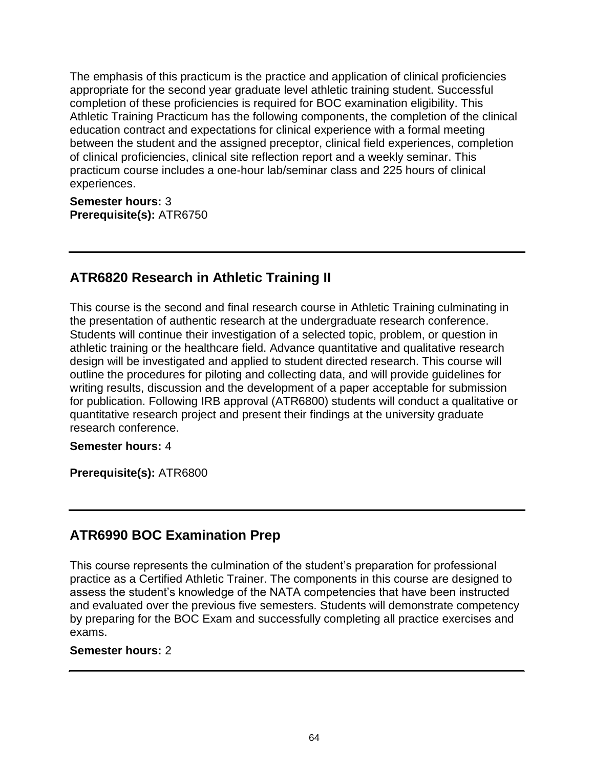The emphasis of this practicum is the practice and application of clinical proficiencies appropriate for the second year graduate level athletic training student. Successful completion of these proficiencies is required for BOC examination eligibility. This Athletic Training Practicum has the following components, the completion of the clinical education contract and expectations for clinical experience with a formal meeting between the student and the assigned preceptor, clinical field experiences, completion of clinical proficiencies, clinical site reflection report and a weekly seminar. This practicum course includes a one-hour lab/seminar class and 225 hours of clinical experiences.

**Semester hours:** 3 **Prerequisite(s):** ATR6750

### **ATR6820 Research in Athletic Training II**

This course is the second and final research course in Athletic Training culminating in the presentation of authentic research at the undergraduate research conference. Students will continue their investigation of a selected topic, problem, or question in athletic training or the healthcare field. Advance quantitative and qualitative research design will be investigated and applied to student directed research. This course will outline the procedures for piloting and collecting data, and will provide guidelines for writing results, discussion and the development of a paper acceptable for submission for publication. Following IRB approval (ATR6800) students will conduct a qualitative or quantitative research project and present their findings at the university graduate research conference.

#### **Semester hours:** 4

**Prerequisite(s):** ATR6800

### **ATR6990 BOC Examination Prep**

This course represents the culmination of the student's preparation for professional practice as a Certified Athletic Trainer. The components in this course are designed to assess the student's knowledge of the NATA competencies that have been instructed and evaluated over the previous five semesters. Students will demonstrate competency by preparing for the BOC Exam and successfully completing all practice exercises and exams.

#### **Semester hours:** 2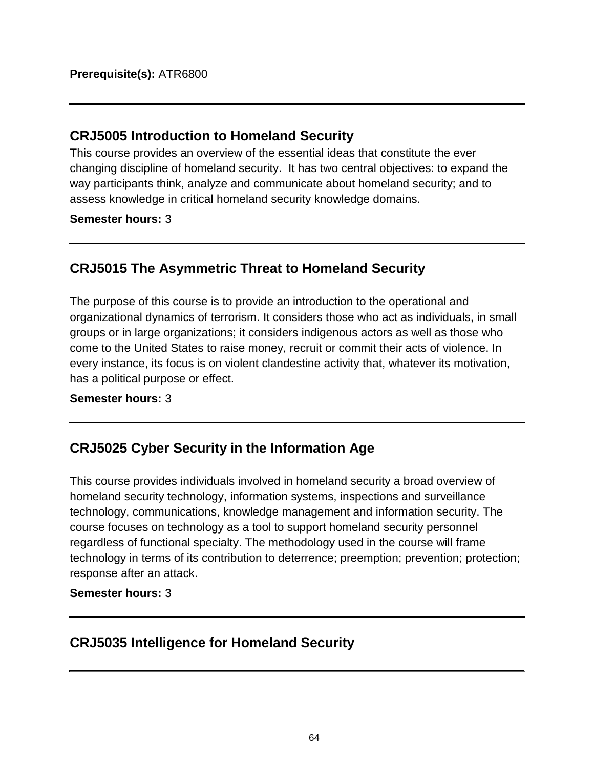### **CRJ5005 Introduction to Homeland Security**

This course provides an overview of the essential ideas that constitute the ever changing discipline of homeland security. It has two central objectives: to expand the way participants think, analyze and communicate about homeland security; and to assess knowledge in critical homeland security knowledge domains.

**Semester hours:** 3

# **CRJ5015 The Asymmetric Threat to Homeland Security**

The purpose of this course is to provide an introduction to the operational and organizational dynamics of terrorism. It considers those who act as individuals, in small groups or in large organizations; it considers indigenous actors as well as those who come to the United States to raise money, recruit or commit their acts of violence. In every instance, its focus is on violent clandestine activity that, whatever its motivation, has a political purpose or effect.

### **Semester hours:** 3

# **CRJ5025 Cyber Security in the Information Age**

This course provides individuals involved in homeland security a broad overview of homeland security technology, information systems, inspections and surveillance technology, communications, knowledge management and information security. The course focuses on technology as a tool to support homeland security personnel regardless of functional specialty. The methodology used in the course will frame technology in terms of its contribution to deterrence; preemption; prevention; protection; response after an attack.

### **Semester hours:** 3

### **CRJ5035 Intelligence for Homeland Security**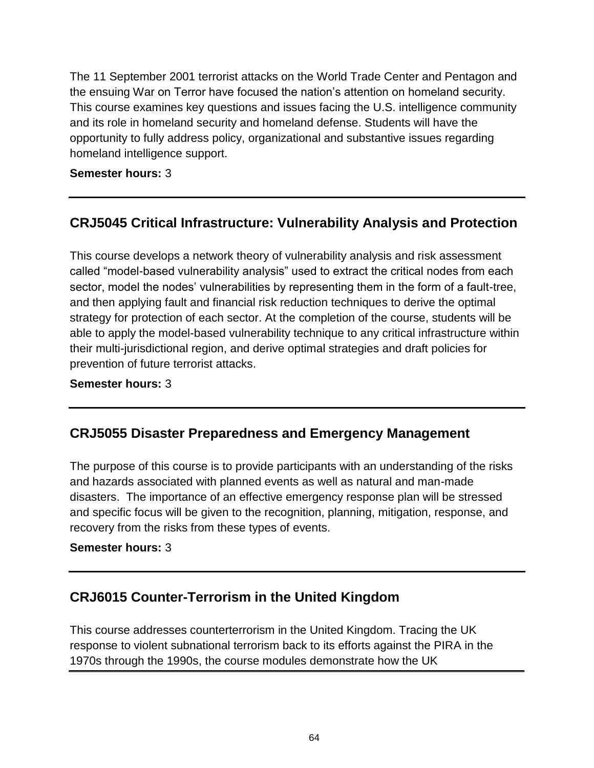The 11 September 2001 terrorist attacks on the World Trade Center and Pentagon and the ensuing War on Terror have focused the nation's attention on homeland security. This course examines key questions and issues facing the U.S. intelligence community and its role in homeland security and homeland defense. Students will have the opportunity to fully address policy, organizational and substantive issues regarding homeland intelligence support.

### **Semester hours:** 3

# **CRJ5045 Critical Infrastructure: Vulnerability Analysis and Protection**

This course develops a network theory of vulnerability analysis and risk assessment called "model-based vulnerability analysis" used to extract the critical nodes from each sector, model the nodes' vulnerabilities by representing them in the form of a fault-tree, and then applying fault and financial risk reduction techniques to derive the optimal strategy for protection of each sector. At the completion of the course, students will be able to apply the model-based vulnerability technique to any critical infrastructure within their multi-jurisdictional region, and derive optimal strategies and draft policies for prevention of future terrorist attacks.

### **Semester hours:** 3

### **CRJ5055 Disaster Preparedness and Emergency Management**

The purpose of this course is to provide participants with an understanding of the risks and hazards associated with planned events as well as natural and man-made disasters. The importance of an effective emergency response plan will be stressed and specific focus will be given to the recognition, planning, mitigation, response, and recovery from the risks from these types of events.

#### **Semester hours:** 3

# **CRJ6015 Counter-Terrorism in the United Kingdom**

This course addresses counterterrorism in the United Kingdom. Tracing the UK response to violent subnational terrorism back to its efforts against the PIRA in the 1970s through the 1990s, the course modules demonstrate how the UK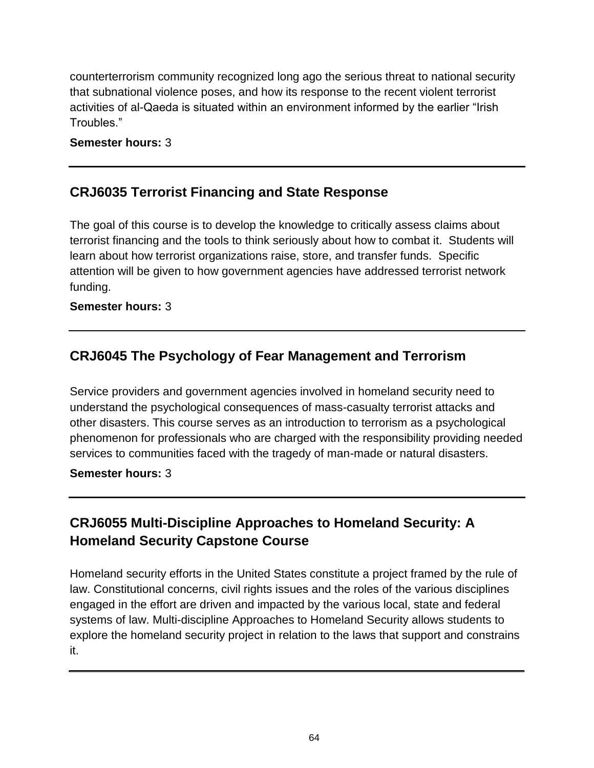counterterrorism community recognized long ago the serious threat to national security that subnational violence poses, and how its response to the recent violent terrorist activities of al-Qaeda is situated within an environment informed by the earlier "Irish Troubles."

### **Semester hours:** 3

# **CRJ6035 Terrorist Financing and State Response**

The goal of this course is to develop the knowledge to critically assess claims about terrorist financing and the tools to think seriously about how to combat it. Students will learn about how terrorist organizations raise, store, and transfer funds. Specific attention will be given to how government agencies have addressed terrorist network funding.

### **Semester hours:** 3

# **CRJ6045 The Psychology of Fear Management and Terrorism**

Service providers and government agencies involved in homeland security need to understand the psychological consequences of mass-casualty terrorist attacks and other disasters. This course serves as an introduction to terrorism as a psychological phenomenon for professionals who are charged with the responsibility providing needed services to communities faced with the tragedy of man-made or natural disasters.

### **Semester hours:** 3

# **CRJ6055 Multi-Discipline Approaches to Homeland Security: A Homeland Security Capstone Course**

Homeland security efforts in the United States constitute a project framed by the rule of law. Constitutional concerns, civil rights issues and the roles of the various disciplines engaged in the effort are driven and impacted by the various local, state and federal systems of law. Multi-discipline Approaches to Homeland Security allows students to explore the homeland security project in relation to the laws that support and constrains it.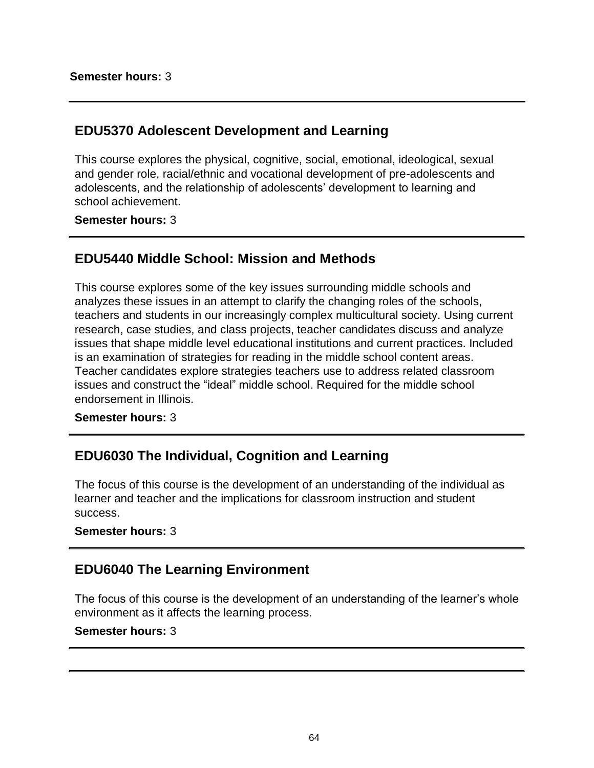## **EDU5370 Adolescent Development and Learning**

This course explores the physical, cognitive, social, emotional, ideological, sexual and gender role, racial/ethnic and vocational development of pre-adolescents and adolescents, and the relationship of adolescents' development to learning and school achievement.

**Semester hours:** 3

## **EDU5440 Middle School: Mission and Methods**

This course explores some of the key issues surrounding middle schools and analyzes these issues in an attempt to clarify the changing roles of the schools, teachers and students in our increasingly complex multicultural society. Using current research, case studies, and class projects, teacher candidates discuss and analyze issues that shape middle level educational institutions and current practices. Included is an examination of strategies for reading in the middle school content areas. Teacher candidates explore strategies teachers use to address related classroom issues and construct the "ideal" middle school. Required for the middle school endorsement in Illinois.

**Semester hours:** 3

# **EDU6030 The Individual, Cognition and Learning**

The focus of this course is the development of an understanding of the individual as learner and teacher and the implications for classroom instruction and student success.

### **Semester hours:** 3

## **EDU6040 The Learning Environment**

The focus of this course is the development of an understanding of the learner's whole environment as it affects the learning process.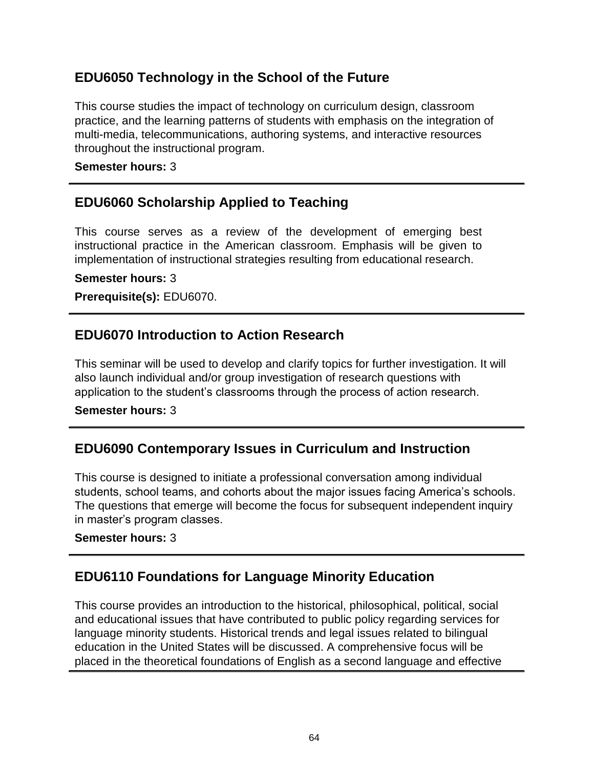# **EDU6050 Technology in the School of the Future**

This course studies the impact of technology on curriculum design, classroom practice, and the learning patterns of students with emphasis on the integration of multi-media, telecommunications, authoring systems, and interactive resources throughout the instructional program.

### **Semester hours:** 3

## **EDU6060 Scholarship Applied to Teaching**

This course serves as a review of the development of emerging best instructional practice in the American classroom. Emphasis will be given to implementation of instructional strategies resulting from educational research.

#### **Semester hours:** 3

**Prerequisite(s):** EDU6070.

## **EDU6070 Introduction to Action Research**

This seminar will be used to develop and clarify topics for further investigation. It will also launch individual and/or group investigation of research questions with application to the student's classrooms through the process of action research.

#### **Semester hours:** 3

## **EDU6090 Contemporary Issues in Curriculum and Instruction**

This course is designed to initiate a professional conversation among individual students, school teams, and cohorts about the major issues facing America's schools. The questions that emerge will become the focus for subsequent independent inquiry in master's program classes.

### **Semester hours:** 3

## **EDU6110 Foundations for Language Minority Education**

This course provides an introduction to the historical, philosophical, political, social and educational issues that have contributed to public policy regarding services for language minority students. Historical trends and legal issues related to bilingual education in the United States will be discussed. A comprehensive focus will be placed in the theoretical foundations of English as a second language and effective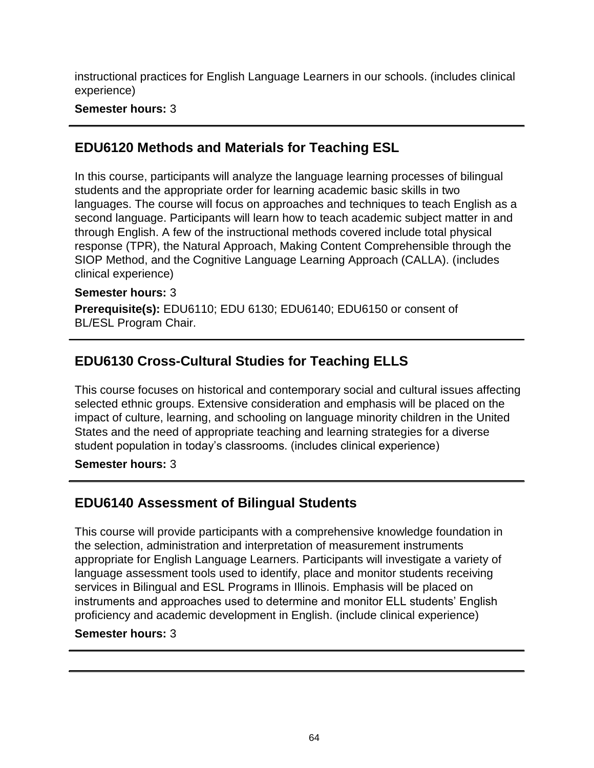instructional practices for English Language Learners in our schools. (includes clinical experience)

### **Semester hours:** 3

# **EDU6120 Methods and Materials for Teaching ESL**

In this course, participants will analyze the language learning processes of bilingual students and the appropriate order for learning academic basic skills in two languages. The course will focus on approaches and techniques to teach English as a second language. Participants will learn how to teach academic subject matter in and through English. A few of the instructional methods covered include total physical response (TPR), the Natural Approach, Making Content Comprehensible through the SIOP Method, and the Cognitive Language Learning Approach (CALLA). (includes clinical experience)

### **Semester hours:** 3

**Prerequisite(s):** EDU6110; EDU 6130; EDU6140; EDU6150 or consent of BL/ESL Program Chair.

# **EDU6130 Cross-Cultural Studies for Teaching ELLS**

This course focuses on historical and contemporary social and cultural issues affecting selected ethnic groups. Extensive consideration and emphasis will be placed on the impact of culture, learning, and schooling on language minority children in the United States and the need of appropriate teaching and learning strategies for a diverse student population in today's classrooms. (includes clinical experience)

**Semester hours:** 3

# **EDU6140 Assessment of Bilingual Students**

This course will provide participants with a comprehensive knowledge foundation in the selection, administration and interpretation of measurement instruments appropriate for English Language Learners. Participants will investigate a variety of language assessment tools used to identify, place and monitor students receiving services in Bilingual and ESL Programs in Illinois. Emphasis will be placed on instruments and approaches used to determine and monitor ELL students' English proficiency and academic development in English. (include clinical experience)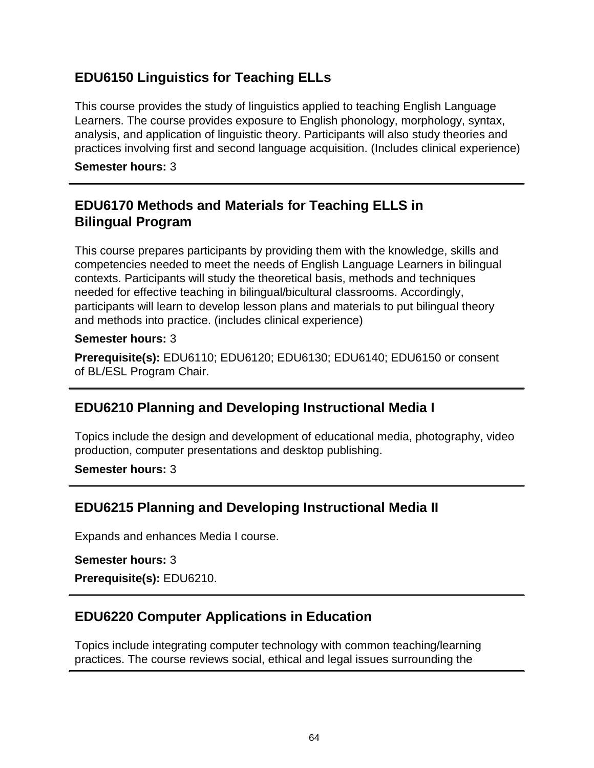# **EDU6150 Linguistics for Teaching ELLs**

This course provides the study of linguistics applied to teaching English Language Learners. The course provides exposure to English phonology, morphology, syntax, analysis, and application of linguistic theory. Participants will also study theories and practices involving first and second language acquisition. (Includes clinical experience)

**Semester hours:** 3

# **EDU6170 Methods and Materials for Teaching ELLS in Bilingual Program**

This course prepares participants by providing them with the knowledge, skills and competencies needed to meet the needs of English Language Learners in bilingual contexts. Participants will study the theoretical basis, methods and techniques needed for effective teaching in bilingual/bicultural classrooms. Accordingly, participants will learn to develop lesson plans and materials to put bilingual theory and methods into practice. (includes clinical experience)

### **Semester hours:** 3

**Prerequisite(s):** EDU6110; EDU6120; EDU6130; EDU6140; EDU6150 or consent of BL/ESL Program Chair.

# **EDU6210 Planning and Developing Instructional Media I**

Topics include the design and development of educational media, photography, video production, computer presentations and desktop publishing.

**Semester hours:** 3

# **EDU6215 Planning and Developing Instructional Media II**

Expands and enhances Media I course.

**Semester hours:** 3

**Prerequisite(s):** EDU6210.

# **EDU6220 Computer Applications in Education**

Topics include integrating computer technology with common teaching/learning practices. The course reviews social, ethical and legal issues surrounding the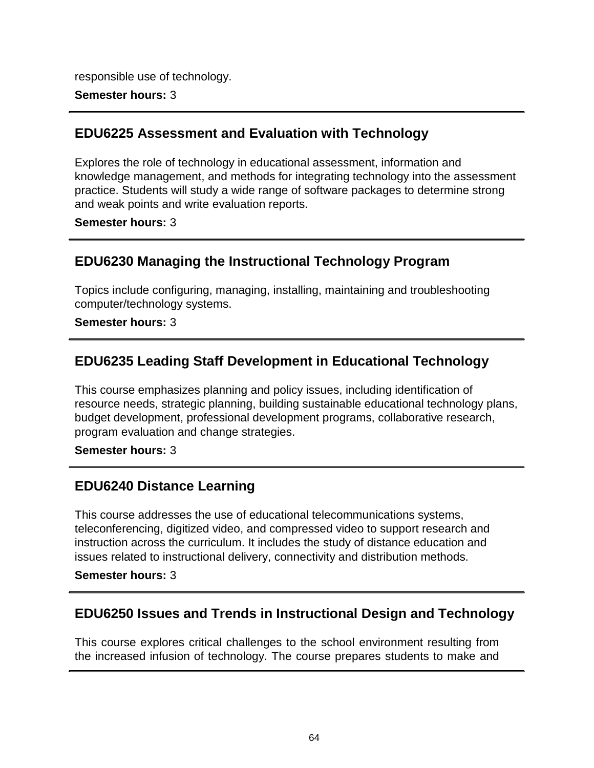responsible use of technology.

### **Semester hours:** 3

## **EDU6225 Assessment and Evaluation with Technology**

Explores the role of technology in educational assessment, information and knowledge management, and methods for integrating technology into the assessment practice. Students will study a wide range of software packages to determine strong and weak points and write evaluation reports.

**Semester hours:** 3

## **EDU6230 Managing the Instructional Technology Program**

Topics include configuring, managing, installing, maintaining and troubleshooting computer/technology systems.

#### **Semester hours:** 3

# **EDU6235 Leading Staff Development in Educational Technology**

This course emphasizes planning and policy issues, including identification of resource needs, strategic planning, building sustainable educational technology plans, budget development, professional development programs, collaborative research, program evaluation and change strategies.

**Semester hours:** 3

## **EDU6240 Distance Learning**

This course addresses the use of educational telecommunications systems, teleconferencing, digitized video, and compressed video to support research and instruction across the curriculum. It includes the study of distance education and issues related to instructional delivery, connectivity and distribution methods.

**Semester hours:** 3

## **EDU6250 Issues and Trends in Instructional Design and Technology**

This course explores critical challenges to the school environment resulting from the increased infusion of technology. The course prepares students to make and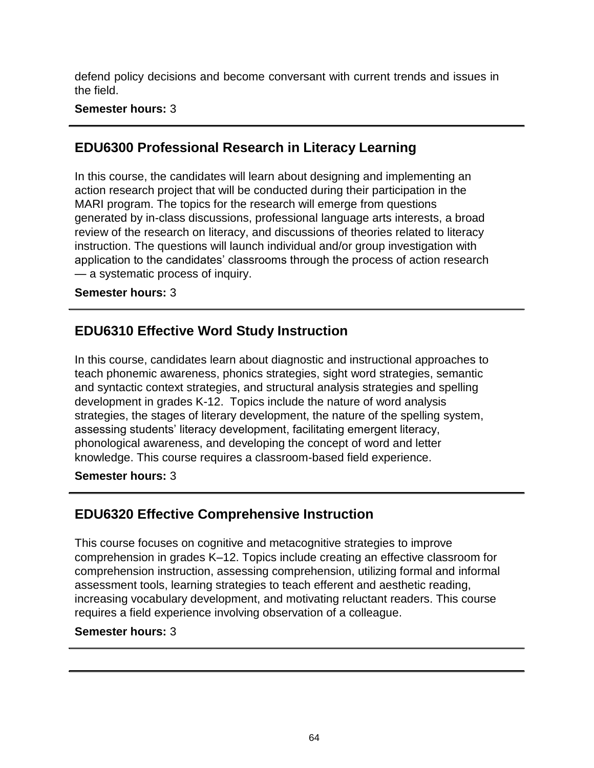defend policy decisions and become conversant with current trends and issues in the field.

### **Semester hours:** 3

# **EDU6300 Professional Research in Literacy Learning**

In this course, the candidates will learn about designing and implementing an action research project that will be conducted during their participation in the MARI program. The topics for the research will emerge from questions generated by in-class discussions, professional language arts interests, a broad review of the research on literacy, and discussions of theories related to literacy instruction. The questions will launch individual and/or group investigation with application to the candidates' classrooms through the process of action research — a systematic process of inquiry.

### **Semester hours:** 3

# **EDU6310 Effective Word Study Instruction**

In this course, candidates learn about diagnostic and instructional approaches to teach phonemic awareness, phonics strategies, sight word strategies, semantic and syntactic context strategies, and structural analysis strategies and spelling development in grades K-12. Topics include the nature of word analysis strategies, the stages of literary development, the nature of the spelling system, assessing students' literacy development, facilitating emergent literacy, phonological awareness, and developing the concept of word and letter knowledge. This course requires a classroom-based field experience.

### **Semester hours:** 3

# **EDU6320 Effective Comprehensive Instruction**

This course focuses on cognitive and metacognitive strategies to improve comprehension in grades K–12. Topics include creating an effective classroom for comprehension instruction, assessing comprehension, utilizing formal and informal assessment tools, learning strategies to teach efferent and aesthetic reading, increasing vocabulary development, and motivating reluctant readers. This course requires a field experience involving observation of a colleague.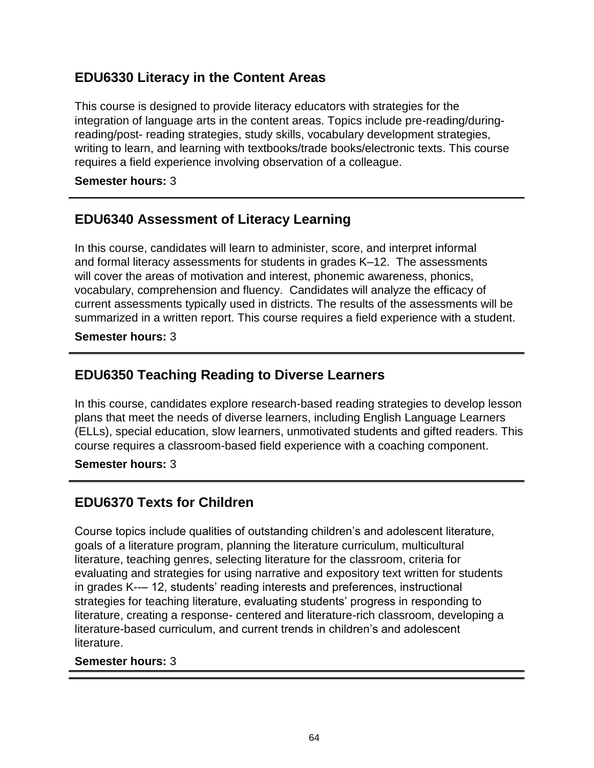# **EDU6330 Literacy in the Content Areas**

This course is designed to provide literacy educators with strategies for the integration of language arts in the content areas. Topics include pre-reading/duringreading/post- reading strategies, study skills, vocabulary development strategies, writing to learn, and learning with textbooks/trade books/electronic texts. This course requires a field experience involving observation of a colleague.

**Semester hours:** 3

# **EDU6340 Assessment of Literacy Learning**

In this course, candidates will learn to administer, score, and interpret informal and formal literacy assessments for students in grades K–12. The assessments will cover the areas of motivation and interest, phonemic awareness, phonics, vocabulary, comprehension and fluency. Candidates will analyze the efficacy of current assessments typically used in districts. The results of the assessments will be summarized in a written report. This course requires a field experience with a student.

**Semester hours:** 3

# **EDU6350 Teaching Reading to Diverse Learners**

In this course, candidates explore research-based reading strategies to develop lesson plans that meet the needs of diverse learners, including English Language Learners (ELLs), special education, slow learners, unmotivated students and gifted readers. This course requires a classroom-based field experience with a coaching component.

**Semester hours:** 3

# **EDU6370 Texts for Children**

Course topics include qualities of outstanding children's and adolescent literature, goals of a literature program, planning the literature curriculum, multicultural literature, teaching genres, selecting literature for the classroom, criteria for evaluating and strategies for using narrative and expository text written for students in grades K--– 12, students' reading interests and preferences, instructional strategies for teaching literature, evaluating students' progress in responding to literature, creating a response- centered and literature-rich classroom, developing a literature-based curriculum, and current trends in children's and adolescent literature.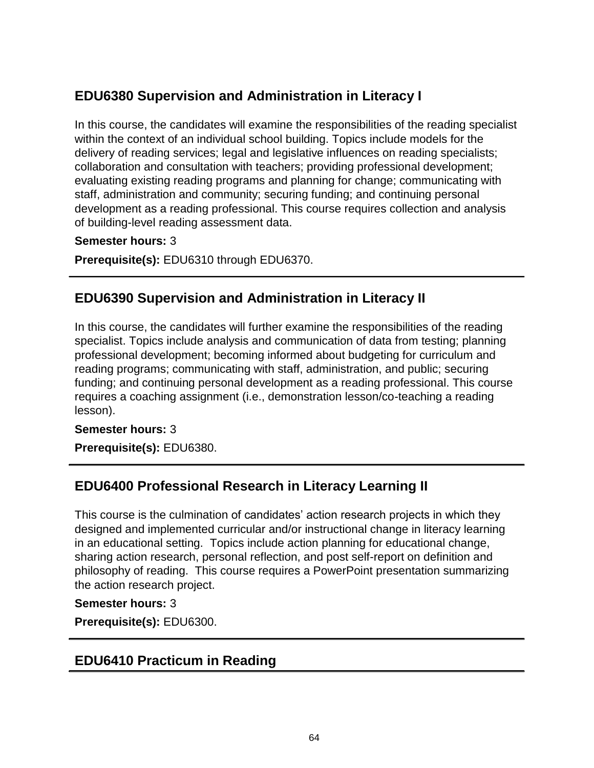# **EDU6380 Supervision and Administration in Literacy I**

In this course, the candidates will examine the responsibilities of the reading specialist within the context of an individual school building. Topics include models for the delivery of reading services; legal and legislative influences on reading specialists; collaboration and consultation with teachers; providing professional development; evaluating existing reading programs and planning for change; communicating with staff, administration and community; securing funding; and continuing personal development as a reading professional. This course requires collection and analysis of building-level reading assessment data.

#### **Semester hours:** 3

**Prerequisite(s):** EDU6310 through EDU6370.

## **EDU6390 Supervision and Administration in Literacy II**

In this course, the candidates will further examine the responsibilities of the reading specialist. Topics include analysis and communication of data from testing; planning professional development; becoming informed about budgeting for curriculum and reading programs; communicating with staff, administration, and public; securing funding; and continuing personal development as a reading professional. This course requires a coaching assignment (i.e., demonstration lesson/co-teaching a reading lesson).

### **Semester hours:** 3

**Prerequisite(s):** EDU6380.

# **EDU6400 Professional Research in Literacy Learning II**

This course is the culmination of candidates' action research projects in which they designed and implemented curricular and/or instructional change in literacy learning in an educational setting. Topics include action planning for educational change, sharing action research, personal reflection, and post self-report on definition and philosophy of reading. This course requires a PowerPoint presentation summarizing the action research project.

#### **Semester hours:** 3

**Prerequisite(s):** EDU6300.

## **EDU6410 Practicum in Reading**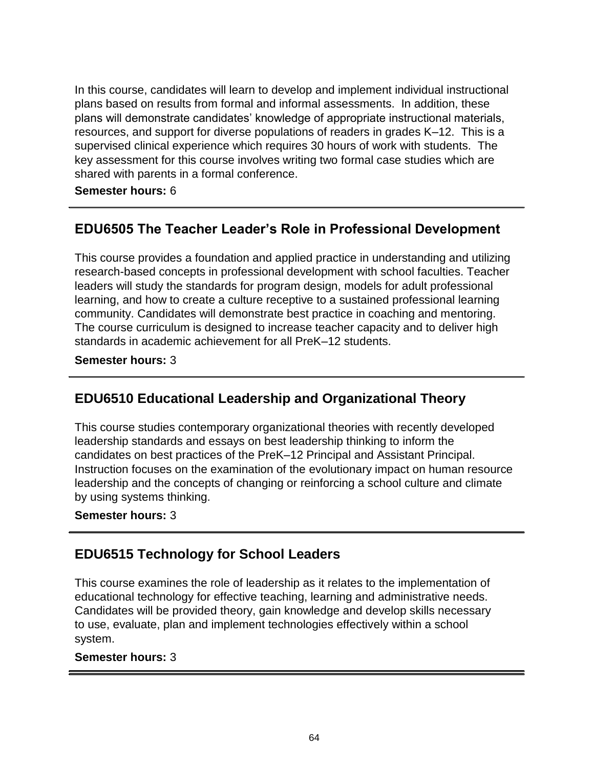In this course, candidates will learn to develop and implement individual instructional plans based on results from formal and informal assessments. In addition, these plans will demonstrate candidates' knowledge of appropriate instructional materials, resources, and support for diverse populations of readers in grades K–12. This is a supervised clinical experience which requires 30 hours of work with students. The key assessment for this course involves writing two formal case studies which are shared with parents in a formal conference.

**Semester hours:** 6

# **EDU6505 The Teacher Leader's Role in Professional Development**

This course provides a foundation and applied practice in understanding and utilizing research-based concepts in professional development with school faculties. Teacher leaders will study the standards for program design, models for adult professional learning, and how to create a culture receptive to a sustained professional learning community. Candidates will demonstrate best practice in coaching and mentoring. The course curriculum is designed to increase teacher capacity and to deliver high standards in academic achievement for all PreK–12 students.

**Semester hours:** 3

# **EDU6510 Educational Leadership and Organizational Theory**

This course studies contemporary organizational theories with recently developed leadership standards and essays on best leadership thinking to inform the candidates on best practices of the PreK–12 Principal and Assistant Principal. Instruction focuses on the examination of the evolutionary impact on human resource leadership and the concepts of changing or reinforcing a school culture and climate by using systems thinking.

**Semester hours:** 3

# **EDU6515 Technology for School Leaders**

This course examines the role of leadership as it relates to the implementation of educational technology for effective teaching, learning and administrative needs. Candidates will be provided theory, gain knowledge and develop skills necessary to use, evaluate, plan and implement technologies effectively within a school system.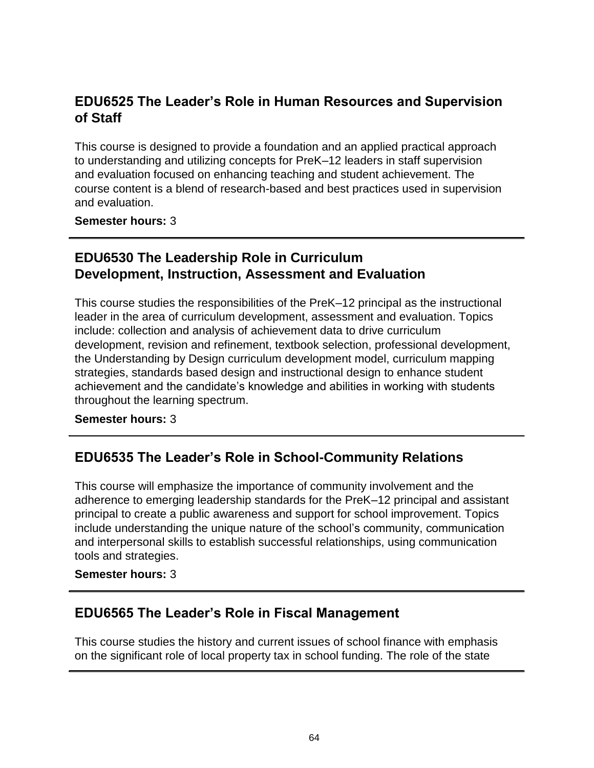# **EDU6525 The Leader's Role in Human Resources and Supervision of Staff**

This course is designed to provide a foundation and an applied practical approach to understanding and utilizing concepts for PreK–12 leaders in staff supervision and evaluation focused on enhancing teaching and student achievement. The course content is a blend of research-based and best practices used in supervision and evaluation.

**Semester hours:** 3

# **EDU6530 The Leadership Role in Curriculum Development, Instruction, Assessment and Evaluation**

This course studies the responsibilities of the PreK–12 principal as the instructional leader in the area of curriculum development, assessment and evaluation. Topics include: collection and analysis of achievement data to drive curriculum development, revision and refinement, textbook selection, professional development, the Understanding by Design curriculum development model, curriculum mapping strategies, standards based design and instructional design to enhance student achievement and the candidate's knowledge and abilities in working with students throughout the learning spectrum.

### **Semester hours:** 3

# **EDU6535 The Leader's Role in School-Community Relations**

This course will emphasize the importance of community involvement and the adherence to emerging leadership standards for the PreK–12 principal and assistant principal to create a public awareness and support for school improvement. Topics include understanding the unique nature of the school's community, communication and interpersonal skills to establish successful relationships, using communication tools and strategies.

**Semester hours:** 3

## **EDU6565 The Leader's Role in Fiscal Management**

This course studies the history and current issues of school finance with emphasis on the significant role of local property tax in school funding. The role of the state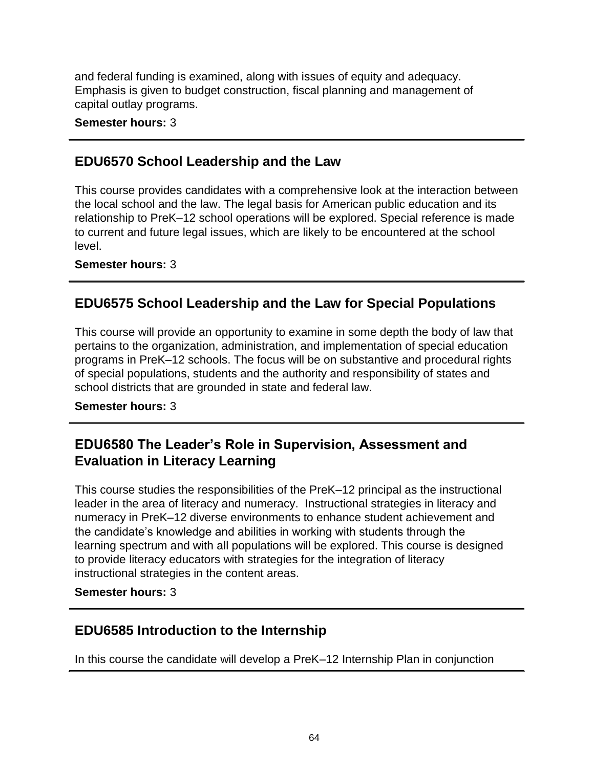and federal funding is examined, along with issues of equity and adequacy. Emphasis is given to budget construction, fiscal planning and management of capital outlay programs.

**Semester hours:** 3

## **EDU6570 School Leadership and the Law**

This course provides candidates with a comprehensive look at the interaction between the local school and the law. The legal basis for American public education and its relationship to PreK–12 school operations will be explored. Special reference is made to current and future legal issues, which are likely to be encountered at the school level.

**Semester hours:** 3

# **EDU6575 School Leadership and the Law for Special Populations**

This course will provide an opportunity to examine in some depth the body of law that pertains to the organization, administration, and implementation of special education programs in PreK–12 schools. The focus will be on substantive and procedural rights of special populations, students and the authority and responsibility of states and school districts that are grounded in state and federal law.

### **Semester hours:** 3

# **EDU6580 The Leader's Role in Supervision, Assessment and Evaluation in Literacy Learning**

This course studies the responsibilities of the PreK–12 principal as the instructional leader in the area of literacy and numeracy. Instructional strategies in literacy and numeracy in PreK–12 diverse environments to enhance student achievement and the candidate's knowledge and abilities in working with students through the learning spectrum and with all populations will be explored. This course is designed to provide literacy educators with strategies for the integration of literacy instructional strategies in the content areas.

**Semester hours:** 3

# **EDU6585 Introduction to the Internship**

In this course the candidate will develop a PreK–12 Internship Plan in conjunction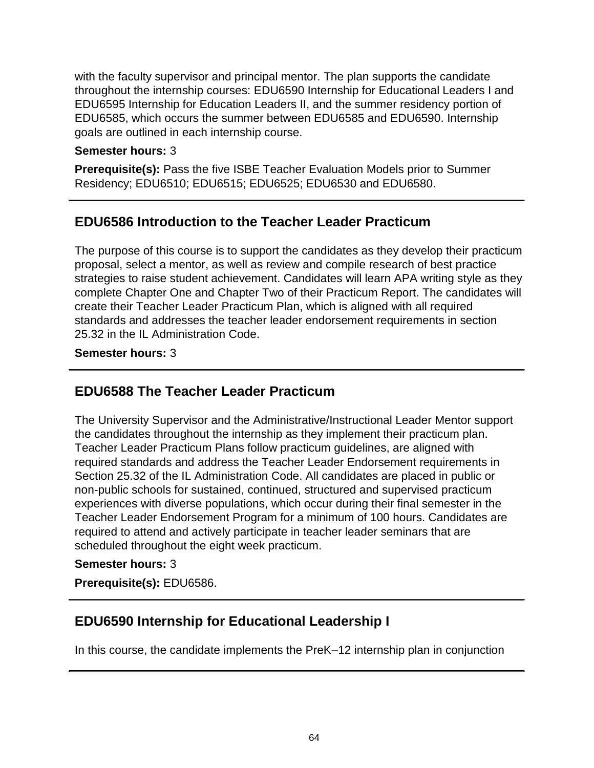with the faculty supervisor and principal mentor. The plan supports the candidate throughout the internship courses: EDU6590 Internship for Educational Leaders I and EDU6595 Internship for Education Leaders II, and the summer residency portion of EDU6585, which occurs the summer between EDU6585 and EDU6590. Internship goals are outlined in each internship course.

### **Semester hours:** 3

**Prerequisite(s):** Pass the five ISBE Teacher Evaluation Models prior to Summer Residency; EDU6510; EDU6515; EDU6525; EDU6530 and EDU6580.

## **EDU6586 Introduction to the Teacher Leader Practicum**

The purpose of this course is to support the candidates as they develop their practicum proposal, select a mentor, as well as review and compile research of best practice strategies to raise student achievement. Candidates will learn APA writing style as they complete Chapter One and Chapter Two of their Practicum Report. The candidates will create their Teacher Leader Practicum Plan, which is aligned with all required standards and addresses the teacher leader endorsement requirements in section 25.32 in the IL Administration Code.

#### **Semester hours:** 3

## **EDU6588 The Teacher Leader Practicum**

The University Supervisor and the Administrative/Instructional Leader Mentor support the candidates throughout the internship as they implement their practicum plan. Teacher Leader Practicum Plans follow practicum guidelines, are aligned with required standards and address the Teacher Leader Endorsement requirements in Section 25.32 of the IL Administration Code. All candidates are placed in public or non-public schools for sustained, continued, structured and supervised practicum experiences with diverse populations, which occur during their final semester in the Teacher Leader Endorsement Program for a minimum of 100 hours. Candidates are required to attend and actively participate in teacher leader seminars that are scheduled throughout the eight week practicum.

### **Semester hours:** 3

**Prerequisite(s):** EDU6586.

## **EDU6590 Internship for Educational Leadership I**

In this course, the candidate implements the PreK–12 internship plan in conjunction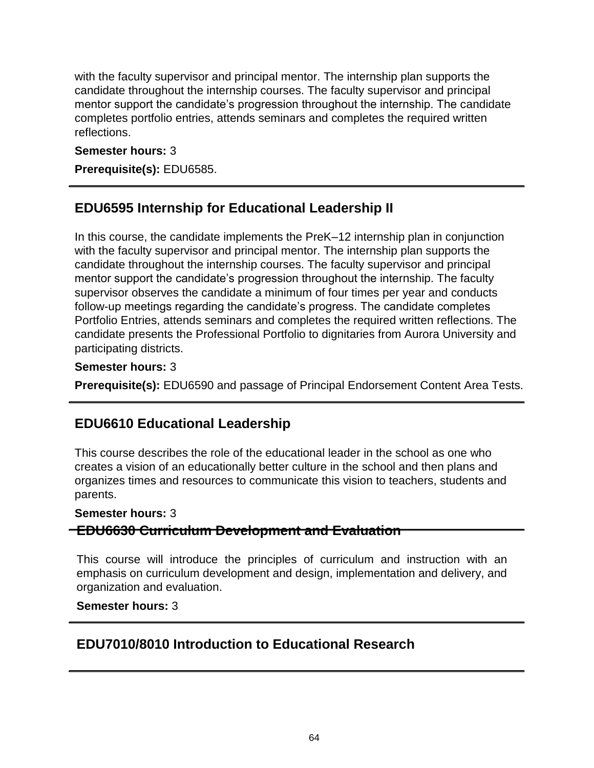with the faculty supervisor and principal mentor. The internship plan supports the candidate throughout the internship courses. The faculty supervisor and principal mentor support the candidate's progression throughout the internship. The candidate completes portfolio entries, attends seminars and completes the required written reflections.

### **Semester hours:** 3

**Prerequisite(s):** EDU6585.

# **EDU6595 Internship for Educational Leadership II**

In this course, the candidate implements the PreK–12 internship plan in conjunction with the faculty supervisor and principal mentor. The internship plan supports the candidate throughout the internship courses. The faculty supervisor and principal mentor support the candidate's progression throughout the internship. The faculty supervisor observes the candidate a minimum of four times per year and conducts follow-up meetings regarding the candidate's progress. The candidate completes Portfolio Entries, attends seminars and completes the required written reflections. The candidate presents the Professional Portfolio to dignitaries from Aurora University and participating districts.

### **Semester hours:** 3

**Prerequisite(s):** EDU6590 and passage of Principal Endorsement Content Area Tests.

# **EDU6610 Educational Leadership**

This course describes the role of the educational leader in the school as one who creates a vision of an educationally better culture in the school and then plans and organizes times and resources to communicate this vision to teachers, students and parents.

### **Semester hours:** 3

**EDU6630 Curriculum Development and Evaluation**

This course will introduce the principles of curriculum and instruction with an emphasis on curriculum development and design, implementation and delivery, and organization and evaluation.

### **Semester hours:** 3

# **EDU7010/8010 Introduction to Educational Research**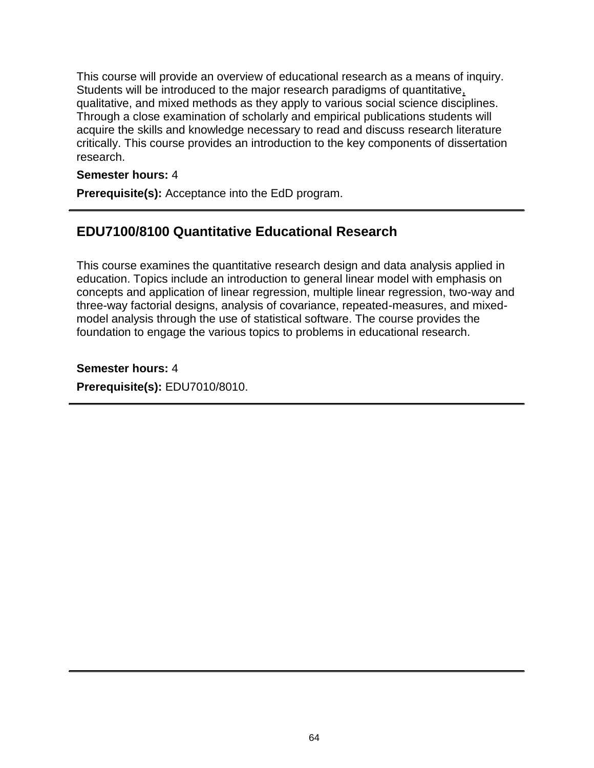This course will provide an overview of educational research as a means of inquiry. Students will be introduced to the major research paradigms of quantitative, qualitative, and mixed methods as they apply to various social science disciplines. Through a close examination of scholarly and empirical publications students will acquire the skills and knowledge necessary to read and discuss research literature critically. This course provides an introduction to the key components of dissertation research.

### **Semester hours:** 4

**Prerequisite(s):** Acceptance into the EdD program.

# **EDU7100/8100 Quantitative Educational Research**

This course examines the quantitative research design and data analysis applied in education. Topics include an introduction to general linear model with emphasis on concepts and application of linear regression, multiple linear regression, two-way and three-way factorial designs, analysis of covariance, repeated-measures, and mixedmodel analysis through the use of statistical software. The course provides the foundation to engage the various topics to problems in educational research.

**Semester hours:** 4 **Prerequisite(s):** EDU7010/8010.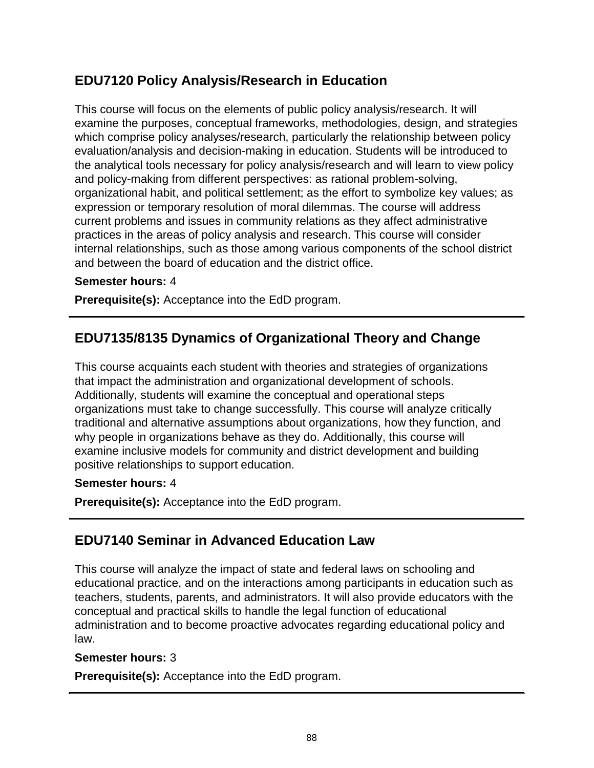# **EDU7120 Policy Analysis/Research in Education**

This course will focus on the elements of public policy analysis/research. It will examine the purposes, conceptual frameworks, methodologies, design, and strategies which comprise policy analyses/research, particularly the relationship between policy evaluation/analysis and decision-making in education. Students will be introduced to the analytical tools necessary for policy analysis/research and will learn to view policy and policy-making from different perspectives: as rational problem-solving, organizational habit, and political settlement; as the effort to symbolize key values; as expression or temporary resolution of moral dilemmas. The course will address current problems and issues in community relations as they affect administrative practices in the areas of policy analysis and research. This course will consider internal relationships, such as those among various components of the school district and between the board of education and the district office.

#### **Semester hours:** 4

**Prerequisite(s):** Acceptance into the EdD program.

## **EDU7135/8135 Dynamics of Organizational Theory and Change**

This course acquaints each student with theories and strategies of organizations that impact the administration and organizational development of schools. Additionally, students will examine the conceptual and operational steps organizations must take to change successfully. This course will analyze critically traditional and alternative assumptions about organizations, how they function, and why people in organizations behave as they do. Additionally, this course will examine inclusive models for community and district development and building positive relationships to support education.

#### **Semester hours:** 4

**Prerequisite(s):** Acceptance into the EdD program.

## **EDU7140 Seminar in Advanced Education Law**

This course will analyze the impact of state and federal laws on schooling and educational practice, and on the interactions among participants in education such as teachers, students, parents, and administrators. It will also provide educators with the conceptual and practical skills to handle the legal function of educational administration and to become proactive advocates regarding educational policy and law.

#### **Semester hours:** 3

**Prerequisite(s):** Acceptance into the EdD program.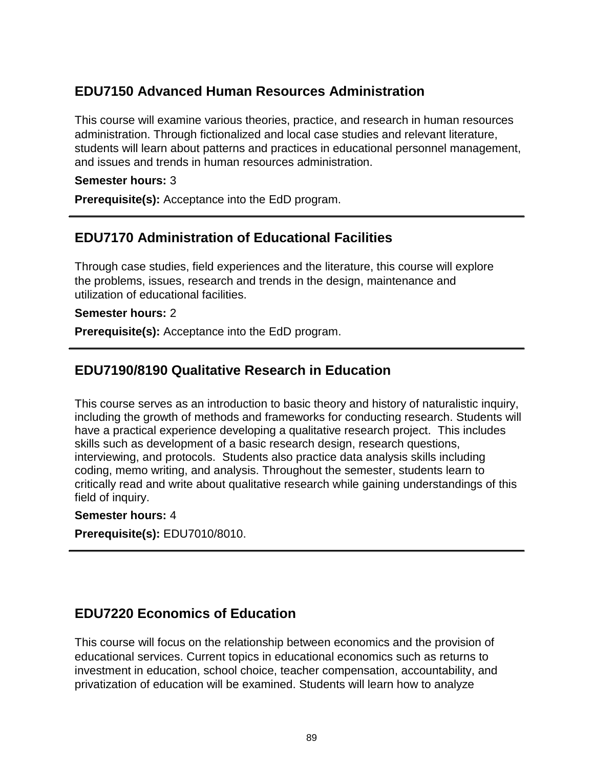# **EDU7150 Advanced Human Resources Administration**

This course will examine various theories, practice, and research in human resources administration. Through fictionalized and local case studies and relevant literature, students will learn about patterns and practices in educational personnel management, and issues and trends in human resources administration.

### **Semester hours:** 3

**Prerequisite(s):** Acceptance into the EdD program.

# **EDU7170 Administration of Educational Facilities**

Through case studies, field experiences and the literature, this course will explore the problems, issues, research and trends in the design, maintenance and utilization of educational facilities.

### **Semester hours:** 2

**Prerequisite(s):** Acceptance into the EdD program.

# **EDU7190/8190 Qualitative Research in Education**

This course serves as an introduction to basic theory and history of naturalistic inquiry, including the growth of methods and frameworks for conducting research. Students will have a practical experience developing a qualitative research project. This includes skills such as development of a basic research design, research questions, interviewing, and protocols. Students also practice data analysis skills including coding, memo writing, and analysis. Throughout the semester, students learn to critically read and write about qualitative research while gaining understandings of this field of inquiry.

### **Semester hours:** 4

**Prerequisite(s):** EDU7010/8010.

## **EDU7220 Economics of Education**

This course will focus on the relationship between economics and the provision of educational services. Current topics in educational economics such as returns to investment in education, school choice, teacher compensation, accountability, and privatization of education will be examined. Students will learn how to analyze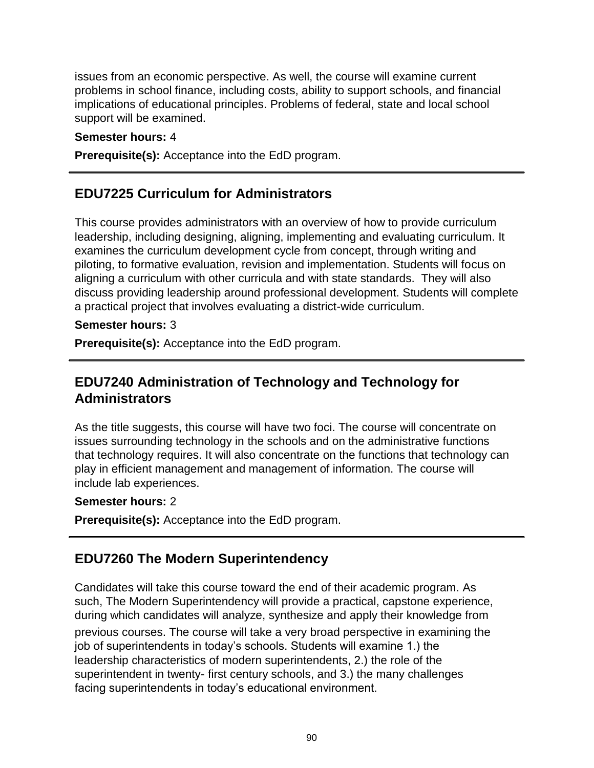issues from an economic perspective. As well, the course will examine current problems in school finance, including costs, ability to support schools, and financial implications of educational principles. Problems of federal, state and local school support will be examined.

### **Semester hours:** 4

**Prerequisite(s):** Acceptance into the EdD program.

## **EDU7225 Curriculum for Administrators**

This course provides administrators with an overview of how to provide curriculum leadership, including designing, aligning, implementing and evaluating curriculum. It examines the curriculum development cycle from concept, through writing and piloting, to formative evaluation, revision and implementation. Students will focus on aligning a curriculum with other curricula and with state standards. They will also discuss providing leadership around professional development. Students will complete a practical project that involves evaluating a district-wide curriculum.

### **Semester hours:** 3

**Prerequisite(s):** Acceptance into the EdD program.

# **EDU7240 Administration of Technology and Technology for Administrators**

As the title suggests, this course will have two foci. The course will concentrate on issues surrounding technology in the schools and on the administrative functions that technology requires. It will also concentrate on the functions that technology can play in efficient management and management of information. The course will include lab experiences.

### **Semester hours:** 2

**Prerequisite(s):** Acceptance into the EdD program.

# **EDU7260 The Modern Superintendency**

Candidates will take this course toward the end of their academic program. As such, The Modern Superintendency will provide a practical, capstone experience, during which candidates will analyze, synthesize and apply their knowledge from previous courses. The course will take a very broad perspective in examining the job of superintendents in today's schools. Students will examine 1.) the leadership characteristics of modern superintendents, 2.) the role of the superintendent in twenty- first century schools, and 3.) the many challenges facing superintendents in today's educational environment.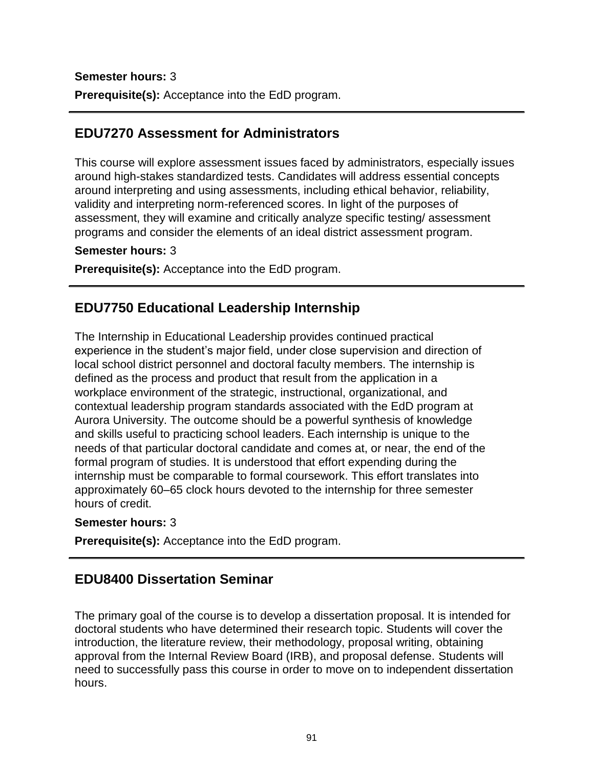### **Semester hours:** 3

**Prerequisite(s):** Acceptance into the EdD program.

## **EDU7270 Assessment for Administrators**

This course will explore assessment issues faced by administrators, especially issues around high-stakes standardized tests. Candidates will address essential concepts around interpreting and using assessments, including ethical behavior, reliability, validity and interpreting norm-referenced scores. In light of the purposes of assessment, they will examine and critically analyze specific testing/ assessment programs and consider the elements of an ideal district assessment program.

#### **Semester hours:** 3

**Prerequisite(s):** Acceptance into the EdD program.

## **EDU7750 Educational Leadership Internship**

The Internship in Educational Leadership provides continued practical experience in the student's major field, under close supervision and direction of local school district personnel and doctoral faculty members. The internship is defined as the process and product that result from the application in a workplace environment of the strategic, instructional, organizational, and contextual leadership program standards associated with the EdD program at Aurora University. The outcome should be a powerful synthesis of knowledge and skills useful to practicing school leaders. Each internship is unique to the needs of that particular doctoral candidate and comes at, or near, the end of the formal program of studies. It is understood that effort expending during the internship must be comparable to formal coursework. This effort translates into approximately 60–65 clock hours devoted to the internship for three semester hours of credit.

#### **Semester hours:** 3

**Prerequisite(s):** Acceptance into the EdD program.

## **EDU8400 Dissertation Seminar**

The primary goal of the course is to develop a dissertation proposal. It is intended for doctoral students who have determined their research topic. Students will cover the introduction, the literature review, their methodology, proposal writing, obtaining approval from the Internal Review Board (IRB), and proposal defense. Students will need to successfully pass this course in order to move on to independent dissertation hours.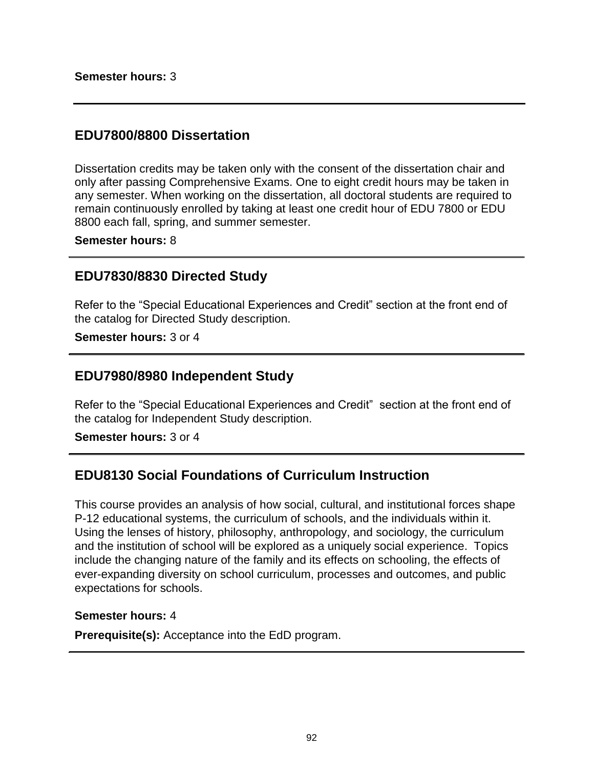## **EDU7800/8800 Dissertation**

Dissertation credits may be taken only with the consent of the dissertation chair and only after passing Comprehensive Exams. One to eight credit hours may be taken in any semester. When working on the dissertation, all doctoral students are required to remain continuously enrolled by taking at least one credit hour of EDU 7800 or EDU 8800 each fall, spring, and summer semester.

**Semester hours:** 8

## **EDU7830/8830 Directed Study**

Refer to the "Special Educational Experiences and Credit" section at the front end of the catalog for Directed Study description.

**Semester hours:** 3 or 4

### **EDU7980/8980 Independent Study**

Refer to the "Special Educational Experiences and Credit" section at the front end of the catalog for Independent Study description.

**Semester hours:** 3 or 4

## **EDU8130 Social Foundations of Curriculum Instruction**

This course provides an analysis of how social, cultural, and institutional forces shape P-12 educational systems, the curriculum of schools, and the individuals within it. Using the lenses of history, philosophy, anthropology, and sociology, the curriculum and the institution of school will be explored as a uniquely social experience. Topics include the changing nature of the family and its effects on schooling, the effects of ever-expanding diversity on school curriculum, processes and outcomes, and public expectations for schools.

#### **Semester hours:** 4

**Prerequisite(s):** Acceptance into the EdD program.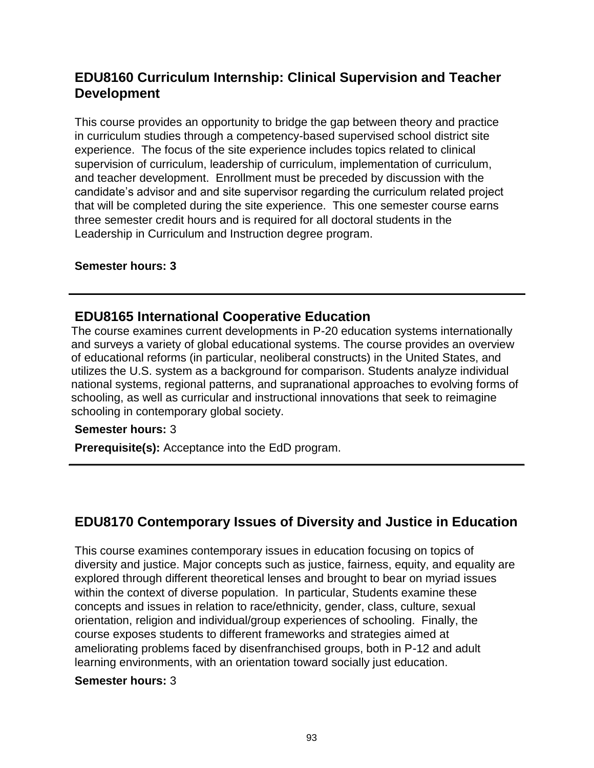# **EDU8160 Curriculum Internship: Clinical Supervision and Teacher Development**

This course provides an opportunity to bridge the gap between theory and practice in curriculum studies through a competency-based supervised school district site experience. The focus of the site experience includes topics related to clinical supervision of curriculum, leadership of curriculum, implementation of curriculum, and teacher development. Enrollment must be preceded by discussion with the candidate's advisor and and site supervisor regarding the curriculum related project that will be completed during the site experience. This one semester course earns three semester credit hours and is required for all doctoral students in the Leadership in Curriculum and Instruction degree program.

### **Semester hours: 3**

## **EDU8165 International Cooperative Education**

The course examines current developments in P-20 education systems internationally and surveys a variety of global educational systems. The course provides an overview of educational reforms (in particular, neoliberal constructs) in the United States, and utilizes the U.S. system as a background for comparison. Students analyze individual national systems, regional patterns, and supranational approaches to evolving forms of schooling, as well as curricular and instructional innovations that seek to reimagine schooling in contemporary global society.

### **Semester hours:** 3

**Prerequisite(s):** Acceptance into the EdD program.

# **EDU8170 Contemporary Issues of Diversity and Justice in Education**

This course examines contemporary issues in education focusing on topics of diversity and justice. Major concepts such as justice, fairness, equity, and equality are explored through different theoretical lenses and brought to bear on myriad issues within the context of diverse population. In particular, Students examine these concepts and issues in relation to race/ethnicity, gender, class, culture, sexual orientation, religion and individual/group experiences of schooling. Finally, the course exposes students to different frameworks and strategies aimed at ameliorating problems faced by disenfranchised groups, both in P-12 and adult learning environments, with an orientation toward socially just education.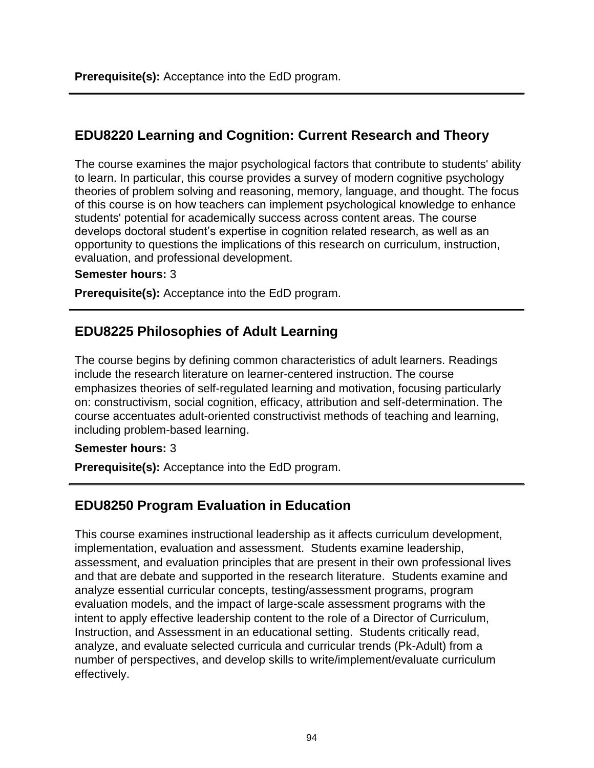# **EDU8220 Learning and Cognition: Current Research and Theory**

The course examines the major psychological factors that contribute to students' ability to learn. In particular, this course provides a survey of modern cognitive psychology theories of problem solving and reasoning, memory, language, and thought. The focus of this course is on how teachers can implement psychological knowledge to enhance students' potential for academically success across content areas. The course develops doctoral student's expertise in cognition related research, as well as an opportunity to questions the implications of this research on curriculum, instruction, evaluation, and professional development.

### **Semester hours:** 3

**Prerequisite(s):** Acceptance into the EdD program.

# **EDU8225 Philosophies of Adult Learning**

The course begins by defining common characteristics of adult learners. Readings include the research literature on learner-centered instruction. The course emphasizes theories of self-regulated learning and motivation, focusing particularly on: constructivism, social cognition, efficacy, attribution and self-determination. The course accentuates adult-oriented constructivist methods of teaching and learning, including problem-based learning.

### **Semester hours:** 3

**Prerequisite(s):** Acceptance into the EdD program.

# **EDU8250 Program Evaluation in Education**

This course examines instructional leadership as it affects curriculum development, implementation, evaluation and assessment. Students examine leadership, assessment, and evaluation principles that are present in their own professional lives and that are debate and supported in the research literature. Students examine and analyze essential curricular concepts, testing/assessment programs, program evaluation models, and the impact of large-scale assessment programs with the intent to apply effective leadership content to the role of a Director of Curriculum, Instruction, and Assessment in an educational setting. Students critically read, analyze, and evaluate selected curricula and curricular trends (Pk-Adult) from a number of perspectives, and develop skills to write/implement/evaluate curriculum effectively.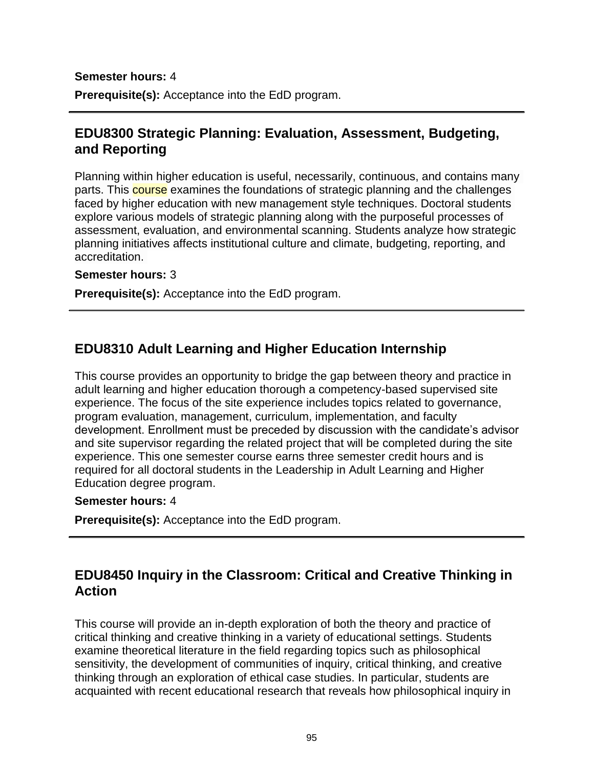### **Semester hours:** 4

**Prerequisite(s):** Acceptance into the EdD program.

# **EDU8300 Strategic Planning: Evaluation, Assessment, Budgeting, and Reporting**

Planning within higher education is useful, necessarily, continuous, and contains many parts. This **course** examines the foundations of strategic planning and the challenges faced by higher education with new management style techniques. Doctoral students explore various models of strategic planning along with the purposeful processes of assessment, evaluation, and environmental scanning. Students analyze how strategic planning initiatives affects institutional culture and climate, budgeting, reporting, and accreditation.

#### **Semester hours:** 3

**Prerequisite(s):** Acceptance into the EdD program.

## **EDU8310 Adult Learning and Higher Education Internship**

This course provides an opportunity to bridge the gap between theory and practice in adult learning and higher education thorough a competency-based supervised site experience. The focus of the site experience includes topics related to governance, program evaluation, management, curriculum, implementation, and faculty development. Enrollment must be preceded by discussion with the candidate's advisor and site supervisor regarding the related project that will be completed during the site experience. This one semester course earns three semester credit hours and is required for all doctoral students in the Leadership in Adult Learning and Higher Education degree program.

#### **Semester hours:** 4

**Prerequisite(s):** Acceptance into the EdD program.

## **EDU8450 Inquiry in the Classroom: Critical and Creative Thinking in Action**

This course will provide an in-depth exploration of both the theory and practice of critical thinking and creative thinking in a variety of educational settings. Students examine theoretical literature in the field regarding topics such as philosophical sensitivity, the development of communities of inquiry, critical thinking, and creative thinking through an exploration of ethical case studies. In particular, students are acquainted with recent educational research that reveals how philosophical inquiry in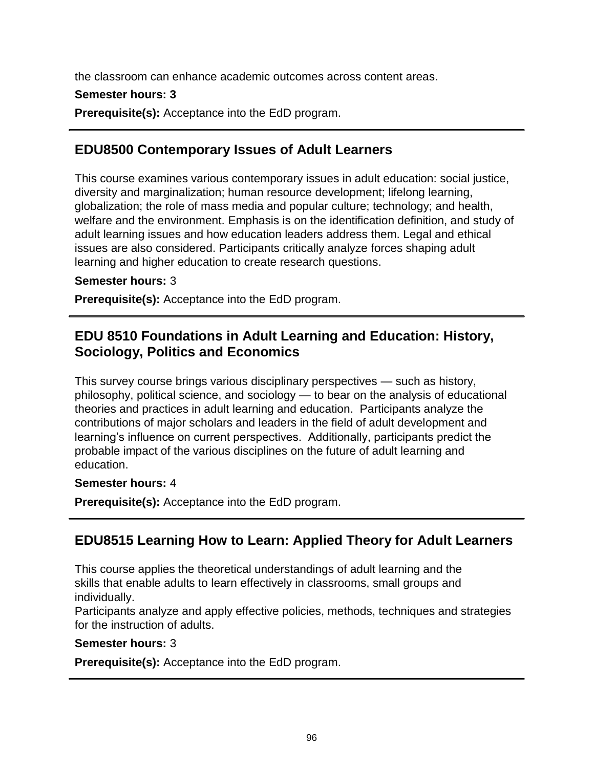the classroom can enhance academic outcomes across content areas.

### **Semester hours: 3**

**Prerequisite(s):** Acceptance into the EdD program.

# **EDU8500 Contemporary Issues of Adult Learners**

This course examines various contemporary issues in adult education: social justice, diversity and marginalization; human resource development; lifelong learning, globalization; the role of mass media and popular culture; technology; and health, welfare and the environment. Emphasis is on the identification definition, and study of adult learning issues and how education leaders address them. Legal and ethical issues are also considered. Participants critically analyze forces shaping adult learning and higher education to create research questions.

### **Semester hours:** 3

**Prerequisite(s):** Acceptance into the EdD program.

# **EDU 8510 Foundations in Adult Learning and Education: History, Sociology, Politics and Economics**

This survey course brings various disciplinary perspectives — such as history, philosophy, political science, and sociology — to bear on the analysis of educational theories and practices in adult learning and education. Participants analyze the contributions of major scholars and leaders in the field of adult development and learning's influence on current perspectives. Additionally, participants predict the probable impact of the various disciplines on the future of adult learning and education.

### **Semester hours:** 4

**Prerequisite(s):** Acceptance into the EdD program.

# **EDU8515 Learning How to Learn: Applied Theory for Adult Learners**

This course applies the theoretical understandings of adult learning and the skills that enable adults to learn effectively in classrooms, small groups and individually.

Participants analyze and apply effective policies, methods, techniques and strategies for the instruction of adults.

### **Semester hours:** 3

**Prerequisite(s):** Acceptance into the EdD program.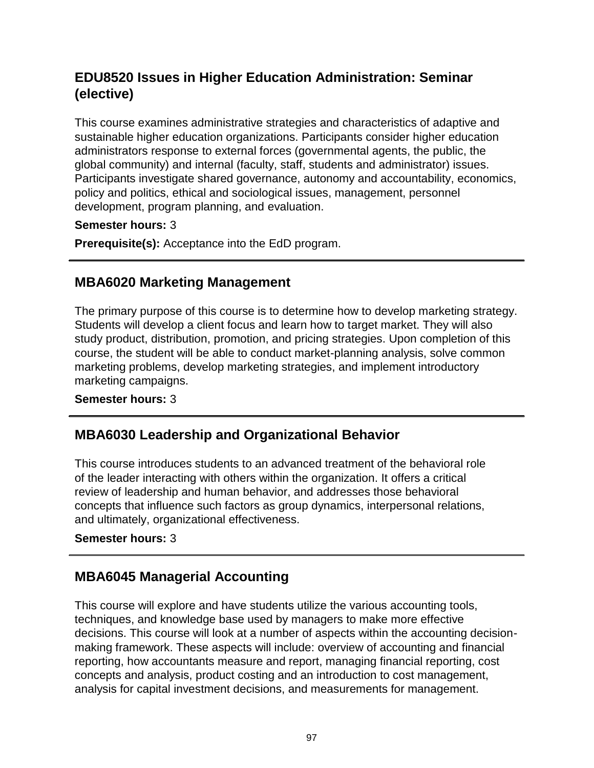# **EDU8520 Issues in Higher Education Administration: Seminar (elective)**

This course examines administrative strategies and characteristics of adaptive and sustainable higher education organizations. Participants consider higher education administrators response to external forces (governmental agents, the public, the global community) and internal (faculty, staff, students and administrator) issues. Participants investigate shared governance, autonomy and accountability, economics, policy and politics, ethical and sociological issues, management, personnel development, program planning, and evaluation.

### **Semester hours:** 3

**Prerequisite(s):** Acceptance into the EdD program.

# **MBA6020 Marketing Management**

The primary purpose of this course is to determine how to develop marketing strategy. Students will develop a client focus and learn how to target market. They will also study product, distribution, promotion, and pricing strategies. Upon completion of this course, the student will be able to conduct market-planning analysis, solve common marketing problems, develop marketing strategies, and implement introductory marketing campaigns.

**Semester hours:** 3

# **MBA6030 Leadership and Organizational Behavior**

This course introduces students to an advanced treatment of the behavioral role of the leader interacting with others within the organization. It offers a critical review of leadership and human behavior, and addresses those behavioral concepts that influence such factors as group dynamics, interpersonal relations, and ultimately, organizational effectiveness.

### **Semester hours:** 3

# **MBA6045 Managerial Accounting**

This course will explore and have students utilize the various accounting tools, techniques, and knowledge base used by managers to make more effective decisions. This course will look at a number of aspects within the accounting decisionmaking framework. These aspects will include: overview of accounting and financial reporting, how accountants measure and report, managing financial reporting, cost concepts and analysis, product costing and an introduction to cost management, analysis for capital investment decisions, and measurements for management.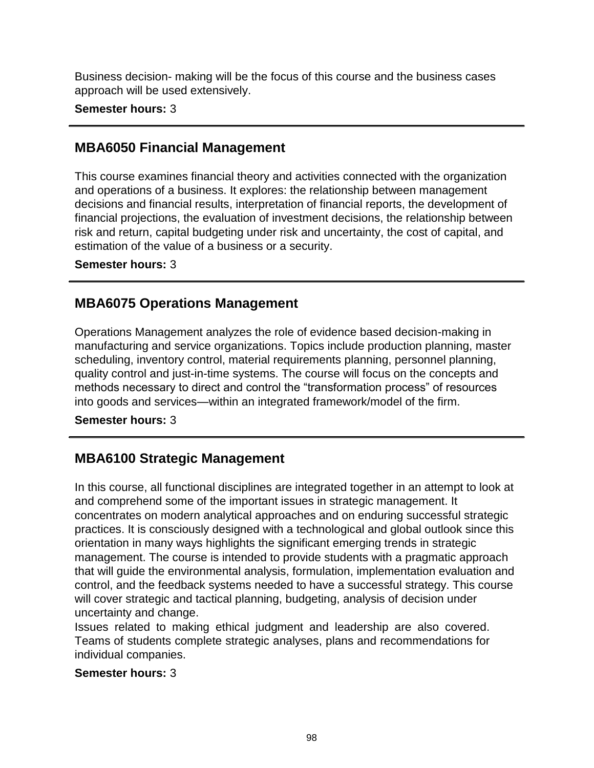Business decision- making will be the focus of this course and the business cases approach will be used extensively.

**Semester hours:** 3

# **MBA6050 Financial Management**

This course examines financial theory and activities connected with the organization and operations of a business. It explores: the relationship between management decisions and financial results, interpretation of financial reports, the development of financial projections, the evaluation of investment decisions, the relationship between risk and return, capital budgeting under risk and uncertainty, the cost of capital, and estimation of the value of a business or a security.

**Semester hours:** 3

# **MBA6075 Operations Management**

Operations Management analyzes the role of evidence based decision-making in manufacturing and service organizations. Topics include production planning, master scheduling, inventory control, material requirements planning, personnel planning, quality control and just-in-time systems. The course will focus on the concepts and methods necessary to direct and control the "transformation process" of resources into goods and services—within an integrated framework/model of the firm.

**Semester hours:** 3

# **MBA6100 Strategic Management**

In this course, all functional disciplines are integrated together in an attempt to look at and comprehend some of the important issues in strategic management. It concentrates on modern analytical approaches and on enduring successful strategic practices. It is consciously designed with a technological and global outlook since this orientation in many ways highlights the significant emerging trends in strategic management. The course is intended to provide students with a pragmatic approach that will guide the environmental analysis, formulation, implementation evaluation and control, and the feedback systems needed to have a successful strategy. This course will cover strategic and tactical planning, budgeting, analysis of decision under uncertainty and change.

Issues related to making ethical judgment and leadership are also covered. Teams of students complete strategic analyses, plans and recommendations for individual companies.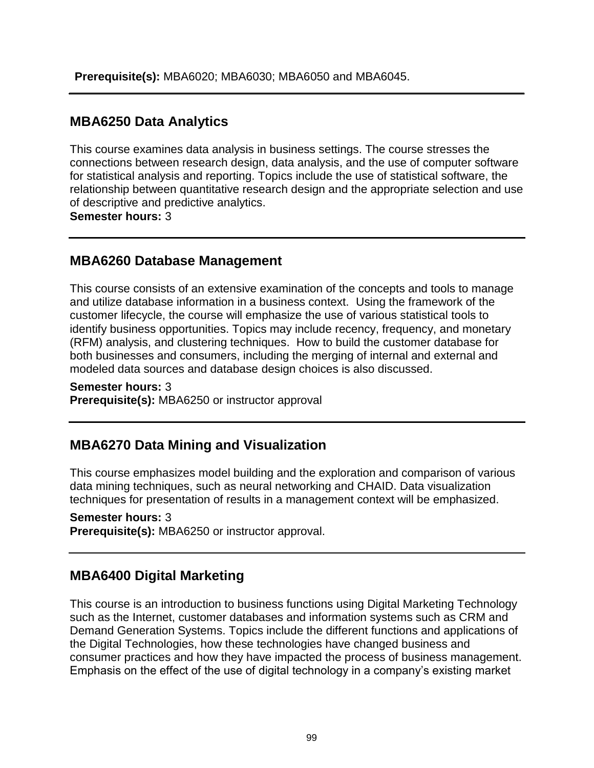# **MBA6250 Data Analytics**

This course examines data analysis in business settings. The course stresses the connections between research design, data analysis, and the use of computer software for statistical analysis and reporting. Topics include the use of statistical software, the relationship between quantitative research design and the appropriate selection and use of descriptive and predictive analytics.

**Semester hours:** 3

# **MBA6260 Database Management**

This course consists of an extensive examination of the concepts and tools to manage and utilize database information in a business context. Using the framework of the customer lifecycle, the course will emphasize the use of various statistical tools to identify business opportunities. Topics may include recency, frequency, and monetary (RFM) analysis, and clustering techniques. How to build the customer database for both businesses and consumers, including the merging of internal and external and modeled data sources and database design choices is also discussed.

### **Semester hours:** 3 **Prerequisite(s):** MBA6250 or instructor approval

# **MBA6270 Data Mining and Visualization**

This course emphasizes model building and the exploration and comparison of various data mining techniques, such as neural networking and CHAID. Data visualization techniques for presentation of results in a management context will be emphasized.

### **Semester hours:** 3

**Prerequisite(s):** MBA6250 or instructor approval.

# **MBA6400 Digital Marketing**

This course is an introduction to business functions using Digital Marketing Technology such as the Internet, customer databases and information systems such as CRM and Demand Generation Systems. Topics include the different functions and applications of the Digital Technologies, how these technologies have changed business and consumer practices and how they have impacted the process of business management. Emphasis on the effect of the use of digital technology in a company's existing market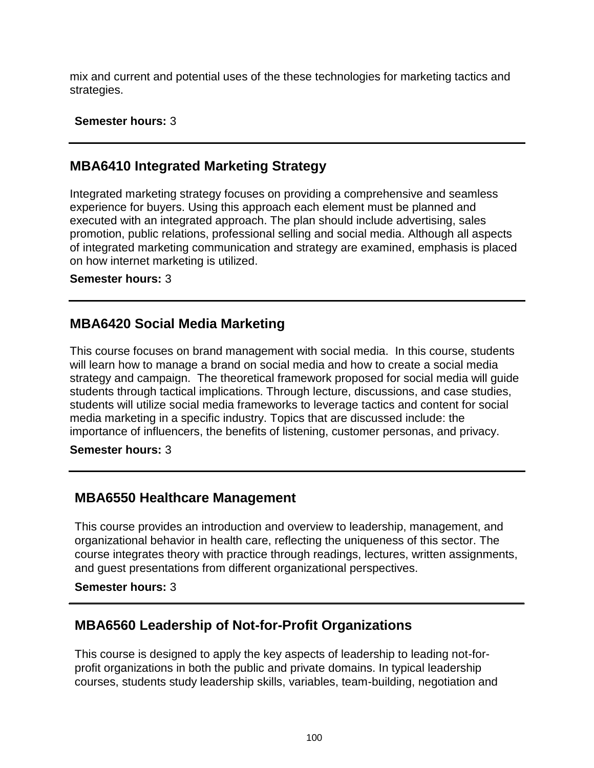mix and current and potential uses of the these technologies for marketing tactics and strategies.

### **Semester hours:** 3

## **MBA6410 Integrated Marketing Strategy**

Integrated marketing strategy focuses on providing a comprehensive and seamless experience for buyers. Using this approach each element must be planned and executed with an integrated approach. The plan should include advertising, sales promotion, public relations, professional selling and social media. Although all aspects of integrated marketing communication and strategy are examined, emphasis is placed on how internet marketing is utilized.

### **Semester hours:** 3

## **MBA6420 Social Media Marketing**

This course focuses on brand management with social media. In this course, students will learn how to manage a brand on social media and how to create a social media strategy and campaign. The theoretical framework proposed for social media will guide students through tactical implications. Through lecture, discussions, and case studies, students will utilize social media frameworks to leverage tactics and content for social media marketing in a specific industry. Topics that are discussed include: the importance of influencers, the benefits of listening, customer personas, and privacy.

### **Semester hours:** 3

## **MBA6550 Healthcare Management**

This course provides an introduction and overview to leadership, management, and organizational behavior in health care, reflecting the uniqueness of this sector. The course integrates theory with practice through readings, lectures, written assignments, and guest presentations from different organizational perspectives.

### **Semester hours:** 3

# **MBA6560 Leadership of Not-for-Profit Organizations**

This course is designed to apply the key aspects of leadership to leading not-forprofit organizations in both the public and private domains. In typical leadership courses, students study leadership skills, variables, team-building, negotiation and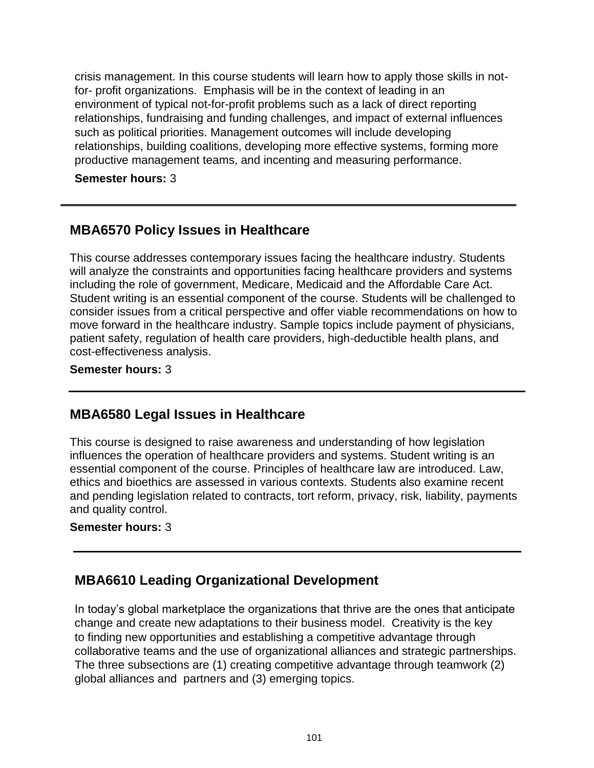crisis management. In this course students will learn how to apply those skills in notfor- profit organizations. Emphasis will be in the context of leading in an environment of typical not-for-profit problems such as a lack of direct reporting relationships, fundraising and funding challenges, and impact of external influences such as political priorities. Management outcomes will include developing relationships, building coalitions, developing more effective systems, forming more productive management teams, and incenting and measuring performance.

**Semester hours:** 3

## **MBA6570 Policy Issues in Healthcare**

This course addresses contemporary issues facing the healthcare industry. Students will analyze the constraints and opportunities facing healthcare providers and systems including the role of government, Medicare, Medicaid and the Affordable Care Act. Student writing is an essential component of the course. Students will be challenged to consider issues from a critical perspective and offer viable recommendations on how to move forward in the healthcare industry. Sample topics include payment of physicians, patient safety, regulation of health care providers, high-deductible health plans, and cost-effectiveness analysis.

### **Semester hours:** 3

## **MBA6580 Legal Issues in Healthcare**

This course is designed to raise awareness and understanding of how legislation influences the operation of healthcare providers and systems. Student writing is an essential component of the course. Principles of healthcare law are introduced. Law, ethics and bioethics are assessed in various contexts. Students also examine recent and pending legislation related to contracts, tort reform, privacy, risk, liability, payments and quality control.

### **Semester hours:** 3

# **MBA6610 Leading Organizational Development**

In today's global marketplace the organizations that thrive are the ones that anticipate change and create new adaptations to their business model. Creativity is the key to finding new opportunities and establishing a competitive advantage through collaborative teams and the use of organizational alliances and strategic partnerships. The three subsections are (1) creating competitive advantage through teamwork (2) global alliances and partners and (3) emerging topics.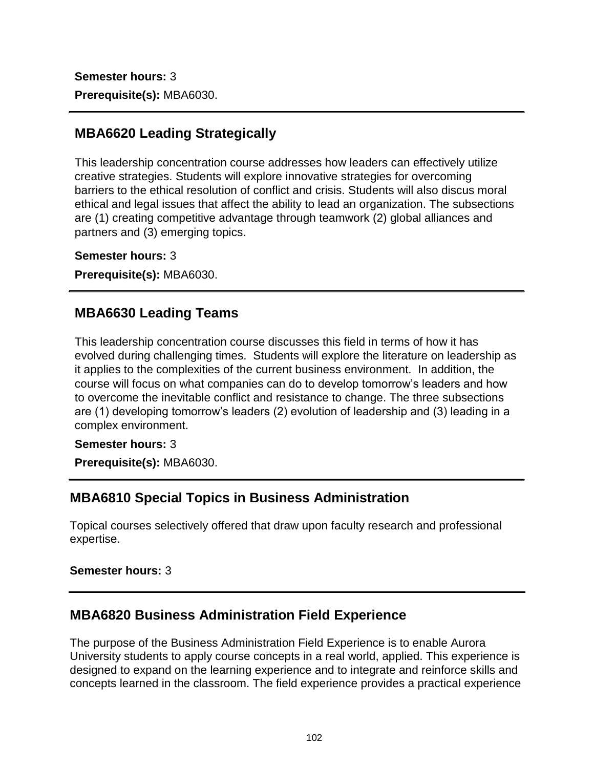**Semester hours:** 3 **Prerequisite(s):** MBA6030.

# **MBA6620 Leading Strategically**

This leadership concentration course addresses how leaders can effectively utilize creative strategies. Students will explore innovative strategies for overcoming barriers to the ethical resolution of conflict and crisis. Students will also discus moral ethical and legal issues that affect the ability to lead an organization. The subsections are (1) creating competitive advantage through teamwork (2) global alliances and partners and (3) emerging topics.

**Semester hours:** 3

**Prerequisite(s):** MBA6030.

# **MBA6630 Leading Teams**

This leadership concentration course discusses this field in terms of how it has evolved during challenging times. Students will explore the literature on leadership as it applies to the complexities of the current business environment. In addition, the course will focus on what companies can do to develop tomorrow's leaders and how to overcome the inevitable conflict and resistance to change. The three subsections are (1) developing tomorrow's leaders (2) evolution of leadership and (3) leading in a complex environment.

### **Semester hours:** 3

**Prerequisite(s):** MBA6030.

# **MBA6810 Special Topics in Business Administration**

Topical courses selectively offered that draw upon faculty research and professional expertise.

### **Semester hours:** 3

# **MBA6820 Business Administration Field Experience**

The purpose of the Business Administration Field Experience is to enable Aurora University students to apply course concepts in a real world, applied. This experience is designed to expand on the learning experience and to integrate and reinforce skills and concepts learned in the classroom. The field experience provides a practical experience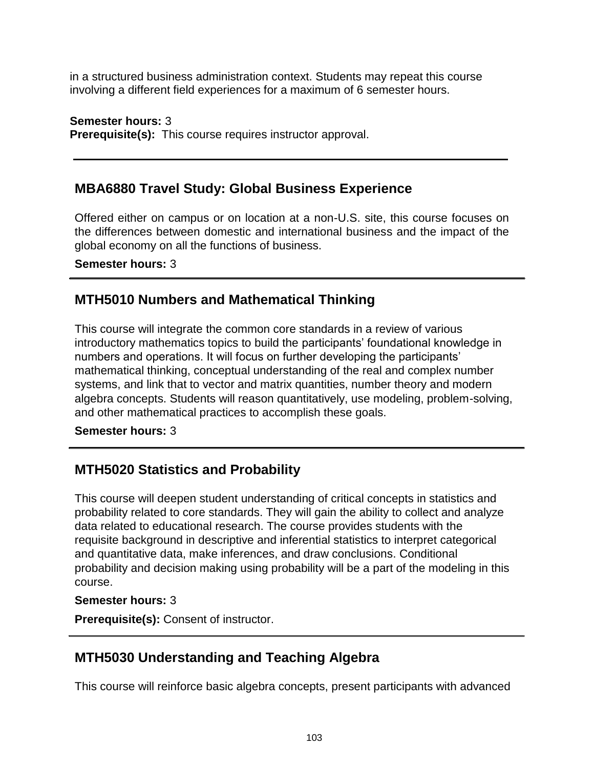in a structured business administration context. Students may repeat this course involving a different field experiences for a maximum of 6 semester hours.

**Semester hours:** 3 **Prerequisite(s):** This course requires instructor approval.

# **MBA6880 Travel Study: Global Business Experience**

Offered either on campus or on location at a non-U.S. site, this course focuses on the differences between domestic and international business and the impact of the global economy on all the functions of business.

**Semester hours:** 3

## **MTH5010 Numbers and Mathematical Thinking**

This course will integrate the common core standards in a review of various introductory mathematics topics to build the participants' foundational knowledge in numbers and operations. It will focus on further developing the participants' mathematical thinking, conceptual understanding of the real and complex number systems, and link that to vector and matrix quantities, number theory and modern algebra concepts. Students will reason quantitatively, use modeling, problem-solving, and other mathematical practices to accomplish these goals.

**Semester hours:** 3

# **MTH5020 Statistics and Probability**

This course will deepen student understanding of critical concepts in statistics and probability related to core standards. They will gain the ability to collect and analyze data related to educational research. The course provides students with the requisite background in descriptive and inferential statistics to interpret categorical and quantitative data, make inferences, and draw conclusions. Conditional probability and decision making using probability will be a part of the modeling in this course.

### **Semester hours:** 3

**Prerequisite(s):** Consent of instructor.

# **MTH5030 Understanding and Teaching Algebra**

This course will reinforce basic algebra concepts, present participants with advanced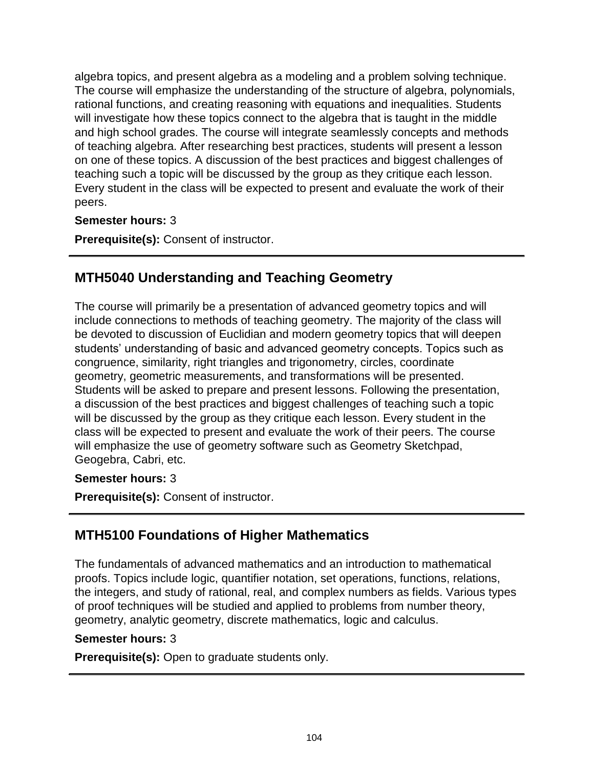algebra topics, and present algebra as a modeling and a problem solving technique. The course will emphasize the understanding of the structure of algebra, polynomials, rational functions, and creating reasoning with equations and inequalities. Students will investigate how these topics connect to the algebra that is taught in the middle and high school grades. The course will integrate seamlessly concepts and methods of teaching algebra. After researching best practices, students will present a lesson on one of these topics. A discussion of the best practices and biggest challenges of teaching such a topic will be discussed by the group as they critique each lesson. Every student in the class will be expected to present and evaluate the work of their peers.

### **Semester hours:** 3

**Prerequisite(s):** Consent of instructor.

# **MTH5040 Understanding and Teaching Geometry**

The course will primarily be a presentation of advanced geometry topics and will include connections to methods of teaching geometry. The majority of the class will be devoted to discussion of Euclidian and modern geometry topics that will deepen students' understanding of basic and advanced geometry concepts. Topics such as congruence, similarity, right triangles and trigonometry, circles, coordinate geometry, geometric measurements, and transformations will be presented. Students will be asked to prepare and present lessons. Following the presentation, a discussion of the best practices and biggest challenges of teaching such a topic will be discussed by the group as they critique each lesson. Every student in the class will be expected to present and evaluate the work of their peers. The course will emphasize the use of geometry software such as Geometry Sketchpad, Geogebra, Cabri, etc.

### **Semester hours:** 3

**Prerequisite(s):** Consent of instructor.

# **MTH5100 Foundations of Higher Mathematics**

The fundamentals of advanced mathematics and an introduction to mathematical proofs. Topics include logic, quantifier notation, set operations, functions, relations, the integers, and study of rational, real, and complex numbers as fields. Various types of proof techniques will be studied and applied to problems from number theory, geometry, analytic geometry, discrete mathematics, logic and calculus.

### **Semester hours:** 3

**Prerequisite(s):** Open to graduate students only.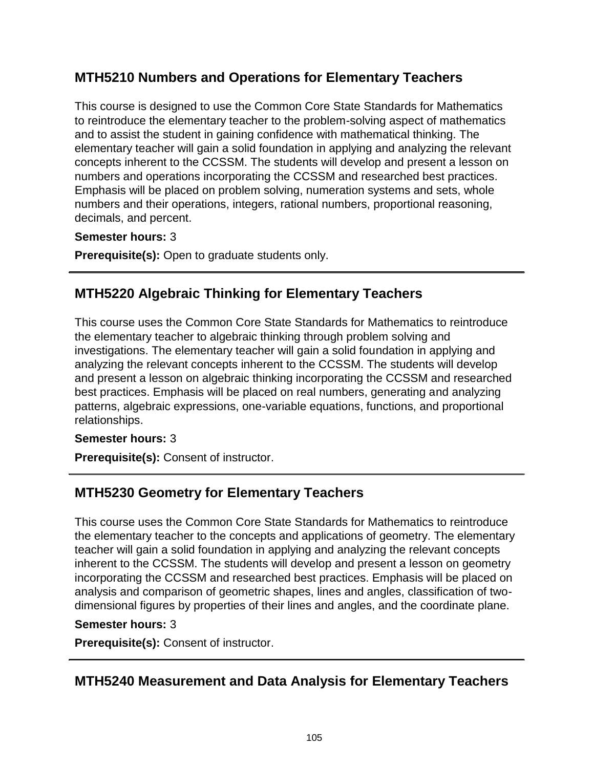# **MTH5210 Numbers and Operations for Elementary Teachers**

This course is designed to use the Common Core State Standards for Mathematics to reintroduce the elementary teacher to the problem-solving aspect of mathematics and to assist the student in gaining confidence with mathematical thinking. The elementary teacher will gain a solid foundation in applying and analyzing the relevant concepts inherent to the CCSSM. The students will develop and present a lesson on numbers and operations incorporating the CCSSM and researched best practices. Emphasis will be placed on problem solving, numeration systems and sets, whole numbers and their operations, integers, rational numbers, proportional reasoning, decimals, and percent.

### **Semester hours:** 3

**Prerequisite(s):** Open to graduate students only.

# **MTH5220 Algebraic Thinking for Elementary Teachers**

This course uses the Common Core State Standards for Mathematics to reintroduce the elementary teacher to algebraic thinking through problem solving and investigations. The elementary teacher will gain a solid foundation in applying and analyzing the relevant concepts inherent to the CCSSM. The students will develop and present a lesson on algebraic thinking incorporating the CCSSM and researched best practices. Emphasis will be placed on real numbers, generating and analyzing patterns, algebraic expressions, one-variable equations, functions, and proportional relationships.

### **Semester hours:** 3

**Prerequisite(s):** Consent of instructor.

# **MTH5230 Geometry for Elementary Teachers**

This course uses the Common Core State Standards for Mathematics to reintroduce the elementary teacher to the concepts and applications of geometry. The elementary teacher will gain a solid foundation in applying and analyzing the relevant concepts inherent to the CCSSM. The students will develop and present a lesson on geometry incorporating the CCSSM and researched best practices. Emphasis will be placed on analysis and comparison of geometric shapes, lines and angles, classification of twodimensional figures by properties of their lines and angles, and the coordinate plane.

### **Semester hours:** 3

**Prerequisite(s):** Consent of instructor.

# **MTH5240 Measurement and Data Analysis for Elementary Teachers**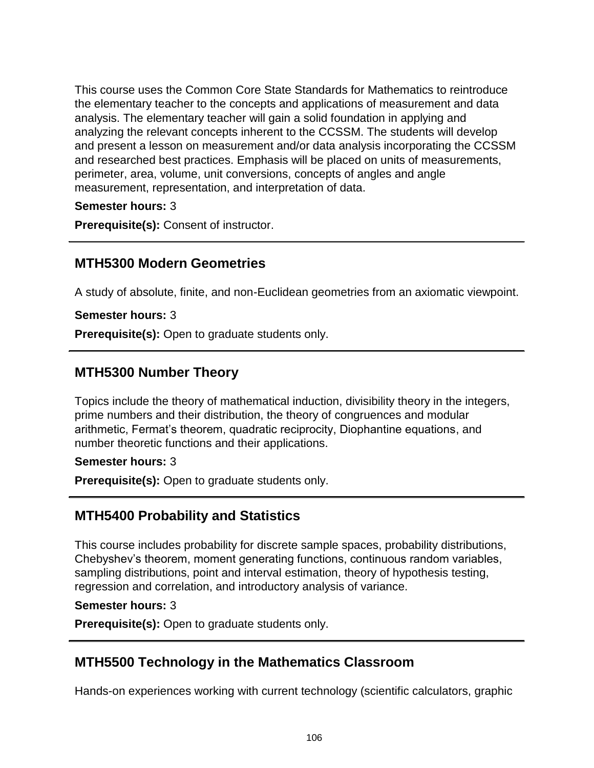This course uses the Common Core State Standards for Mathematics to reintroduce the elementary teacher to the concepts and applications of measurement and data analysis. The elementary teacher will gain a solid foundation in applying and analyzing the relevant concepts inherent to the CCSSM. The students will develop and present a lesson on measurement and/or data analysis incorporating the CCSSM and researched best practices. Emphasis will be placed on units of measurements, perimeter, area, volume, unit conversions, concepts of angles and angle measurement, representation, and interpretation of data.

### **Semester hours:** 3

**Prerequisite(s):** Consent of instructor.

## **MTH5300 Modern Geometries**

A study of absolute, finite, and non-Euclidean geometries from an axiomatic viewpoint.

**Semester hours:** 3

**Prerequisite(s):** Open to graduate students only.

## **MTH5300 Number Theory**

Topics include the theory of mathematical induction, divisibility theory in the integers, prime numbers and their distribution, the theory of congruences and modular arithmetic, Fermat's theorem, quadratic reciprocity, Diophantine equations, and number theoretic functions and their applications.

### **Semester hours:** 3

**Prerequisite(s):** Open to graduate students only.

## **MTH5400 Probability and Statistics**

This course includes probability for discrete sample spaces, probability distributions, Chebyshev's theorem, moment generating functions, continuous random variables, sampling distributions, point and interval estimation, theory of hypothesis testing, regression and correlation, and introductory analysis of variance.

### **Semester hours:** 3

**Prerequisite(s):** Open to graduate students only.

## **MTH5500 Technology in the Mathematics Classroom**

Hands-on experiences working with current technology (scientific calculators, graphic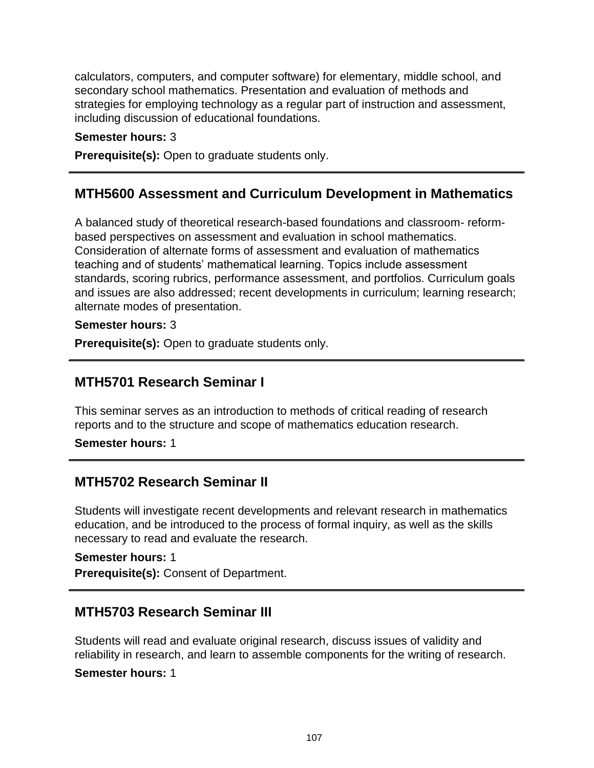calculators, computers, and computer software) for elementary, middle school, and secondary school mathematics. Presentation and evaluation of methods and strategies for employing technology as a regular part of instruction and assessment, including discussion of educational foundations.

#### **Semester hours:** 3

**Prerequisite(s):** Open to graduate students only.

### **MTH5600 Assessment and Curriculum Development in Mathematics**

A balanced study of theoretical research-based foundations and classroom- reformbased perspectives on assessment and evaluation in school mathematics. Consideration of alternate forms of assessment and evaluation of mathematics teaching and of students' mathematical learning. Topics include assessment standards, scoring rubrics, performance assessment, and portfolios. Curriculum goals and issues are also addressed; recent developments in curriculum; learning research; alternate modes of presentation.

#### **Semester hours:** 3

**Prerequisite(s):** Open to graduate students only.

## **MTH5701 Research Seminar I**

This seminar serves as an introduction to methods of critical reading of research reports and to the structure and scope of mathematics education research.

**Semester hours:** 1

### **MTH5702 Research Seminar II**

Students will investigate recent developments and relevant research in mathematics education, and be introduced to the process of formal inquiry, as well as the skills necessary to read and evaluate the research.

**Semester hours:** 1 **Prerequisite(s):** Consent of Department.

## **MTH5703 Research Seminar III**

Students will read and evaluate original research, discuss issues of validity and reliability in research, and learn to assemble components for the writing of research.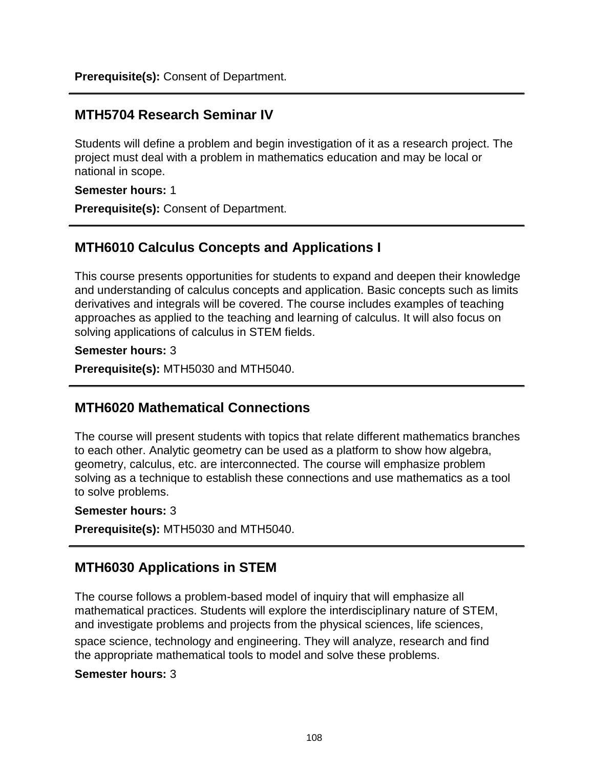**Prerequisite(s):** Consent of Department.

## **MTH5704 Research Seminar IV**

Students will define a problem and begin investigation of it as a research project. The project must deal with a problem in mathematics education and may be local or national in scope.

**Semester hours:** 1

**Prerequisite(s):** Consent of Department.

# **MTH6010 Calculus Concepts and Applications I**

This course presents opportunities for students to expand and deepen their knowledge and understanding of calculus concepts and application. Basic concepts such as limits derivatives and integrals will be covered. The course includes examples of teaching approaches as applied to the teaching and learning of calculus. It will also focus on solving applications of calculus in STEM fields.

#### **Semester hours:** 3

**Prerequisite(s):** MTH5030 and MTH5040.

## **MTH6020 Mathematical Connections**

The course will present students with topics that relate different mathematics branches to each other. Analytic geometry can be used as a platform to show how algebra, geometry, calculus, etc. are interconnected. The course will emphasize problem solving as a technique to establish these connections and use mathematics as a tool to solve problems.

### **Semester hours:** 3

**Prerequisite(s):** MTH5030 and MTH5040.

# **MTH6030 Applications in STEM**

The course follows a problem-based model of inquiry that will emphasize all mathematical practices. Students will explore the interdisciplinary nature of STEM, and investigate problems and projects from the physical sciences, life sciences, space science, technology and engineering. They will analyze, research and find the appropriate mathematical tools to model and solve these problems.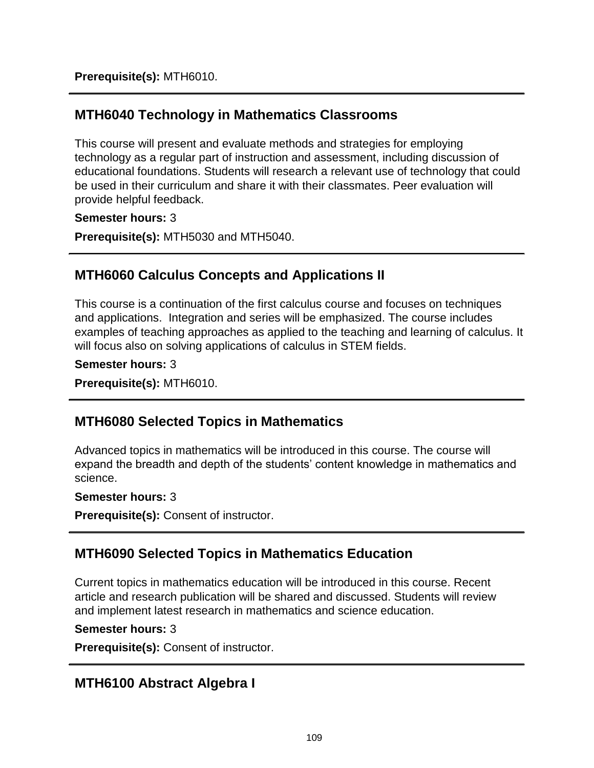**Prerequisite(s):** MTH6010.

## **MTH6040 Technology in Mathematics Classrooms**

This course will present and evaluate methods and strategies for employing technology as a regular part of instruction and assessment, including discussion of educational foundations. Students will research a relevant use of technology that could be used in their curriculum and share it with their classmates. Peer evaluation will provide helpful feedback.

#### **Semester hours:** 3

**Prerequisite(s):** MTH5030 and MTH5040.

# **MTH6060 Calculus Concepts and Applications II**

This course is a continuation of the first calculus course and focuses on techniques and applications. Integration and series will be emphasized. The course includes examples of teaching approaches as applied to the teaching and learning of calculus. It will focus also on solving applications of calculus in STEM fields.

#### **Semester hours:** 3

**Prerequisite(s):** MTH6010.

## **MTH6080 Selected Topics in Mathematics**

Advanced topics in mathematics will be introduced in this course. The course will expand the breadth and depth of the students' content knowledge in mathematics and science.

#### **Semester hours:** 3

**Prerequisite(s):** Consent of instructor.

## **MTH6090 Selected Topics in Mathematics Education**

Current topics in mathematics education will be introduced in this course. Recent article and research publication will be shared and discussed. Students will review and implement latest research in mathematics and science education.

#### **Semester hours:** 3

**Prerequisite(s):** Consent of instructor.

## **MTH6100 Abstract Algebra I**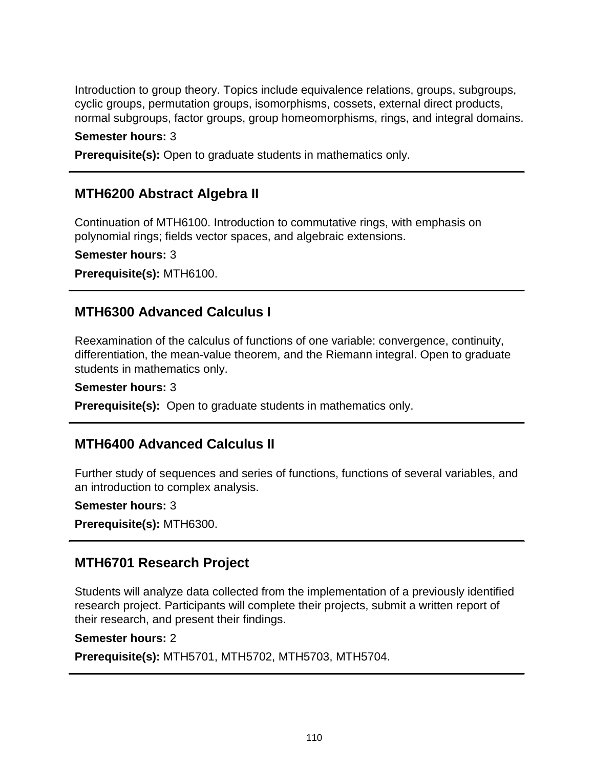Introduction to group theory. Topics include equivalence relations, groups, subgroups, cyclic groups, permutation groups, isomorphisms, cossets, external direct products, normal subgroups, factor groups, group homeomorphisms, rings, and integral domains.

**Semester hours:** 3

**Prerequisite(s):** Open to graduate students in mathematics only.

### **MTH6200 Abstract Algebra II**

Continuation of MTH6100. Introduction to commutative rings, with emphasis on polynomial rings; fields vector spaces, and algebraic extensions.

**Semester hours:** 3

**Prerequisite(s):** MTH6100.

### **MTH6300 Advanced Calculus I**

Reexamination of the calculus of functions of one variable: convergence, continuity, differentiation, the mean-value theorem, and the Riemann integral. Open to graduate students in mathematics only.

**Semester hours:** 3

**Prerequisite(s):** Open to graduate students in mathematics only.

### **MTH6400 Advanced Calculus II**

Further study of sequences and series of functions, functions of several variables, and an introduction to complex analysis.

#### **Semester hours:** 3

**Prerequisite(s):** MTH6300.

### **MTH6701 Research Project**

Students will analyze data collected from the implementation of a previously identified research project. Participants will complete their projects, submit a written report of their research, and present their findings.

#### **Semester hours:** 2

**Prerequisite(s):** MTH5701, MTH5702, MTH5703, MTH5704.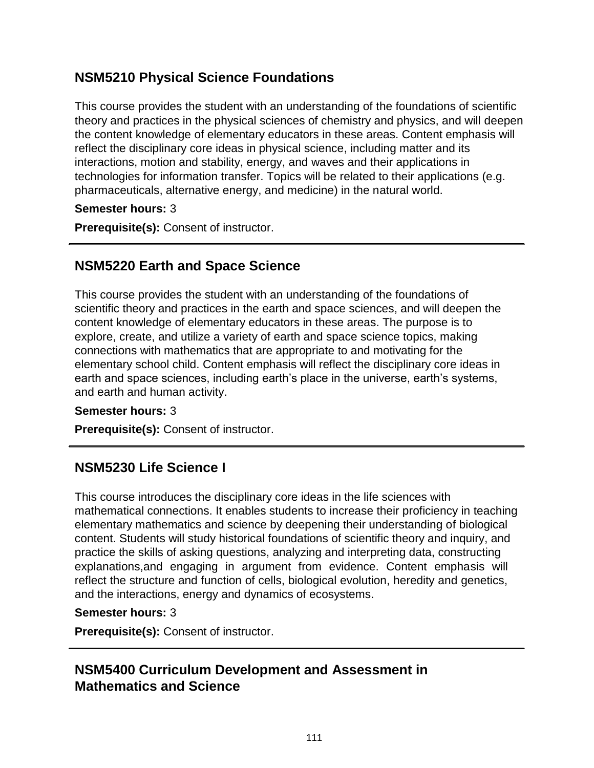# **NSM5210 Physical Science Foundations**

This course provides the student with an understanding of the foundations of scientific theory and practices in the physical sciences of chemistry and physics, and will deepen the content knowledge of elementary educators in these areas. Content emphasis will reflect the disciplinary core ideas in physical science, including matter and its interactions, motion and stability, energy, and waves and their applications in technologies for information transfer. Topics will be related to their applications (e.g. pharmaceuticals, alternative energy, and medicine) in the natural world.

**Semester hours:** 3

**Prerequisite(s):** Consent of instructor.

### **NSM5220 Earth and Space Science**

This course provides the student with an understanding of the foundations of scientific theory and practices in the earth and space sciences, and will deepen the content knowledge of elementary educators in these areas. The purpose is to explore, create, and utilize a variety of earth and space science topics, making connections with mathematics that are appropriate to and motivating for the elementary school child. Content emphasis will reflect the disciplinary core ideas in earth and space sciences, including earth's place in the universe, earth's systems, and earth and human activity.

#### **Semester hours:** 3

**Prerequisite(s):** Consent of instructor.

## **NSM5230 Life Science I**

This course introduces the disciplinary core ideas in the life sciences with mathematical connections. It enables students to increase their proficiency in teaching elementary mathematics and science by deepening their understanding of biological content. Students will study historical foundations of scientific theory and inquiry, and practice the skills of asking questions, analyzing and interpreting data, constructing explanations,and engaging in argument from evidence. Content emphasis will reflect the structure and function of cells, biological evolution, heredity and genetics, and the interactions, energy and dynamics of ecosystems.

#### **Semester hours:** 3

**Prerequisite(s):** Consent of instructor.

### **NSM5400 Curriculum Development and Assessment in Mathematics and Science**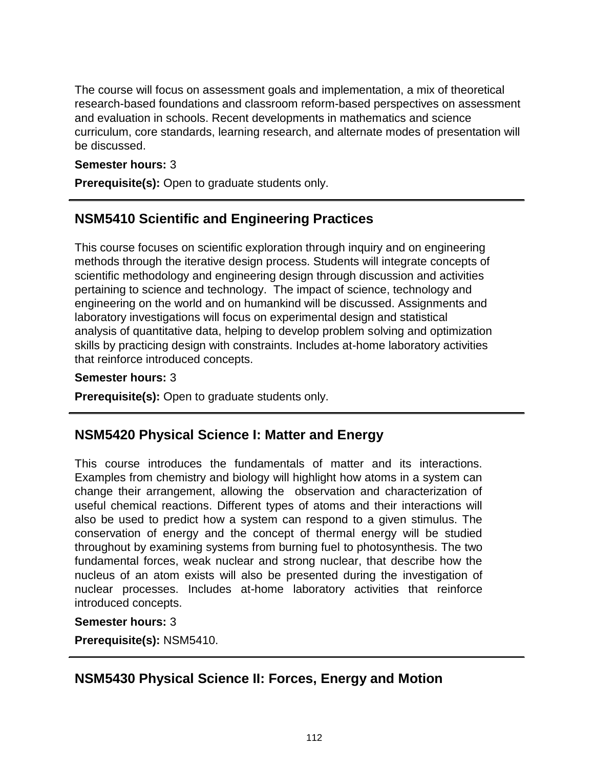The course will focus on assessment goals and implementation, a mix of theoretical research-based foundations and classroom reform-based perspectives on assessment and evaluation in schools. Recent developments in mathematics and science curriculum, core standards, learning research, and alternate modes of presentation will be discussed.

#### **Semester hours:** 3

**Prerequisite(s):** Open to graduate students only.

## **NSM5410 Scientific and Engineering Practices**

This course focuses on scientific exploration through inquiry and on engineering methods through the iterative design process. Students will integrate concepts of scientific methodology and engineering design through discussion and activities pertaining to science and technology. The impact of science, technology and engineering on the world and on humankind will be discussed. Assignments and laboratory investigations will focus on experimental design and statistical analysis of quantitative data, helping to develop problem solving and optimization skills by practicing design with constraints. Includes at-home laboratory activities that reinforce introduced concepts.

#### **Semester hours:** 3

**Prerequisite(s):** Open to graduate students only.

### **NSM5420 Physical Science I: Matter and Energy**

This course introduces the fundamentals of matter and its interactions. Examples from chemistry and biology will highlight how atoms in a system can change their arrangement, allowing the observation and characterization of useful chemical reactions. Different types of atoms and their interactions will also be used to predict how a system can respond to a given stimulus. The conservation of energy and the concept of thermal energy will be studied throughout by examining systems from burning fuel to photosynthesis. The two fundamental forces, weak nuclear and strong nuclear, that describe how the nucleus of an atom exists will also be presented during the investigation of nuclear processes. Includes at-home laboratory activities that reinforce introduced concepts.

#### **Semester hours:** 3

**Prerequisite(s):** NSM5410.

## **NSM5430 Physical Science II: Forces, Energy and Motion**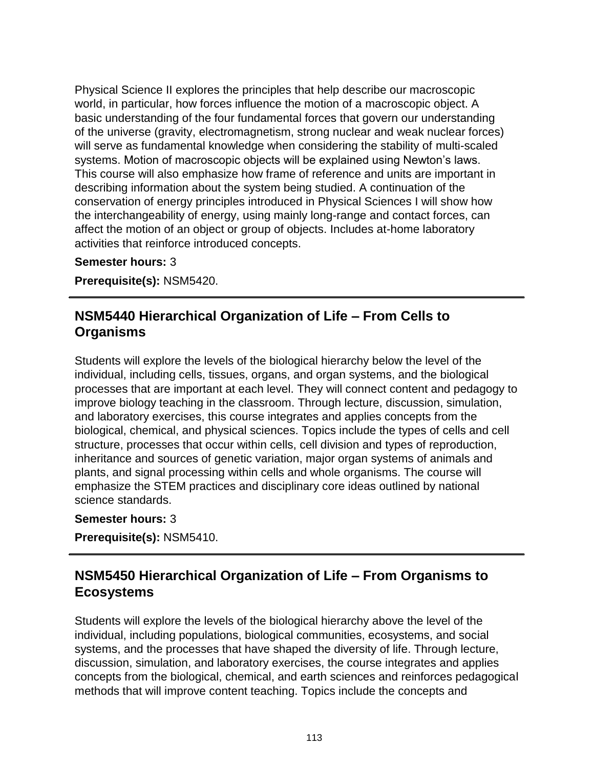Physical Science II explores the principles that help describe our macroscopic world, in particular, how forces influence the motion of a macroscopic object. A basic understanding of the four fundamental forces that govern our understanding of the universe (gravity, electromagnetism, strong nuclear and weak nuclear forces) will serve as fundamental knowledge when considering the stability of multi-scaled systems. Motion of macroscopic objects will be explained using Newton's laws. This course will also emphasize how frame of reference and units are important in describing information about the system being studied. A continuation of the conservation of energy principles introduced in Physical Sciences I will show how the interchangeability of energy, using mainly long-range and contact forces, can affect the motion of an object or group of objects. Includes at-home laboratory activities that reinforce introduced concepts.

**Semester hours:** 3

**Prerequisite(s):** NSM5420.

## **NSM5440 Hierarchical Organization of Life – From Cells to Organisms**

Students will explore the levels of the biological hierarchy below the level of the individual, including cells, tissues, organs, and organ systems, and the biological processes that are important at each level. They will connect content and pedagogy to improve biology teaching in the classroom. Through lecture, discussion, simulation, and laboratory exercises, this course integrates and applies concepts from the biological, chemical, and physical sciences. Topics include the types of cells and cell structure, processes that occur within cells, cell division and types of reproduction, inheritance and sources of genetic variation, major organ systems of animals and plants, and signal processing within cells and whole organisms. The course will emphasize the STEM practices and disciplinary core ideas outlined by national science standards.

#### **Semester hours:** 3

**Prerequisite(s):** NSM5410.

# **NSM5450 Hierarchical Organization of Life – From Organisms to Ecosystems**

Students will explore the levels of the biological hierarchy above the level of the individual, including populations, biological communities, ecosystems, and social systems, and the processes that have shaped the diversity of life. Through lecture, discussion, simulation, and laboratory exercises, the course integrates and applies concepts from the biological, chemical, and earth sciences and reinforces pedagogical methods that will improve content teaching. Topics include the concepts and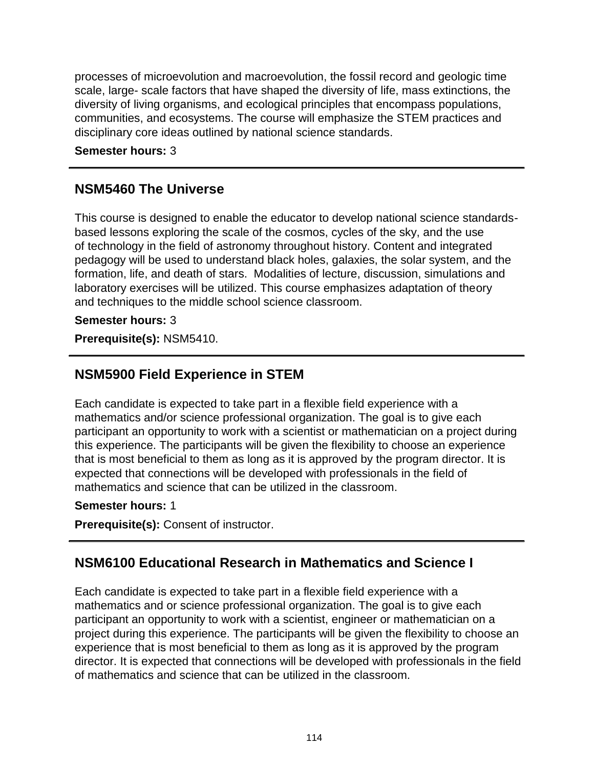processes of microevolution and macroevolution, the fossil record and geologic time scale, large- scale factors that have shaped the diversity of life, mass extinctions, the diversity of living organisms, and ecological principles that encompass populations, communities, and ecosystems. The course will emphasize the STEM practices and disciplinary core ideas outlined by national science standards.

**Semester hours:** 3

## **NSM5460 The Universe**

This course is designed to enable the educator to develop national science standardsbased lessons exploring the scale of the cosmos, cycles of the sky, and the use of technology in the field of astronomy throughout history. Content and integrated pedagogy will be used to understand black holes, galaxies, the solar system, and the formation, life, and death of stars. Modalities of lecture, discussion, simulations and laboratory exercises will be utilized. This course emphasizes adaptation of theory and techniques to the middle school science classroom.

### **Semester hours:** 3

**Prerequisite(s):** NSM5410.

# **NSM5900 Field Experience in STEM**

Each candidate is expected to take part in a flexible field experience with a mathematics and/or science professional organization. The goal is to give each participant an opportunity to work with a scientist or mathematician on a project during this experience. The participants will be given the flexibility to choose an experience that is most beneficial to them as long as it is approved by the program director. It is expected that connections will be developed with professionals in the field of mathematics and science that can be utilized in the classroom.

### **Semester hours:** 1

**Prerequisite(s):** Consent of instructor.

# **NSM6100 Educational Research in Mathematics and Science I**

Each candidate is expected to take part in a flexible field experience with a mathematics and or science professional organization. The goal is to give each participant an opportunity to work with a scientist, engineer or mathematician on a project during this experience. The participants will be given the flexibility to choose an experience that is most beneficial to them as long as it is approved by the program director. It is expected that connections will be developed with professionals in the field of mathematics and science that can be utilized in the classroom.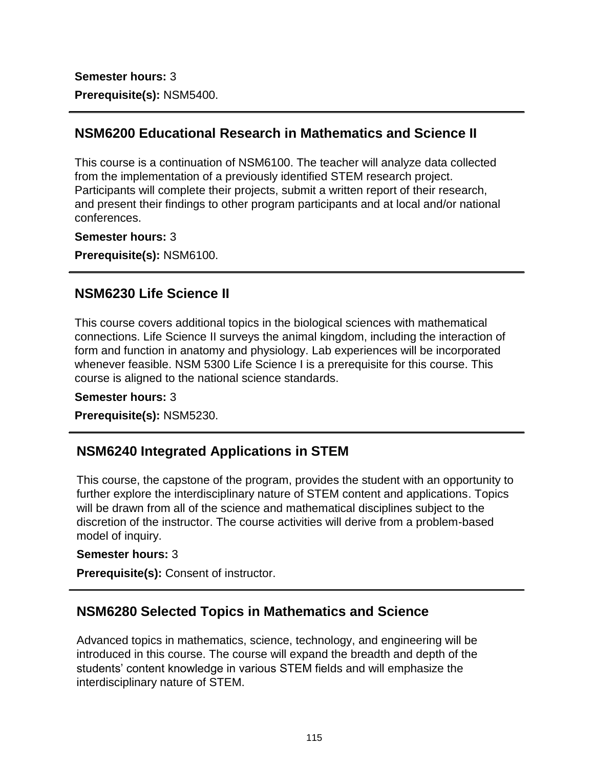**Semester hours:** 3 **Prerequisite(s):** NSM5400.

# **NSM6200 Educational Research in Mathematics and Science II**

This course is a continuation of NSM6100. The teacher will analyze data collected from the implementation of a previously identified STEM research project. Participants will complete their projects, submit a written report of their research, and present their findings to other program participants and at local and/or national conferences.

**Semester hours:** 3

**Prerequisite(s):** NSM6100.

### **NSM6230 Life Science II**

This course covers additional topics in the biological sciences with mathematical connections. Life Science II surveys the animal kingdom, including the interaction of form and function in anatomy and physiology. Lab experiences will be incorporated whenever feasible. NSM 5300 Life Science I is a prerequisite for this course. This course is aligned to the national science standards.

#### **Semester hours:** 3

**Prerequisite(s):** NSM5230.

# **NSM6240 Integrated Applications in STEM**

This course, the capstone of the program, provides the student with an opportunity to further explore the interdisciplinary nature of STEM content and applications. Topics will be drawn from all of the science and mathematical disciplines subject to the discretion of the instructor. The course activities will derive from a problem-based model of inquiry.

#### **Semester hours:** 3

**Prerequisite(s):** Consent of instructor.

## **NSM6280 Selected Topics in Mathematics and Science**

Advanced topics in mathematics, science, technology, and engineering will be introduced in this course. The course will expand the breadth and depth of the students' content knowledge in various STEM fields and will emphasize the interdisciplinary nature of STEM.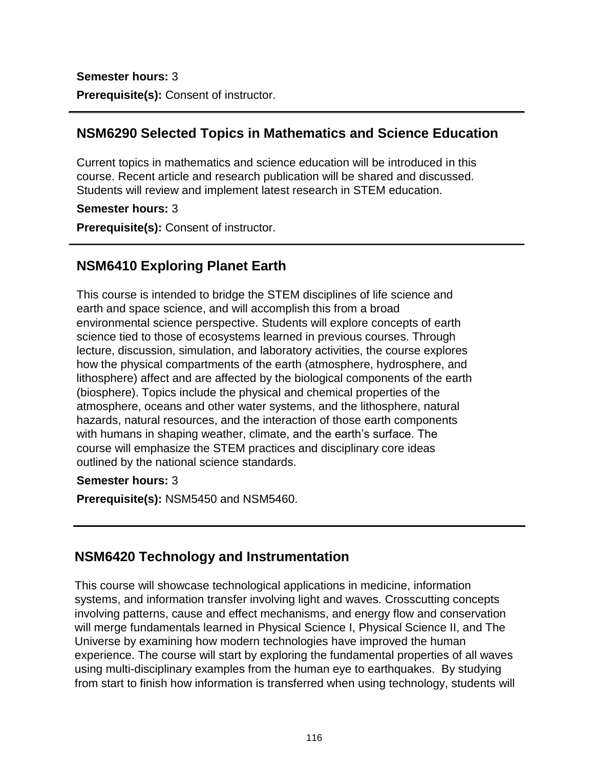**Semester hours:** 3 **Prerequisite(s):** Consent of instructor.

## **NSM6290 Selected Topics in Mathematics and Science Education**

Current topics in mathematics and science education will be introduced in this course. Recent article and research publication will be shared and discussed. Students will review and implement latest research in STEM education.

#### **Semester hours:** 3

**Prerequisite(s):** Consent of instructor.

# **NSM6410 Exploring Planet Earth**

This course is intended to bridge the STEM disciplines of life science and earth and space science, and will accomplish this from a broad environmental science perspective. Students will explore concepts of earth science tied to those of ecosystems learned in previous courses. Through lecture, discussion, simulation, and laboratory activities, the course explores how the physical compartments of the earth (atmosphere, hydrosphere, and lithosphere) affect and are affected by the biological components of the earth (biosphere). Topics include the physical and chemical properties of the atmosphere, oceans and other water systems, and the lithosphere, natural hazards, natural resources, and the interaction of those earth components with humans in shaping weather, climate, and the earth's surface. The course will emphasize the STEM practices and disciplinary core ideas outlined by the national science standards.

### **Semester hours:** 3

**Prerequisite(s):** NSM5450 and NSM5460.

## **NSM6420 Technology and Instrumentation**

This course will showcase technological applications in medicine, information systems, and information transfer involving light and waves. Crosscutting concepts involving patterns, cause and effect mechanisms, and energy flow and conservation will merge fundamentals learned in Physical Science I, Physical Science II, and The Universe by examining how modern technologies have improved the human experience. The course will start by exploring the fundamental properties of all waves using multi-disciplinary examples from the human eye to earthquakes. By studying from start to finish how information is transferred when using technology, students will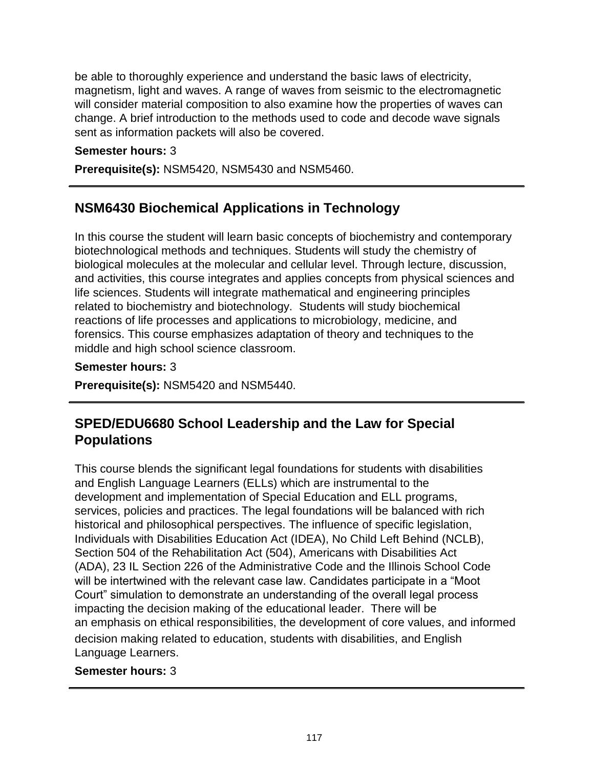be able to thoroughly experience and understand the basic laws of electricity, magnetism, light and waves. A range of waves from seismic to the electromagnetic will consider material composition to also examine how the properties of waves can change. A brief introduction to the methods used to code and decode wave signals sent as information packets will also be covered.

#### **Semester hours:** 3

**Prerequisite(s):** NSM5420, NSM5430 and NSM5460.

# **NSM6430 Biochemical Applications in Technology**

In this course the student will learn basic concepts of biochemistry and contemporary biotechnological methods and techniques. Students will study the chemistry of biological molecules at the molecular and cellular level. Through lecture, discussion, and activities, this course integrates and applies concepts from physical sciences and life sciences. Students will integrate mathematical and engineering principles related to biochemistry and biotechnology. Students will study biochemical reactions of life processes and applications to microbiology, medicine, and forensics. This course emphasizes adaptation of theory and techniques to the middle and high school science classroom.

#### **Semester hours:** 3

**Prerequisite(s):** NSM5420 and NSM5440.

# **SPED/EDU6680 School Leadership and the Law for Special Populations**

This course blends the significant legal foundations for students with disabilities and English Language Learners (ELLs) which are instrumental to the development and implementation of Special Education and ELL programs, services, policies and practices. The legal foundations will be balanced with rich historical and philosophical perspectives. The influence of specific legislation, Individuals with Disabilities Education Act (IDEA), No Child Left Behind (NCLB), Section 504 of the Rehabilitation Act (504), Americans with Disabilities Act (ADA), 23 IL Section 226 of the Administrative Code and the Illinois School Code will be intertwined with the relevant case law. Candidates participate in a "Moot Court" simulation to demonstrate an understanding of the overall legal process impacting the decision making of the educational leader. There will be an emphasis on ethical responsibilities, the development of core values, and informed decision making related to education, students with disabilities, and English Language Learners.

#### **Semester hours:** 3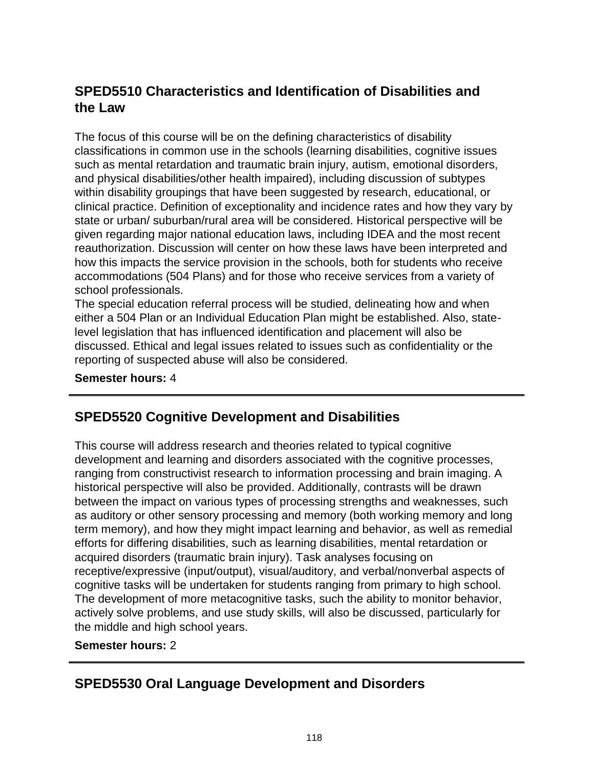# **SPED5510 Characteristics and Identification of Disabilities and the Law**

The focus of this course will be on the defining characteristics of disability classifications in common use in the schools (learning disabilities, cognitive issues such as mental retardation and traumatic brain injury, autism, emotional disorders, and physical disabilities/other health impaired), including discussion of subtypes within disability groupings that have been suggested by research, educational, or clinical practice. Definition of exceptionality and incidence rates and how they vary by state or urban/ suburban/rural area will be considered. Historical perspective will be given regarding major national education laws, including IDEA and the most recent reauthorization. Discussion will center on how these laws have been interpreted and how this impacts the service provision in the schools, both for students who receive accommodations (504 Plans) and for those who receive services from a variety of school professionals.

The special education referral process will be studied, delineating how and when either a 504 Plan or an Individual Education Plan might be established. Also, statelevel legislation that has influenced identification and placement will also be discussed. Ethical and legal issues related to issues such as confidentiality or the reporting of suspected abuse will also be considered.

**Semester hours:** 4

## **SPED5520 Cognitive Development and Disabilities**

This course will address research and theories related to typical cognitive development and learning and disorders associated with the cognitive processes, ranging from constructivist research to information processing and brain imaging. A historical perspective will also be provided. Additionally, contrasts will be drawn between the impact on various types of processing strengths and weaknesses, such as auditory or other sensory processing and memory (both working memory and long term memory), and how they might impact learning and behavior, as well as remedial efforts for differing disabilities, such as learning disabilities, mental retardation or acquired disorders (traumatic brain injury). Task analyses focusing on receptive/expressive (input/output), visual/auditory, and verbal/nonverbal aspects of cognitive tasks will be undertaken for students ranging from primary to high school. The development of more metacognitive tasks, such the ability to monitor behavior, actively solve problems, and use study skills, will also be discussed, particularly for the middle and high school years.

#### **Semester hours:** 2

# **SPED5530 Oral Language Development and Disorders**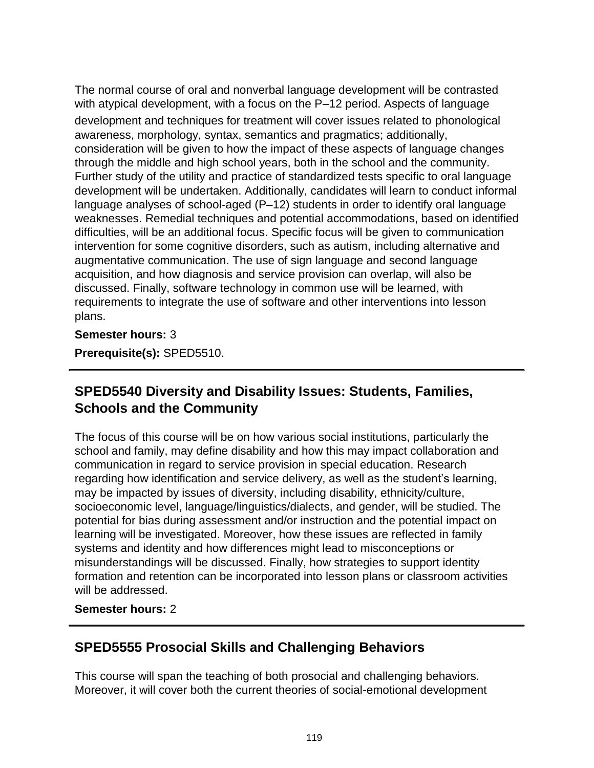The normal course of oral and nonverbal language development will be contrasted with atypical development, with a focus on the P–12 period. Aspects of language development and techniques for treatment will cover issues related to phonological awareness, morphology, syntax, semantics and pragmatics; additionally, consideration will be given to how the impact of these aspects of language changes through the middle and high school years, both in the school and the community. Further study of the utility and practice of standardized tests specific to oral language development will be undertaken. Additionally, candidates will learn to conduct informal language analyses of school-aged (P–12) students in order to identify oral language weaknesses. Remedial techniques and potential accommodations, based on identified difficulties, will be an additional focus. Specific focus will be given to communication intervention for some cognitive disorders, such as autism, including alternative and augmentative communication. The use of sign language and second language acquisition, and how diagnosis and service provision can overlap, will also be discussed. Finally, software technology in common use will be learned, with requirements to integrate the use of software and other interventions into lesson plans.

#### **Semester hours:** 3

**Prerequisite(s):** SPED5510.

# **SPED5540 Diversity and Disability Issues: Students, Families, Schools and the Community**

The focus of this course will be on how various social institutions, particularly the school and family, may define disability and how this may impact collaboration and communication in regard to service provision in special education. Research regarding how identification and service delivery, as well as the student's learning, may be impacted by issues of diversity, including disability, ethnicity/culture, socioeconomic level, language/linguistics/dialects, and gender, will be studied. The potential for bias during assessment and/or instruction and the potential impact on learning will be investigated. Moreover, how these issues are reflected in family systems and identity and how differences might lead to misconceptions or misunderstandings will be discussed. Finally, how strategies to support identity formation and retention can be incorporated into lesson plans or classroom activities will be addressed.

#### **Semester hours:** 2

## **SPED5555 Prosocial Skills and Challenging Behaviors**

This course will span the teaching of both prosocial and challenging behaviors. Moreover, it will cover both the current theories of social-emotional development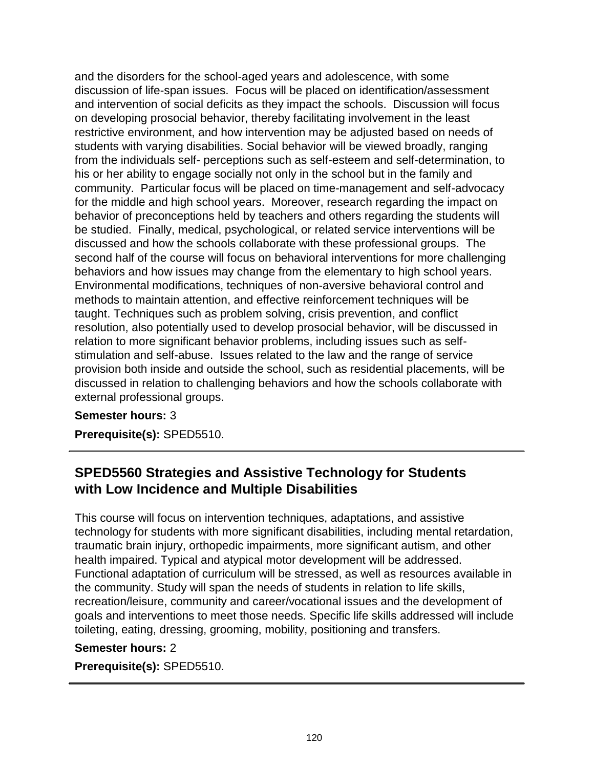and the disorders for the school-aged years and adolescence, with some discussion of life-span issues. Focus will be placed on identification/assessment and intervention of social deficits as they impact the schools. Discussion will focus on developing prosocial behavior, thereby facilitating involvement in the least restrictive environment, and how intervention may be adjusted based on needs of students with varying disabilities. Social behavior will be viewed broadly, ranging from the individuals self- perceptions such as self-esteem and self-determination, to his or her ability to engage socially not only in the school but in the family and community. Particular focus will be placed on time-management and self-advocacy for the middle and high school years. Moreover, research regarding the impact on behavior of preconceptions held by teachers and others regarding the students will be studied. Finally, medical, psychological, or related service interventions will be discussed and how the schools collaborate with these professional groups. The second half of the course will focus on behavioral interventions for more challenging behaviors and how issues may change from the elementary to high school years. Environmental modifications, techniques of non-aversive behavioral control and methods to maintain attention, and effective reinforcement techniques will be taught. Techniques such as problem solving, crisis prevention, and conflict resolution, also potentially used to develop prosocial behavior, will be discussed in relation to more significant behavior problems, including issues such as selfstimulation and self-abuse. Issues related to the law and the range of service provision both inside and outside the school, such as residential placements, will be discussed in relation to challenging behaviors and how the schools collaborate with external professional groups.

#### **Semester hours:** 3

**Prerequisite(s):** SPED5510.

## **SPED5560 Strategies and Assistive Technology for Students with Low Incidence and Multiple Disabilities**

This course will focus on intervention techniques, adaptations, and assistive technology for students with more significant disabilities, including mental retardation, traumatic brain injury, orthopedic impairments, more significant autism, and other health impaired. Typical and atypical motor development will be addressed. Functional adaptation of curriculum will be stressed, as well as resources available in the community. Study will span the needs of students in relation to life skills, recreation/leisure, community and career/vocational issues and the development of goals and interventions to meet those needs. Specific life skills addressed will include toileting, eating, dressing, grooming, mobility, positioning and transfers.

#### **Semester hours:** 2

**Prerequisite(s):** SPED5510.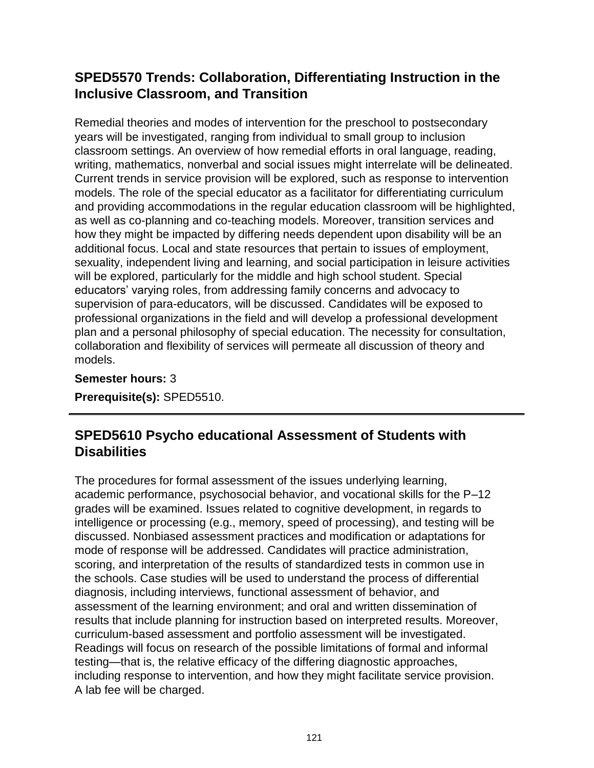# **SPED5570 Trends: Collaboration, Differentiating Instruction in the Inclusive Classroom, and Transition**

Remedial theories and modes of intervention for the preschool to postsecondary years will be investigated, ranging from individual to small group to inclusion classroom settings. An overview of how remedial efforts in oral language, reading, writing, mathematics, nonverbal and social issues might interrelate will be delineated. Current trends in service provision will be explored, such as response to intervention models. The role of the special educator as a facilitator for differentiating curriculum and providing accommodations in the regular education classroom will be highlighted, as well as co-planning and co-teaching models. Moreover, transition services and how they might be impacted by differing needs dependent upon disability will be an additional focus. Local and state resources that pertain to issues of employment, sexuality, independent living and learning, and social participation in leisure activities will be explored, particularly for the middle and high school student. Special educators' varying roles, from addressing family concerns and advocacy to supervision of para-educators, will be discussed. Candidates will be exposed to professional organizations in the field and will develop a professional development plan and a personal philosophy of special education. The necessity for consultation, collaboration and flexibility of services will permeate all discussion of theory and models.

**Semester hours:** 3

**Prerequisite(s):** SPED5510.

# **SPED5610 Psycho educational Assessment of Students with Disabilities**

The procedures for formal assessment of the issues underlying learning, academic performance, psychosocial behavior, and vocational skills for the P–12 grades will be examined. Issues related to cognitive development, in regards to intelligence or processing (e.g., memory, speed of processing), and testing will be discussed. Nonbiased assessment practices and modification or adaptations for mode of response will be addressed. Candidates will practice administration, scoring, and interpretation of the results of standardized tests in common use in the schools. Case studies will be used to understand the process of differential diagnosis, including interviews, functional assessment of behavior, and assessment of the learning environment; and oral and written dissemination of results that include planning for instruction based on interpreted results. Moreover, curriculum-based assessment and portfolio assessment will be investigated. Readings will focus on research of the possible limitations of formal and informal testing—that is, the relative efficacy of the differing diagnostic approaches, including response to intervention, and how they might facilitate service provision. A lab fee will be charged.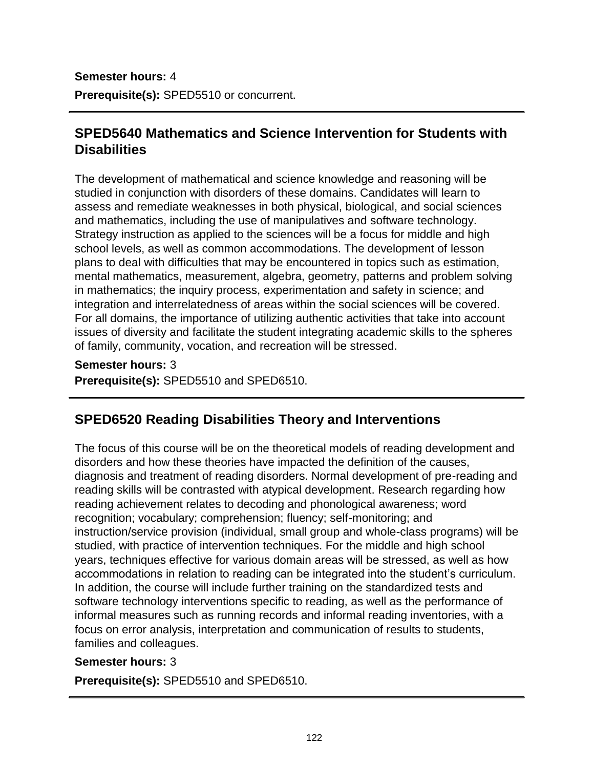**Semester hours:** 4 **Prerequisite(s):** SPED5510 or concurrent.

# **SPED5640 Mathematics and Science Intervention for Students with Disabilities**

The development of mathematical and science knowledge and reasoning will be studied in conjunction with disorders of these domains. Candidates will learn to assess and remediate weaknesses in both physical, biological, and social sciences and mathematics, including the use of manipulatives and software technology. Strategy instruction as applied to the sciences will be a focus for middle and high school levels, as well as common accommodations. The development of lesson plans to deal with difficulties that may be encountered in topics such as estimation, mental mathematics, measurement, algebra, geometry, patterns and problem solving in mathematics; the inquiry process, experimentation and safety in science; and integration and interrelatedness of areas within the social sciences will be covered. For all domains, the importance of utilizing authentic activities that take into account issues of diversity and facilitate the student integrating academic skills to the spheres of family, community, vocation, and recreation will be stressed.

**Semester hours:** 3

**Prerequisite(s):** SPED5510 and SPED6510.

## **SPED6520 Reading Disabilities Theory and Interventions**

The focus of this course will be on the theoretical models of reading development and disorders and how these theories have impacted the definition of the causes, diagnosis and treatment of reading disorders. Normal development of pre-reading and reading skills will be contrasted with atypical development. Research regarding how reading achievement relates to decoding and phonological awareness; word recognition; vocabulary; comprehension; fluency; self-monitoring; and instruction/service provision (individual, small group and whole-class programs) will be studied, with practice of intervention techniques. For the middle and high school years, techniques effective for various domain areas will be stressed, as well as how accommodations in relation to reading can be integrated into the student's curriculum. In addition, the course will include further training on the standardized tests and software technology interventions specific to reading, as well as the performance of informal measures such as running records and informal reading inventories, with a focus on error analysis, interpretation and communication of results to students, families and colleagues.

#### **Semester hours:** 3

**Prerequisite(s):** SPED5510 and SPED6510.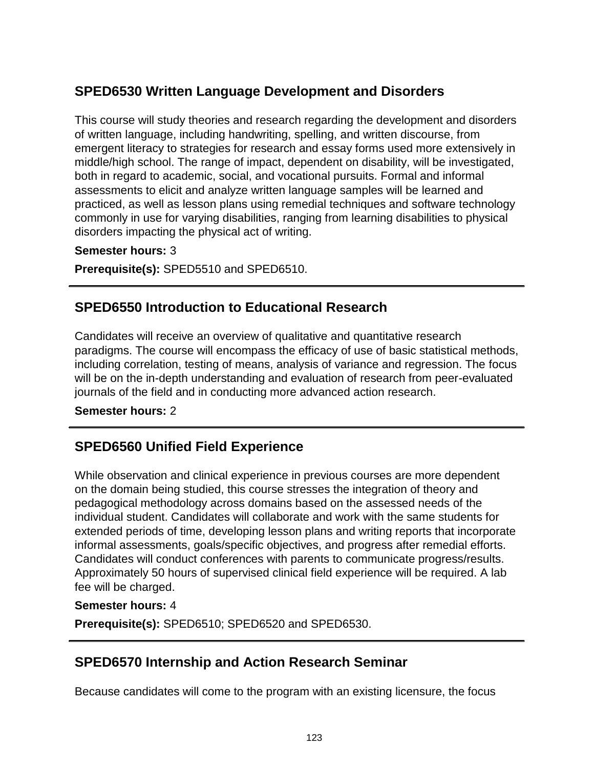# **SPED6530 Written Language Development and Disorders**

This course will study theories and research regarding the development and disorders of written language, including handwriting, spelling, and written discourse, from emergent literacy to strategies for research and essay forms used more extensively in middle/high school. The range of impact, dependent on disability, will be investigated, both in regard to academic, social, and vocational pursuits. Formal and informal assessments to elicit and analyze written language samples will be learned and practiced, as well as lesson plans using remedial techniques and software technology commonly in use for varying disabilities, ranging from learning disabilities to physical disorders impacting the physical act of writing.

#### **Semester hours:** 3

**Prerequisite(s):** SPED5510 and SPED6510.

## **SPED6550 Introduction to Educational Research**

Candidates will receive an overview of qualitative and quantitative research paradigms. The course will encompass the efficacy of use of basic statistical methods, including correlation, testing of means, analysis of variance and regression. The focus will be on the in-depth understanding and evaluation of research from peer-evaluated journals of the field and in conducting more advanced action research.

#### **Semester hours:** 2

## **SPED6560 Unified Field Experience**

While observation and clinical experience in previous courses are more dependent on the domain being studied, this course stresses the integration of theory and pedagogical methodology across domains based on the assessed needs of the individual student. Candidates will collaborate and work with the same students for extended periods of time, developing lesson plans and writing reports that incorporate informal assessments, goals/specific objectives, and progress after remedial efforts. Candidates will conduct conferences with parents to communicate progress/results. Approximately 50 hours of supervised clinical field experience will be required. A lab fee will be charged.

#### **Semester hours:** 4

**Prerequisite(s):** SPED6510; SPED6520 and SPED6530.

## **SPED6570 Internship and Action Research Seminar**

Because candidates will come to the program with an existing licensure, the focus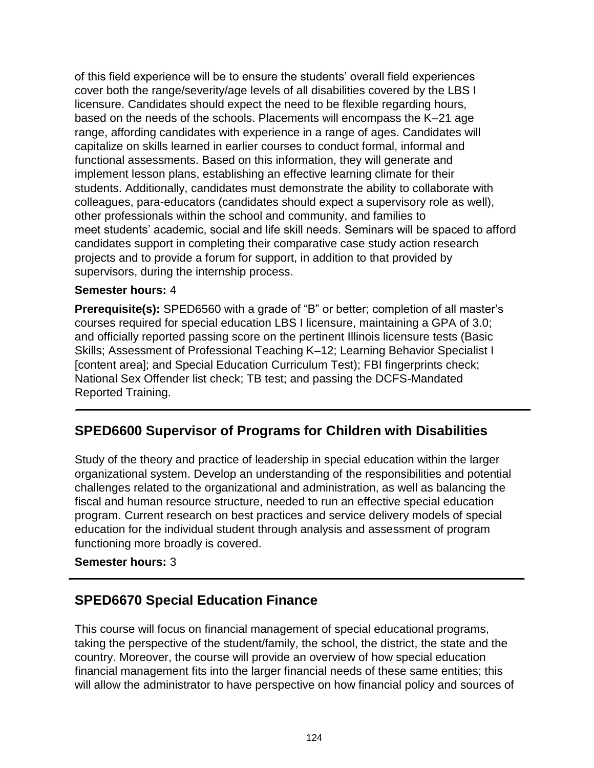of this field experience will be to ensure the students' overall field experiences cover both the range/severity/age levels of all disabilities covered by the LBS I licensure. Candidates should expect the need to be flexible regarding hours, based on the needs of the schools. Placements will encompass the K–21 age range, affording candidates with experience in a range of ages. Candidates will capitalize on skills learned in earlier courses to conduct formal, informal and functional assessments. Based on this information, they will generate and implement lesson plans, establishing an effective learning climate for their students. Additionally, candidates must demonstrate the ability to collaborate with colleagues, para-educators (candidates should expect a supervisory role as well), other professionals within the school and community, and families to meet students' academic, social and life skill needs. Seminars will be spaced to afford candidates support in completing their comparative case study action research projects and to provide a forum for support, in addition to that provided by supervisors, during the internship process.

#### **Semester hours:** 4

**Prerequisite(s):** SPED6560 with a grade of "B" or better; completion of all master's courses required for special education LBS I licensure, maintaining a GPA of 3.0; and officially reported passing score on the pertinent Illinois licensure tests (Basic Skills; Assessment of Professional Teaching K–12; Learning Behavior Specialist I [content area]; and Special Education Curriculum Test); FBI fingerprints check; National Sex Offender list check; TB test; and passing the DCFS-Mandated Reported Training.

## **SPED6600 Supervisor of Programs for Children with Disabilities**

Study of the theory and practice of leadership in special education within the larger organizational system. Develop an understanding of the responsibilities and potential challenges related to the organizational and administration, as well as balancing the fiscal and human resource structure, needed to run an effective special education program. Current research on best practices and service delivery models of special education for the individual student through analysis and assessment of program functioning more broadly is covered.

#### **Semester hours:** 3

### **SPED6670 Special Education Finance**

This course will focus on financial management of special educational programs, taking the perspective of the student/family, the school, the district, the state and the country. Moreover, the course will provide an overview of how special education financial management fits into the larger financial needs of these same entities; this will allow the administrator to have perspective on how financial policy and sources of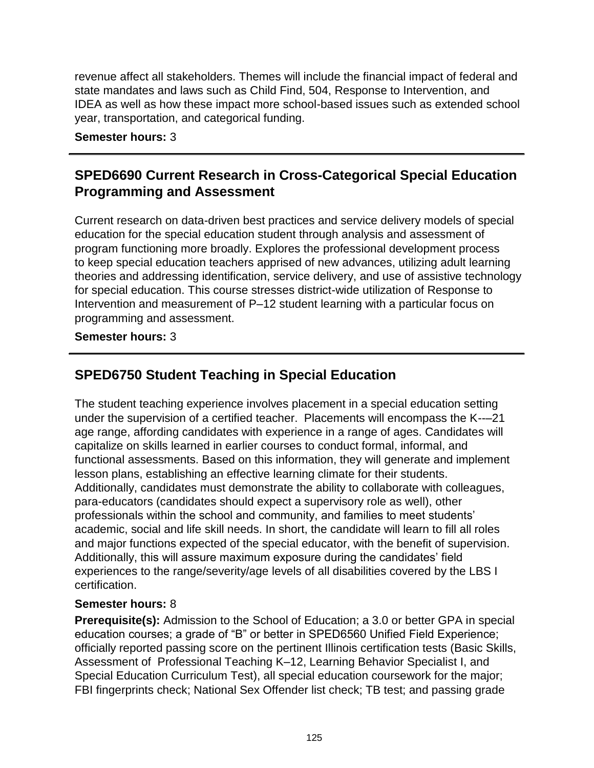revenue affect all stakeholders. Themes will include the financial impact of federal and state mandates and laws such as Child Find, 504, Response to Intervention, and IDEA as well as how these impact more school-based issues such as extended school year, transportation, and categorical funding.

**Semester hours:** 3

# **SPED6690 Current Research in Cross-Categorical Special Education Programming and Assessment**

Current research on data-driven best practices and service delivery models of special education for the special education student through analysis and assessment of program functioning more broadly. Explores the professional development process to keep special education teachers apprised of new advances, utilizing adult learning theories and addressing identification, service delivery, and use of assistive technology for special education. This course stresses district-wide utilization of Response to Intervention and measurement of P–12 student learning with a particular focus on programming and assessment.

#### **Semester hours:** 3

# **SPED6750 Student Teaching in Special Education**

The student teaching experience involves placement in a special education setting under the supervision of a certified teacher. Placements will encompass the K--–21 age range, affording candidates with experience in a range of ages. Candidates will capitalize on skills learned in earlier courses to conduct formal, informal, and functional assessments. Based on this information, they will generate and implement lesson plans, establishing an effective learning climate for their students. Additionally, candidates must demonstrate the ability to collaborate with colleagues, para-educators (candidates should expect a supervisory role as well), other professionals within the school and community, and families to meet students' academic, social and life skill needs. In short, the candidate will learn to fill all roles and major functions expected of the special educator, with the benefit of supervision. Additionally, this will assure maximum exposure during the candidates' field experiences to the range/severity/age levels of all disabilities covered by the LBS I certification.

#### **Semester hours:** 8

**Prerequisite(s):** Admission to the School of Education; a 3.0 or better GPA in special education courses; a grade of "B" or better in SPED6560 Unified Field Experience; officially reported passing score on the pertinent Illinois certification tests (Basic Skills, Assessment of Professional Teaching K–12, Learning Behavior Specialist I, and Special Education Curriculum Test), all special education coursework for the major; FBI fingerprints check; National Sex Offender list check; TB test; and passing grade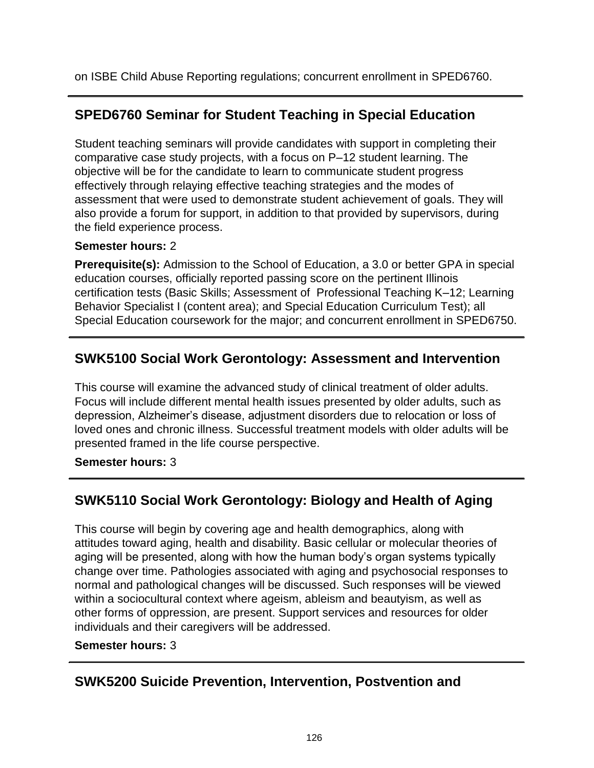on ISBE Child Abuse Reporting regulations; concurrent enrollment in SPED6760.

# **SPED6760 Seminar for Student Teaching in Special Education**

Student teaching seminars will provide candidates with support in completing their comparative case study projects, with a focus on P–12 student learning. The objective will be for the candidate to learn to communicate student progress effectively through relaying effective teaching strategies and the modes of assessment that were used to demonstrate student achievement of goals. They will also provide a forum for support, in addition to that provided by supervisors, during the field experience process.

### **Semester hours:** 2

**Prerequisite(s):** Admission to the School of Education, a 3.0 or better GPA in special education courses, officially reported passing score on the pertinent Illinois certification tests (Basic Skills; Assessment of Professional Teaching K–12; Learning Behavior Specialist I (content area); and Special Education Curriculum Test); all Special Education coursework for the major; and concurrent enrollment in SPED6750.

# **SWK5100 Social Work Gerontology: Assessment and Intervention**

This course will examine the advanced study of clinical treatment of older adults. Focus will include different mental health issues presented by older adults, such as depression, Alzheimer's disease, adjustment disorders due to relocation or loss of loved ones and chronic illness. Successful treatment models with older adults will be presented framed in the life course perspective.

**Semester hours:** 3

# **SWK5110 Social Work Gerontology: Biology and Health of Aging**

This course will begin by covering age and health demographics, along with attitudes toward aging, health and disability. Basic cellular or molecular theories of aging will be presented, along with how the human body's organ systems typically change over time. Pathologies associated with aging and psychosocial responses to normal and pathological changes will be discussed. Such responses will be viewed within a sociocultural context where ageism, ableism and beautyism, as well as other forms of oppression, are present. Support services and resources for older individuals and their caregivers will be addressed.

### **Semester hours:** 3

# **SWK5200 Suicide Prevention, Intervention, Postvention and**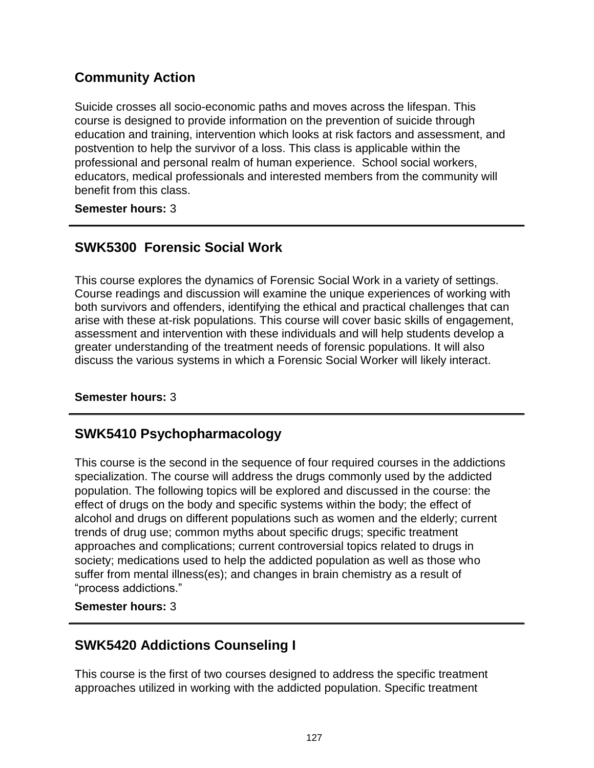# **Community Action**

Suicide crosses all socio-economic paths and moves across the lifespan. This course is designed to provide information on the prevention of suicide through education and training, intervention which looks at risk factors and assessment, and postvention to help the survivor of a loss. This class is applicable within the professional and personal realm of human experience. School social workers, educators, medical professionals and interested members from the community will benefit from this class.

**Semester hours:** 3

# **SWK5300 Forensic Social Work**

This course explores the dynamics of Forensic Social Work in a variety of settings. Course readings and discussion will examine the unique experiences of working with both survivors and offenders, identifying the ethical and practical challenges that can arise with these at-risk populations. This course will cover basic skills of engagement, assessment and intervention with these individuals and will help students develop a greater understanding of the treatment needs of forensic populations. It will also discuss the various systems in which a Forensic Social Worker will likely interact.

**Semester hours:** 3

## **SWK5410 Psychopharmacology**

This course is the second in the sequence of four required courses in the addictions specialization. The course will address the drugs commonly used by the addicted population. The following topics will be explored and discussed in the course: the effect of drugs on the body and specific systems within the body; the effect of alcohol and drugs on different populations such as women and the elderly; current trends of drug use; common myths about specific drugs; specific treatment approaches and complications; current controversial topics related to drugs in society; medications used to help the addicted population as well as those who suffer from mental illness(es); and changes in brain chemistry as a result of "process addictions."

**Semester hours:** 3

## **SWK5420 Addictions Counseling I**

This course is the first of two courses designed to address the specific treatment approaches utilized in working with the addicted population. Specific treatment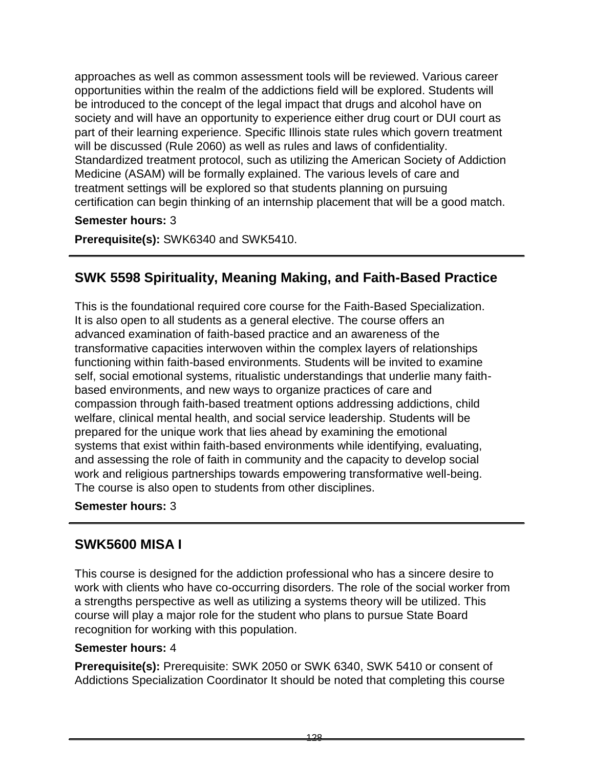approaches as well as common assessment tools will be reviewed. Various career opportunities within the realm of the addictions field will be explored. Students will be introduced to the concept of the legal impact that drugs and alcohol have on society and will have an opportunity to experience either drug court or DUI court as part of their learning experience. Specific Illinois state rules which govern treatment will be discussed (Rule 2060) as well as rules and laws of confidentiality. Standardized treatment protocol, such as utilizing the American Society of Addiction Medicine (ASAM) will be formally explained. The various levels of care and treatment settings will be explored so that students planning on pursuing certification can begin thinking of an internship placement that will be a good match.

#### **Semester hours:** 3

**Prerequisite(s):** SWK6340 and SWK5410.

## **SWK 5598 Spirituality, Meaning Making, and Faith-Based Practice**

This is the foundational required core course for the Faith-Based Specialization. It is also open to all students as a general elective. The course offers an advanced examination of faith-based practice and an awareness of the transformative capacities interwoven within the complex layers of relationships functioning within faith-based environments. Students will be invited to examine self, social emotional systems, ritualistic understandings that underlie many faithbased environments, and new ways to organize practices of care and compassion through faith-based treatment options addressing addictions, child welfare, clinical mental health, and social service leadership. Students will be prepared for the unique work that lies ahead by examining the emotional systems that exist within faith-based environments while identifying, evaluating, and assessing the role of faith in community and the capacity to develop social work and religious partnerships towards empowering transformative well-being. The course is also open to students from other disciplines.

#### **Semester hours:** 3

### **SWK5600 MISA I**

This course is designed for the addiction professional who has a sincere desire to work with clients who have co-occurring disorders. The role of the social worker from a strengths perspective as well as utilizing a systems theory will be utilized. This course will play a major role for the student who plans to pursue State Board recognition for working with this population.

#### **Semester hours:** 4

**Prerequisite(s):** Prerequisite: SWK 2050 or SWK 6340, SWK 5410 or consent of Addictions Specialization Coordinator It should be noted that completing this course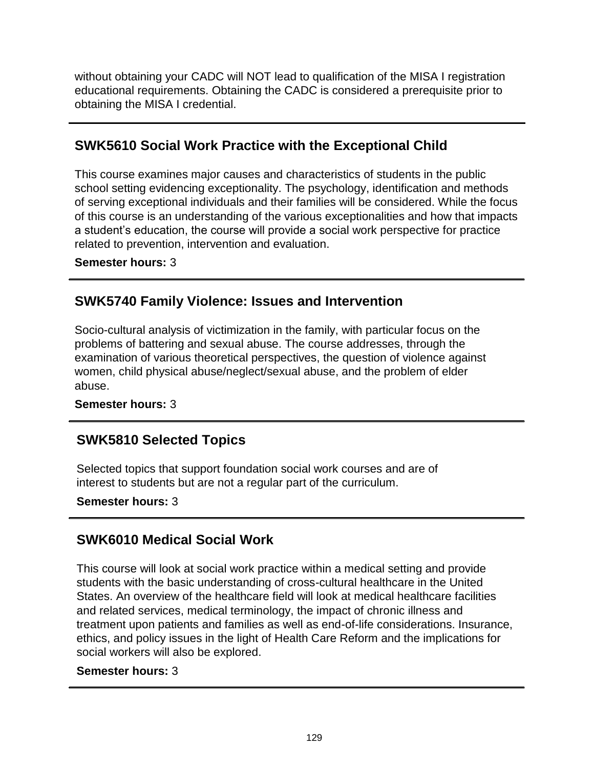without obtaining your CADC will NOT lead to qualification of the MISA I registration educational requirements. Obtaining the CADC is considered a prerequisite prior to obtaining the MISA I credential.

# **SWK5610 Social Work Practice with the Exceptional Child**

This course examines major causes and characteristics of students in the public school setting evidencing exceptionality. The psychology, identification and methods of serving exceptional individuals and their families will be considered. While the focus of this course is an understanding of the various exceptionalities and how that impacts a student's education, the course will provide a social work perspective for practice related to prevention, intervention and evaluation.

**Semester hours:** 3

## **SWK5740 Family Violence: Issues and Intervention**

Socio-cultural analysis of victimization in the family, with particular focus on the problems of battering and sexual abuse. The course addresses, through the examination of various theoretical perspectives, the question of violence against women, child physical abuse/neglect/sexual abuse, and the problem of elder abuse.

**Semester hours:** 3

## **SWK5810 Selected Topics**

Selected topics that support foundation social work courses and are of interest to students but are not a regular part of the curriculum.

**Semester hours:** 3

# **SWK6010 Medical Social Work**

This course will look at social work practice within a medical setting and provide students with the basic understanding of cross-cultural healthcare in the United States. An overview of the healthcare field will look at medical healthcare facilities and related services, medical terminology, the impact of chronic illness and treatment upon patients and families as well as end-of-life considerations. Insurance, ethics, and policy issues in the light of Health Care Reform and the implications for social workers will also be explored.

### **Semester hours:** 3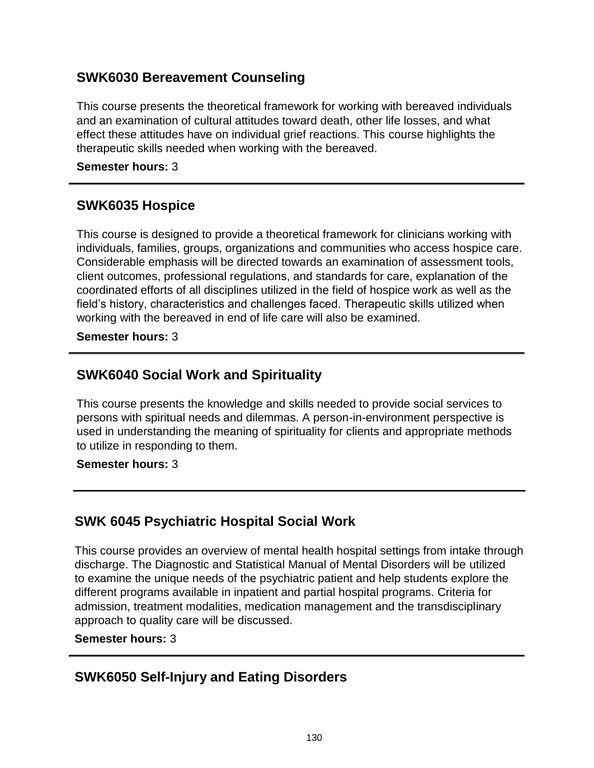## **SWK6030 Bereavement Counseling**

This course presents the theoretical framework for working with bereaved individuals and an examination of cultural attitudes toward death, other life losses, and what effect these attitudes have on individual grief reactions. This course highlights the therapeutic skills needed when working with the bereaved.

#### **Semester hours:** 3

## **SWK6035 Hospice**

This course is designed to provide a theoretical framework for clinicians working with individuals, families, groups, organizations and communities who access hospice care. Considerable emphasis will be directed towards an examination of assessment tools, client outcomes, professional regulations, and standards for care, explanation of the coordinated efforts of all disciplines utilized in the field of hospice work as well as the field's history, characteristics and challenges faced. Therapeutic skills utilized when working with the bereaved in end of life care will also be examined.

**Semester hours:** 3

# **SWK6040 Social Work and Spirituality**

This course presents the knowledge and skills needed to provide social services to persons with spiritual needs and dilemmas. A person-in-environment perspective is used in understanding the meaning of spirituality for clients and appropriate methods to utilize in responding to them.

#### **Semester hours:** 3

## **SWK 6045 Psychiatric Hospital Social Work**

This course provides an overview of mental health hospital settings from intake through discharge. The Diagnostic and Statistical Manual of Mental Disorders will be utilized to examine the unique needs of the psychiatric patient and help students explore the different programs available in inpatient and partial hospital programs. Criteria for admission, treatment modalities, medication management and the transdisciplinary approach to quality care will be discussed.

#### **Semester hours:** 3

## **SWK6050 Self-Injury and Eating Disorders**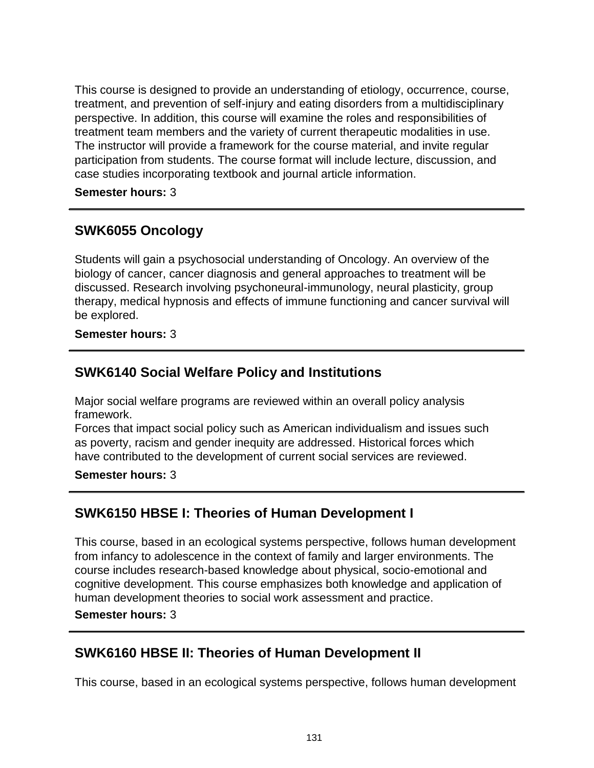This course is designed to provide an understanding of etiology, occurrence, course, treatment, and prevention of self-injury and eating disorders from a multidisciplinary perspective. In addition, this course will examine the roles and responsibilities of treatment team members and the variety of current therapeutic modalities in use. The instructor will provide a framework for the course material, and invite regular participation from students. The course format will include lecture, discussion, and case studies incorporating textbook and journal article information.

**Semester hours:** 3

## **SWK6055 Oncology**

Students will gain a psychosocial understanding of Oncology. An overview of the biology of cancer, cancer diagnosis and general approaches to treatment will be discussed. Research involving psychoneural-immunology, neural plasticity, group therapy, medical hypnosis and effects of immune functioning and cancer survival will be explored.

**Semester hours:** 3

## **SWK6140 Social Welfare Policy and Institutions**

Major social welfare programs are reviewed within an overall policy analysis framework.

Forces that impact social policy such as American individualism and issues such as poverty, racism and gender inequity are addressed. Historical forces which have contributed to the development of current social services are reviewed.

**Semester hours:** 3

## **SWK6150 HBSE I: Theories of Human Development I**

This course, based in an ecological systems perspective, follows human development from infancy to adolescence in the context of family and larger environments. The course includes research-based knowledge about physical, socio-emotional and cognitive development. This course emphasizes both knowledge and application of human development theories to social work assessment and practice.

**Semester hours:** 3

### **SWK6160 HBSE II: Theories of Human Development II**

This course, based in an ecological systems perspective, follows human development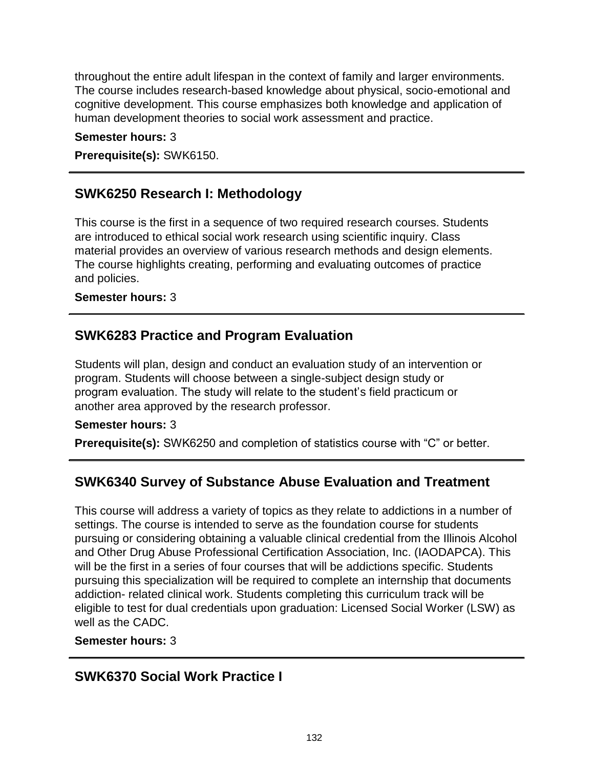throughout the entire adult lifespan in the context of family and larger environments. The course includes research-based knowledge about physical, socio-emotional and cognitive development. This course emphasizes both knowledge and application of human development theories to social work assessment and practice.

**Semester hours:** 3

**Prerequisite(s):** SWK6150.

### **SWK6250 Research I: Methodology**

This course is the first in a sequence of two required research courses. Students are introduced to ethical social work research using scientific inquiry. Class material provides an overview of various research methods and design elements. The course highlights creating, performing and evaluating outcomes of practice and policies.

#### **Semester hours:** 3

# **SWK6283 Practice and Program Evaluation**

Students will plan, design and conduct an evaluation study of an intervention or program. Students will choose between a single-subject design study or program evaluation. The study will relate to the student's field practicum or another area approved by the research professor.

#### **Semester hours:** 3

**Prerequisite(s):** SWK6250 and completion of statistics course with "C" or better.

### **SWK6340 Survey of Substance Abuse Evaluation and Treatment**

This course will address a variety of topics as they relate to addictions in a number of settings. The course is intended to serve as the foundation course for students pursuing or considering obtaining a valuable clinical credential from the Illinois Alcohol and Other Drug Abuse Professional Certification Association, Inc. (IAODAPCA). This will be the first in a series of four courses that will be addictions specific. Students pursuing this specialization will be required to complete an internship that documents addiction- related clinical work. Students completing this curriculum track will be eligible to test for dual credentials upon graduation: Licensed Social Worker (LSW) as well as the CADC.

#### **Semester hours:** 3

## **SWK6370 Social Work Practice I**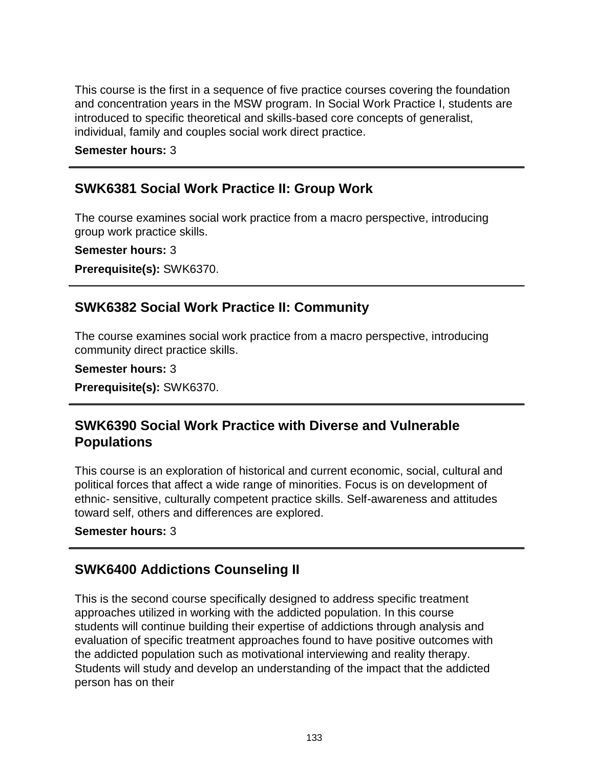This course is the first in a sequence of five practice courses covering the foundation and concentration years in the MSW program. In Social Work Practice I, students are introduced to specific theoretical and skills-based core concepts of generalist, individual, family and couples social work direct practice.

**Semester hours:** 3

### **SWK6381 Social Work Practice II: Group Work**

The course examines social work practice from a macro perspective, introducing group work practice skills.

**Semester hours:** 3

**Prerequisite(s):** SWK6370.

## **SWK6382 Social Work Practice II: Community**

The course examines social work practice from a macro perspective, introducing community direct practice skills.

**Semester hours:** 3

**Prerequisite(s):** SWK6370.

## **SWK6390 Social Work Practice with Diverse and Vulnerable Populations**

This course is an exploration of historical and current economic, social, cultural and political forces that affect a wide range of minorities. Focus is on development of ethnic- sensitive, culturally competent practice skills. Self-awareness and attitudes toward self, others and differences are explored.

**Semester hours:** 3

## **SWK6400 Addictions Counseling II**

This is the second course specifically designed to address specific treatment approaches utilized in working with the addicted population. In this course students will continue building their expertise of addictions through analysis and evaluation of specific treatment approaches found to have positive outcomes with the addicted population such as motivational interviewing and reality therapy. Students will study and develop an understanding of the impact that the addicted person has on their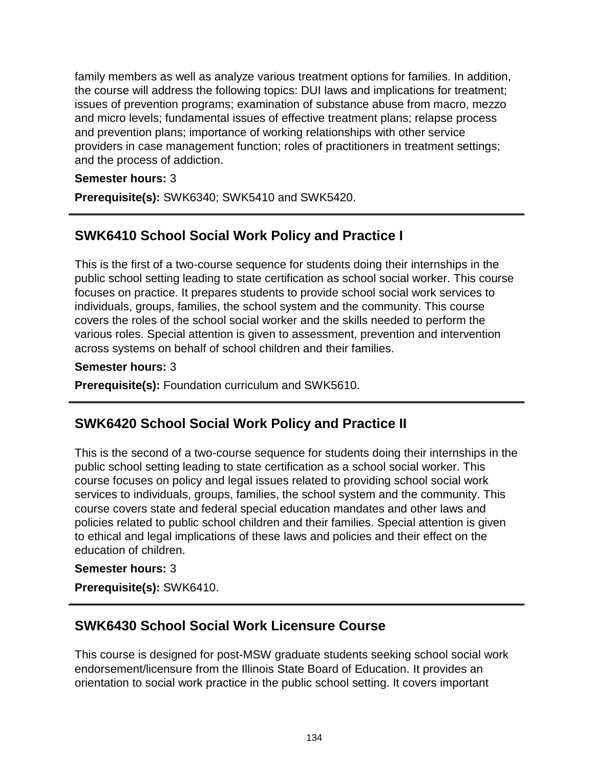family members as well as analyze various treatment options for families. In addition, the course will address the following topics: DUI laws and implications for treatment; issues of prevention programs; examination of substance abuse from macro, mezzo and micro levels; fundamental issues of effective treatment plans; relapse process and prevention plans; importance of working relationships with other service providers in case management function; roles of practitioners in treatment settings; and the process of addiction.

#### **Semester hours:** 3

**Prerequisite(s):** SWK6340; SWK5410 and SWK5420.

# **SWK6410 School Social Work Policy and Practice I**

This is the first of a two-course sequence for students doing their internships in the public school setting leading to state certification as school social worker. This course focuses on practice. It prepares students to provide school social work services to individuals, groups, families, the school system and the community. This course covers the roles of the school social worker and the skills needed to perform the various roles. Special attention is given to assessment, prevention and intervention across systems on behalf of school children and their families.

#### **Semester hours:** 3

**Prerequisite(s):** Foundation curriculum and SWK5610.

## **SWK6420 School Social Work Policy and Practice II**

This is the second of a two-course sequence for students doing their internships in the public school setting leading to state certification as a school social worker. This course focuses on policy and legal issues related to providing school social work services to individuals, groups, families, the school system and the community. This course covers state and federal special education mandates and other laws and policies related to public school children and their families. Special attention is given to ethical and legal implications of these laws and policies and their effect on the education of children.

#### **Semester hours:** 3

**Prerequisite(s):** SWK6410.

## **SWK6430 School Social Work Licensure Course**

This course is designed for post-MSW graduate students seeking school social work endorsement/licensure from the Illinois State Board of Education. It provides an orientation to social work practice in the public school setting. It covers important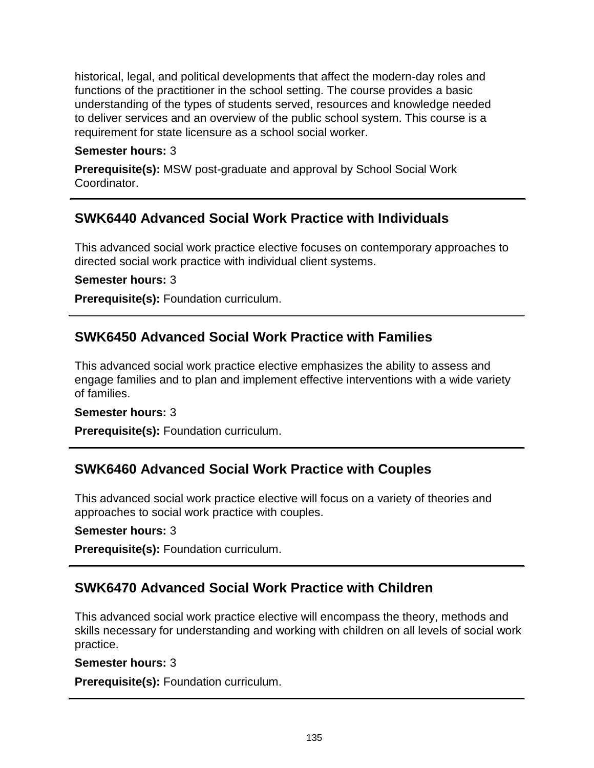historical, legal, and political developments that affect the modern-day roles and functions of the practitioner in the school setting. The course provides a basic understanding of the types of students served, resources and knowledge needed to deliver services and an overview of the public school system. This course is a requirement for state licensure as a school social worker.

#### **Semester hours:** 3

**Prerequisite(s):** MSW post-graduate and approval by School Social Work Coordinator.

### **SWK6440 Advanced Social Work Practice with Individuals**

This advanced social work practice elective focuses on contemporary approaches to directed social work practice with individual client systems.

#### **Semester hours:** 3

**Prerequisite(s):** Foundation curriculum.

### **SWK6450 Advanced Social Work Practice with Families**

This advanced social work practice elective emphasizes the ability to assess and engage families and to plan and implement effective interventions with a wide variety of families.

#### **Semester hours:** 3

**Prerequisite(s):** Foundation curriculum.

### **SWK6460 Advanced Social Work Practice with Couples**

This advanced social work practice elective will focus on a variety of theories and approaches to social work practice with couples.

**Semester hours:** 3

**Prerequisite(s):** Foundation curriculum.

## **SWK6470 Advanced Social Work Practice with Children**

This advanced social work practice elective will encompass the theory, methods and skills necessary for understanding and working with children on all levels of social work practice.

#### **Semester hours:** 3

**Prerequisite(s):** Foundation curriculum.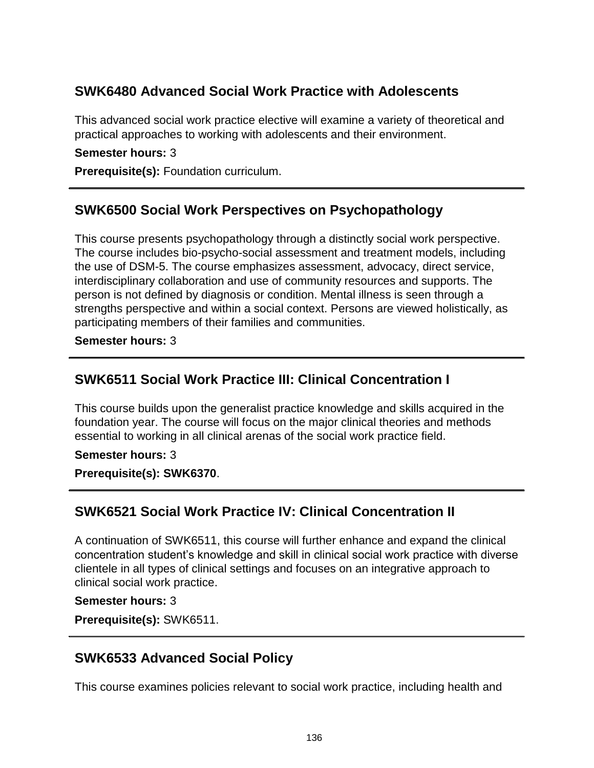# **SWK6480 Advanced Social Work Practice with Adolescents**

This advanced social work practice elective will examine a variety of theoretical and practical approaches to working with adolescents and their environment.

**Semester hours:** 3

**Prerequisite(s):** Foundation curriculum.

### **SWK6500 Social Work Perspectives on Psychopathology**

This course presents psychopathology through a distinctly social work perspective. The course includes bio-psycho-social assessment and treatment models, including the use of DSM-5. The course emphasizes assessment, advocacy, direct service, interdisciplinary collaboration and use of community resources and supports. The person is not defined by diagnosis or condition. Mental illness is seen through a strengths perspective and within a social context. Persons are viewed holistically, as participating members of their families and communities.

**Semester hours:** 3

### **SWK6511 Social Work Practice III: Clinical Concentration I**

This course builds upon the generalist practice knowledge and skills acquired in the foundation year. The course will focus on the major clinical theories and methods essential to working in all clinical arenas of the social work practice field.

#### **Semester hours:** 3

**Prerequisite(s): SWK6370**.

### **SWK6521 Social Work Practice IV: Clinical Concentration II**

A continuation of SWK6511, this course will further enhance and expand the clinical concentration student's knowledge and skill in clinical social work practice with diverse clientele in all types of clinical settings and focuses on an integrative approach to clinical social work practice.

#### **Semester hours:** 3

**Prerequisite(s):** SWK6511.

### **SWK6533 Advanced Social Policy**

This course examines policies relevant to social work practice, including health and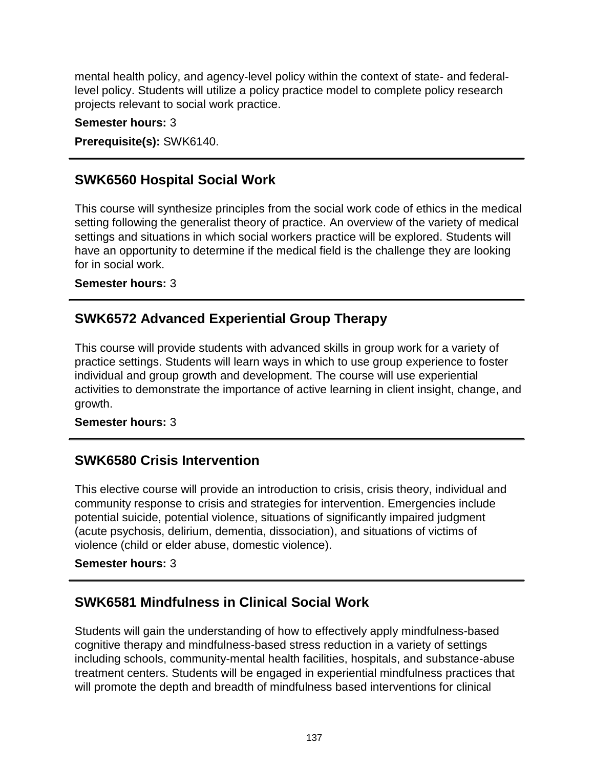mental health policy, and agency-level policy within the context of state- and federallevel policy. Students will utilize a policy practice model to complete policy research projects relevant to social work practice.

**Semester hours:** 3

**Prerequisite(s):** SWK6140.

# **SWK6560 Hospital Social Work**

This course will synthesize principles from the social work code of ethics in the medical setting following the generalist theory of practice. An overview of the variety of medical settings and situations in which social workers practice will be explored. Students will have an opportunity to determine if the medical field is the challenge they are looking for in social work.

**Semester hours:** 3

# **SWK6572 Advanced Experiential Group Therapy**

This course will provide students with advanced skills in group work for a variety of practice settings. Students will learn ways in which to use group experience to foster individual and group growth and development. The course will use experiential activities to demonstrate the importance of active learning in client insight, change, and growth.

**Semester hours:** 3

## **SWK6580 Crisis Intervention**

This elective course will provide an introduction to crisis, crisis theory, individual and community response to crisis and strategies for intervention. Emergencies include potential suicide, potential violence, situations of significantly impaired judgment (acute psychosis, delirium, dementia, dissociation), and situations of victims of violence (child or elder abuse, domestic violence).

### **Semester hours:** 3

# **SWK6581 Mindfulness in Clinical Social Work**

Students will gain the understanding of how to effectively apply mindfulness-based cognitive therapy and mindfulness-based stress reduction in a variety of settings including schools, community-mental health facilities, hospitals, and substance-abuse treatment centers. Students will be engaged in experiential mindfulness practices that will promote the depth and breadth of mindfulness based interventions for clinical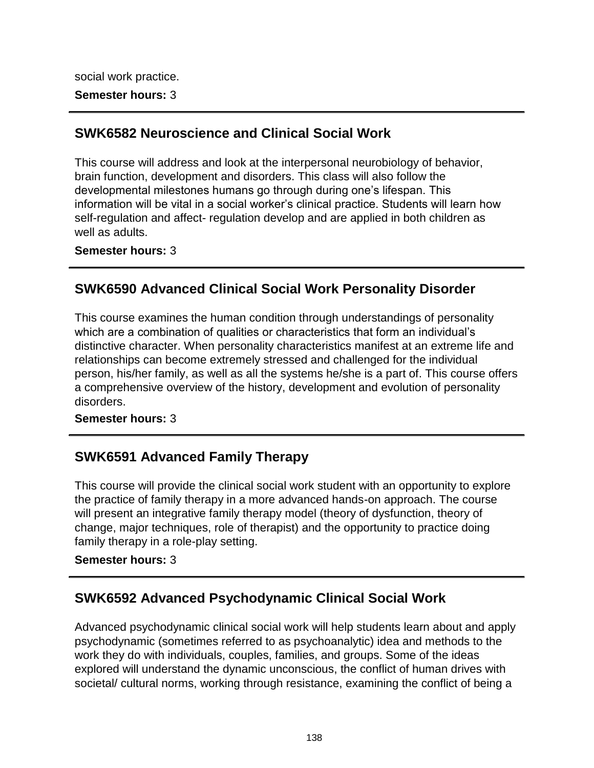social work practice. **Semester hours:** 3

## **SWK6582 Neuroscience and Clinical Social Work**

This course will address and look at the interpersonal neurobiology of behavior, brain function, development and disorders. This class will also follow the developmental milestones humans go through during one's lifespan. This information will be vital in a social worker's clinical practice. Students will learn how self-regulation and affect- regulation develop and are applied in both children as well as adults.

**Semester hours:** 3

# **SWK6590 Advanced Clinical Social Work Personality Disorder**

This course examines the human condition through understandings of personality which are a combination of qualities or characteristics that form an individual's distinctive character. When personality characteristics manifest at an extreme life and relationships can become extremely stressed and challenged for the individual person, his/her family, as well as all the systems he/she is a part of. This course offers a comprehensive overview of the history, development and evolution of personality disorders.

**Semester hours:** 3

# **SWK6591 Advanced Family Therapy**

This course will provide the clinical social work student with an opportunity to explore the practice of family therapy in a more advanced hands-on approach. The course will present an integrative family therapy model (theory of dysfunction, theory of change, major techniques, role of therapist) and the opportunity to practice doing family therapy in a role-play setting.

**Semester hours:** 3

# **SWK6592 Advanced Psychodynamic Clinical Social Work**

Advanced psychodynamic clinical social work will help students learn about and apply psychodynamic (sometimes referred to as psychoanalytic) idea and methods to the work they do with individuals, couples, families, and groups. Some of the ideas explored will understand the dynamic unconscious, the conflict of human drives with societal/ cultural norms, working through resistance, examining the conflict of being a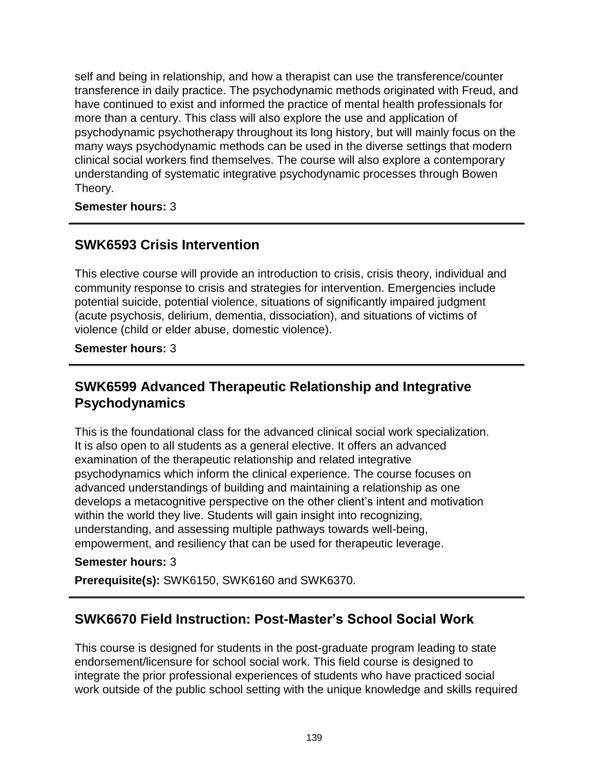self and being in relationship, and how a therapist can use the transference/counter transference in daily practice. The psychodynamic methods originated with Freud, and have continued to exist and informed the practice of mental health professionals for more than a century. This class will also explore the use and application of psychodynamic psychotherapy throughout its long history, but will mainly focus on the many ways psychodynamic methods can be used in the diverse settings that modern clinical social workers find themselves. The course will also explore a contemporary understanding of systematic integrative psychodynamic processes through Bowen Theory.

**Semester hours:** 3

# **SWK6593 Crisis Intervention**

This elective course will provide an introduction to crisis, crisis theory, individual and community response to crisis and strategies for intervention. Emergencies include potential suicide, potential violence, situations of significantly impaired judgment (acute psychosis, delirium, dementia, dissociation), and situations of victims of violence (child or elder abuse, domestic violence).

**Semester hours:** 3

## **SWK6599 Advanced Therapeutic Relationship and Integrative Psychodynamics**

This is the foundational class for the advanced clinical social work specialization. It is also open to all students as a general elective. It offers an advanced examination of the therapeutic relationship and related integrative psychodynamics which inform the clinical experience. The course focuses on advanced understandings of building and maintaining a relationship as one develops a metacognitive perspective on the other client's intent and motivation within the world they live. Students will gain insight into recognizing, understanding, and assessing multiple pathways towards well-being, empowerment, and resiliency that can be used for therapeutic leverage.

#### **Semester hours:** 3

**Prerequisite(s):** SWK6150, SWK6160 and SWK6370.

## **SWK6670 Field Instruction: Post-Master's School Social Work**

This course is designed for students in the post-graduate program leading to state endorsement/licensure for school social work. This field course is designed to integrate the prior professional experiences of students who have practiced social work outside of the public school setting with the unique knowledge and skills required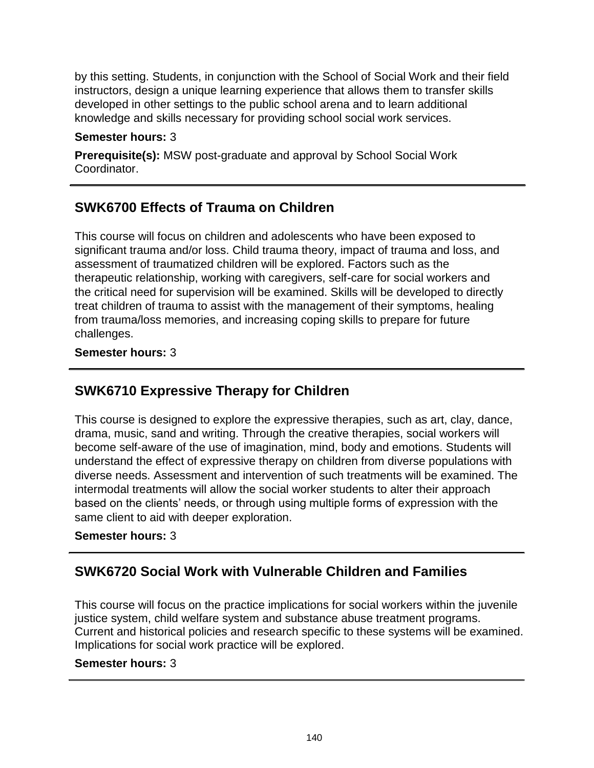by this setting. Students, in conjunction with the School of Social Work and their field instructors, design a unique learning experience that allows them to transfer skills developed in other settings to the public school arena and to learn additional knowledge and skills necessary for providing school social work services.

#### **Semester hours:** 3

**Prerequisite(s):** MSW post-graduate and approval by School Social Work Coordinator.

# **SWK6700 Effects of Trauma on Children**

This course will focus on children and adolescents who have been exposed to significant trauma and/or loss. Child trauma theory, impact of trauma and loss, and assessment of traumatized children will be explored. Factors such as the therapeutic relationship, working with caregivers, self-care for social workers and the critical need for supervision will be examined. Skills will be developed to directly treat children of trauma to assist with the management of their symptoms, healing from trauma/loss memories, and increasing coping skills to prepare for future challenges.

#### **Semester hours:** 3

# **SWK6710 Expressive Therapy for Children**

This course is designed to explore the expressive therapies, such as art, clay, dance, drama, music, sand and writing. Through the creative therapies, social workers will become self-aware of the use of imagination, mind, body and emotions. Students will understand the effect of expressive therapy on children from diverse populations with diverse needs. Assessment and intervention of such treatments will be examined. The intermodal treatments will allow the social worker students to alter their approach based on the clients' needs, or through using multiple forms of expression with the same client to aid with deeper exploration.

#### **Semester hours:** 3

## **SWK6720 Social Work with Vulnerable Children and Families**

This course will focus on the practice implications for social workers within the juvenile justice system, child welfare system and substance abuse treatment programs. Current and historical policies and research specific to these systems will be examined. Implications for social work practice will be explored.

#### **Semester hours:** 3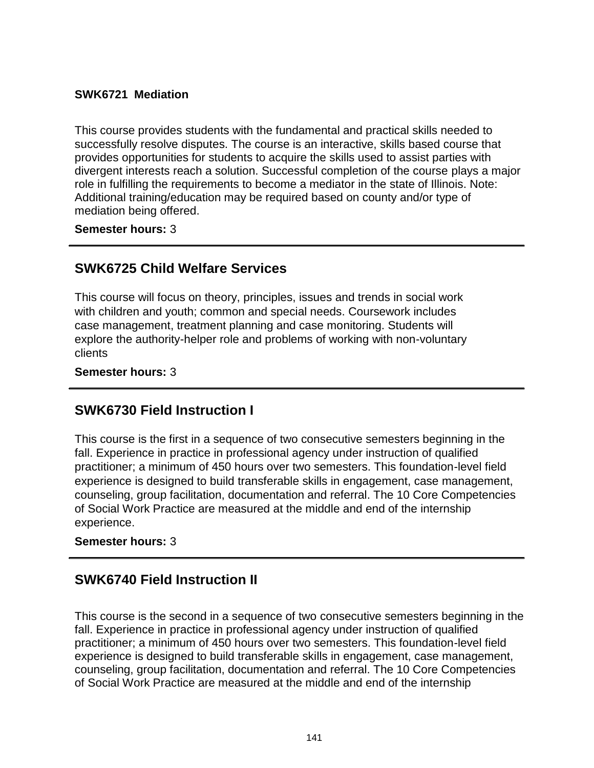#### **SWK6721 Mediation**

This course provides students with the fundamental and practical skills needed to successfully resolve disputes. The course is an interactive, skills based course that provides opportunities for students to acquire the skills used to assist parties with divergent interests reach a solution. Successful completion of the course plays a major role in fulfilling the requirements to become a mediator in the state of Illinois. Note: Additional training/education may be required based on county and/or type of mediation being offered.

**Semester hours:** 3

### **SWK6725 Child Welfare Services**

This course will focus on theory, principles, issues and trends in social work with children and youth; common and special needs. Coursework includes case management, treatment planning and case monitoring. Students will explore the authority-helper role and problems of working with non-voluntary clients

#### **Semester hours:** 3

### **SWK6730 Field Instruction I**

This course is the first in a sequence of two consecutive semesters beginning in the fall. Experience in practice in professional agency under instruction of qualified practitioner; a minimum of 450 hours over two semesters. This foundation-level field experience is designed to build transferable skills in engagement, case management, counseling, group facilitation, documentation and referral. The 10 Core Competencies of Social Work Practice are measured at the middle and end of the internship experience.

#### **Semester hours:** 3

### **SWK6740 Field Instruction II**

This course is the second in a sequence of two consecutive semesters beginning in the fall. Experience in practice in professional agency under instruction of qualified practitioner; a minimum of 450 hours over two semesters. This foundation-level field experience is designed to build transferable skills in engagement, case management, counseling, group facilitation, documentation and referral. The 10 Core Competencies of Social Work Practice are measured at the middle and end of the internship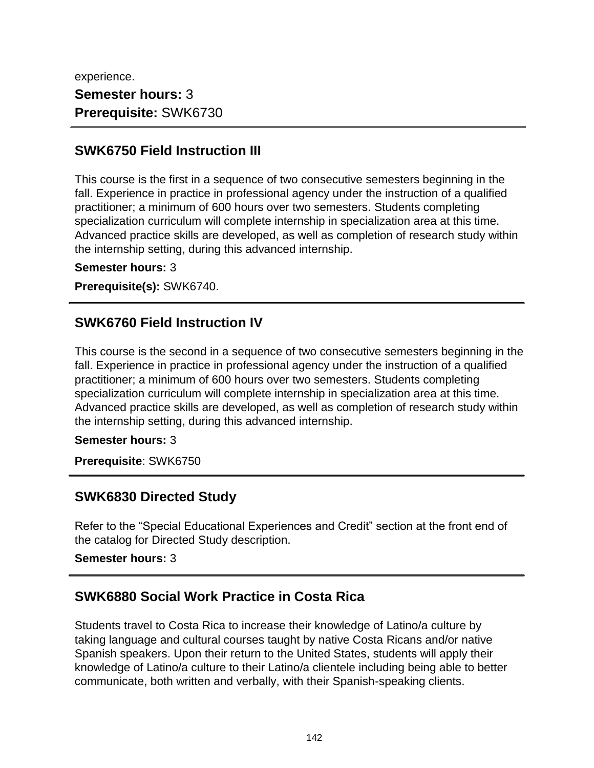experience. **Semester hours:** 3 **Prerequisite:** SWK6730

### **SWK6750 Field Instruction III**

This course is the first in a sequence of two consecutive semesters beginning in the fall. Experience in practice in professional agency under the instruction of a qualified practitioner; a minimum of 600 hours over two semesters. Students completing specialization curriculum will complete internship in specialization area at this time. Advanced practice skills are developed, as well as completion of research study within the internship setting, during this advanced internship.

**Semester hours:** 3

**Prerequisite(s):** SWK6740.

### **SWK6760 Field Instruction IV**

This course is the second in a sequence of two consecutive semesters beginning in the fall. Experience in practice in professional agency under the instruction of a qualified practitioner; a minimum of 600 hours over two semesters. Students completing specialization curriculum will complete internship in specialization area at this time. Advanced practice skills are developed, as well as completion of research study within the internship setting, during this advanced internship.

**Semester hours:** 3

**Prerequisite**: SWK6750

### **SWK6830 Directed Study**

Refer to the "Special Educational Experiences and Credit" section at the front end of the catalog for Directed Study description.

**Semester hours:** 3

## **SWK6880 Social Work Practice in Costa Rica**

Students travel to Costa Rica to increase their knowledge of Latino/a culture by taking language and cultural courses taught by native Costa Ricans and/or native Spanish speakers. Upon their return to the United States, students will apply their knowledge of Latino/a culture to their Latino/a clientele including being able to better communicate, both written and verbally, with their Spanish-speaking clients.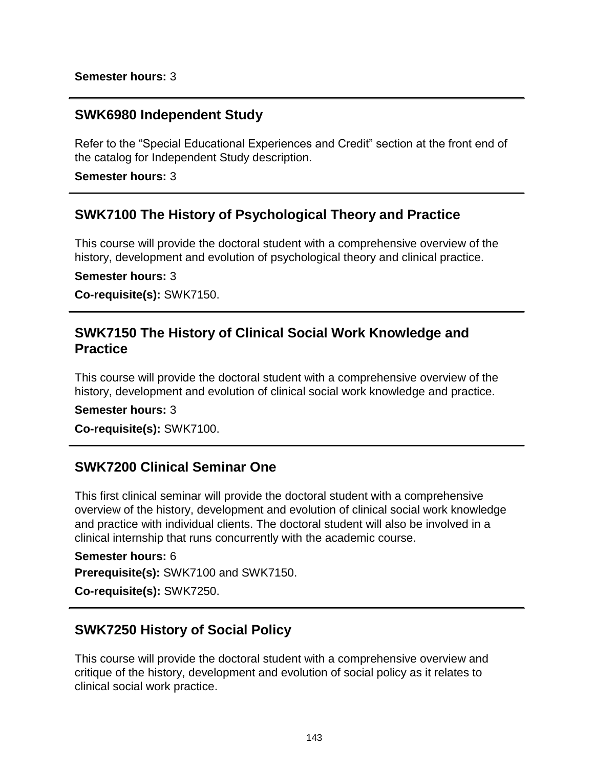### **SWK6980 Independent Study**

Refer to the "Special Educational Experiences and Credit" section at the front end of the catalog for Independent Study description.

**Semester hours:** 3

### **SWK7100 The History of Psychological Theory and Practice**

This course will provide the doctoral student with a comprehensive overview of the history, development and evolution of psychological theory and clinical practice.

**Semester hours:** 3

**Co-requisite(s):** SWK7150.

### **SWK7150 The History of Clinical Social Work Knowledge and Practice**

This course will provide the doctoral student with a comprehensive overview of the history, development and evolution of clinical social work knowledge and practice.

**Semester hours:** 3

**Co-requisite(s):** SWK7100.

### **SWK7200 Clinical Seminar One**

This first clinical seminar will provide the doctoral student with a comprehensive overview of the history, development and evolution of clinical social work knowledge and practice with individual clients. The doctoral student will also be involved in a clinical internship that runs concurrently with the academic course.

**Semester hours:** 6 **Prerequisite(s):** SWK7100 and SWK7150.

**Co-requisite(s):** SWK7250.

### **SWK7250 History of Social Policy**

This course will provide the doctoral student with a comprehensive overview and critique of the history, development and evolution of social policy as it relates to clinical social work practice.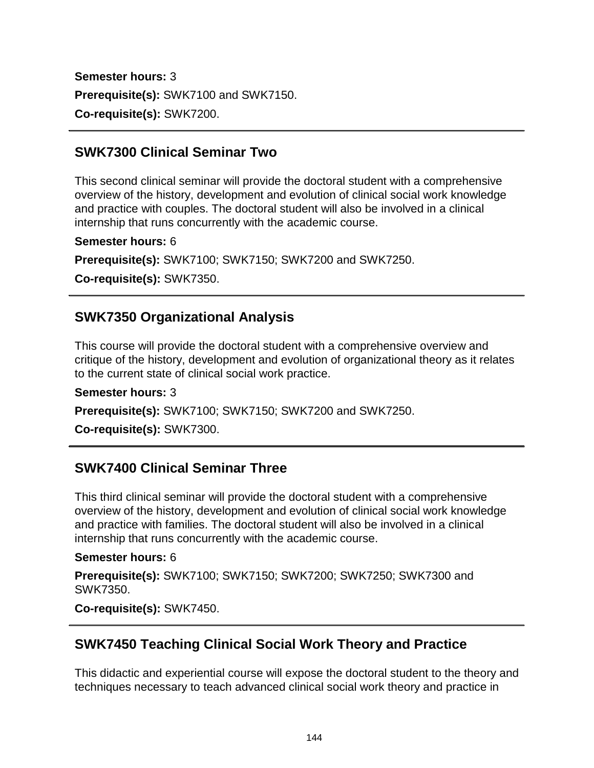**Semester hours:** 3 **Prerequisite(s):** SWK7100 and SWK7150. **Co-requisite(s):** SWK7200.

## **SWK7300 Clinical Seminar Two**

This second clinical seminar will provide the doctoral student with a comprehensive overview of the history, development and evolution of clinical social work knowledge and practice with couples. The doctoral student will also be involved in a clinical internship that runs concurrently with the academic course.

#### **Semester hours:** 6

**Prerequisite(s):** SWK7100; SWK7150; SWK7200 and SWK7250.

**Co-requisite(s):** SWK7350.

## **SWK7350 Organizational Analysis**

This course will provide the doctoral student with a comprehensive overview and critique of the history, development and evolution of organizational theory as it relates to the current state of clinical social work practice.

#### **Semester hours:** 3

**Prerequisite(s):** SWK7100; SWK7150; SWK7200 and SWK7250.

**Co-requisite(s):** SWK7300.

## **SWK7400 Clinical Seminar Three**

This third clinical seminar will provide the doctoral student with a comprehensive overview of the history, development and evolution of clinical social work knowledge and practice with families. The doctoral student will also be involved in a clinical internship that runs concurrently with the academic course.

#### **Semester hours:** 6

**Prerequisite(s):** SWK7100; SWK7150; SWK7200; SWK7250; SWK7300 and SWK7350.

**Co-requisite(s):** SWK7450.

## **SWK7450 Teaching Clinical Social Work Theory and Practice**

This didactic and experiential course will expose the doctoral student to the theory and techniques necessary to teach advanced clinical social work theory and practice in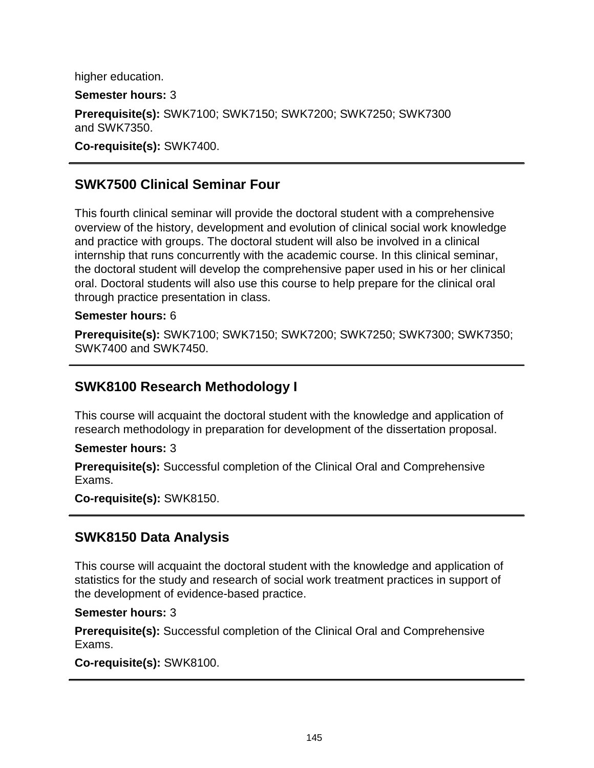higher education.

**Semester hours:** 3

**Prerequisite(s):** SWK7100; SWK7150; SWK7200; SWK7250; SWK7300 and SWK7350.

**Co-requisite(s):** SWK7400.

## **SWK7500 Clinical Seminar Four**

This fourth clinical seminar will provide the doctoral student with a comprehensive overview of the history, development and evolution of clinical social work knowledge and practice with groups. The doctoral student will also be involved in a clinical internship that runs concurrently with the academic course. In this clinical seminar, the doctoral student will develop the comprehensive paper used in his or her clinical oral. Doctoral students will also use this course to help prepare for the clinical oral through practice presentation in class.

#### **Semester hours:** 6

**Prerequisite(s):** SWK7100; SWK7150; SWK7200; SWK7250; SWK7300; SWK7350; SWK7400 and SWK7450.

#### **SWK8100 Research Methodology I**

This course will acquaint the doctoral student with the knowledge and application of research methodology in preparation for development of the dissertation proposal.

**Semester hours:** 3

**Prerequisite(s):** Successful completion of the Clinical Oral and Comprehensive Exams.

**Co-requisite(s):** SWK8150.

#### **SWK8150 Data Analysis**

This course will acquaint the doctoral student with the knowledge and application of statistics for the study and research of social work treatment practices in support of the development of evidence-based practice.

**Semester hours:** 3

**Prerequisite(s):** Successful completion of the Clinical Oral and Comprehensive Exams.

**Co-requisite(s):** SWK8100.